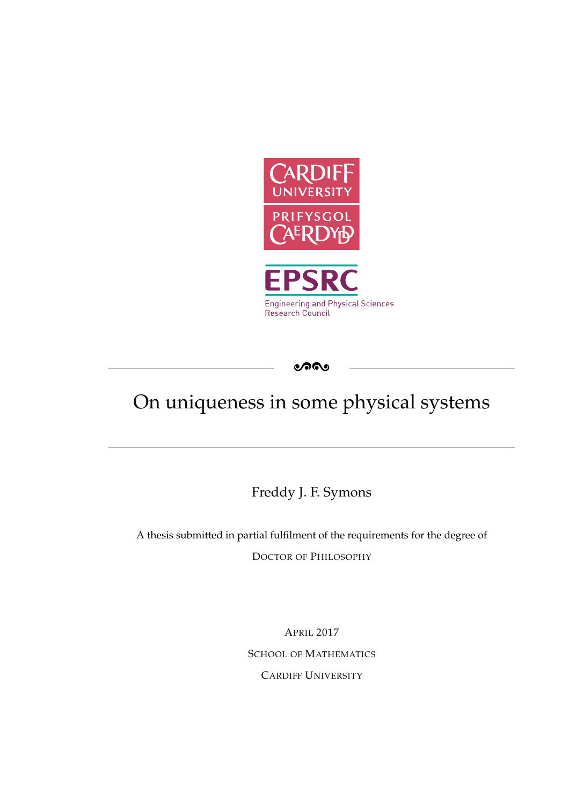

ೂೂ

# On uniqueness in some physical systems

Freddy J. F. Symons

A thesis submitted in partial fulfilment of the requirements for the degree of DOCTOR OF PHILOSOPHY

> APRIL 2017 SCHOOL OF MATHEMATICS CARDIFF UNIVERSITY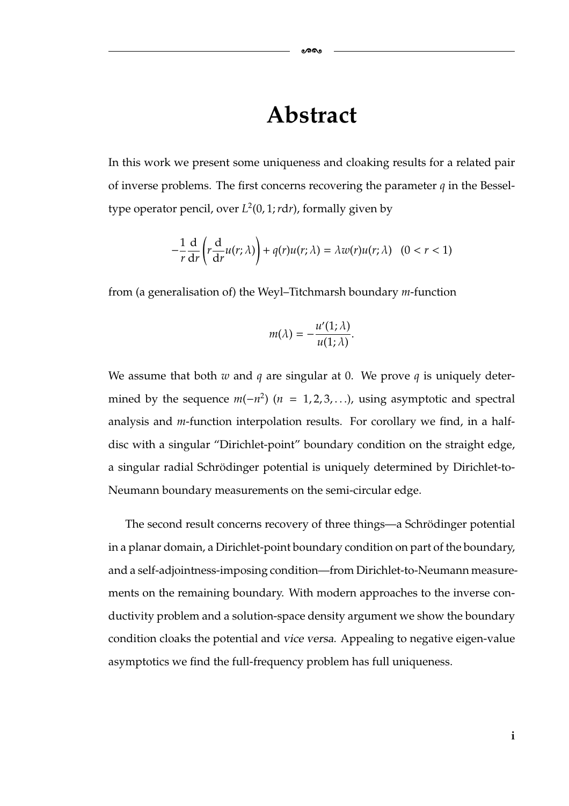### **Abstract**

In this work we present some uniqueness and cloaking results for a related pair of inverse problems. The first concerns recovering the parameter *q* in the Besseltype operator pencil, over  $L^2(0, 1; r dr)$ , formally given by

$$
-\frac{1}{r}\frac{d}{dr}\left(r\frac{d}{dr}u(r;\lambda)\right) + q(r)u(r;\lambda) = \lambda w(r)u(r;\lambda) \quad (0 < r < 1)
$$

from (a generalisation of) the Weyl–Titchmarsh boundary *m*-function

$$
m(\lambda)=-\frac{u'(1;\lambda)}{u(1;\lambda)}.
$$

We assume that both *w* and *q* are singular at 0. We prove *q* is uniquely determined by the sequence  $m(-n^2)$  ( $n = 1, 2, 3, ...$ ), using asymptotic and spectral analysis and *m*-function interpolation results. For corollary we find, in a halfdisc with a singular "Dirichlet-point" boundary condition on the straight edge, a singular radial Schrödinger potential is uniquely determined by Dirichlet-to-Neumann boundary measurements on the semi-circular edge.

The second result concerns recovery of three things—a Schrödinger potential in a planar domain, a Dirichlet-point boundary condition on part of the boundary, and a self-adjointness-imposing condition—from Dirichlet-to-Neumann measurements on the remaining boundary. With modern approaches to the inverse conductivity problem and a solution-space density argument we show the boundary condition cloaks the potential and *vice versa*. Appealing to negative eigen-value asymptotics we find the full-frequency problem has full uniqueness.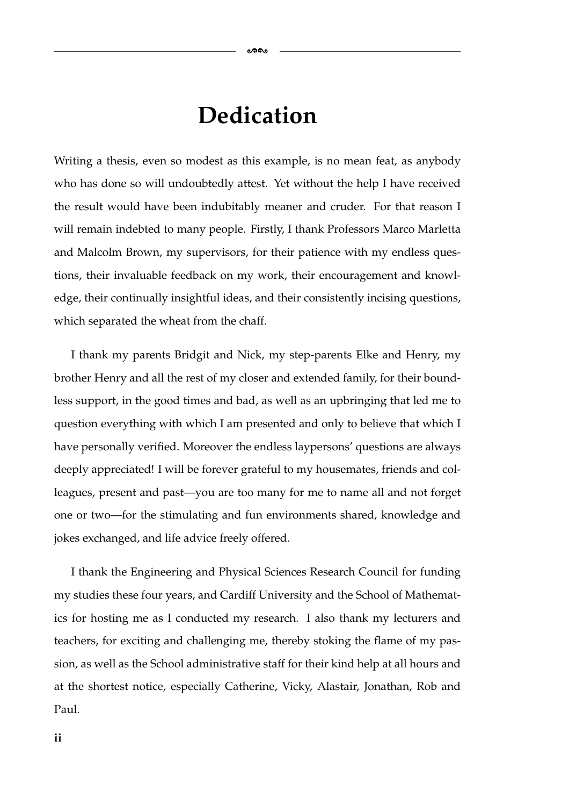### **Dedication**

-

Writing a thesis, even so modest as this example, is no mean feat, as anybody who has done so will undoubtedly attest. Yet without the help I have received the result would have been indubitably meaner and cruder. For that reason I will remain indebted to many people. Firstly, I thank Professors Marco Marletta and Malcolm Brown, my supervisors, for their patience with my endless questions, their invaluable feedback on my work, their encouragement and knowledge, their continually insightful ideas, and their consistently incising questions, which separated the wheat from the chaff.

I thank my parents Bridgit and Nick, my step-parents Elke and Henry, my brother Henry and all the rest of my closer and extended family, for their boundless support, in the good times and bad, as well as an upbringing that led me to question everything with which I am presented and only to believe that which I have personally verified. Moreover the endless laypersons' questions are always deeply appreciated! I will be forever grateful to my housemates, friends and colleagues, present and past—you are too many for me to name all and not forget one or two—for the stimulating and fun environments shared, knowledge and jokes exchanged, and life advice freely offered.

I thank the Engineering and Physical Sciences Research Council for funding my studies these four years, and Cardiff University and the School of Mathematics for hosting me as I conducted my research. I also thank my lecturers and teachers, for exciting and challenging me, thereby stoking the flame of my passion, as well as the School administrative staff for their kind help at all hours and at the shortest notice, especially Catherine, Vicky, Alastair, Jonathan, Rob and Paul.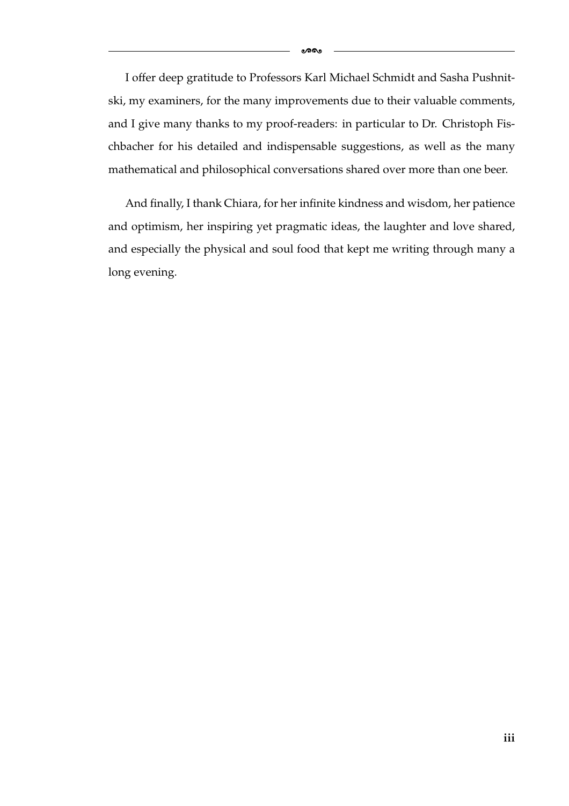I offer deep gratitude to Professors Karl Michael Schmidt and Sasha Pushnitski, my examiners, for the many improvements due to their valuable comments, and I give many thanks to my proof-readers: in particular to Dr. Christoph Fischbacher for his detailed and indispensable suggestions, as well as the many mathematical and philosophical conversations shared over more than one beer.

And finally, I thank Chiara, for her infinite kindness and wisdom, her patience and optimism, her inspiring yet pragmatic ideas, the laughter and love shared, and especially the physical and soul food that kept me writing through many a long evening.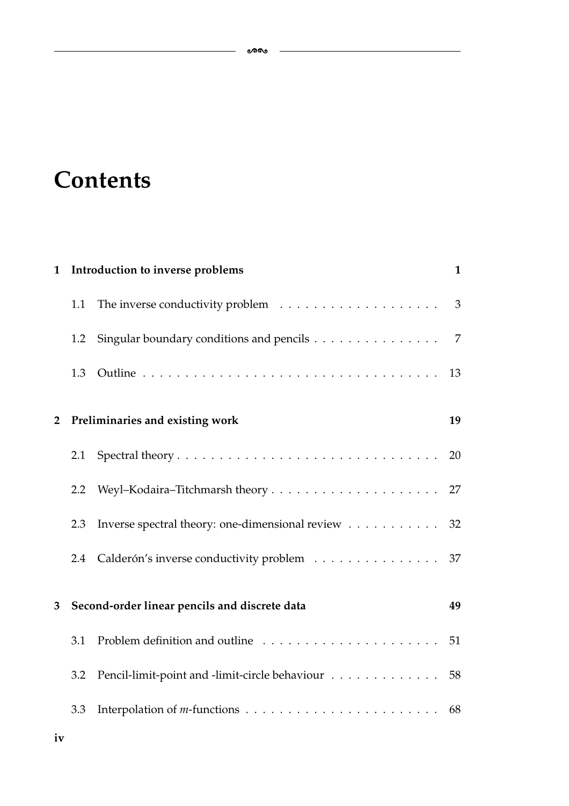## **Contents**

| $\mathbf{1}$   |                                               | Introduction to inverse problems                  |                          |  |  |
|----------------|-----------------------------------------------|---------------------------------------------------|--------------------------|--|--|
|                | 1.1                                           |                                                   | $\overline{\phantom{a}}$ |  |  |
|                | 1.2                                           | Singular boundary conditions and pencils          | 7                        |  |  |
|                | 1.3                                           |                                                   | 13                       |  |  |
| $\overline{2}$ | Preliminaries and existing work               |                                                   |                          |  |  |
|                | 2.1                                           |                                                   | 20                       |  |  |
|                | 2.2                                           |                                                   |                          |  |  |
|                | 2.3                                           | Inverse spectral theory: one-dimensional review   | 32                       |  |  |
|                | 2.4                                           | Calderón's inverse conductivity problem 37        |                          |  |  |
| 3              | Second-order linear pencils and discrete data |                                                   | 49                       |  |  |
|                | 3.1                                           |                                                   |                          |  |  |
|                | 3.2                                           | Pencil-limit-point and -limit-circle behaviour 58 |                          |  |  |
|                | 3.3                                           |                                                   |                          |  |  |
|                |                                               |                                                   |                          |  |  |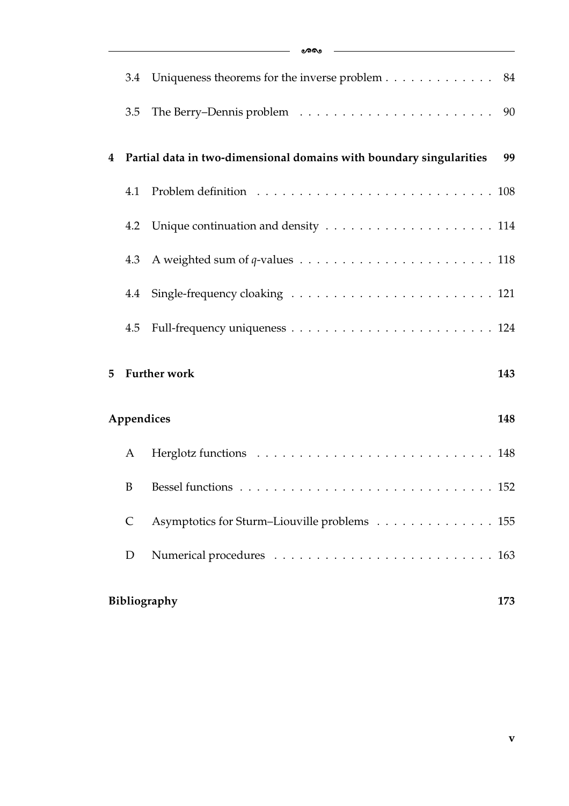|                   | 3.4                 | Uniqueness theorems for the inverse problem 84                      |     |  |  |  |  |
|-------------------|---------------------|---------------------------------------------------------------------|-----|--|--|--|--|
|                   | 3.5                 |                                                                     |     |  |  |  |  |
| 4                 |                     | Partial data in two-dimensional domains with boundary singularities | 99  |  |  |  |  |
|                   | 4.1                 |                                                                     |     |  |  |  |  |
|                   |                     |                                                                     |     |  |  |  |  |
|                   |                     |                                                                     |     |  |  |  |  |
|                   |                     |                                                                     |     |  |  |  |  |
|                   |                     |                                                                     |     |  |  |  |  |
| 5                 |                     | <b>Further work</b>                                                 | 143 |  |  |  |  |
| Appendices<br>148 |                     |                                                                     |     |  |  |  |  |
|                   | A                   |                                                                     |     |  |  |  |  |
|                   |                     |                                                                     |     |  |  |  |  |
|                   | $\mathsf{C}$        | Asymptotics for Sturm-Liouville problems 155                        |     |  |  |  |  |
|                   | D                   |                                                                     |     |  |  |  |  |
|                   | Bibliography<br>173 |                                                                     |     |  |  |  |  |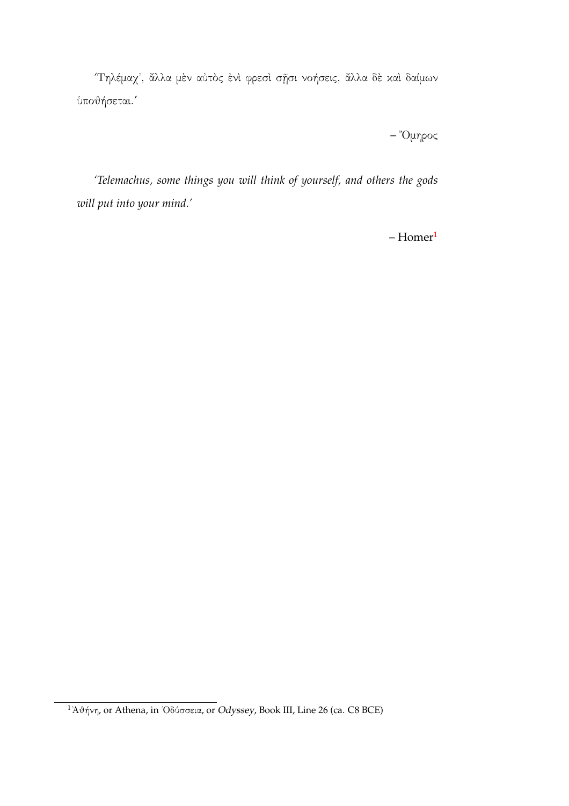*'*Τηλέμαχ᾿, ἄλλα μὲν αὐτὸς ἐνὶ φρεσὶ σῇσι νοήσεις, ἄλλα δὲ καὶ δαίμων ὑποθήσεται.*'*

– "Ομηρος

*'Telemachus, some things you will think of yourself, and others the gods will put into your mind.'*

 $-$  Homer $<sup>1</sup>$ </sup>

<span id="page-6-0"></span><sup>1</sup>᾿Αθήνη, or Athena, in ᾿Οδύσσεια, or *Odyssey*, Book III, Line 26 (ca. C8 BCE)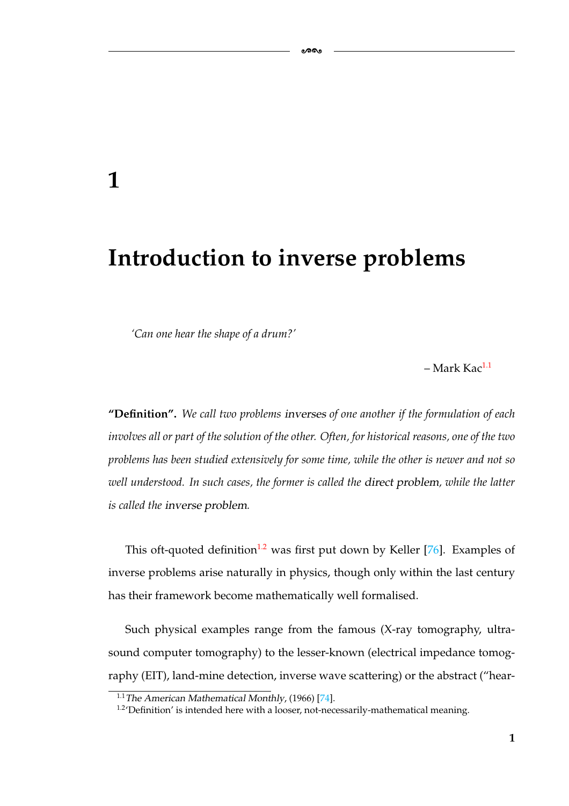### **Introduction to inverse problems**

*'Can one hear the shape of a drum?'*

<span id="page-7-0"></span>**1**

 $-$  Mark Kac<sup>1.1</sup>

**"Definition".** *We call two problems inverses of one another if the formulation of each involves all or part of the solution of the other. Often, for historical reasons, one of the two problems has been studied extensively for some time, while the other is newer and not so well understood. In such cases, the former is called the direct problem, while the latter is called the inverse problem.*

This oft-quoted definition<sup>1.2</sup> was first put down by Keller [\[76\]](#page-184-1). Examples of inverse problems arise naturally in physics, though only within the last century has their framework become mathematically well formalised.

Such physical examples range from the famous (X-ray tomography, ultrasound computer tomography) to the lesser-known (electrical impedance tomography (EIT), land-mine detection, inverse wave scattering) or the abstract ("hear-

<span id="page-7-2"></span><sup>1.1</sup>*The American Mathematical Monthly*, (1966) [\[74\]](#page-184-0).

<span id="page-7-1"></span><sup>&</sup>lt;sup>1.2</sup>'Definition' is intended here with a looser, not-necessarily-mathematical meaning.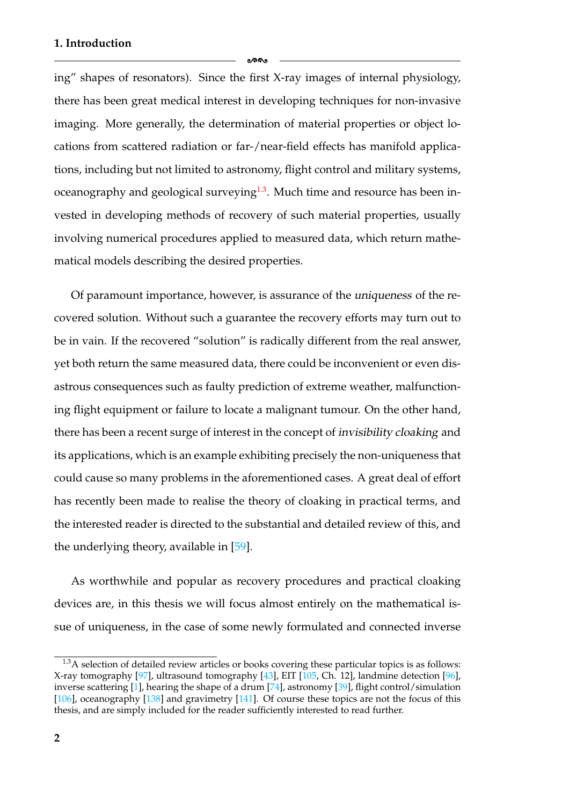ക്ക

ing" shapes of resonators). Since the first X-ray images of internal physiology, there has been great medical interest in developing techniques for non-invasive imaging. More generally, the determination of material properties or object locations from scattered radiation or far-/near-field effects has manifold applications, including but not limited to astronomy, flight control and military systems, oceanography and geological surveying<sup>1.3</sup>. Much time and resource has been invested in developing methods of recovery of such material properties, usually involving numerical procedures applied to measured data, which return mathematical models describing the desired properties.

Of paramount importance, however, is assurance of the *uniqueness* of the recovered solution. Without such a guarantee the recovery efforts may turn out to be in vain. If the recovered "solution" is radically different from the real answer, yet both return the same measured data, there could be inconvenient or even disastrous consequences such as faulty prediction of extreme weather, malfunctioning flight equipment or failure to locate a malignant tumour. On the other hand, there has been a recent surge of interest in the concept of *invisibility cloaking* and its applications, which is an example exhibiting precisely the non-uniqueness that could cause so many problems in the aforementioned cases. A great deal of effort has recently been made to realise the theory of cloaking in practical terms, and the interested reader is directed to the substantial and detailed review of this, and the underlying theory, available in [\[59\]](#page-183-0).

As worthwhile and popular as recovery procedures and practical cloaking devices are, in this thesis we will focus almost entirely on the mathematical issue of uniqueness, in the case of some newly formulated and connected inverse

<span id="page-8-0"></span><sup>&</sup>lt;sup>1.3</sup>A selection of detailed review articles or books covering these particular topics is as follows: X-ray tomography [\[97\]](#page-185-1), ultrasound tomography [\[43\]](#page-182-0), EIT [\[105,](#page-186-1) Ch. 12], landmine detection [\[96\]](#page-185-0), inverse scattering [\[1\]](#page-179-1), hearing the shape of a drum [\[74\]](#page-184-0), astronomy [\[39\]](#page-181-0), flight control/simulation [\[106\]](#page-186-0), oceanography [\[138\]](#page-188-1) and gravimetry [\[141\]](#page-188-0). Of course these topics are not the focus of this thesis, and are simply included for the reader sufficiently interested to read further.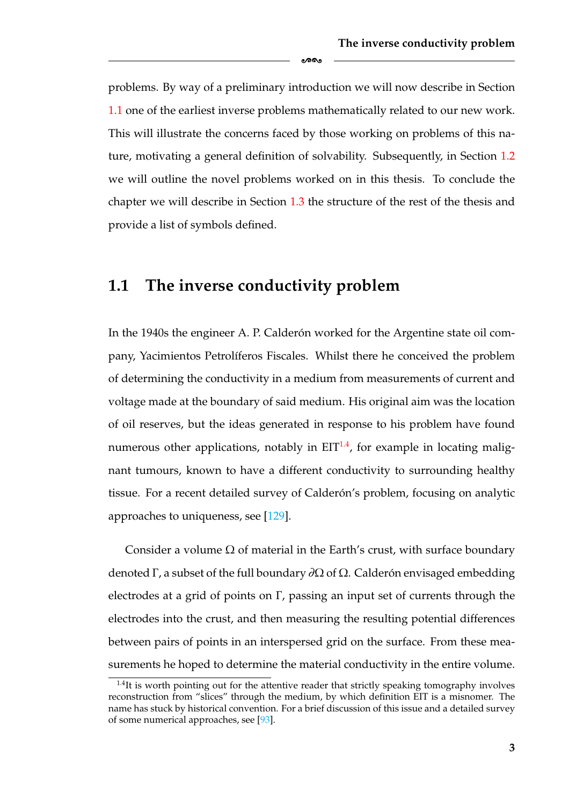problems. By way of a preliminary introduction we will now describe in Section [1.1](#page-9-0) one of the earliest inverse problems mathematically related to our new work. This will illustrate the concerns faced by those working on problems of this nature, motivating a general definition of solvability. Subsequently, in Section [1.2](#page-13-0) we will outline the novel problems worked on in this thesis. To conclude the chapter we will describe in Section [1.3](#page-19-0) the structure of the rest of the thesis and provide a list of symbols defined.

ക്ക

#### <span id="page-9-0"></span>**1.1 The inverse conductivity problem**

In the 1940s the engineer A. P. Calderón worked for the Argentine state oil company, Yacimientos Petrolíferos Fiscales. Whilst there he conceived the problem of determining the conductivity in a medium from measurements of current and voltage made at the boundary of said medium. His original aim was the location of oil reserves, but the ideas generated in response to his problem have found numerous other applications, notably in  $EIT<sup>1.4</sup>$ , for example in locating malignant tumours, known to have a different conductivity to surrounding healthy tissue. For a recent detailed survey of Calderón's problem, focusing on analytic approaches to uniqueness, see [\[129\]](#page-187-0).

Consider a volume  $\Omega$  of material in the Earth's crust, with surface boundary denoted Γ, a subset of the full boundary  $\partial\Omega$  of  $\Omega$ . Calderón envisaged embedding electrodes at a grid of points on  $\Gamma$ , passing an input set of currents through the electrodes into the crust, and then measuring the resulting potential differences between pairs of points in an interspersed grid on the surface. From these measurements he hoped to determine the material conductivity in the entire volume.

<span id="page-9-1"></span> $1.4$ It is worth pointing out for the attentive reader that strictly speaking tomography involves reconstruction from "slices" through the medium, by which definition EIT is a misnomer. The name has stuck by historical convention. For a brief discussion of this issue and a detailed survey of some numerical approaches, see [\[93\]](#page-185-2).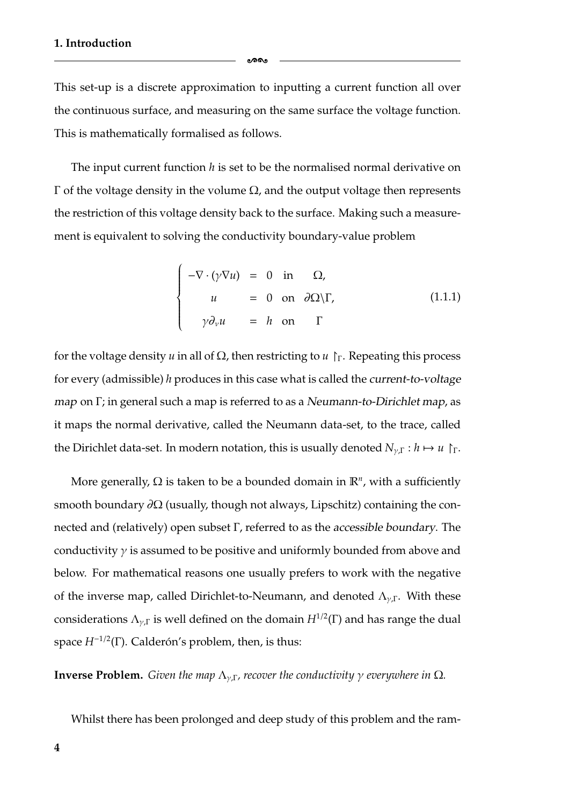This set-up is a discrete approximation to inputting a current function all over the continuous surface, and measuring on the same surface the voltage function. This is mathematically formalised as follows.

ക്കം

The input current function *h* is set to be the normalised normal derivative on Γ of the voltage density in the volume Ω, and the output voltage then represents the restriction of this voltage density back to the surface. Making such a measurement is equivalent to solving the conductivity boundary-value problem

<span id="page-10-0"></span>
$$
\begin{cases}\n-\nabla \cdot (\gamma \nabla u) = 0 \text{ in } \Omega, \\
u = 0 \text{ on } \partial \Omega \setminus \Gamma, \\
\gamma \partial_{\nu} u = h \text{ on } \Gamma\n\end{cases}
$$
\n(1.1.1)

for the voltage density *u* in all of  $\Omega$ , then restricting to *u*  $\Gamma$ . Repeating this process for every (admissible) *h* produces in this case what is called the *current-to-voltage map* on Γ; in general such a map is referred to as a *Neumann-to-Dirichlet map*, as it maps the normal derivative, called the Neumann data-set, to the trace, called the Dirichlet data-set. In modern notation, this is usually denoted  $N_{\gamma} \Gamma : h \mapsto u \Gamma$ .

More generally,  $Ω$  is taken to be a bounded domain in  $\mathbb{R}^n$ , with a sufficiently smooth boundary  $\partial\Omega$  (usually, though not always, Lipschitz) containing the connected and (relatively) open subset Γ, referred to as the *accessible boundary*. The conductivity  $\gamma$  is assumed to be positive and uniformly bounded from above and below. For mathematical reasons one usually prefers to work with the negative of the inverse map, called Dirichlet-to-Neumann, and denoted  $\Lambda_{\nu,\Gamma}$ . With these considerations  $\Lambda_{\nu,\Gamma}$  is well defined on the domain  $H^{1/2}(\Gamma)$  and has range the dual space  $H^{-1/2}(\Gamma)$ . Calderón's problem, then, is thus:

**Inverse Problem.** *Given the map*  $\Lambda_{\nu,\Gamma}$ *, recover the conductivity*  $\gamma$  *everywhere in*  $\Omega$ *.* 

Whilst there has been prolonged and deep study of this problem and the ram-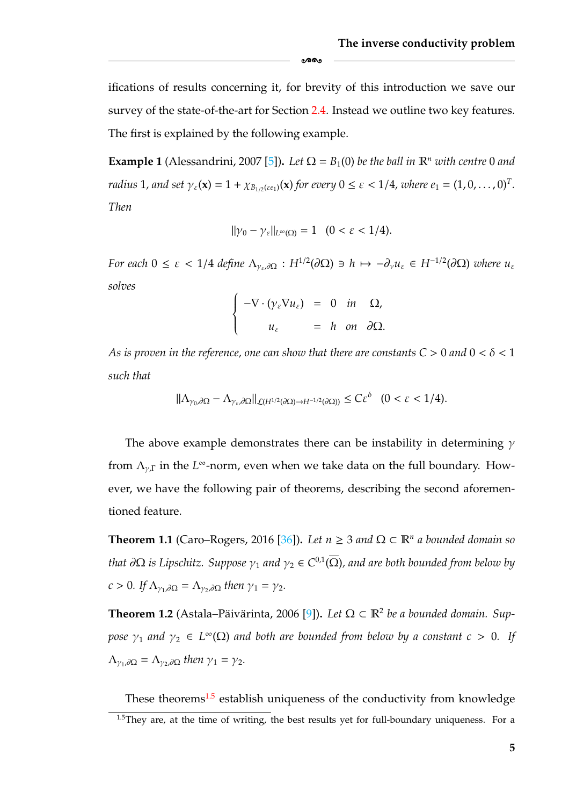ifications of results concerning it, for brevity of this introduction we save our survey of the state-of-the-art for Section [2.4.](#page-43-0) Instead we outline two key features. The first is explained by the following example.

-

**Example 1** (Alessandrini, 2007 [\[5\]](#page-179-3)). Let  $\Omega = B_1(0)$  be the ball in  $\mathbb{R}^n$  with centre 0 and *radius* 1, and set  $\gamma_{\varepsilon}(\mathbf{x}) = 1 + \chi_{B_{1/2}(\varepsilon_{e_1})}(\mathbf{x})$  for every  $0 \le \varepsilon < 1/4$ , where  $e_1 = (1, 0, \ldots, 0)^T$ . *Then*

$$
\|\gamma_0-\gamma_{\varepsilon}\|_{L^{\infty}(\Omega)}=1\quad(0<\varepsilon<1/4).
$$

*For each*  $0 \leq \varepsilon < 1/4$  *define*  $\Lambda_{\gamma_{\varepsilon},\partial\Omega}: H^{1/2}(\partial\Omega) \ni h \mapsto -\partial_{\nu}u_{\varepsilon} \in H^{-1/2}(\partial\Omega)$  *where*  $u_{\varepsilon}$ *solves*  $\overline{1}$ 

$$
\begin{cases}\n-\nabla \cdot (\gamma_{\varepsilon} \nabla u_{\varepsilon}) = 0 & \text{in } \Omega, \\
u_{\varepsilon} = h & \text{on } \partial \Omega.\n\end{cases}
$$

*As is proven in the reference, one can show that there are constants*  $C > 0$  *and*  $0 < \delta < 1$ *such that*

$$
\|\Lambda_{\gamma_0,\partial\Omega}-\Lambda_{\gamma_\varepsilon,\partial\Omega}\|_{\mathcal{L}(H^{1/2}(\partial\Omega)\to H^{-1/2}(\partial\Omega))}\leq C\varepsilon^\delta\quad(0<\varepsilon<1/4).
$$

The above example demonstrates there can be instability in determining  $\gamma$ from  $\Lambda_{\nu}$  in the *L*<sup>∞</sup>-norm, even when we take data on the full boundary. However, we have the following pair of theorems, describing the second aforementioned feature.

**Theorem 1.1** (Caro–Rogers, 2016 [\[36\]](#page-181-1)). Let  $n \geq 3$  and  $\Omega \subset \mathbb{R}^n$  a bounded domain so *that*  $\partial\Omega$  *is Lipschitz. Suppose*  $\gamma_1$  *and*  $\gamma_2 \in C^{0,1}(\overline{\Omega})$ *, and are both bounded from below by*  $c > 0$ *. If*  $\Lambda_{\gamma_1, \partial\Omega} = \Lambda_{\gamma_2, \partial\Omega}$  *then*  $\gamma_1 = \gamma_2$ *.* 

**Theorem 1.2** (Astala–Päivärinta, 2006 [[9\]](#page-179-2)). Let  $\Omega \subset \mathbb{R}^2$  be a bounded domain. Sup*pose*  $\gamma_1$  *and*  $\gamma_2 \in L^{\infty}(\Omega)$  *and both are bounded from below by a constant*  $c > 0$ . If  $\Lambda_{\gamma_1,\partial\Omega} = \Lambda_{\gamma_2,\partial\Omega}$  *then*  $\gamma_1 = \gamma_2$ *.* 

<span id="page-11-0"></span>These theorems $1.5$  establish uniqueness of the conductivity from knowledge  $1.5$ They are, at the time of writing, the best results yet for full-boundary uniqueness. For a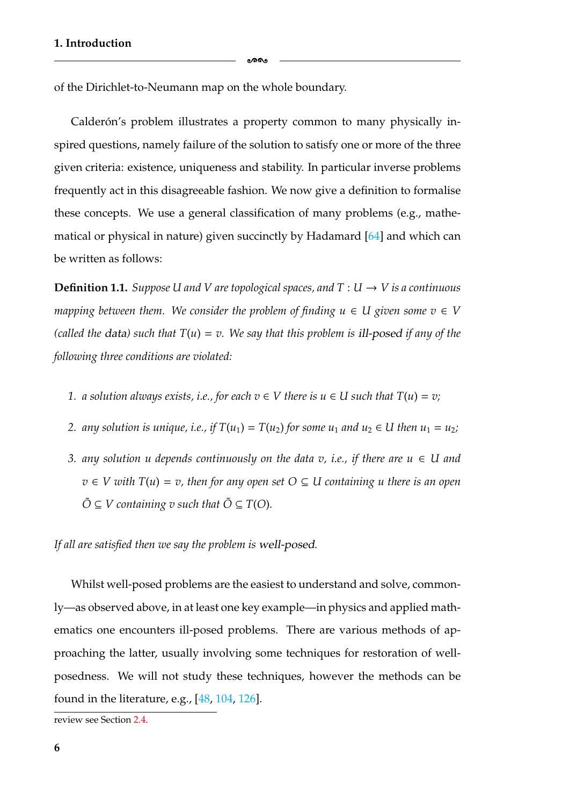of the Dirichlet-to-Neumann map on the whole boundary.

Calderón's problem illustrates a property common to many physically inspired questions, namely failure of the solution to satisfy one or more of the three given criteria: existence, uniqueness and stability. In particular inverse problems frequently act in this disagreeable fashion. We now give a definition to formalise these concepts. We use a general classification of many problems (e.g., mathematical or physical in nature) given succinctly by Hadamard [\[64\]](#page-183-1) and which can be written as follows:

ക്കം

**Definition 1.1.** *Suppose U and V are topological spaces, and*  $T: U \rightarrow V$  *is a continuous mapping between them. We consider the problem of finding*  $u \in U$  *given some*  $v \in V$ *(called the data) such that*  $T(u) = v$ . We say that this problem is ill-posed if any of the *following three conditions are violated:*

- *1. a solution always exists, i.e., for each*  $v ∈ V$  *there is*  $u ∈ U$  *such that*  $T(u) = v$ ;
- *2. any solution is unique, i.e., if*  $T(u_1) = T(u_2)$  *for some u<sub>1</sub> and u<sub>2</sub>*  $\in$  *U then u<sub>1</sub> = u<sub>2</sub><i>;*
- *3. any solution u depends continuously on the data v, i.e., if there are u* ∈ *U* and  $v \in V$  with  $T(u) = v$ , then for any open set  $O \subseteq U$  containing u there is an open  $\tilde{O} \subseteq V$  containing v such that  $\tilde{O} \subseteq T(O)$ .

*If all are satisfied then we say the problem is well-posed.*

Whilst well-posed problems are the easiest to understand and solve, commonly—as observed above, in at least one key example—in physics and applied mathematics one encounters ill-posed problems. There are various methods of approaching the latter, usually involving some techniques for restoration of wellposedness. We will not study these techniques, however the methods can be found in the literature, e.g., [\[48,](#page-182-1) [104,](#page-186-2) [126\]](#page-187-1).

review see Section [2.4.](#page-43-0)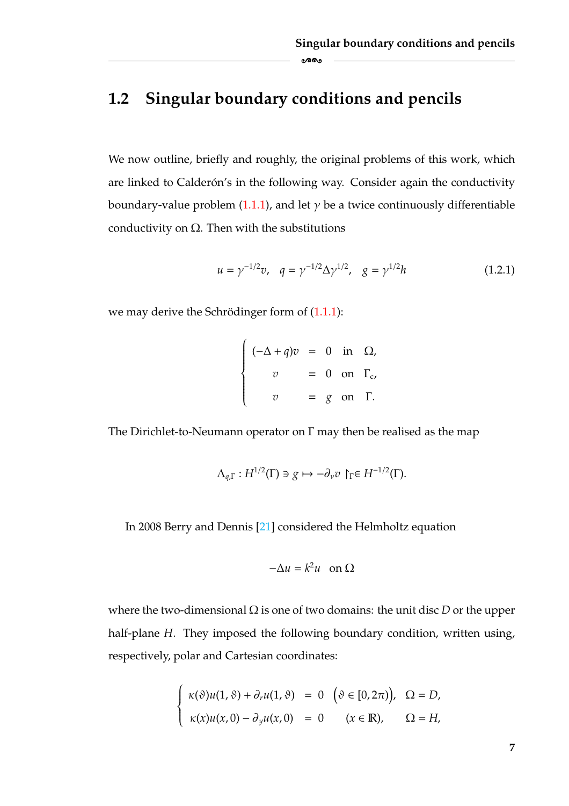### <span id="page-13-0"></span>**1.2 Singular boundary conditions and pencils**

We now outline, briefly and roughly, the original problems of this work, which are linked to Calderón's in the following way. Consider again the conductivity boundary-value problem [\(1.1.1\)](#page-10-0), and let  $\gamma$  be a twice continuously differentiable conductivity on  $\Omega$ . Then with the substitutions

-

$$
u = \gamma^{-1/2} v, \quad q = \gamma^{-1/2} \Delta \gamma^{1/2}, \quad g = \gamma^{1/2} h \tag{1.2.1}
$$

we may derive the Schrödinger form of  $(1.1.1)$  $(1.1.1)$ :

$$
\begin{cases}\n(-\Delta + q)v = 0 & \text{in } \Omega, \\
v = 0 & \text{on } \Gamma_c, \\
v = g & \text{on } \Gamma.\n\end{cases}
$$

The Dirichlet-to-Neumann operator on Γ may then be realised as the map

$$
\Lambda_{q,\Gamma}:H^{1/2}(\Gamma)\ni g\mapsto -\partial_\nu v\restriction_\Gamma\in H^{-1/2}(\Gamma).
$$

In 2008 Berry and Dennis [\[21\]](#page-180-0) considered the Helmholtz equation

$$
-\Delta u = k^2 u \quad \text{on } \Omega
$$

where the two-dimensional Ω is one of two domains: the unit disc *D* or the upper half-plane *H*. They imposed the following boundary condition, written using, respectively, polar and Cartesian coordinates:

$$
\begin{cases}\n\kappa(\vartheta)u(1,\vartheta) + \partial_{\tau}u(1,\vartheta) = 0 \quad (\vartheta \in [0,2\pi)), & \Omega = D, \\
\kappa(x)u(x,0) - \partial_{y}u(x,0) = 0 \quad (x \in \mathbb{R}), & \Omega = H,\n\end{cases}
$$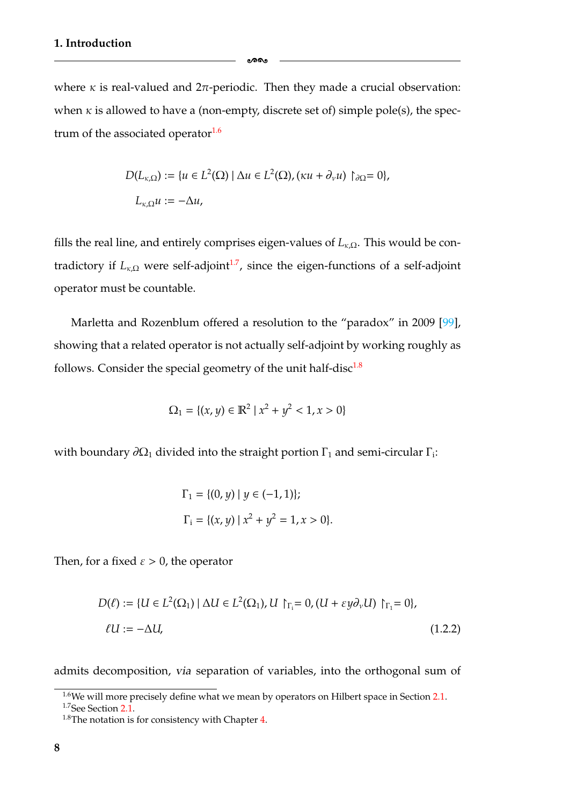where  $\kappa$  is real-valued and  $2\pi$ -periodic. Then they made a crucial observation: when  $\kappa$  is allowed to have a (non-empty, discrete set of) simple pole(s), the spectrum of the associated operator<sup>1.6</sup>

-

$$
D(L_{\kappa,\Omega}) := \{ u \in L^2(\Omega) \mid \Delta u \in L^2(\Omega), (\kappa u + \partial_\nu u) \upharpoonright_{\partial\Omega} = 0 \},
$$
  

$$
L_{\kappa,\Omega} u := -\Delta u,
$$

fills the real line, and entirely comprises eigen-values of  $L_{k,\Omega}$ . This would be contradictory if  $L_{\kappa,\Omega}$  were self-adjoint<sup>1.7</sup>, since the eigen-functions of a self-adjoint operator must be countable.

Marletta and Rozenblum offered a resolution to the "paradox" in 2009 [\[99\]](#page-185-3), showing that a related operator is not actually self-adjoint by working roughly as follows. Consider the special geometry of the unit half-disc $1.8$ 

$$
\Omega_1 = \{(x, y) \in \mathbb{R}^2 \mid x^2 + y^2 < 1, x > 0\}
$$

with boundary  $\partial\Omega_1$  divided into the straight portion  $\Gamma_1$  and semi-circular  $\Gamma_i$ :

$$
\Gamma_1 = \{ (0, y) \mid y \in (-1, 1) \};
$$
  
\n
$$
\Gamma_i = \{ (x, y) \mid x^2 + y^2 = 1, x > 0 \}
$$

Then, for a fixed  $\varepsilon > 0$ , the operator

$$
D(\ell) := \{ U \in L^{2}(\Omega_{1}) \mid \Delta U \in L^{2}(\Omega_{1}), U \upharpoonright_{\Gamma_{i}} = 0, (U + \varepsilon y \partial_{\nu} U) \upharpoonright_{\Gamma_{1}} = 0 \},
$$
  
\n
$$
\ell U := -\Delta U,
$$
\n(1.2.2)

admits decomposition, *via* separation of variables, into the orthogonal sum of

<span id="page-14-2"></span><span id="page-14-1"></span><sup>&</sup>lt;sup>1.6</sup>We will more precisely define what we mean by operators on Hilbert space in Section [2.1.](#page-26-0) 1.7See Section [2.1.](#page-26-0)

<span id="page-14-0"></span> $1.8$ The notation is for consistency with Chapter [4.](#page-105-0)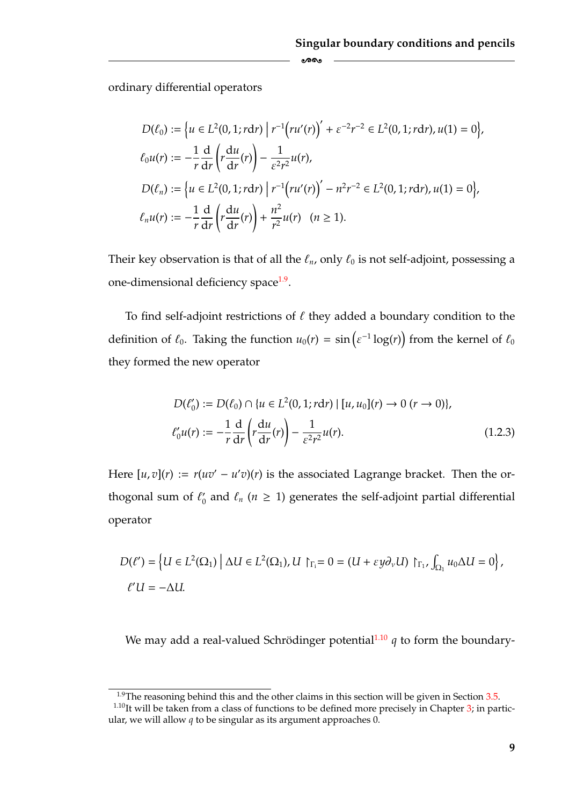ordinary differential operators

$$
D(\ell_0) := \left\{ u \in L^2(0, 1; r \, dr) \mid r^{-1} \left( ru'(r) \right)' + \varepsilon^{-2} r^{-2} \in L^2(0, 1; r \, dr), u(1) = 0 \right\},\
$$
  
\n
$$
\ell_0 u(r) := -\frac{1}{r} \frac{d}{dr} \left( r \frac{du}{dr}(r) \right) - \frac{1}{\varepsilon^2 r^2} u(r),
$$
  
\n
$$
D(\ell_n) := \left\{ u \in L^2(0, 1; r \, dr) \mid r^{-1} \left( ru'(r) \right)' - n^2 r^{-2} \in L^2(0, 1; r \, dr), u(1) = 0 \right\},\
$$
  
\n
$$
\ell_n u(r) := -\frac{1}{r} \frac{d}{dr} \left( r \frac{du}{dr}(r) \right) + \frac{n^2}{r^2} u(r) \quad (n \ge 1).
$$

Their key observation is that of all the  $\ell_n$ , only  $\ell_0$  is not self-adjoint, possessing a one-dimensional deficiency space<sup>1.9</sup>.

To find self-adjoint restrictions of  $\ell$  they added a boundary condition to the definition of  $\ell_0$ . Taking the function  $u_0(r) = \sin(\varepsilon^{-1} \log(r))$  from the kernel of  $\ell_0$ they formed the new operator

$$
D(\ell'_0) := D(\ell_0) \cap \{u \in L^2(0, 1; r \, dr) \mid [u, u_0](r) \to 0 \ (r \to 0)\},\
$$
  

$$
\ell'_0 u(r) := -\frac{1}{r} \frac{d}{dr} \left(r \frac{du}{dr}(r)\right) - \frac{1}{\varepsilon^2 r^2} u(r).
$$
 (1.2.3)

Here  $[u, v](r) := r(uv' - u'v)(r)$  is the associated Lagrange bracket. Then the orthogonal sum of  $\ell_0$  and  $\ell_n$  ( $n \geq 1$ ) generates the self-adjoint partial differential operator

$$
D(\ell') = \left\{ U \in L^2(\Omega_1) \mid \Delta U \in L^2(\Omega_1), U \restriction_{\Gamma_1} = 0 = (U + \varepsilon y \partial_v U) \restriction_{\Gamma_1}, \int_{\Omega_1} u_0 \Delta U = 0 \right\},\
$$
  

$$
\ell'U = -\Delta U.
$$

We may add a real-valued Schrödinger potential<sup>[1.10](#page-15-0)</sup>  $q$  to form the boundary-

<span id="page-15-1"></span><span id="page-15-0"></span><sup>&</sup>lt;sup>1.9</sup>The reasoning behind this and the other claims in this section will be given in Section  $3.5$ .

 $1.10$ It will be taken from a class of functions to be defined more precisely in Chapter [3;](#page-55-0) in particular, we will allow *q* to be singular as its argument approaches 0.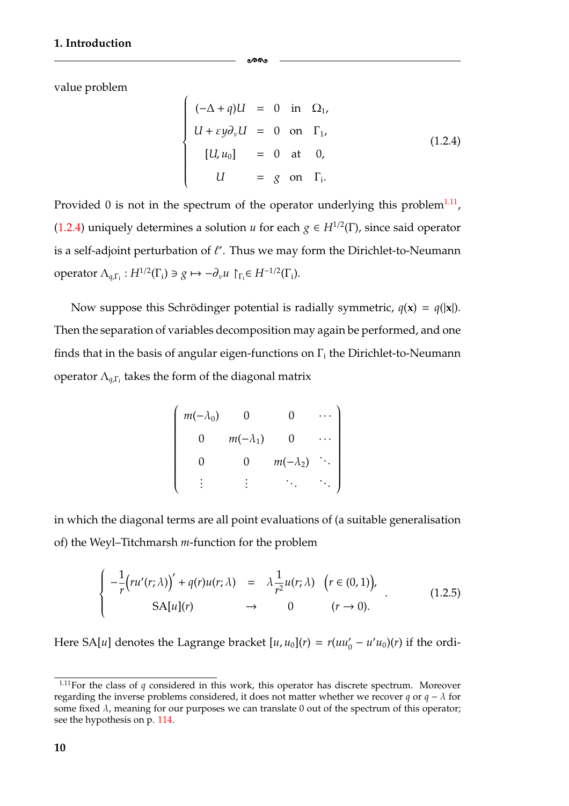value problem

$$
(-\Delta + q)U = 0 \text{ in } \Omega_1,
$$
  
\n
$$
U + \varepsilon y \partial_v U = 0 \text{ on } \Gamma_1,
$$
  
\n
$$
[U, u_0] = 0 \text{ at } 0,
$$
  
\n
$$
U = g \text{ on } \Gamma_1.
$$
  
\n(1.2.4)

Provided 0 is not in the spectrum of the operator underlying this problem<sup>1.11</sup>, [\(1.2.4\)](#page-16-0) uniquely determines a solution *u* for each  $g \in H^{1/2}(\Gamma)$ , since said operator is a self-adjoint perturbation of  $\ell'$ . Thus we may form the Dirichlet-to-Neumann operator  $\Lambda_{q,\Gamma_i}: H^{1/2}(\Gamma_i) \ni g \mapsto -\partial_{\nu} u \restriction_{\Gamma_i} \in H^{-1/2}(\Gamma_i).$ 

-

 $\overline{1}$ 

 $\begin{bmatrix} \phantom{-} \end{bmatrix}$ 

<span id="page-16-0"></span> $\begin{matrix} \end{matrix}$ 

Now suppose this Schrödinger potential is radially symmetric,  $q(x) = q(|x|)$ . Then the separation of variables decomposition may again be performed, and one finds that in the basis of angular eigen-functions on  $\Gamma_i$  the Dirichlet-to-Neumann operator  $\Lambda_{q,\Gamma_i}$  takes the form of the diagonal matrix

| $m(-\lambda_0)$ |                 | O               |  |
|-----------------|-----------------|-----------------|--|
| $\overline{0}$  | $m(-\lambda_1)$ | 0               |  |
|                 | 0               | $m(-\lambda_2)$ |  |
|                 |                 |                 |  |

in which the diagonal terms are all point evaluations of (a suitable generalisation of) the Weyl–Titchmarsh *m*-function for the problem

<span id="page-16-2"></span>
$$
\begin{cases}\n-\frac{1}{r}\left(ru'(r;\lambda)\right)' + q(r)u(r;\lambda) & = \lambda \frac{1}{r^2}u(r;\lambda) & \left(r \in (0,1)\right), \\
SA[u](r) & \to & 0 & (r \to 0).\n\end{cases}
$$
\n(1.2.5)

Here SA[*u*] denotes the Lagrange bracket  $[u, u_0](r) = r(uu'_0 - u'u_0)(r)$  if the ordi-

<span id="page-16-1"></span><sup>&</sup>lt;sup>1.11</sup>For the class of *q* considered in this work, this operator has discrete spectrum. Moreover regarding the inverse problems considered, it does not matter whether we recover *q* or *q* − λ for some fixed  $\lambda$ , meaning for our purposes we can translate 0 out of the spectrum of this operator; see the hypothesis on p. [114.](#page-119-0)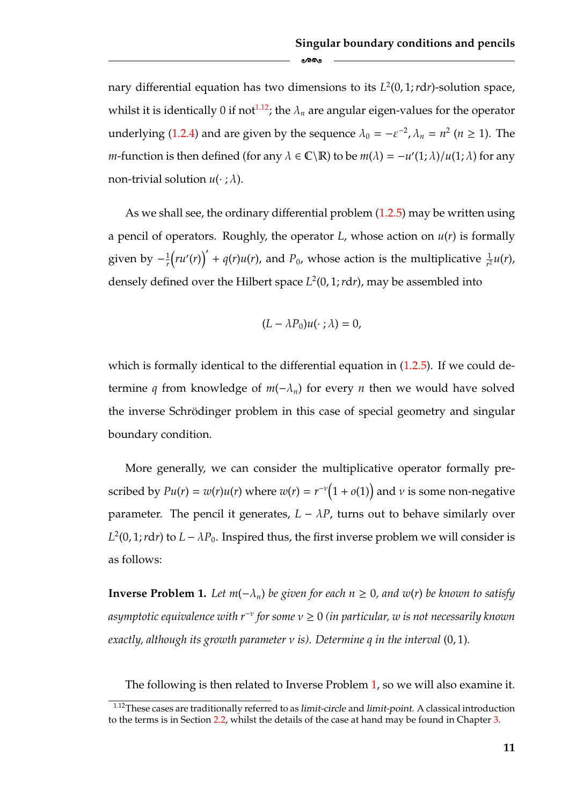nary differential equation has two dimensions to its  $L^2(0, 1; r dr)$ -solution space, whilst it is identically 0 if not<sup>1.12</sup>; the  $\lambda_n$  are angular eigen-values for the operator underlying [\(1.2.4\)](#page-16-0) and are given by the sequence  $\lambda_0 = -\varepsilon^{-2}$ ,  $\lambda_n = n^2$  ( $n \ge 1$ ). The *m*-function is then defined (for any  $\lambda \in \mathbb{C} \backslash \mathbb{R}$ ) to be  $m(\lambda) = -u'(1; \lambda)/u(1; \lambda)$  for any non-trivial solution  $u(\cdot;\lambda)$ .

As we shall see, the ordinary differential problem  $(1.2.5)$  may be written using a pencil of operators. Roughly, the operator  $L$ , whose action on  $u(r)$  is formally given by  $-\frac{1}{r}$  $\left(ru'(r)\right)' + q(r)u(r)$ , and  $P_0$ , whose action is the multiplicative  $\frac{1}{r^2}u(r)$ , densely defined over the Hilbert space  $L^2(0, 1; r dr)$ , may be assembled into

$$
(L - \lambda P_0)u(\cdot; \lambda) = 0,
$$

which is formally identical to the differential equation in  $(1.2.5)$ . If we could determine *q* from knowledge of  $m(-\lambda_n)$  for every *n* then we would have solved the inverse Schrödinger problem in this case of special geometry and singular boundary condition.

More generally, we can consider the multiplicative operator formally prescribed by  $Pu(r) = w(r)u(r)$  where  $w(r) = r^{-\nu}(1 + o(1))$  and  $\nu$  is some non-negative parameter. The pencil it generates,  $L - \lambda P$ , turns out to behave similarly over  $L^2(0, 1; r dr)$  to  $L - \lambda P_0$ . Inspired thus, the first inverse problem we will consider is as follows:

<span id="page-17-0"></span>**Inverse Problem 1.** *Let*  $m(-\lambda_n)$  *be given for each*  $n ≥ 0$ *, and w(r) be known to satisfy asymptotic equivalence with r*<sup>−</sup><sup>ν</sup> *for some* ν ≥ 0 *(in particular, w is not necessarily known exactly, although its growth parameter* ν *is). Determine q in the interval* (0, 1)*.*

The following is then related to Inverse Problem [1,](#page-17-0) so we will also examine it.

<span id="page-17-1"></span><sup>1.12</sup>These cases are traditionally referred to as *limit-circle* and *limit-point*. A classical introduction to the terms is in Section [2.2,](#page-33-0) whilst the details of the case at hand may be found in Chapter [3.](#page-55-0)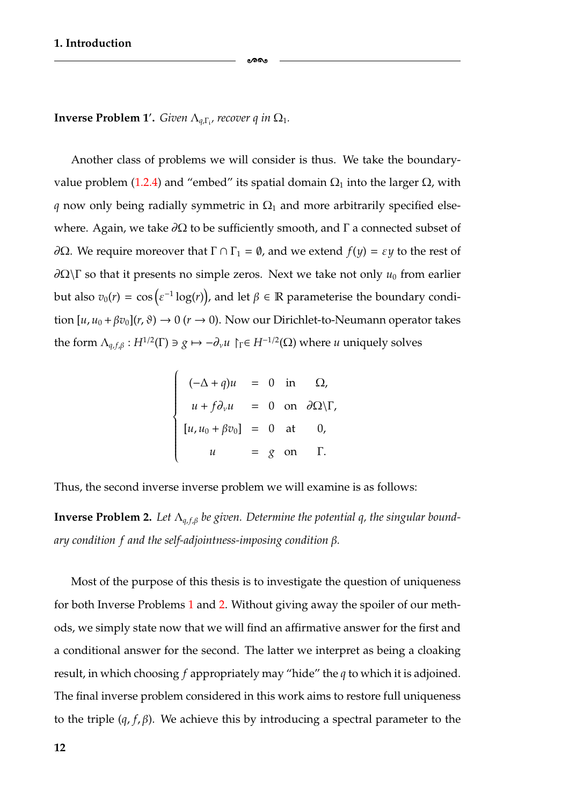**Inverse Problem 1'.** *Given*  $\Lambda_{q,\Gamma_1}$ , recover q in  $\Omega_1$ .

Another class of problems we will consider is thus. We take the boundary-value problem [\(1.2.4\)](#page-16-0) and "embed" its spatial domain  $Ω_1$  into the larger  $Ω$ , with *q* now only being radially symmetric in  $\Omega_1$  and more arbitrarily specified elsewhere. Again, we take  $\partial\Omega$  to be sufficiently smooth, and  $\Gamma$  a connected subset of  $∂Ω$ . We require moreover that Γ ∩ Γ<sub>1</sub> = *Φ*, and we extend *f*(*y*) = *εy* to the rest of  $\partial\Omega$ \Γ so that it presents no simple zeros. Next we take not only  $u_0$  from earlier but also  $v_0(r) = \cos(\varepsilon^{-1} \log(r))$ , and let  $\beta \in \mathbb{R}$  parameterise the boundary condition  $[u, u_0 + \beta v_0](r, \vartheta) \to 0$  ( $r \to 0$ ). Now our Dirichlet-to-Neumann operator takes the form  $\Lambda_{q,f,\beta}: H^{1/2}(\Gamma) \ni g \mapsto -\partial_{\nu} u \upharpoonright_{\Gamma} \in H^{-1/2}(\Omega)$  where *u* uniquely solves

-

$$
\begin{cases}\n(-\Delta + q)u = 0 \text{ in } \Omega, \\
u + f\partial_v u = 0 \text{ on } \partial\Omega \setminus \Gamma, \\
[u, u_0 + \beta v_0] = 0 \text{ at } 0, \\
u = g \text{ on } \Gamma.\n\end{cases}
$$

Thus, the second inverse inverse problem we will examine is as follows:

<span id="page-18-0"></span>**Inverse Problem 2.** Let  $\Lambda_{q,f,\beta}$  be given. Determine the potential q, the singular bound*ary condition f and the self-adjointness-imposing condition* β*.*

Most of the purpose of this thesis is to investigate the question of uniqueness for both Inverse Problems [1](#page-17-0) and [2.](#page-18-0) Without giving away the spoiler of our methods, we simply state now that we will find an affirmative answer for the first and a conditional answer for the second. The latter we interpret as being a cloaking result, in which choosing *f* appropriately may "hide" the *q* to which it is adjoined. The final inverse problem considered in this work aims to restore full uniqueness to the triple  $(q, f, \beta)$ . We achieve this by introducing a spectral parameter to the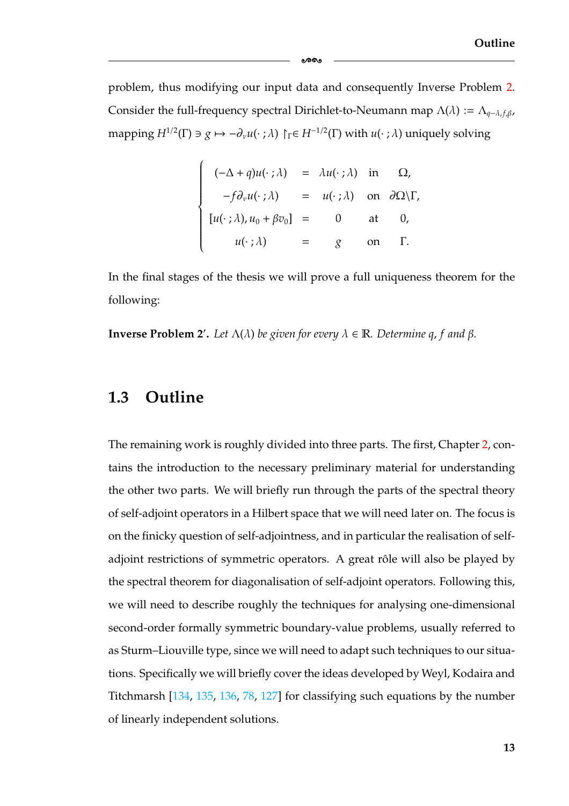problem, thus modifying our input data and consequently Inverse Problem [2.](#page-18-0) Consider the full-frequency spectral Dirichlet-to-Neumann map  $\Lambda(\lambda) := \Lambda_{q-\lambda,f,\beta,f}$ mapping  $H^{1/2}(\Gamma) \ni g \mapsto -\partial_{\nu}u(\cdot;\lambda) \upharpoonright_{\Gamma} \in H^{-1/2}(\Gamma)$  with  $u(\cdot;\lambda)$  uniquely solving

-

$$
\begin{cases}\n(-\Delta + q)u(\cdot;\lambda) = \lambda u(\cdot;\lambda) & \text{in } \Omega, \\
-f\partial_{\nu}u(\cdot;\lambda) = u(\cdot;\lambda) & \text{on } \partial\Omega\backslash\Gamma, \\
[u(\cdot;\lambda),u_0+\beta v_0] = 0 & \text{at } 0, \\
u(\cdot;\lambda) = g & \text{on } \Gamma.\n\end{cases}
$$

In the final stages of the thesis we will prove a full uniqueness theorem for the following:

**Inverse Problem 2'.** Let  $\Lambda(\lambda)$  be given for every  $\lambda \in \mathbb{R}$ . Determine q, f and  $\beta$ .

#### <span id="page-19-0"></span>**1.3 Outline**

The remaining work is roughly divided into three parts. The first, Chapter [2,](#page-25-0) contains the introduction to the necessary preliminary material for understanding the other two parts. We will briefly run through the parts of the spectral theory of self-adjoint operators in a Hilbert space that we will need later on. The focus is on the finicky question of self-adjointness, and in particular the realisation of selfadjoint restrictions of symmetric operators. A great rôle will also be played by the spectral theorem for diagonalisation of self-adjoint operators. Following this, we will need to describe roughly the techniques for analysing one-dimensional second-order formally symmetric boundary-value problems, usually referred to as Sturm–Liouville type, since we will need to adapt such techniques to our situations. Specifically we will briefly cover the ideas developed by Weyl, Kodaira and Titchmarsh [\[134,](#page-187-3) [135,](#page-188-3) [136,](#page-188-2) [78,](#page-184-2) [127\]](#page-187-2) for classifying such equations by the number of linearly independent solutions.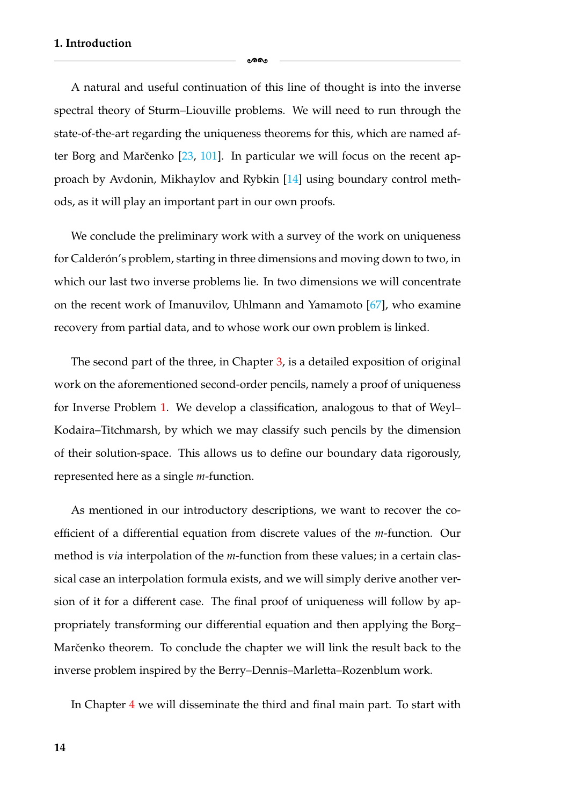A natural and useful continuation of this line of thought is into the inverse spectral theory of Sturm–Liouville problems. We will need to run through the state-of-the-art regarding the uniqueness theorems for this, which are named after Borg and Marčenko  $[23, 101]$  $[23, 101]$  $[23, 101]$  $[23, 101]$ . In particular we will focus on the recent approach by Avdonin, Mikhaylov and Rybkin [\[14\]](#page-180-1) using boundary control methods, as it will play an important part in our own proofs.

ക്ക

We conclude the preliminary work with a survey of the work on uniqueness for Calderón's problem, starting in three dimensions and moving down to two, in which our last two inverse problems lie. In two dimensions we will concentrate on the recent work of Imanuvilov, Uhlmann and Yamamoto [\[67\]](#page-183-2), who examine recovery from partial data, and to whose work our own problem is linked.

The second part of the three, in Chapter [3,](#page-55-0) is a detailed exposition of original work on the aforementioned second-order pencils, namely a proof of uniqueness for Inverse Problem [1.](#page-17-0) We develop a classification, analogous to that of Weyl– Kodaira–Titchmarsh, by which we may classify such pencils by the dimension of their solution-space. This allows us to define our boundary data rigorously, represented here as a single *m*-function.

As mentioned in our introductory descriptions, we want to recover the coefficient of a differential equation from discrete values of the *m*-function. Our method is *via* interpolation of the *m*-function from these values; in a certain classical case an interpolation formula exists, and we will simply derive another version of it for a different case. The final proof of uniqueness will follow by appropriately transforming our differential equation and then applying the Borg– Marčenko theorem. To conclude the chapter we will link the result back to the inverse problem inspired by the Berry–Dennis–Marletta–Rozenblum work.

In Chapter [4](#page-105-0) we will disseminate the third and final main part. To start with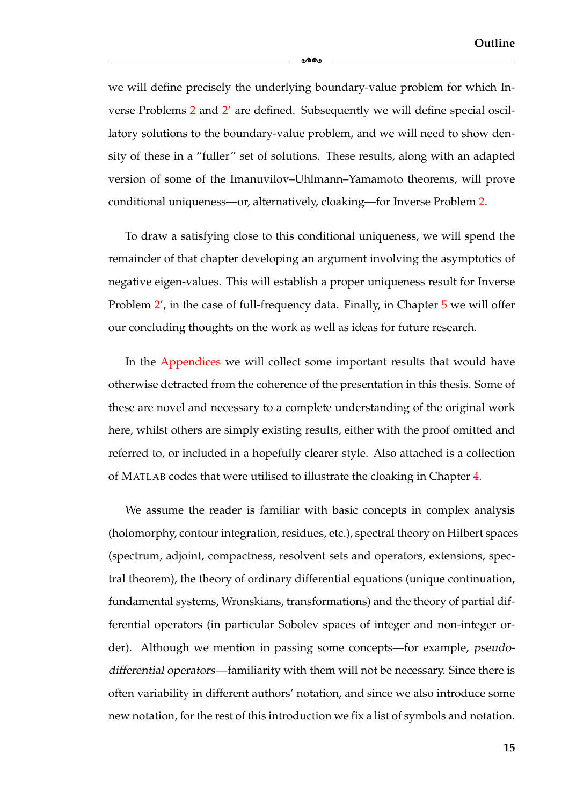we will define precisely the underlying boundary-value problem for which In-verse Problems [2](#page-18-0) and 2' are defined. Subsequently we will define special oscillatory solutions to the boundary-value problem, and we will need to show density of these in a "fuller" set of solutions. These results, along with an adapted version of some of the Imanuvilov–Uhlmann–Yamamoto theorems, will prove conditional uniqueness—or, alternatively, cloaking—for Inverse Problem [2.](#page-18-0)

-

To draw a satisfying close to this conditional uniqueness, we will spend the remainder of that chapter developing an argument involving the asymptotics of negative eigen-values. This will establish a proper uniqueness result for Inverse Problem [2](#page-18-0)', in the case of full-frequency data. Finally, in Chapter [5](#page-149-0) we will offer our concluding thoughts on the work as well as ideas for future research.

In the [Appendices](#page-154-1) we will collect some important results that would have otherwise detracted from the coherence of the presentation in this thesis. Some of these are novel and necessary to a complete understanding of the original work here, whilst others are simply existing results, either with the proof omitted and referred to, or included in a hopefully clearer style. Also attached is a collection of MATLAB codes that were utilised to illustrate the cloaking in Chapter [4.](#page-105-0)

We assume the reader is familiar with basic concepts in complex analysis (holomorphy, contour integration, residues, etc.), spectral theory on Hilbert spaces (spectrum, adjoint, compactness, resolvent sets and operators, extensions, spectral theorem), the theory of ordinary differential equations (unique continuation, fundamental systems, Wronskians, transformations) and the theory of partial differential operators (in particular Sobolev spaces of integer and non-integer order). Although we mention in passing some concepts—for example, *pseudodifferential operators*—familiarity with them will not be necessary. Since there is often variability in different authors' notation, and since we also introduce some new notation, for the rest of this introduction we fix a list of symbols and notation.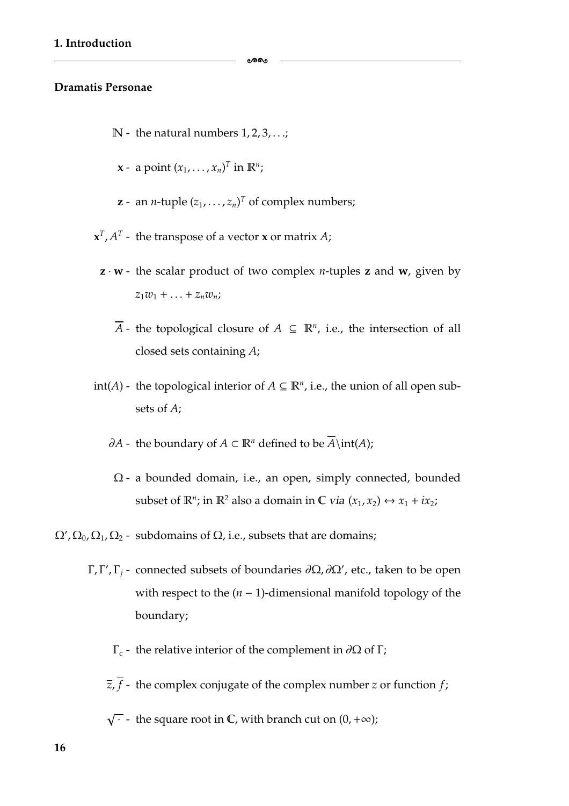#### **Dramatis Personae**

- $\mathbb{N}$  the natural numbers 1, 2, 3, ...;
- **x** a point  $(x_1, \ldots, x_n)^T$  in  $\mathbb{R}^n$ ;
- **z** an *n*-tuple  $(z_1, \ldots, z_n)^T$  of complex numbers;
- $\mathbf{x}^T$ ,  $A^T$  the transpose of a vector **x** or matrix *A*;
	- **z**  $\cdot$  **w** the scalar product of two complex *n*-tuples **z** and **w**, given by  $z_1w_1 + ... + z_nw_n;$ 
		- *A* the topological closure of *A* ⊆  $\mathbb{R}^n$ , i.e., the intersection of all closed sets containing *A*;
- int(*A*) the topological interior of *A* ⊆  $\mathbb{R}^n$ , i.e., the union of all open subsets of *A*;
	- *∂A* the boundary of *A* ⊂  $\mathbb{R}^n$  defined to be  $\overline{A}$ \int(*A*);
	- Ω a bounded domain, i.e., an open, simply connected, bounded subset of  $\mathbb{R}^n$ ; in  $\mathbb{R}^2$  also a domain in  $\mathbb{C}$  *via*  $(x_1, x_2) \leftrightarrow x_1 + ix_2$ ;
- $\Omega'$ ,  $\Omega_0$ ,  $\Omega_1$ ,  $\Omega_2$  subdomains of  $\Omega$ , i.e., subsets that are domains;
	- Γ, Γ', Γ<sub>j</sub> connected subsets of boundaries  $\partial\Omega$ ,  $\partial\Omega'$ , etc., taken to be open with respect to the (*n* − 1)-dimensional manifold topology of the boundary;
		- $Γ<sub>c</sub>$  the relative interior of the complement in ∂Ω of Γ;
		- $\overline{z}$ ,  $\overline{f}$  the complex conjugate of the complex number *z* or function *f*;
		- $\sqrt{\cdot}$  the square root in  $\mathbb C$ , with branch cut on  $(0,+\infty)$ ;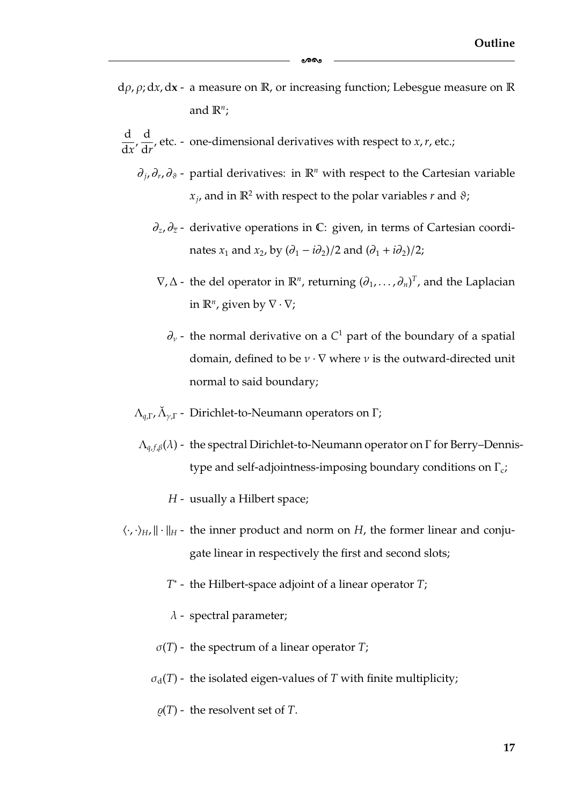dρ, ρ; d*x*, d**x** - a measure on R, or increasing function; Lebesgue measure on R and  $\mathbb{R}^n$ ;

-

- d  $\frac{d}{dx}$ ,  $\frac{d}{dr}$ , etc. - one-dimensional derivatives with respect to *x*, *r*, etc.;
	- ∂*j*, ∂*r*, ∂ϑ partial derivatives: in R*<sup>n</sup>* with respect to the Cartesian variable  $x_i$ , and in  $\mathbb{R}^2$  with respect to the polar variables *r* and  $\vartheta$ ;
		- ∂*z*, ∂*<sup>z</sup>* derivative operations in C: given, in terms of Cartesian coordinates *x*<sub>1</sub> and *x*<sub>2</sub>, by  $(\partial_1 - i\partial_2)/2$  and  $(\partial_1 + i\partial_2)/2$ ;
		- $\nabla, \Delta$  the del operator in  $\mathbb{R}^n$ , returning  $(\partial_1, \ldots, \partial_n)^T$ , and the Laplacian in  $\mathbb{R}^n$ , given by  $\nabla \cdot \nabla$ ;
			- $\partial_{\nu}$  the normal derivative on a  $C^1$  part of the boundary of a spatial domain, defined to be  $v \cdot \nabla$  where v is the outward-directed unit normal to said boundary;
	- $\Lambda_{q,\Gamma}$ ,  $\tilde{\Lambda}_{\nu,\Gamma}$  Dirichlet-to-Neumann operators on Γ;
	- Λ*<sup>q</sup>*, *<sup>f</sup>*,β(λ) the spectral Dirichlet-to-Neumann operator on Γ for Berry–Dennistype and self-adjointness-imposing boundary conditions on  $\Gamma_c$ ;
		- *H* usually a Hilbert space;
- $\langle \cdot, \cdot \rangle_H$ ,  $\|\cdot\|_H$  the inner product and norm on *H*, the former linear and conjugate linear in respectively the first and second slots;
	- *T*<sup>∗</sup> the Hilbert-space adjoint of a linear operator *T*;
	- $\lambda$  spectral parameter;
	- $\sigma(T)$  the spectrum of a linear operator *T*;
	- $\sigma_d(T)$  the isolated eigen-values of *T* with finite multiplicity;
		- $\rho(T)$  the resolvent set of *T*.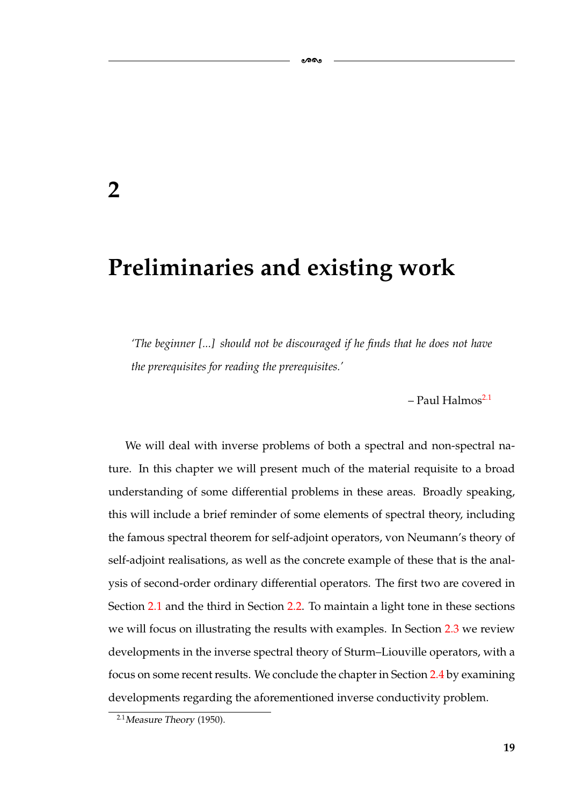### <span id="page-25-0"></span>**2**

## **Preliminaries and existing work**

*'The beginner [...] should not be discouraged if he finds that he does not have the prerequisites for reading the prerequisites.'*

-

 $-$  Paul Halmos<sup>2.1</sup>

We will deal with inverse problems of both a spectral and non-spectral nature. In this chapter we will present much of the material requisite to a broad understanding of some differential problems in these areas. Broadly speaking, this will include a brief reminder of some elements of spectral theory, including the famous spectral theorem for self-adjoint operators, von Neumann's theory of self-adjoint realisations, as well as the concrete example of these that is the analysis of second-order ordinary differential operators. The first two are covered in Section [2.1](#page-26-0) and the third in Section [2.2.](#page-33-0) To maintain a light tone in these sections we will focus on illustrating the results with examples. In Section [2.3](#page-38-0) we review developments in the inverse spectral theory of Sturm–Liouville operators, with a focus on some recent results. We conclude the chapter in Section [2.4](#page-43-0) by examining developments regarding the aforementioned inverse conductivity problem.

<span id="page-25-1"></span><sup>2.1</sup>*Measure Theory* (1950).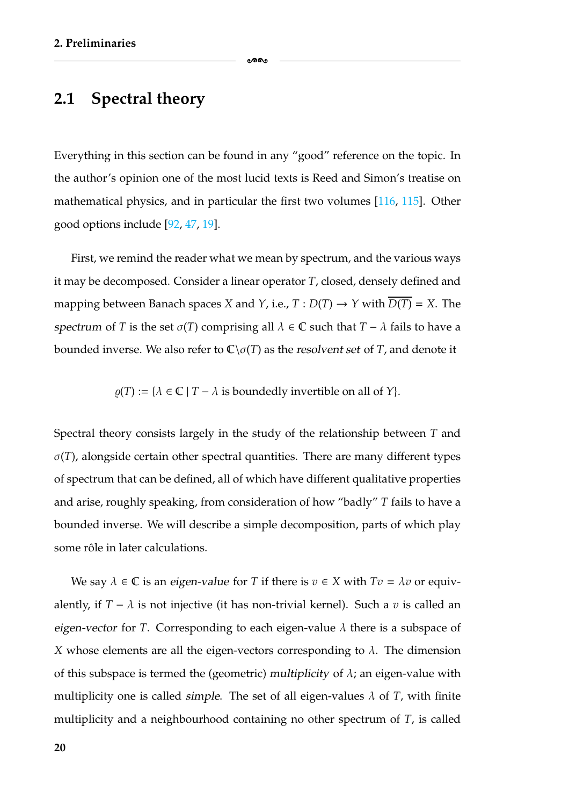#### <span id="page-26-0"></span>**2.1 Spectral theory**

Everything in this section can be found in any "good" reference on the topic. In the author's opinion one of the most lucid texts is Reed and Simon's treatise on mathematical physics, and in particular the first two volumes [\[116,](#page-186-4) [115\]](#page-186-3). Other good options include [\[92,](#page-185-5) [47,](#page-182-2) [19\]](#page-180-3).

ക്ക

First, we remind the reader what we mean by spectrum, and the various ways it may be decomposed. Consider a linear operator *T*, closed, densely defined and mapping between Banach spaces *X* and *Y*, i.e., *T* :  $D(T) \rightarrow Y$  with  $D(T) = X$ . The *spectrum* of *T* is the set  $\sigma(T)$  comprising all  $\lambda \in \mathbb{C}$  such that  $T - \lambda$  fails to have a bounded inverse. We also refer to  $\mathbb{C}\setminus\sigma(T)$  as the *resolvent set* of *T*, and denote it

 $\rho(T) := {\lambda \in \mathbb{C} \mid T - \lambda \text{ is boundedly invertible on all of } Y}.$ 

Spectral theory consists largely in the study of the relationship between *T* and  $\sigma(T)$ , alongside certain other spectral quantities. There are many different types of spectrum that can be defined, all of which have different qualitative properties and arise, roughly speaking, from consideration of how "badly" *T* fails to have a bounded inverse. We will describe a simple decomposition, parts of which play some rôle in later calculations.

We say  $\lambda \in \mathbb{C}$  is an *eigen-value* for *T* if there is  $v \in X$  with  $Tv = \lambda v$  or equivalently, if  $T - \lambda$  is not injective (it has non-trivial kernel). Such a *v* is called an *eigen-vector* for *T*. Corresponding to each eigen-value  $\lambda$  there is a subspace of *X* whose elements are all the eigen-vectors corresponding to  $\lambda$ . The dimension of this subspace is termed the (geometric) *multiplicity* of  $\lambda$ ; an eigen-value with multiplicity one is called *simple*. The set of all eigen-values  $\lambda$  of *T*, with finite multiplicity and a neighbourhood containing no other spectrum of *T*, is called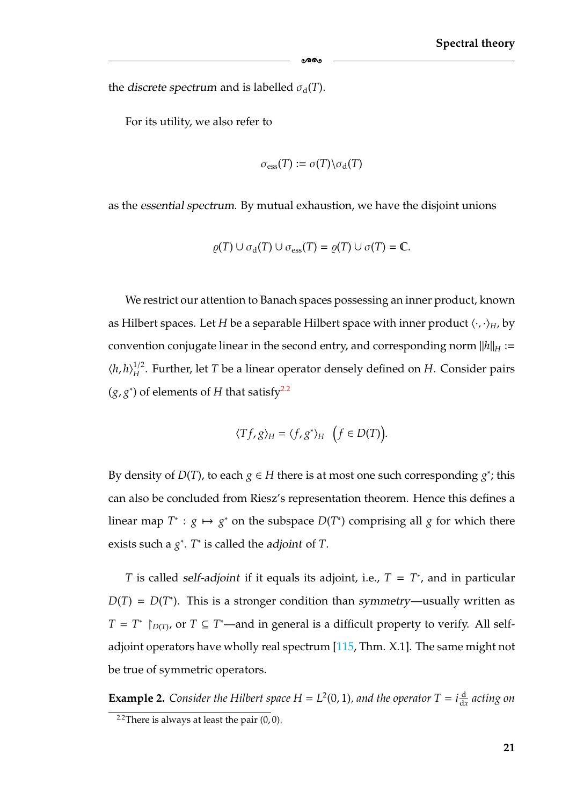the *discrete spectrum* and is labelled  $\sigma_d(T)$ .

For its utility, we also refer to

$$
\sigma_{\rm ess}(T):=\sigma(T)\backslash \sigma_{\rm d}(T)
$$

-

as the *essential spectrum*. By mutual exhaustion, we have the disjoint unions

$$
\varrho(T) \cup \sigma_d(T) \cup \sigma_{\rm ess}(T) = \varrho(T) \cup \sigma(T) = \mathbb{C}.
$$

We restrict our attention to Banach spaces possessing an inner product, known as Hilbert spaces. Let *H* be a separable Hilbert space with inner product  $\langle \cdot, \cdot \rangle_H$ , by convention conjugate linear in the second entry, and corresponding norm  $||h||_H :=$  $\langle h, h \rangle_H^{1/2}$ . Further, let *T* be a linear operator densely defined on *H*. Consider pairs  $(g, g^*)$  of elements of *H* that satisfy<sup>2.2</sup>

$$
\langle Tf, g \rangle_H = \langle f, g^* \rangle_H \quad \big(f \in D(T)\big).
$$

By density of  $D(T)$ , to each  $g \in H$  there is at most one such corresponding  $g^*$ ; this can also be concluded from Riesz's representation theorem. Hence this defines a linear map  $T^*$ :  $g \mapsto g^*$  on the subspace  $D(T^*)$  comprising all  $g$  for which there exists such a *g*<sup>∗</sup> . *T*<sup>∗</sup> is called the *adjoint* of *T*.

*T* is called *self-adjoint* if it equals its adjoint, i.e., *T* = *T*<sup>∗</sup> , and in particular  $D(T) = D(T^*)$ . This is a stronger condition than *symmetry*—usually written as *T* = *T*<sup>∗</sup>  $\uparrow$  *D*(*T*), or *T* ⊆ *T*<sup>\*</sup>—and in general is a difficult property to verify. All selfadjoint operators have wholly real spectrum  $[115, Thm. X.1]$  $[115, Thm. X.1]$ . The same might not be true of symmetric operators.

<span id="page-27-1"></span>**Example 2.** *Consider the Hilbert space H* =  $L^2(0, 1)$ *, and the operator*  $T = i \frac{d}{dx}$  *acting on* 

<span id="page-27-0"></span><sup>&</sup>lt;sup>2.2</sup>There is always at least the pair  $(0, 0)$ .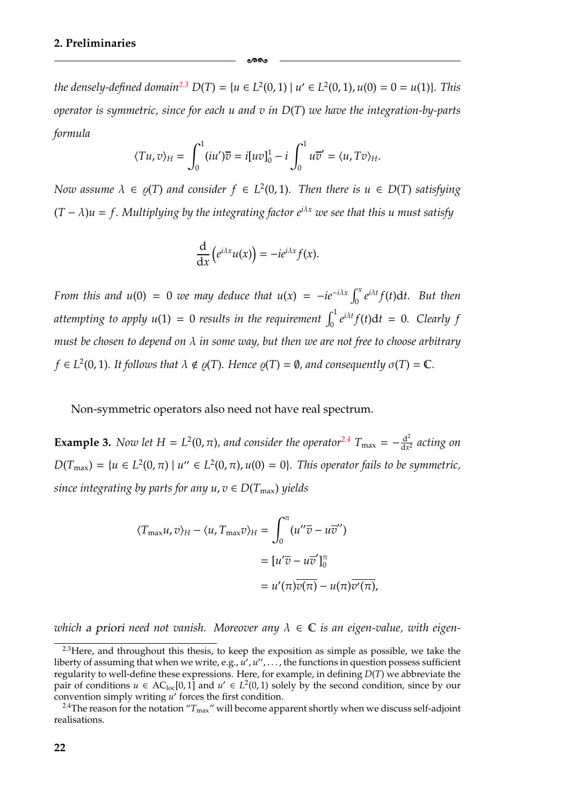*the densely-defined domain*<sup>2.3</sup>  $D(T) = \{u \in L^2(0, 1) | u' \in L^2(0, 1), u(0) = 0 = u(1)\}\$ . This *operator is symmetric, since for each u and v in D*(*T*) *we have the integration-by-parts formula*

ക്കം

$$
\langle Tu, v \rangle_H = \int_0^1 (iu')\overline{v} = i[uv]_0^1 - i \int_0^1 u\overline{v}' = \langle u, Tv \rangle_H.
$$

*Now assume*  $\lambda \in \varrho(T)$  *and consider*  $f \in L^2(0, 1)$ *. Then there is*  $u \in D(T)$  *satisfying*  $(T - \lambda)u = f$ . Multiplying by the integrating factor  $e^{i\lambda x}$  we see that this u must satisfy

$$
\frac{\mathrm{d}}{\mathrm{d}x}\left(e^{i\lambda x}u(x)\right)=-ie^{i\lambda x}f(x).
$$

*From this and u*(0) = 0 *we may deduce that u*(*x*) =  $-ie^{-i\lambda x}\int_0^x e^{i\lambda t}f(t)dt$ . But then attempting to apply  $u(1) = 0$  results in the requirement  $\int_0^1 e^{i\lambda t} f(t) dt = 0$ . Clearly f *must be chosen to depend on* λ *in some way, but then we are not free to choose arbitrary*  $f \in L^2(0, 1)$ *. It follows that*  $\lambda \notin \varrho(T)$ *. Hence*  $\varrho(T) = \emptyset$ *, and consequently*  $\sigma(T) = \mathbb{C}$ *.* 

Non-symmetric operators also need not have real spectrum.

<span id="page-28-2"></span>**Example 3.** *Now let H* =  $L^2(0, \pi)$ *, and consider the operator*<sup>2.4</sup>  $T_{\text{max}} = -\frac{d^2}{dx^2}$  *acting on*  $D(T_{\text{max}}) = \{u \in L^2(0, \pi) \mid u'' \in L^2(0, \pi), u(0) = 0\}$ . This operator fails to be symmetric, *since integrating by parts for any*  $u, v \in D(T_{\text{max}})$  *yields* 

$$
\langle T_{\max} u, v \rangle_H - \langle u, T_{\max} v \rangle_H = \int_0^{\pi} (u'' \overline{v} - u \overline{v}'') \n= [u' \overline{v} - u \overline{v}']_0^{\pi} \n= u'(\pi) \overline{v(\pi)} - u(\pi) \overline{v'(\pi)},
$$

*which* a priori need not vanish. Moreover any  $\lambda \in \mathbb{C}$  is an eigen-value, with eigen-

<span id="page-28-1"></span> $2.3$  Here, and throughout this thesis, to keep the exposition as simple as possible, we take the liberty of assuming that when we write, e.g.,  $\overline{u}'$ ,  $u''$ , ..., the functions in question possess sufficient regularity to well-define these expressions. Here, for example, in defining *D*(*T*) we abbreviate the pair of conditions  $u \in AC_{loc}[0,1]$  and  $u' \in L^2(0,1)$  solely by the second condition, since by our convention simply writing *u'* forces the first condition.

<span id="page-28-0"></span><sup>&</sup>lt;sup>2.4</sup>The reason for the notation " $T_{\text{max}}$ " will become apparent shortly when we discuss self-adjoint realisations.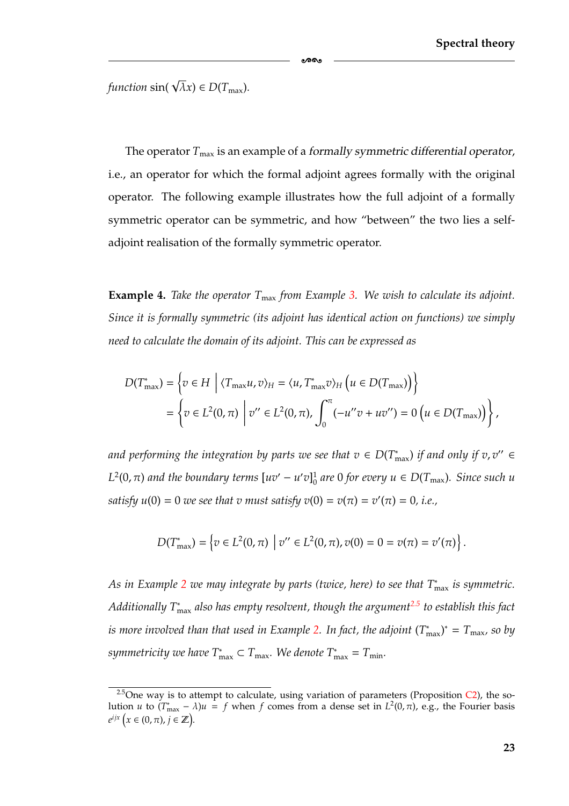*function*  $\sin(\sqrt{\lambda}x) \in D(T_{\text{max}})$ *.* 

The operator  $T_{\text{max}}$  is an example of a *formally symmetric differential operator*, i.e., an operator for which the formal adjoint agrees formally with the original operator. The following example illustrates how the full adjoint of a formally symmetric operator can be symmetric, and how "between" the two lies a selfadjoint realisation of the formally symmetric operator.

-

<span id="page-29-1"></span>**Example 4.** *Take the operator*  $T_{\text{max}}$  *from Example [3.](#page-28-2) We wish to calculate its adjoint. Since it is formally symmetric (its adjoint has identical action on functions) we simply need to calculate the domain of its adjoint. This can be expressed as*

$$
D(T_{\max}^*) = \left\{ v \in H \mid \langle T_{\max}u, v \rangle_H = \langle u, T_{\max}^*v \rangle_H \left( u \in D(T_{\max}) \right) \right\}
$$
  
= 
$$
\left\{ v \in L^2(0, \pi) \mid v'' \in L^2(0, \pi), \int_0^{\pi} (-u''v + uv'') = 0 \left( u \in D(T_{\max}) \right) \right\},
$$

*and performing the integration by parts we see that*  $v \in D(T_{\text{max}}^*)$  *if and only if*  $v, v'' \in$  $L^2(0, \pi)$  and the boundary terms  $[uv' - u'v]_0^1$  are 0 for every  $u \in D(T_{\max})$ . Since such u *satisfy*  $u(0) = 0$  *we see that v must satisfy*  $v(0) = v(\pi) = v'(\pi) = 0$ , *i.e.*,

$$
D(T_{\max}^*) = \left\{ v \in L^2(0, \pi) \mid v'' \in L^2(0, \pi), v(0) = 0 = v(\pi) = v'(\pi) \right\}.
$$

As in Example [2](#page-27-1) we may integrate by parts (twice, here) to see that T<sub>™ax</sub> is symmetric. *Additionally T*<sup>∗</sup> max *also has empty resolvent, though the argumen[t2.5](#page-29-0) to establish this fact*  $i$  *s* more involved than that used in Example [2.](#page-27-1) In fact, the adjoint  $(T^*_{\text{max}})^* = T_{\text{max}}$ , so by *symmetricity we have*  $T^*_{\text{max}} \subset T_{\text{max}}$ . We denote  $T^*_{\text{max}} = T_{\text{min}}$ .

<span id="page-29-0"></span><sup>&</sup>lt;sup>2.5</sup>One way is to attempt to calculate, using variation of parameters (Proposition  $C$ 2), the solution *u* to  $(T_{\text{max}}^* - \lambda)u = f$  when *f* comes from a dense set in  $L^2(0, \pi)$ , e.g., the Fourier basis  $e^{ijx}$   $(x \in (0, \pi), j \in \mathbb{Z})$ .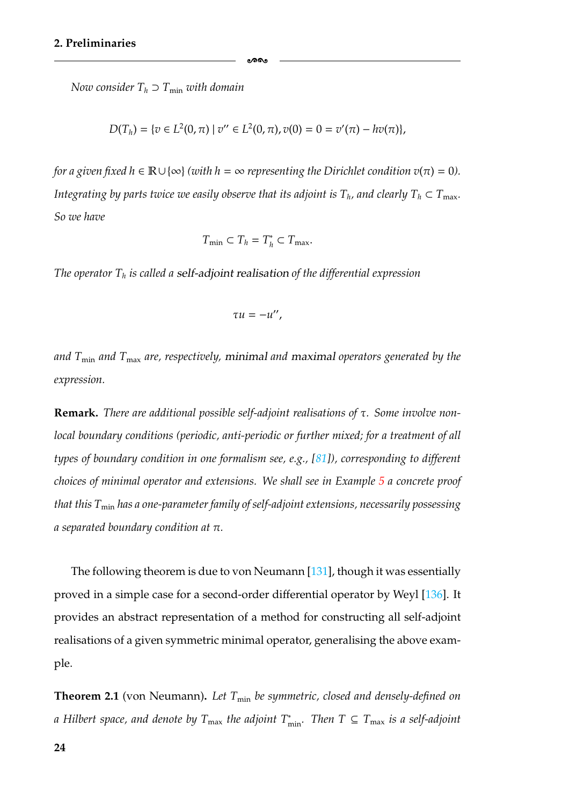*Now consider*  $T_h \supset T_{\min}$  *with domain* 

$$
D(T_h) = \{ v \in L^2(0, \pi) \mid v'' \in L^2(0, \pi), v(0) = 0 = v'(\pi) - hv(\pi) \},\
$$

-

*for a given fixed h* ∈  $\mathbb{R} \cup \{\infty\}$  *(with h* =  $\infty$  *representing the Dirichlet condition v*( $\pi$ ) = 0). *Integrating by parts twice we easily observe that its adjoint is*  $T_h$ *, and clearly*  $T_h \subset T_{\text{max}}$ . *So we have*

$$
T_{\min} \subset T_h = T_h^* \subset T_{\max}.
$$

*The operator Th is called a self-adjoint realisation of the differential expression*

$$
\tau u=-u'',
$$

*and T*min *and T*max *are, respectively, minimal and maximal operators generated by the expression.*

**Remark.** *There are additional possible self-adjoint realisations of* τ*. Some involve nonlocal boundary conditions (periodic, anti-periodic or further mixed; for a treatment of all types of boundary condition in one formalism see, e.g., [\[81\]](#page-184-3)), corresponding to different choices of minimal operator and extensions. We shall see in Example [5](#page-31-0) a concrete proof that this T*min *has a one-parameter family of self-adjoint extensions, necessarily possessing a separated boundary condition at* π*.*

The following theorem is due to von Neumann [\[131\]](#page-187-4), though it was essentially proved in a simple case for a second-order differential operator by Weyl [\[136\]](#page-188-2). It provides an abstract representation of a method for constructing all self-adjoint realisations of a given symmetric minimal operator, generalising the above example.

**Theorem 2.1** (von Neumann). Let  $T_{\text{min}}$  be symmetric, closed and densely-defined on *a Hilbert space, and denote by T*max *the adjoint T*<sup>∗</sup> min*. Then T* ⊆ *T*max *is a self-adjoint*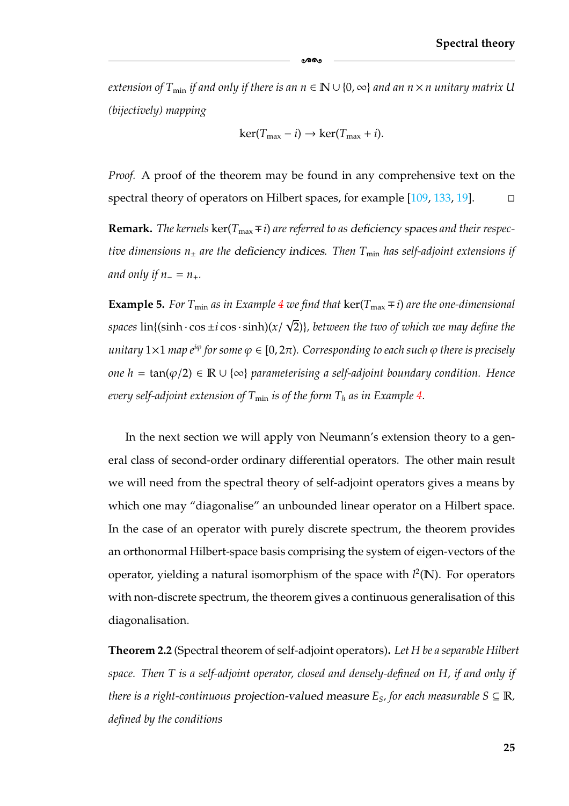*extension of*  $T_{\text{min}}$  *if and only if there is an n*  $\in \mathbb{N} \cup \{0, \infty\}$  *and an n* × *n unitary matrix U (bijectively) mapping*

-

$$
\ker(T_{\max} - i) \to \ker(T_{\max} + i).
$$

*Proof.* A proof of the theorem may be found in any comprehensive text on the spectral theory of operators on Hilbert spaces, for example [\[109,](#page-186-5) [133,](#page-187-5) [19\]](#page-180-3).  $\Box$ 

**Remark.** *The kernels*  $\ker(T_{\text{max}} \mp i)$  *are referred to as deficiency spaces and their respective dimensions n*<sup>±</sup> *are the deficiency indices. Then T*min *has self-adjoint extensions if and only if n* =  $n_{+}$ *.* 

<span id="page-31-0"></span>**Example 5.** *For*  $T_{\text{min}}$  *as in Example* [4](#page-29-1) *we find that*  $\ker(T_{\text{max}} \mp i)$  *are the one-dimensional*  $spaces \, \text{lin} \{ (\sinh \cdot \cos \pm i \cos \cdot \sinh)(x / \cos \cdot \sinh)(\cos \frac{\pi}{2}) \}$ √ 2)}*, between the two of which we may define the unitary*  $1 \times 1$  *map e<sup>i* $\varphi$ *</sup> for some*  $\varphi \in [0, 2\pi)$ *. Corresponding to each such*  $\varphi$  *there is precisely one h* = tan(ϕ/2) ∈ R ∪ {∞} *parameterising a self-adjoint boundary condition. Hence every self-adjoint extension of*  $T_{\text{min}}$  *is of the form*  $T_h$  *as in Example* [4.](#page-29-1)

In the next section we will apply von Neumann's extension theory to a general class of second-order ordinary differential operators. The other main result we will need from the spectral theory of self-adjoint operators gives a means by which one may "diagonalise" an unbounded linear operator on a Hilbert space. In the case of an operator with purely discrete spectrum, the theorem provides an orthonormal Hilbert-space basis comprising the system of eigen-vectors of the operator, yielding a natural isomorphism of the space with *l* 2(N). For operators with non-discrete spectrum, the theorem gives a continuous generalisation of this diagonalisation.

**Theorem 2.2** (Spectral theorem of self-adjoint operators)**.** *Let H be a separable Hilbert space. Then T is a self-adjoint operator, closed and densely-defined on H, if and only if there is a right-continuous* projection-valued measure  $E_s$ , for each measurable  $S \subseteq \mathbb{R}$ , *defined by the conditions*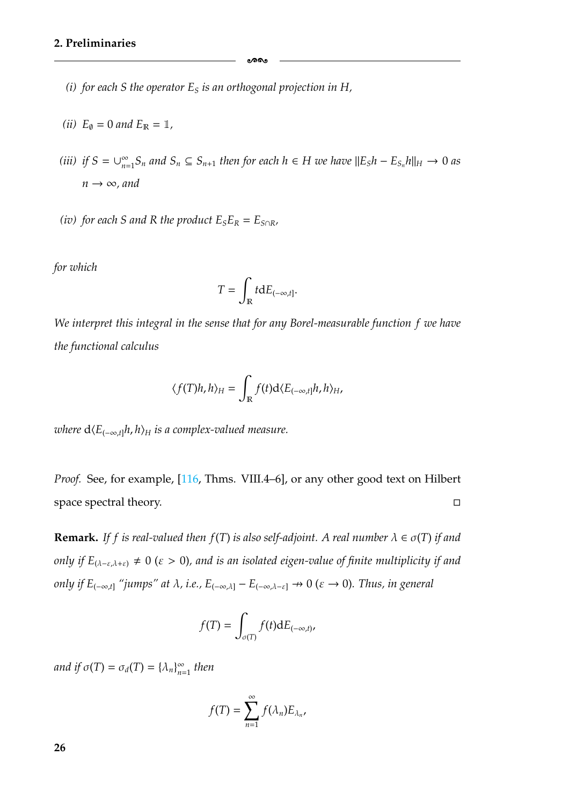- *(i) for each S the operator*  $E<sub>S</sub>$  *is an orthogonal projection in H*,
- *(ii)*  $E_{\emptyset} = 0$  *and*  $E_{\mathbb{R}} = 1$ *,*
- *(iii) if*  $S = \bigcup_{n=1}^{\infty} S_n$  *and*  $S_n \subseteq S_{n+1}$  *then for each*  $h \in H$  *we have*  $||E_S h E_{S_n} h||_H \rightarrow 0$  *as*  $n \rightarrow \infty$ *, and*

ക്കപ്പ

*(iv)* for each *S* and *R* the product  $E_S E_R = E_{S \cap R}$ ,

*for which*

$$
T=\int_{\mathbb{R}} t \mathrm{d}E_{(-\infty,t]}.
$$

*We interpret this integral in the sense that for any Borel-measurable function f we have the functional calculus*

$$
\langle f(T)h,h\rangle_H = \int_{\mathbb{R}} f(t) d\langle E_{(-\infty,t]}h,h\rangle_H,
$$

*where*  $d(E_{(-\infty,t]}h, h)_H$  *is a complex-valued measure.* 

*Proof.* See, for example, [\[116,](#page-186-4) Thms. VIII.4–6], or any other good text on Hilbert space spectral theory.  $\Box$ 

**Remark.** *If f is real-valued then f(T) is also self-adjoint. A real number*  $\lambda \in \sigma(T)$  *if and only if*  $E_{(\lambda-\varepsilon,\lambda+\varepsilon)} \neq 0$  *(ε > 0), and is an isolated eigen-value of finite multiplicity if and only if*  $E_{(-\infty,t]}$  "jumps" at  $\lambda$ , i.e.,  $E_{(-\infty,\lambda]}$  –  $E_{(-\infty,\lambda-\varepsilon]}$   $\to 0$  ( $\varepsilon \to 0$ ). Thus, in general

$$
f(T) = \int_{\sigma(T)} f(t) \mathrm{d}E_{(-\infty,t)},
$$

*and if*  $\sigma(T) = \sigma_d(T) = {\lambda_n}_{n=1}^{\infty}$  *then* 

$$
f(T)=\sum_{n=1}^{\infty}f(\lambda_n)E_{\lambda_n},
$$

**26**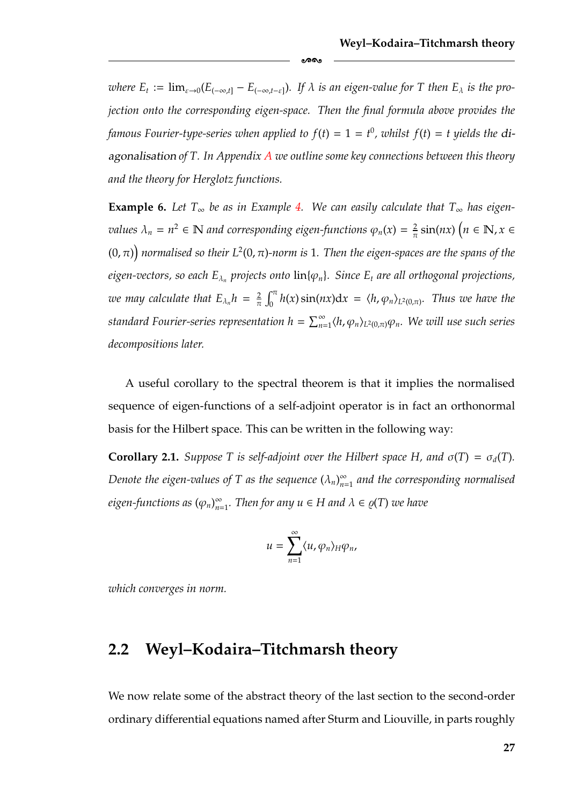*where*  $E_t := \lim_{\varepsilon \to 0} (E_{(-\infty,t]} - E_{(-\infty,t-\varepsilon)})$ . If  $\lambda$  *is an eigen-value for* T then  $E_\lambda$  *is the projection onto the corresponding eigen-space. Then the final formula above provides the famous Fourier-type-series when applied to*  $f(t) = 1 = t^0$ , whilst  $f(t) = t$  yields the di*agonalisation of T. In Appendix [A](#page-154-0) we outline some key connections between this theory and the theory for Herglotz functions.*

-

**Example 6.** Let  $T_{\infty}$  be as in Example [4.](#page-29-1) We can easily calculate that  $T_{\infty}$  has eigen*values*  $\lambda_n = n^2 \in \mathbb{N}$  and corresponding eigen-functions  $\varphi_n(x) = \frac{2}{\pi} \sin(nx)$   $\left(n \in \mathbb{N}, x \in \mathbb{N}\right)$ (0, π) *normalised so their L*2(0, π)*-norm is* 1*. Then the eigen-spaces are the spans of the eigen-vectors, so each*  $E_{\lambda_n}$  *projects onto*  $\text{lin}\{\varphi_n\}$ *. Since*  $E_t$  *are all orthogonal projections, we may calculate that*  $E_{\lambda_n} h = \frac{2}{\pi}$  $\int_0^{\pi} h(x) \sin(nx) dx = \langle h, \varphi_n \rangle_{L^2(0,\pi)}$ . Thus we have the standard Fourier-series representation  $h=\sum_{n=1}^\infty \langle h,\varphi_n\rangle_{L^2(0,\pi)}\varphi_n.$  We will use such series *decompositions later.*

A useful corollary to the spectral theorem is that it implies the normalised sequence of eigen-functions of a self-adjoint operator is in fact an orthonormal basis for the Hilbert space. This can be written in the following way:

**Corollary 2.1.** *Suppose* T *is self-adjoint over the Hilbert space H, and*  $\sigma(T) = \sigma_d(T)$ *.* Denote the eigen-values of T as the sequence  $(\lambda_n)_{n=1}^\infty$  and the corresponding normalised *eigen-functions as*  $(\varphi_n)_{n=1}^{\infty}$ . Then for any  $u \in H$  and  $\lambda \in \varrho(T)$  we have

$$
u=\sum_{n=1}^{\infty}\langle u,\varphi_n\rangle_H\varphi_n,
$$

<span id="page-33-0"></span>*which converges in norm.*

#### **2.2 Weyl–Kodaira–Titchmarsh theory**

We now relate some of the abstract theory of the last section to the second-order ordinary differential equations named after Sturm and Liouville, in parts roughly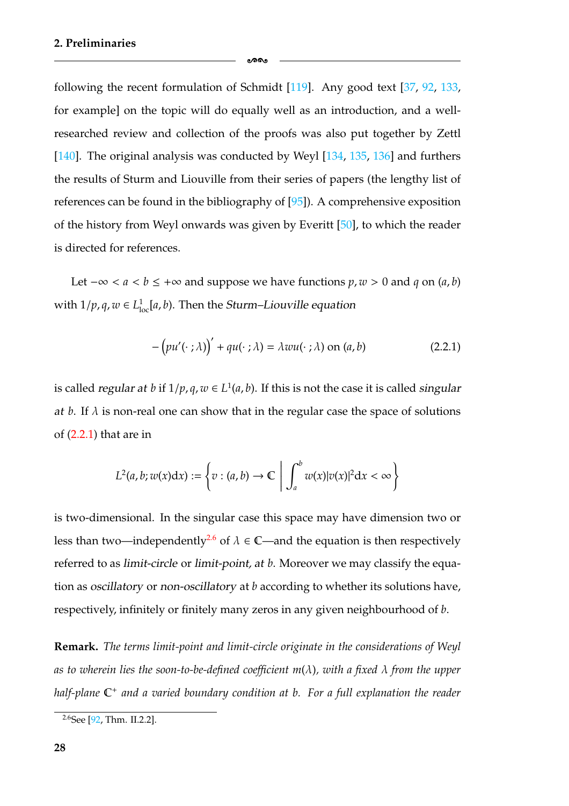following the recent formulation of Schmidt [\[119\]](#page-187-6). Any good text [\[37,](#page-181-2) [92,](#page-185-5) [133,](#page-187-5) for example] on the topic will do equally well as an introduction, and a wellresearched review and collection of the proofs was also put together by Zettl [\[140\]](#page-188-4). The original analysis was conducted by Weyl [\[134,](#page-187-3) [135,](#page-188-3) [136\]](#page-188-2) and furthers the results of Sturm and Liouville from their series of papers (the lengthy list of references can be found in the bibliography of [\[95\]](#page-185-6)). A comprehensive exposition of the history from Weyl onwards was given by Everitt [\[50\]](#page-182-3), to which the reader is directed for references.

ക്കം

Let  $-\infty < a < b \le +\infty$  and suppose we have functions *p*, *w* > 0 and *q* on (*a*, *b*) with  $1/p, q, w \in L^1_{loc}[a, b)$ . Then the *Sturm–Liouville* equation

<span id="page-34-1"></span>
$$
-\left(pu'(\cdot;\lambda)\right)' + qu(\cdot;\lambda) = \lambda w u(\cdot;\lambda) \text{ on } (a,b) \tag{2.2.1}
$$

is called *regular at b* if  $1/p, q, w \in L^1(a, b)$ . If this is not the case it is called *singular at b*. If  $\lambda$  is non-real one can show that in the regular case the space of solutions of [\(2.2.1\)](#page-34-1) that are in

$$
L^2(a,b;w(x)\mathrm{d}x):=\left\{v:(a,b)\rightarrow\mathbb{C}\ \left|\ \int_a^b w(x)|v(x)|^2\mathrm{d}x<\infty\right.\right\}
$$

is two-dimensional. In the singular case this space may have dimension two or less than two—independently<sup>2.6</sup> of  $\lambda \in \mathbb{C}$ —and the equation is then respectively referred to as *limit-circle* or *limit-point, at b*. Moreover we may classify the equation as *oscillatory* or *non-oscillatory* at *b* according to whether its solutions have, respectively, infinitely or finitely many zeros in any given neighbourhood of *b*.

**Remark.** *The terms limit-point and limit-circle originate in the considerations of Weyl as to wherein lies the soon-to-be-defined coefficient m*(λ)*, with a fixed* λ *from the upper half-plane* C<sup>+</sup> *and a varied boundary condition at b. For a full explanation the reader*

<span id="page-34-0"></span> $2.6$ See [\[92,](#page-185-5) Thm. II.2.2].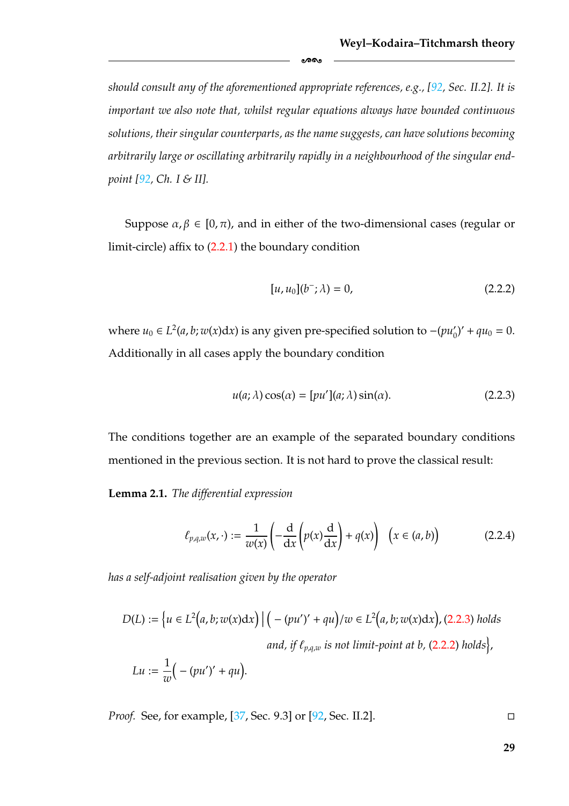*should consult any of the aforementioned appropriate references, e.g., [\[92,](#page-185-5) Sec. II.2]. It is important we also note that, whilst regular equations always have bounded continuous solutions, their singular counterparts, as the name suggests, can have solutions becoming arbitrarily large or oscillating arbitrarily rapidly in a neighbourhood of the singular endpoint [\[92,](#page-185-5) Ch. I & II].*

-

Suppose  $\alpha, \beta \in [0, \pi)$ , and in either of the two-dimensional cases (regular or limit-circle) affix to [\(2.2.1\)](#page-34-1) the boundary condition

<span id="page-35-0"></span>
$$
[u, u_0](b^-; \lambda) = 0,\t(2.2.2)
$$

*where*  $u_0$  ∈ *L*<sup>2</sup>(*a*, *b*; *w*(*x*)d*x*) is any given pre-specified solution to  $-(pu'_0)' + qu_0 = 0$ . Additionally in all cases apply the boundary condition

<span id="page-35-1"></span>
$$
u(a; \lambda)\cos(\alpha) = [pu'](a; \lambda)\sin(\alpha). \tag{2.2.3}
$$

The conditions together are an example of the separated boundary conditions mentioned in the previous section. It is not hard to prove the classical result:

**Lemma 2.1.** *The differential expression*

$$
\ell_{p,q,w}(x,\cdot) := \frac{1}{w(x)} \left( -\frac{d}{dx} \left( p(x) \frac{d}{dx} \right) + q(x) \right) \quad \left( x \in (a,b) \right) \tag{2.2.4}
$$

*has a self-adjoint realisation given by the operator*

$$
D(L) := \left\{ u \in L^2(a, b; w(x)dx) \mid \left( -(pu')' + qu \right) / w \in L^2(a, b; w(x)dx), (2.2.3) holds
$$
  
and, if  $\ell_{p,q,w}$  is not limit-point at b, (2.2.2) holds
$$
L u := \frac{1}{w} \left( -(pu')' + qu \right).
$$

*Proof.* See, for example, [\[37,](#page-181-2) Sec. 9.3] or [\[92,](#page-185-5) Sec. II.2].

**29**

 $\Box$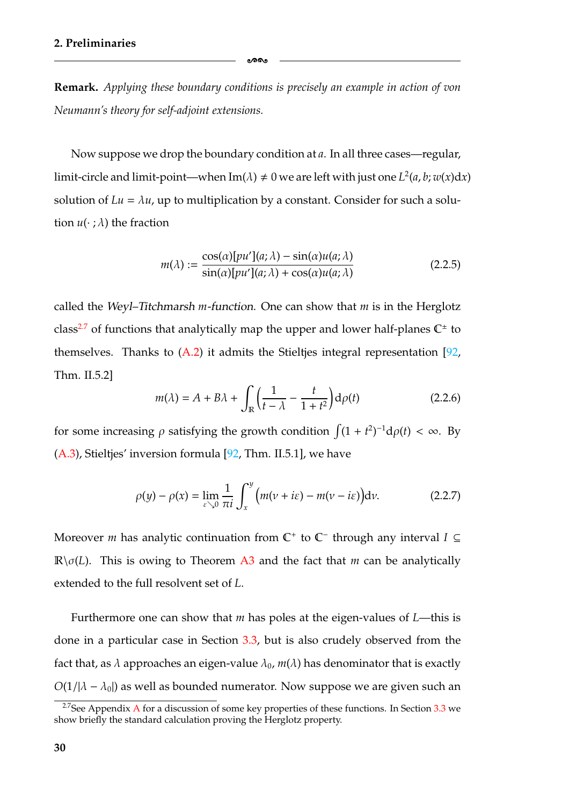**Remark.** *Applying these boundary conditions is precisely an example in action of von Neumann's theory for self-adjoint extensions.*

-

Now suppose we drop the boundary condition at *a*. In all three cases—regular, limit-circle and limit-point—when Im( $\lambda$ )  $\neq$  0 we are left with just one  $L^2(a, b; w(x)dx)$ solution of  $Lu = \lambda u$ , up to multiplication by a constant. Consider for such a solution  $u(\cdot; \lambda)$  the fraction

<span id="page-36-1"></span>
$$
m(\lambda) := \frac{\cos(\alpha)[pu'](a; \lambda) - \sin(\alpha)u(a; \lambda)}{\sin(\alpha)[pu'](a; \lambda) + \cos(\alpha)u(a; \lambda)}
$$
(2.2.5)

called the *Weyl–Titchmarsh m-function*. One can show that *m* is in the Herglotz class<sup>2.7</sup> of functions that analytically map the upper and lower half-planes  $\mathbb{C}^{\pm}$  to themselves. Thanks to  $(A.2)$  it admits the Stieltjes integral representation [\[92,](#page-185-0) Thm. II.5.2]

$$
m(\lambda) = A + B\lambda + \int_{\mathbb{R}} \left( \frac{1}{t - \lambda} - \frac{t}{1 + t^2} \right) d\rho(t)
$$
 (2.2.6)

for some increasing  $\rho$  satisfying the growth condition  $\int (1 + t^2)^{-1} d\rho(t) < \infty$ . By [\(A.3\)](#page-156-0), Stieltjes' inversion formula [\[92,](#page-185-0) Thm. II.5.1], we have

$$
\rho(y) - \rho(x) = \lim_{\varepsilon \searrow 0} \frac{1}{\pi i} \int_x^y \left( m(v + i\varepsilon) - m(v - i\varepsilon) \right) dv.
$$
 (2.2.7)

Moreover *m* has analytic continuation from C<sup>+</sup> to C<sup>−</sup> through any interval *I* ⊆  $\mathbb{R}\setminus\sigma(L)$ . This is owing to Theorem [A3](#page-157-0) and the fact that *m* can be analytically extended to the full resolvent set of *L*.

Furthermore one can show that *m* has poles at the eigen-values of *L*—this is done in a particular case in Section [3.3,](#page-74-0) but is also crudely observed from the fact that, as  $\lambda$  approaches an eigen-value  $\lambda_0$ ,  $m(\lambda)$  has denominator that is exactly  $O(1/|\lambda - \lambda_0|)$  as well as bounded numerator. Now suppose we are given such an

<span id="page-36-0"></span><sup>&</sup>lt;sup>2.7</sup>See [A](#page-154-0)ppendix A for a discussion of some key properties of these functions. In Section  $3.3$  we show briefly the standard calculation proving the Herglotz property.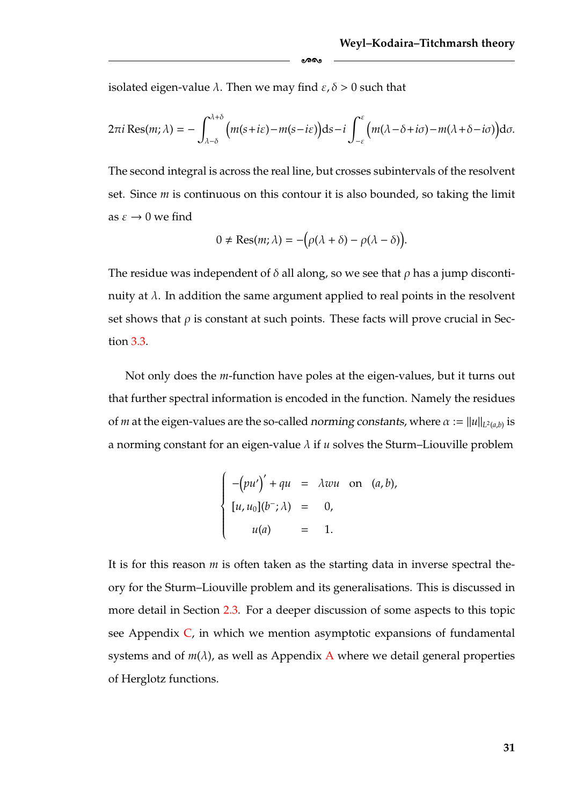isolated eigen-value  $\lambda$ . Then we may find  $\varepsilon, \delta > 0$  such that

$$
2\pi i \operatorname{Res}(m;\lambda) = -\int_{\lambda-\delta}^{\lambda+\delta} \Big(m(s+i\varepsilon)-m(s-i\varepsilon)\Big) \mathrm{d} s - i \int_{-\varepsilon}^{\varepsilon} \Big(m(\lambda-\delta+i\sigma)-m(\lambda+\delta-i\sigma)\Big) \mathrm{d} \sigma.
$$

ക്ക

The second integral is across the real line, but crosses subintervals of the resolvent set. Since *m* is continuous on this contour it is also bounded, so taking the limit as  $\varepsilon \to 0$  we find

$$
0 \neq \text{Res}(m; \lambda) = -(\rho(\lambda + \delta) - \rho(\lambda - \delta)).
$$

The residue was independent of  $\delta$  all along, so we see that  $\rho$  has a jump discontinuity at  $\lambda$ . In addition the same argument applied to real points in the resolvent set shows that  $\rho$  is constant at such points. These facts will prove crucial in Section [3.3.](#page-74-0)

Not only does the *m*-function have poles at the eigen-values, but it turns out that further spectral information is encoded in the function. Namely the residues of *m* at the eigen-values are the so-called *norming constants*, where  $\alpha := ||u||_{L^2(a,b)}$  is a norming constant for an eigen-value  $\lambda$  if  $u$  solves the Sturm–Liouville problem

$$
\begin{cases}\n-(pu')' + qu = \lambda wu \text{ on } (a, b), \\
[u, u_0](b^-; \lambda) = 0, \\
u(a) = 1.\n\end{cases}
$$

It is for this reason *m* is often taken as the starting data in inverse spectral theory for the Sturm–Liouville problem and its generalisations. This is discussed in more detail in Section [2.3.](#page-38-0) For a deeper discussion of some aspects to this topic see Appendix  $C$ , in which we mention asymptotic expansions of fundamental systems and of  $m(\lambda)$ , as well as [A](#page-154-0)ppendix A where we detail general properties of Herglotz functions.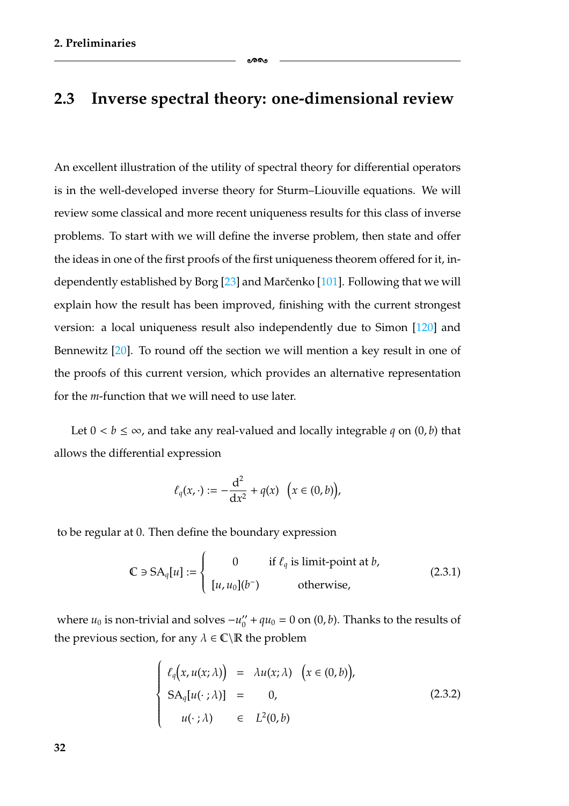### <span id="page-38-0"></span>**2.3 Inverse spectral theory: one-dimensional review**

-

An excellent illustration of the utility of spectral theory for differential operators is in the well-developed inverse theory for Sturm–Liouville equations. We will review some classical and more recent uniqueness results for this class of inverse problems. To start with we will define the inverse problem, then state and offer the ideas in one of the first proofs of the first uniqueness theorem offered for it, independently established by Borg  $[23]$  and Marčenko  $[101]$  $[101]$ . Following that we will explain how the result has been improved, finishing with the current strongest version: a local uniqueness result also independently due to Simon [\[120\]](#page-187-0) and Bennewitz [\[20\]](#page-180-0). To round off the section we will mention a key result in one of the proofs of this current version, which provides an alternative representation for the *m*-function that we will need to use later.

Let  $0 < b \le \infty$ , and take any real-valued and locally integrable q on  $(0, b)$  that allows the differential expression

$$
\ell_q(x,\cdot):=-\frac{\mathrm{d}^2}{\mathrm{d}x^2}+q(x)\ \ \Big(x\in (0,b)\Big),
$$

to be regular at 0. Then define the boundary expression

<span id="page-38-2"></span>
$$
\mathbb{C} \ni SA_q[u] := \begin{cases} 0 & \text{if } \ell_q \text{ is limit-point at } b, \\ [u, u_0](b^-) & \text{otherwise,} \end{cases}
$$
 (2.3.1)

where  $u_0$  is non-trivial and solves  $-u_0'' + qu_0 = 0$  on  $(0, b)$ . Thanks to the results of the previous section, for any  $\lambda \in \mathbb{C} \backslash \mathbb{R}$  the problem

<span id="page-38-1"></span>
$$
\begin{cases}\n\ell_q(x, u(x; \lambda)) = \lambda u(x; \lambda) & (x \in (0, b)), \\
SA_q[u(\cdot; \lambda)] = 0, & (2.3.2) \\
u(\cdot; \lambda) & \in L^2(0, b)\n\end{cases}
$$

**32**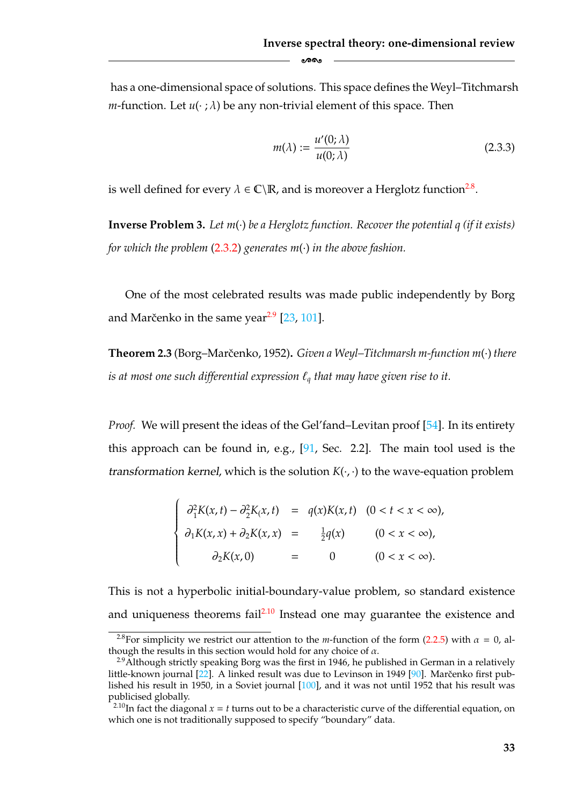has a one-dimensional space of solutions. This space defines the Weyl–Titchmarsh *m*-function. Let  $u(\cdot; \lambda)$  be any non-trivial element of this space. Then

ക്ക

<span id="page-39-3"></span>
$$
m(\lambda) := \frac{u'(0; \lambda)}{u(0; \lambda)}
$$
\n(2.3.3)

is well defined for every  $\lambda \in \mathbb{C} \backslash \mathbb{R}$ , and is moreover a Herglotz function<sup>2.8</sup>.

<span id="page-39-4"></span>**Inverse Problem 3.** *Let m*(·) *be a Herglotz function. Recover the potential q (if it exists) for which the problem* [\(2.3.2\)](#page-38-1) *generates m*(·) *in the above fashion.*

One of the most celebrated results was made public independently by Borg and Marčenko in the same year $2.9$  [\[23,](#page-180-1) [101\]](#page-185-1).

**Theorem 2.3** (Borg–Marcenko, 1952) ˇ **.** *Given a Weyl–Titchmarsh m-function m*(·) *there is at most one such differential expression*  $\ell_q$  *that may have given rise to it.* 

*Proof.* We will present the ideas of the Gel'fand–Levitan proof [\[54\]](#page-182-0). In its entirety this approach can be found in, e.g., [\[91,](#page-185-4) Sec. 2.2]. The main tool used is the *transformation kernel*, which is the solution  $K(\cdot, \cdot)$  to the wave-equation problem

$$
\begin{cases}\n\frac{\partial^2 K(x,t) - \partial^2 K(x,t)}{\partial x(t)} &= q(x)K(x,t) \quad (0 < t < x < \infty), \\
\frac{\partial^2 K(x,t) + \partial^2 K(x,t)}{\partial x(t)} &= \frac{1}{2}q(x) \quad (0 < x < \infty), \\
\frac{\partial^2 K(x,0)}{\partial x(t)} &= 0 \quad (0 < x < \infty).\n\end{cases}
$$

This is not a hyperbolic initial-boundary-value problem, so standard existence and uniqueness theorems fail<sup>2.10</sup> Instead one may guarantee the existence and

<span id="page-39-2"></span><sup>&</sup>lt;sup>2.8</sup>For simplicity we restrict our attention to the *m*-function of the form [\(2.2.5\)](#page-36-1) with  $\alpha = 0$ , although the results in this section would hold for any choice of  $\alpha$ .<br><sup>2.9</sup>Although strictly speaking Borg was the first in 1946, he published in German in a relatively

<span id="page-39-1"></span>little-known journal  $[22]$ . A linked result was due to Levinson in 1949 [\[90\]](#page-185-3). Marčenko first published his result in 1950, in a Soviet journal [\[100\]](#page-185-2), and it was not until 1952 that his result was publicised globally.

<span id="page-39-0"></span><sup>&</sup>lt;sup>2.10</sup>In fact the diagonal  $x = t$  turns out to be a characteristic curve of the differential equation, on which one is not traditionally supposed to specify "boundary" data.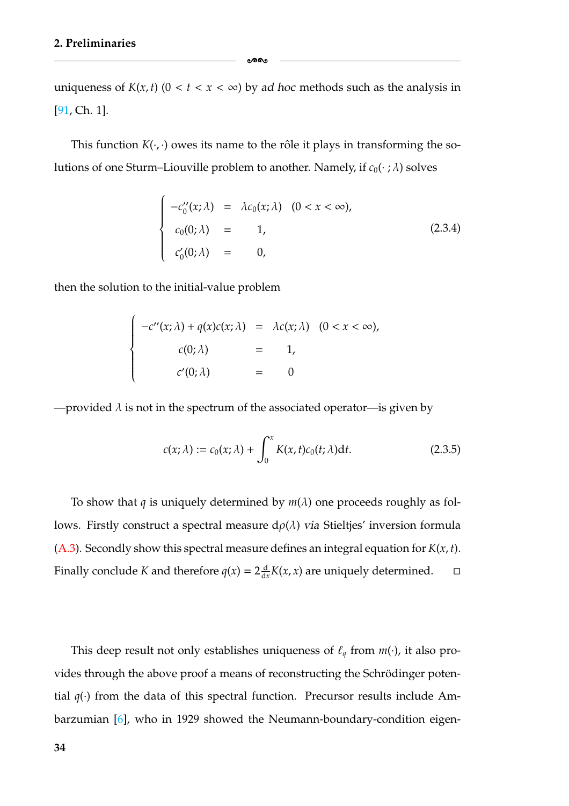uniqueness of  $K(x, t)$  ( $0 < t < x < \infty$ ) by *ad hoc* methods such as the analysis in [\[91,](#page-185-4) Ch. 1].

ക്കം

This function  $K(\cdot, \cdot)$  owes its name to the rôle it plays in transforming the solutions of one Sturm–Liouville problem to another. Namely, if  $c_0(\cdot;\lambda)$  solves

$$
\begin{cases}\n-c_0''(x;\lambda) = \lambda c_0(x;\lambda) & (0 < x < \infty), \\
c_0(0;\lambda) = 1, \\
c_0'(0;\lambda) = 0,\n\end{cases}
$$
\n(2.3.4)

then the solution to the initial-value problem

$$
\begin{cases}\n-c''(x;\lambda) + q(x)c(x;\lambda) &= \lambda c(x;\lambda) & (0 < x < \infty), \\
c(0;\lambda) &= 1, \\
c'(0;\lambda) &= 0\n\end{cases}
$$

—provided  $\lambda$  is not in the spectrum of the associated operator—is given by

$$
c(x; \lambda) := c_0(x; \lambda) + \int_0^x K(x, t)c_0(t; \lambda)dt.
$$
 (2.3.5)

To show that *q* is uniquely determined by  $m(\lambda)$  one proceeds roughly as follows. Firstly construct a spectral measure  $d\rho(\lambda)$  *via* Stieltjes' inversion formula [\(A.3\)](#page-156-0). Secondly show this spectral measure defines an integral equation for *K*(*x*, *t*). Finally conclude *K* and therefore  $q(x) = 2\frac{d}{dx}K(x, x)$  are uniquely determined.  $\Box$  $\Box$ 

This deep result not only establishes uniqueness of  $\ell_q$  from  $m(\cdot)$ , it also provides through the above proof a means of reconstructing the Schrödinger potential  $q(\cdot)$  from the data of this spectral function. Precursor results include Ambarzumian [\[6\]](#page-179-0), who in 1929 showed the Neumann-boundary-condition eigen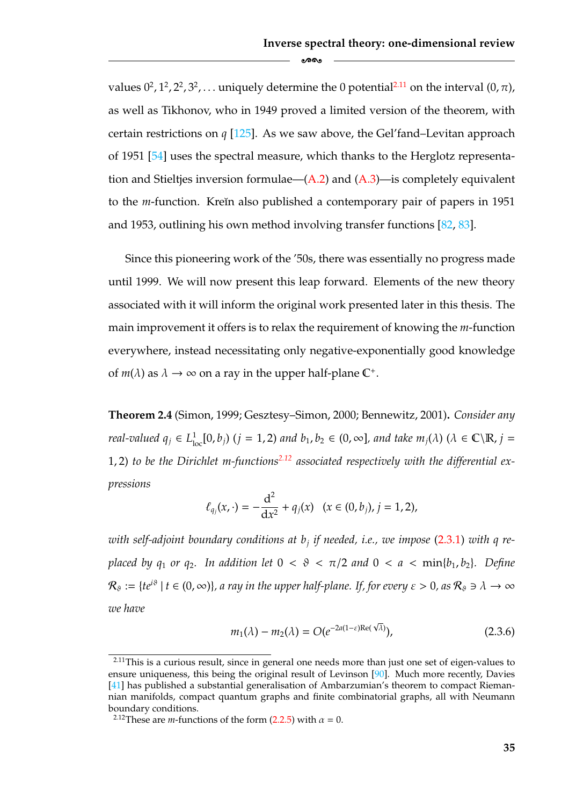values  $0^2$ ,  $1^2$ ,  $2^2$ ,  $3^2$ , ... uniquely determine the 0 potential<sup>2.11</sup> on the interval  $(0, \pi)$ , as well as Tikhonov, who in 1949 proved a limited version of the theorem, with certain restrictions on *q* [\[125\]](#page-187-1). As we saw above, the Gel'fand–Levitan approach of 1951 [\[54\]](#page-182-0) uses the spectral measure, which thanks to the Herglotz representation and Stieltjes inversion formulae— $(A.2)$  and  $(A.3)$ —is completely equivalent to the *m*-function. Kreĭn also published a contemporary pair of papers in 1951 and 1953, outlining his own method involving transfer functions [\[82,](#page-184-1) [83\]](#page-184-0).

 $\circ$ ൈ

Since this pioneering work of the '50s, there was essentially no progress made until 1999. We will now present this leap forward. Elements of the new theory associated with it will inform the original work presented later in this thesis. The main improvement it offers is to relax the requirement of knowing the *m*-function everywhere, instead necessitating only negative-exponentially good knowledge of  $m(\lambda)$  as  $\lambda \to \infty$  on a ray in the upper half-plane  $\mathbb{C}^+$ .

<span id="page-41-2"></span>**Theorem 2.4** (Simon, 1999; Gesztesy–Simon, 2000; Bennewitz, 2001)**.** *Consider any real-valued*  $q_j \in L^1_{loc}[0,b_j)$  ( $j = 1, 2$ ) and  $b_1, b_2 \in (0,\infty]$ , and take  $m_j(\lambda)$  ( $\lambda \in \mathbb{C} \setminus \mathbb{R}$ ,  $j = 1$ 1, 2) *to be the Dirichlet m-function[s2.12](#page-41-0) associated respectively with the differential expressions*

$$
\ell_{q_j}(x,\cdot)=-\frac{\mathrm{d}^2}{\mathrm{d}x^2}+q_j(x)\quad(x\in(0,b_j),j=1,2),
$$

*with self-adjoint boundary conditions at bj if needed, i.e., we impose* [\(2.3.1\)](#page-38-2) *with q replaced by q<sub>1</sub> or q<sub>2</sub>. In addition let*  $0 < \vartheta < \pi/2$  *and*  $0 < a < \min\{b_1, b_2\}$ . Define  $\mathcal{R}_\vartheta := \{te^{i\vartheta} \mid t \in (0,\infty)\}\$ , a ray in the upper half-plane. If, for every  $\varepsilon > 0$ , as  $\mathcal{R}_\vartheta \ni \lambda \to \infty$ *we have*

$$
m_1(\lambda) - m_2(\lambda) = O(e^{-2a(1-\varepsilon)\operatorname{Re}(\sqrt{\lambda})}), \qquad (2.3.6)
$$

<span id="page-41-1"></span> $2.11$ This is a curious result, since in general one needs more than just one set of eigen-values to ensure uniqueness, this being the original result of Levinson [\[90\]](#page-185-3). Much more recently, Davies [\[41\]](#page-182-1) has published a substantial generalisation of Ambarzumian's theorem to compact Riemannian manifolds, compact quantum graphs and finite combinatorial graphs, all with Neumann boundary conditions.

<span id="page-41-0"></span><sup>&</sup>lt;sup>2.12</sup>These are *m*-functions of the form [\(2.2.5\)](#page-36-1) with  $\alpha = 0$ .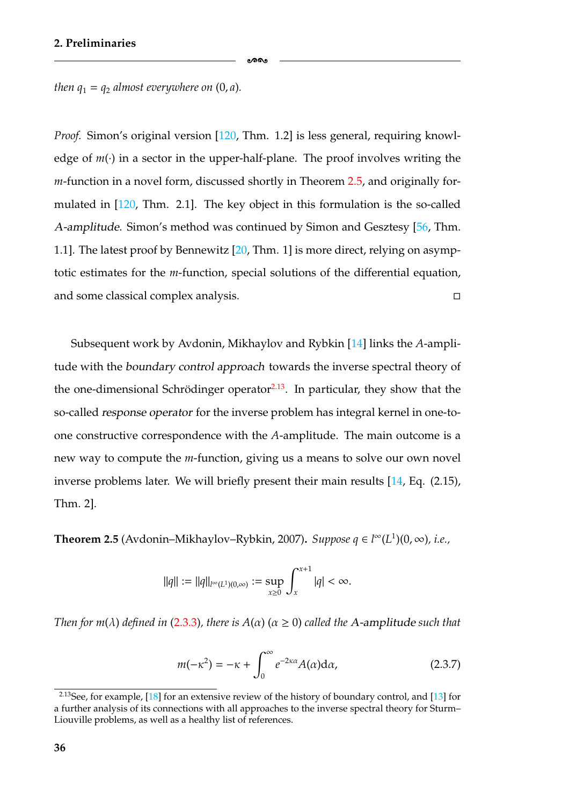-

*then*  $q_1 = q_2$  *almost everywhere on*  $(0, a)$ *.* 

*Proof.* Simon's original version [\[120,](#page-187-0) Thm. 1.2] is less general, requiring knowledge of  $m(\cdot)$  in a sector in the upper-half-plane. The proof involves writing the *m*-function in a novel form, discussed shortly in Theorem [2.5,](#page-42-1) and originally formulated in [\[120,](#page-187-0) Thm. 2.1]. The key object in this formulation is the so-called *A-amplitude*. Simon's method was continued by Simon and Gesztesy [\[56,](#page-183-0) Thm. 1.1]. The latest proof by Bennewitz [\[20,](#page-180-0) Thm. 1] is more direct, relying on asymptotic estimates for the *m*-function, special solutions of the differential equation, and some classical complex analysis.  $\Box$ 

Subsequent work by Avdonin, Mikhaylov and Rybkin [\[14\]](#page-180-5) links the *A*-amplitude with the *boundary control approach* towards the inverse spectral theory of the one-dimensional Schrödinger operator $2.13$ . In particular, they show that the so-called *response operator* for the inverse problem has integral kernel in one-toone constructive correspondence with the *A*-amplitude. The main outcome is a new way to compute the *m*-function, giving us a means to solve our own novel inverse problems later. We will briefly present their main results [\[14,](#page-180-5) Eq. (2.15), Thm. 2].

<span id="page-42-1"></span>**Theorem 2.5** (Avdonin–Mikhaylov–Rybkin, 2007). *Suppose*  $q \in l^{\infty}(L^1)(0, \infty)$ , *i.e.*,

$$
\|q\|:=\|q\|_{l^\infty(L^1)(0,\infty)}:=\sup_{x\geq 0}\int_x^{x+1}|q|<\infty.
$$

*Then for m*( $\lambda$ ) *defined in* [\(2.3.3\)](#page-39-3), *there is*  $A(\alpha)$  ( $\alpha \ge 0$ ) *called the* A-amplitude *such that* 

$$
m(-\kappa^2) = -\kappa + \int_0^\infty e^{-2\kappa\alpha} A(\alpha) d\alpha,
$$
 (2.3.7)

<span id="page-42-0"></span><sup>&</sup>lt;sup>2.13</sup>See, for example, [\[18\]](#page-180-4) for an extensive review of the history of boundary control, and [\[13\]](#page-180-3) for a further analysis of its connections with all approaches to the inverse spectral theory for Sturm– Liouville problems, as well as a healthy list of references.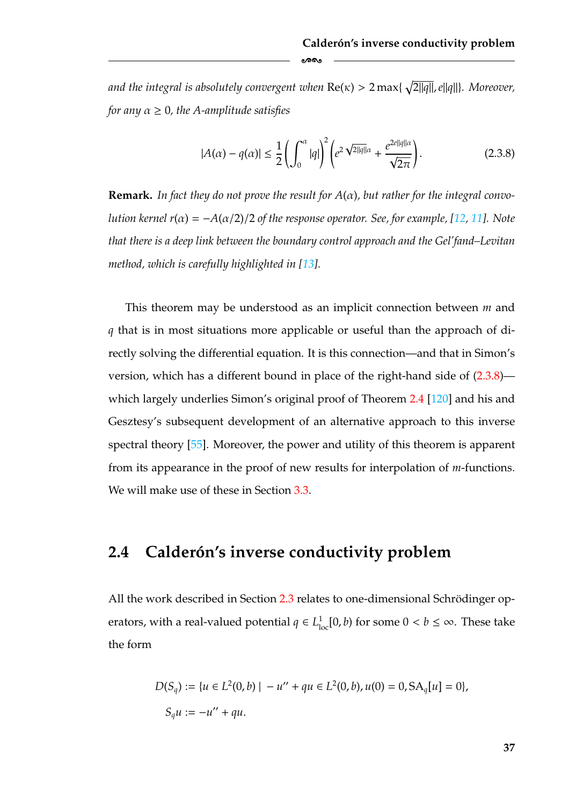and the integral is absolutely convergent when  $\text{Re}(\kappa) > 2\max\{\sqrt{2||q||}, e||q||\}$ . Moreover, *for any*  $\alpha \geq 0$ *, the A-amplitude satisfies* 

-

<span id="page-43-0"></span>
$$
|A(\alpha) - q(\alpha)| \le \frac{1}{2} \left( \int_0^{\alpha} |q| \right)^2 \left( e^{2\sqrt{2||q||\alpha}} + \frac{e^{2e||q||\alpha}}{\sqrt{2\pi}} \right). \tag{2.3.8}
$$

**Remark.** *In fact they do not prove the result for A*(α)*, but rather for the integral convolution kernel r*( $\alpha$ ) =  $-A(\alpha/2)/2$  *of the response operator. See, for example,* [\[12,](#page-179-2) [11\]](#page-179-1)*.* Note *that there is a deep link between the boundary control approach and the Gel'fand–Levitan method, which is carefully highlighted in [\[13\]](#page-180-3).*

This theorem may be understood as an implicit connection between *m* and *q* that is in most situations more applicable or useful than the approach of directly solving the differential equation. It is this connection—and that in Simon's version, which has a different bound in place of the right-hand side of [\(2.3.8\)](#page-43-0) which largely underlies Simon's original proof of Theorem [2.4](#page-41-2) [\[120\]](#page-187-0) and his and Gesztesy's subsequent development of an alternative approach to this inverse spectral theory [\[55\]](#page-183-1). Moreover, the power and utility of this theorem is apparent from its appearance in the proof of new results for interpolation of *m*-functions. We will make use of these in Section [3.3.](#page-74-0)

### **2.4 Caldero´n's inverse conductivity problem**

All the work described in Section [2.3](#page-38-0) relates to one-dimensional Schrödinger operators, with a real-valued potential  $q \in L^1_{loc}[0, b)$  for some  $0 < b \leq \infty$ . These take the form

$$
D(S_q) := \{ u \in L^2(0, b) \mid -u'' + qu \in L^2(0, b), u(0) = 0, SA_q[u] = 0 \},
$$
  

$$
S_q u := -u'' + qu.
$$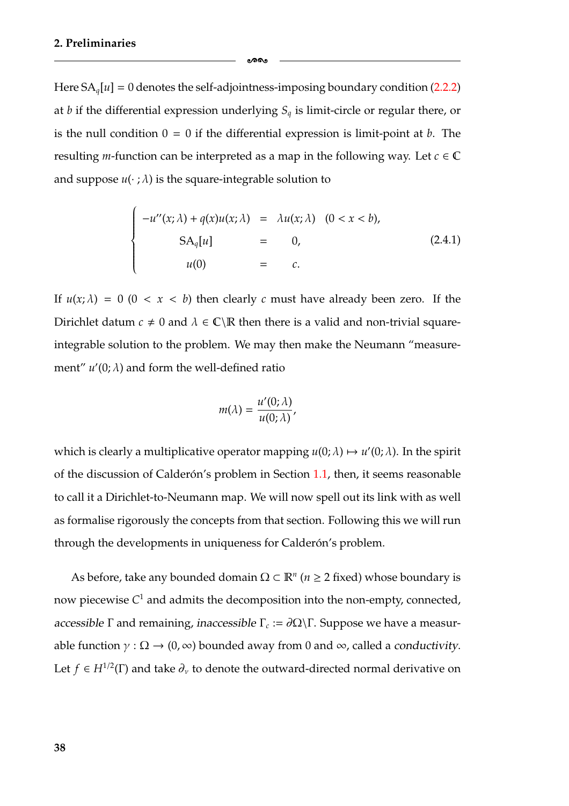Here  $SA_{q}[u] = 0$  denotes the self-adjointness-imposing boundary condition [\(2.2.2\)](#page-35-0) at *b* if the differential expression underlying  $S_q$  is limit-circle or regular there, or is the null condition  $0 = 0$  if the differential expression is limit-point at *b*. The resulting *m*-function can be interpreted as a map in the following way. Let  $c \in \mathbb{C}$ and suppose  $u(\cdot;\lambda)$  is the square-integrable solution to

ക്ക

$$
\begin{cases}\n-u''(x;\lambda) + q(x)u(x;\lambda) &= \lambda u(x;\lambda) & (0 < x < b), \\
SA_q[u] &= 0, \\
u(0) &= c.\n\end{cases}
$$
\n(2.4.1)

If  $u(x; \lambda) = 0$  (0 < *x* < *b*) then clearly *c* must have already been zero. If the Dirichlet datum  $c \neq 0$  and  $\lambda \in \mathbb{C} \backslash \mathbb{R}$  then there is a valid and non-trivial squareintegrable solution to the problem. We may then make the Neumann "measurement"  $u'(0; \lambda)$  and form the well-defined ratio

$$
m(\lambda) = \frac{u'(0;\lambda)}{u(0;\lambda)},
$$

which is clearly a multiplicative operator mapping  $u(0; \lambda) \mapsto u'(0; \lambda)$ . In the spirit of the discussion of Calderón's problem in Section [1.1,](#page-9-0) then, it seems reasonable to call it a Dirichlet-to-Neumann map. We will now spell out its link with as well as formalise rigorously the concepts from that section. Following this we will run through the developments in uniqueness for Calderón's problem.

As before, take any bounded domain  $\Omega \subset \mathbb{R}^n$  ( $n \geq 2$  fixed) whose boundary is now piecewise  $C<sup>1</sup>$  and admits the decomposition into the non-empty, connected, *accessible*  $\Gamma$  and remaining, *inaccessible*  $\Gamma_c := \partial \Omega \backslash \Gamma$ . Suppose we have a measurable function  $\gamma : \Omega \to (0, \infty)$  bounded away from 0 and  $\infty$ , called a *conductivity*. Let  $f \in H^{1/2}(\Gamma)$  and take  $\partial_{\nu}$  to denote the outward-directed normal derivative on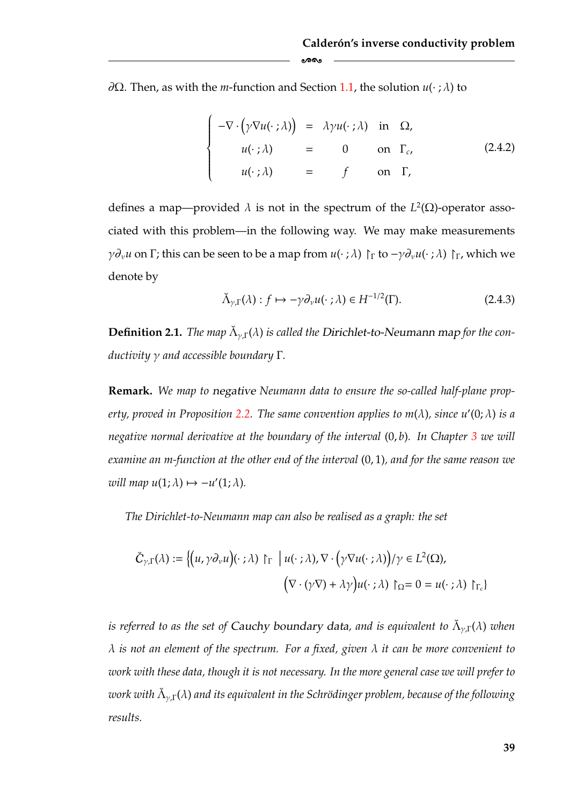∂Ω. Then, as with the *m*-function and Section [1.1,](#page-9-0) the solution *u*(· ; λ) to

-

<span id="page-45-0"></span>
$$
\begin{cases}\n-\nabla \cdot (\gamma \nabla u(\cdot;\lambda)) = \lambda \gamma u(\cdot;\lambda) & \text{in } \Omega, \\
u(\cdot;\lambda) = 0 & \text{on } \Gamma_c, \\
u(\cdot;\lambda) = f & \text{on } \Gamma,\n\end{cases}
$$
\n(2.4.2)

defines a map—provided  $\lambda$  is not in the spectrum of the  $L^2(\Omega)$ -operator associated with this problem—in the following way. We may make measurements *γ* $\partial_{\nu}$ *u* on Γ; this can be seen to be a map from *u*(·; λ)  $\Gamma$ <sub>Γ</sub> to  $-\gamma \partial_{\nu} u$ (·; λ)  $\Gamma$ <sub>Γ</sub>, which we denote by

$$
\check{\Lambda}_{\gamma,\Gamma}(\lambda) : f \mapsto -\gamma \partial_{\nu} u(\cdot \; ; \lambda) \in H^{-1/2}(\Gamma). \tag{2.4.3}
$$

**Definition 2.1.** *The map*  $\check{\Lambda}_{\gamma,\Gamma}(\lambda)$  *is called the Dirichlet-to-Neumann map for the conductivity* γ *and accessible boundary* Γ*.*

**Remark.** *We map to negative Neumann data to ensure the so-called half-plane property, proved in Proposition [2.2.](#page-47-0) The same convention applies to m*(λ)*, since u* (0; λ) *is a negative normal derivative at the boundary of the interval* (0, *b*)*. In Chapter [3](#page-55-0) we will examine an m-function at the other end of the interval* (0, 1)*, and for the same reason we will map*  $u(1; \lambda) \mapsto -u'(1; \lambda)$ *.* 

*The Dirichlet-to-Neumann map can also be realised as a graph: the set*

$$
\check{C}_{\gamma,\Gamma}(\lambda) := \left\{ \left( u, \gamma \partial_{\nu} u \right) (\cdot \; ; \lambda) \; \upharpoonright_{\Gamma} \; \Big| \; u(\cdot \; ; \lambda), \nabla \cdot \left( \gamma \nabla u(\cdot \; ; \lambda) \right) / \gamma \in L^{2}(\Omega), \right. \\ \left. \left( \nabla \cdot (\gamma \nabla) + \lambda \gamma \right) u(\cdot \; ; \lambda) \; \upharpoonright_{\Omega} = 0 = u(\cdot \; ; \lambda) \; \upharpoonright_{\Gamma_{c}} \right\}
$$

*is referred to as the set of Cauchy boundary data, and is equivalent to*  $\check{\Lambda}_{\nu}(\lambda)$  *when* λ *is not an element of the spectrum. For a fixed, given* λ *it can be more convenient to work with these data, though it is not necessary. In the more general case we will prefer to work with*  $\check{\Lambda}_{\gamma,\Gamma}(\lambda)$  *and its equivalent in the Schrödinger problem, because of the following results.*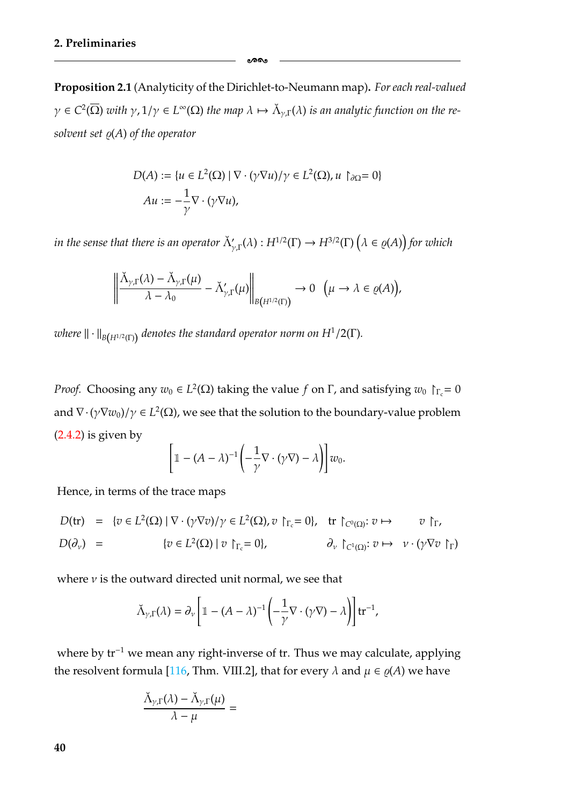**Proposition 2.1** (Analyticity of the Dirichlet-to-Neumann map)**.** *For each real-valued*  $\gamma \in C^2(\overline{\Omega})$  *with*  $\gamma$ ,  $1/\gamma \in L^{\infty}(\Omega)$  *the map*  $\lambda \mapsto \check{\Lambda}_{\gamma}(\lambda)$  *is an analytic function on the re* $s$ *olvent set*  $\varrho(A)$  *of the operator* 

ക്കം

$$
D(A) := \{ u \in L^{2}(\Omega) \mid \nabla \cdot (\gamma \nabla u) / \gamma \in L^{2}(\Omega), u \restriction_{\partial \Omega} = 0 \}
$$
  
 
$$
Au := -\frac{1}{\gamma} \nabla \cdot (\gamma \nabla u),
$$

in the sense that there is an operator  $\breve{\Lambda}_{\gamma,\Gamma}'(\lambda): H^{1/2}(\Gamma) \to H^{3/2}(\Gamma)$   $\Big(\frac{1}{\gamma}\Big)^{\frac{1}{2}}$  $\lambda \in \varrho(A)$  for which

$$
\left\|\frac{\check{\Lambda}_{\gamma,\Gamma}(\lambda)-\check{\Lambda}_{\gamma,\Gamma}(\mu)}{\lambda-\lambda_0}-\check{\Lambda}'_{\gamma,\Gamma}(\mu)\right\|_{B\left(H^{1/2}(\Gamma)\right)}\to 0 \quad \big(\mu\to\lambda\in\varrho(A)\big),
$$

*where*  $\|\cdot\|_{B(H^{1/2}(\Gamma))}$  *denotes the standard operator norm on*  $H^1/2(\Gamma)$ *.* 

*Proof.* Choosing any  $w_0 \in L^2(\Omega)$  taking the value *f* on Γ, and satisfying  $w_0 \upharpoonright_{\Gamma_c} = 0$ and  $\nabla \cdot (\gamma \nabla w_0)/\gamma \in L^2(\Omega)$ , we see that the solution to the boundary-value problem  $(2.4.2)$  is given by  $∈ L<sup>2</sup>(Ω)$  tal<br> *(a* + *A*) *(A − λ*)

$$
\left[\mathbbm{1}-(A-\lambda)^{-1}\left(-\frac{1}{\gamma}\nabla\cdot(\gamma\nabla)-\lambda\right)\right]w_0.
$$

Hence, in terms of the trace maps

$$
D(\text{tr}) = \{v \in L^{2}(\Omega) \mid \nabla \cdot (\gamma \nabla v) / \gamma \in L^{2}(\Omega), v \upharpoonright_{\Gamma_{c}} = 0\}, \text{ tr } \upharpoonright_{C^{0}(\Omega)} : v \mapsto v \upharpoonright_{\Gamma},
$$
  
\n
$$
D(\partial_{\nu}) = \{v \in L^{2}(\Omega) \mid v \upharpoonright_{\Gamma_{c}} = 0\}, \qquad \partial_{\nu} \upharpoonright_{C^{1}(\Omega)} : v \mapsto v \cdot (\gamma \nabla v \upharpoonright_{\Gamma})
$$
  
\nwhere  $\nu$  is the outward directed unit normal, we see that  
\n
$$
\breve{\Lambda}_{\gamma, \Gamma}(\lambda) = \partial_{\nu} \left[ \mathbb{1} - (A - \lambda)^{-1} \left( -\frac{1}{2} \nabla \cdot (\gamma \nabla) - \lambda \right) \right] \text{tr}^{-1},
$$

where  $\nu$  is the outward directed unit normal, we see that

$$
\check{\Lambda}_{\gamma,\Gamma}(\lambda) = \partial_{\nu} \left[ \mathbbm{1} - (A - \lambda)^{-1} \left( -\frac{1}{\gamma} \nabla \cdot (\gamma \nabla) - \lambda \right) \right] \mathrm{tr}^{-1},
$$

where by tr<sup>-1</sup> we mean any right-inverse of tr. Thus we may calculate, applying the resolvent formula [\[116,](#page-186-0) Thm. VIII.2], that for every  $\lambda$  and  $\mu \in \rho(A)$  we have

$$
\frac{\breve{\Lambda}_{\gamma,\Gamma}(\lambda)-\breve{\Lambda}_{\gamma,\Gamma}(\mu)}{\lambda-\mu}=
$$

**40**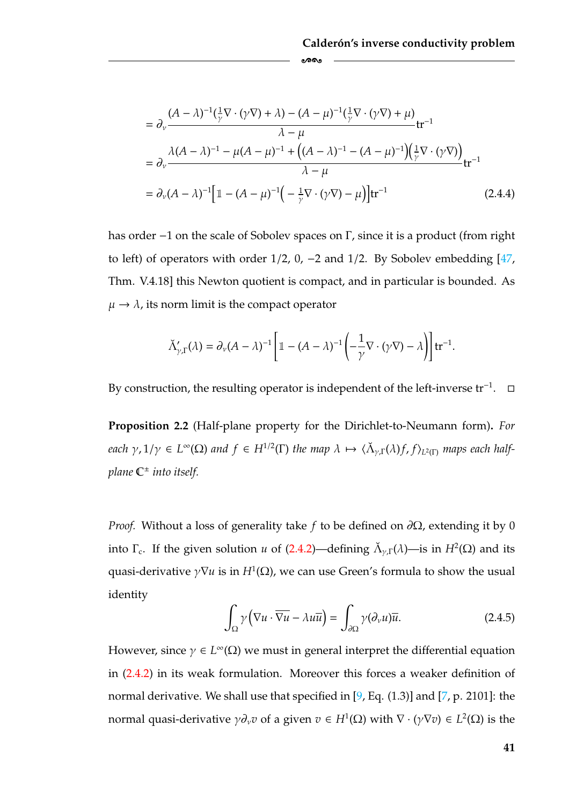$$
= \partial_{\nu} \frac{(A - \lambda)^{-1}(\frac{1}{\gamma}\nabla \cdot (\gamma \nabla) + \lambda) - (A - \mu)^{-1}(\frac{1}{\gamma}\nabla \cdot (\gamma \nabla) + \mu)}{\lambda - \mu} tr^{-1}
$$
  
=  $\partial_{\nu} \frac{\lambda(A - \lambda)^{-1} - \mu(A - \mu)^{-1} + ((A - \lambda)^{-1} - (A - \mu)^{-1})(\frac{1}{\gamma}\nabla \cdot (\gamma \nabla))}{\lambda - \mu} tr^{-1}$   
=  $\partial_{\nu}(A - \lambda)^{-1} [\mathbb{1} - (A - \mu)^{-1}(-\frac{1}{\gamma}\nabla \cdot (\gamma \nabla) - \mu)]tr^{-1}$  (2.4.4)

-

has order −1 on the scale of Sobolev spaces on Γ, since it is a product (from right to left) of operators with order 1/2, 0, −2 and 1/2. By Sobolev embedding [\[47,](#page-182-2) Thm. V.4.18] this Newton quotient is compact, and in particular is bounded. As  $\mu \rightarrow \lambda$ , its norm limit is the compact operator  $V$ 2, 0, −2 ar<br>
t is compa<br>
act operato:<br>  $\mathbb{1} - (A - λ)$ 

$$
\breve{\Lambda}'_{\gamma,\Gamma}(\lambda) = \partial_{\nu}(A-\lambda)^{-1}\left[\mathbbm{1} - (A-\lambda)^{-1}\left(-\frac{1}{\gamma}\nabla\cdot(\gamma\nabla) - \lambda\right)\right] \mathrm{tr}^{-1}.
$$

By construction, the resulting operator is independent of the left-inverse tr<sup>-1</sup>.  $\Box$ 

<span id="page-47-0"></span>**Proposition 2.2** (Half-plane property for the Dirichlet-to-Neumann form)**.** *For each*  $\gamma$ ,  $1/\gamma \in L^{\infty}(\Omega)$  *and*  $f \in H^{1/2}(\Gamma)$  *the map*  $\lambda \mapsto \langle \tilde{\Lambda}_{\gamma}(\lambda)f, f \rangle_{L^2(\Gamma)}$  *maps each halfplane* C<sup>±</sup> *into itself.*

*Proof.* Without a loss of generality take *f* to be defined on ∂Ω, extending it by 0 into  $\Gamma_c$ . If the given solution *u* of [\(2.4.2\)](#page-45-0)—defining  $\check{\Lambda}_{\nu}(\lambda)$ —is in  $H^2(\Omega)$  and its quasi-derivative  $\gamma \nabla u$  is in  $H^1(\Omega)$ , we can use Green's formula to show the usual identity

<span id="page-47-1"></span>
$$
\int_{\Omega} \gamma \left( \nabla u \cdot \overline{\nabla u} - \lambda u \overline{u} \right) = \int_{\partial \Omega} \gamma (\partial_{\nu} u) \overline{u}.
$$
\n(2.4.5)

However, since  $\gamma \in L^{\infty}(\Omega)$  we must in general interpret the differential equation in [\(2.4.2\)](#page-45-0) in its weak formulation. Moreover this forces a weaker definition of normal derivative. We shall use that specified in [\[9,](#page-179-4) Eq. (1.3)] and [\[7,](#page-179-3) p. 2101]: the normal quasi-derivative  $\gamma \partial_\nu v$  of a given  $v \in H^1(\Omega)$  with  $\nabla \cdot (\gamma \nabla v) \in L^2(\Omega)$  is the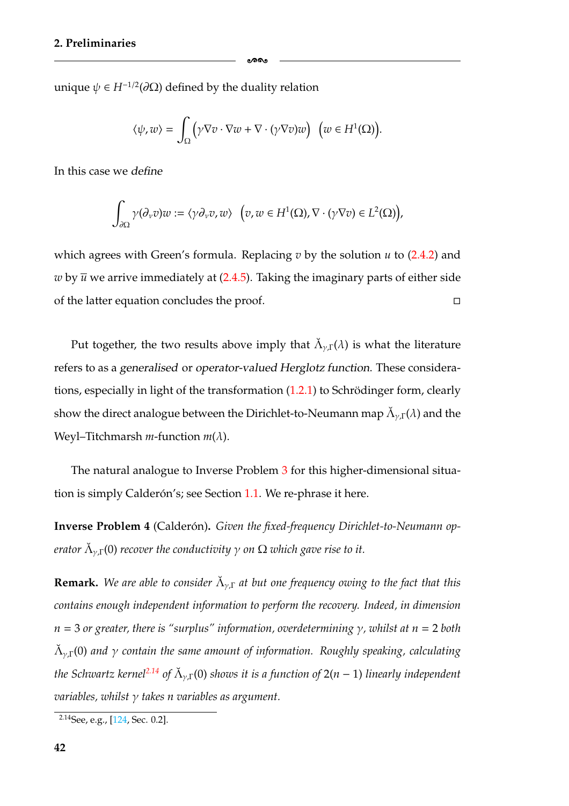unique  $\psi \in H^{-1/2}(\partial \Omega)$  defined by the duality relation

$$
\langle \psi, w \rangle = \int_{\Omega} \left( \gamma \nabla v \cdot \nabla w + \nabla \cdot (\gamma \nabla v) w \right) \, \big( w \in H^1(\Omega) \big).
$$

-

In this case we *define*

$$
\int_{\partial\Omega}\gamma(\partial_\nu v)w:=\langle \gamma\partial_\nu v,w\rangle\ \ \Big(v,w\in H^1(\Omega),\nabla\cdot(\gamma\nabla v)\in L^2(\Omega)\Big),
$$

which agrees with Green's formula. Replacing *v* by the solution *u* to [\(2.4.2\)](#page-45-0) and *w* by  $\overline{u}$  we arrive immediately at [\(2.4.5\)](#page-47-1). Taking the imaginary parts of either side of the latter equation concludes the proof.  $\Box$ 

Put together, the two results above imply that  $\check{\Lambda}_{\nu,\Gamma}(\lambda)$  is what the literature refers to as a *generalised* or *operator-valued Herglotz function*. These considerations, especially in light of the transformation  $(1.2.1)$  to Schrödinger form, clearly show the direct analogue between the Dirichlet-to-Neumann map  $\check{\Lambda}_{\nu}(\lambda)$  and the Weyl–Titchmarsh *m*-function *m*(λ).

The natural analogue to Inverse Problem [3](#page-39-4) for this higher-dimensional situa-tion is simply Calderón's; see Section [1.1.](#page-9-0) We re-phrase it here.

**Inverse Problem 4** (Calderón). Given the fixed-frequency Dirichlet-to-Neumann op*erator*  $\breve{\Lambda}_{\nu}(\mathbf{0})$  *recover the conductivity*  $\gamma$  *on*  $\Omega$  *which gave rise to it.* 

**Remark.** We are able to consider  $\tilde{\Lambda}_{\nu,\Gamma}$  at but one frequency owing to the fact that this *contains enough independent information to perform the recovery. Indeed, in dimension n* = 3 *or greater, there is "surplus" information, overdetermining* γ*, whilst at n* = 2 *both*  $\widetilde{\Lambda}_{\gamma,\Gamma}(0)$  *and*  $\gamma$  *contain the same amount of information. Roughly speaking, calculating the Schwartz kernel*<sup>2.14</sup> *of*  $\check{A}_{\nu}(\theta)$  *shows it is a function of* 2(*n* − 1) *linearly independent variables, whilst* γ *takes n variables as argument.*

<span id="page-48-0"></span><sup>&</sup>lt;sup>2.14</sup>See, e.g.,  $[124, Sec. 0.2]$  $[124, Sec. 0.2]$ .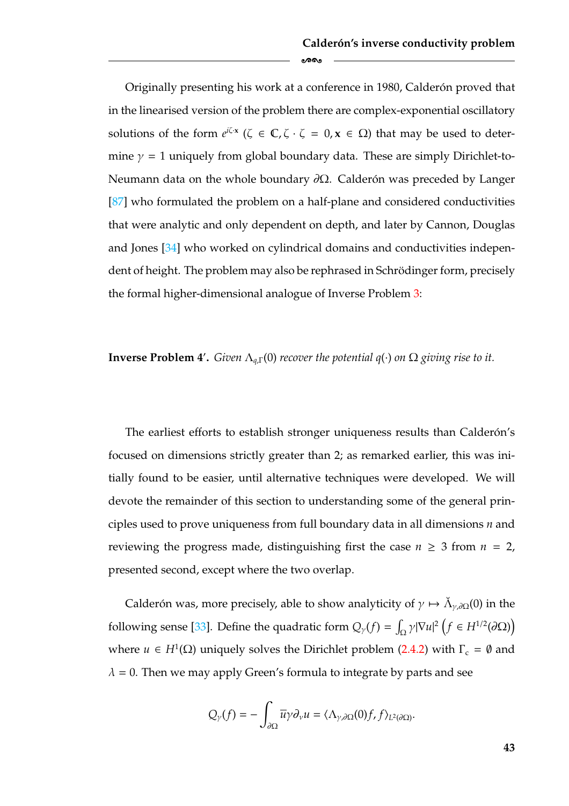Originally presenting his work at a conference in 1980, Calderón proved that in the linearised version of the problem there are complex-exponential oscillatory solutions of the form  $e^{i\zeta \cdot x}$  ( $\zeta \in \mathbb{C}, \zeta \cdot \zeta = 0, x \in \Omega$ ) that may be used to determine  $\gamma = 1$  uniquely from global boundary data. These are simply Dirichlet-to-Neumann data on the whole boundary  $\partial\Omega$ . Calderón was preceded by Langer [\[87\]](#page-185-5) who formulated the problem on a half-plane and considered conductivities that were analytic and only dependent on depth, and later by Cannon, Douglas and Jones [\[34\]](#page-181-1) who worked on cylindrical domains and conductivities independent of height. The problem may also be rephrased in Schrödinger form, precisely the formal higher-dimensional analogue of Inverse Problem [3:](#page-39-4)

-

**Inverse Problem 4'.** *Given*  $\Lambda_{q,\Gamma}(0)$  *recover the potential*  $q(\cdot)$  *on*  $\Omega$  *giving rise to it.* 

The earliest efforts to establish stronger uniqueness results than Calderón's focused on dimensions strictly greater than 2; as remarked earlier, this was initially found to be easier, until alternative techniques were developed. We will devote the remainder of this section to understanding some of the general principles used to prove uniqueness from full boundary data in all dimensions *n* and reviewing the progress made, distinguishing first the case  $n \geq 3$  from  $n = 2$ , presented second, except where the two overlap.

Calderón was, more precisely, able to show analyticity of  $\gamma \mapsto \check{\Lambda}_{\gamma,\partial\Omega}(0)$  in the following sense [\[33\]](#page-181-0). Define the quadratic form  $Q_{\gamma}(f) = \int_{\Omega} \gamma |\nabla u|^2 (f \in H^{1/2}(\partial \Omega))$ where  $u \in H^1(\Omega)$  uniquely solves the Dirichlet problem [\(2.4.2\)](#page-45-0) with  $\Gamma_c = \emptyset$  and  $\lambda$  = 0. Then we may apply Green's formula to integrate by parts and see

$$
Q_{\gamma}(f)=-\int_{\partial\Omega}\overline{u}\gamma\partial_{\nu}u=\langle\Lambda_{\gamma,\partial\Omega}(0)f,f\rangle_{L^{2}(\partial\Omega)}.
$$

**43**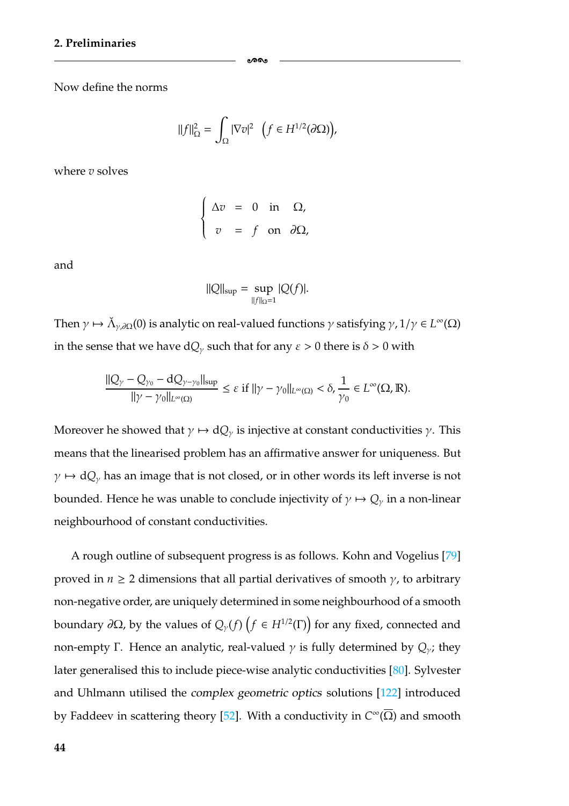Now define the norms

$$
||f||_{\Omega}^{2} = \int_{\Omega} |\nabla v|^{2} \quad \left(f \in H^{1/2}(\partial \Omega)\right),
$$

-

where *v* solves

$$
\begin{cases}\n\Delta v = 0 \text{ in } \Omega, \\
v = f \text{ on } \partial\Omega,\n\end{cases}
$$

and

$$
||Q||_{\sup} = \sup_{||f||_{\Omega}=1} |Q(f)|.
$$

Then  $\gamma \mapsto \check{\Lambda}_{\gamma,\partial\Omega}(0)$  is analytic on real-valued functions  $\gamma$  satisfying  $\gamma$ ,  $1/\gamma \in L^{\infty}(\Omega)$ in the sense that we have  $dQ_\gamma$  such that for any  $\varepsilon > 0$  there is  $\delta > 0$  with

$$
\frac{\|Q_\gamma-Q_{\gamma_0}-dQ_{\gamma-\gamma_0}\|_{\sup}}{\|\gamma-\gamma_0\|_{L^\infty(\Omega)}}\leq \varepsilon\hbox{ if } \|\gamma-\gamma_0\|_{L^\infty(\Omega)}<\delta,\frac{1}{\gamma_0}\in L^\infty(\Omega,\mathbb{R}).
$$

Moreover he showed that  $\gamma \mapsto dQ_{\gamma}$  is injective at constant conductivities  $\gamma$ . This means that the linearised problem has an affirmative answer for uniqueness. But  $\gamma \mapsto dQ_{\gamma}$  has an image that is not closed, or in other words its left inverse is not bounded. Hence he was unable to conclude injectivity of  $\gamma \mapsto Q_{\gamma}$  in a non-linear neighbourhood of constant conductivities.

A rough outline of subsequent progress is as follows. Kohn and Vogelius [\[79\]](#page-184-3) proved in  $n \geq 2$  dimensions that all partial derivatives of smooth  $\gamma$ , to arbitrary non-negative order, are uniquely determined in some neighbourhood of a smooth  $\mathsf{boundary}\ \partial\Omega$ , by the values of  $\mathcal{Q}_{\gamma}(f)\left(f\in H^{1/2}(\Gamma)\right)$  for any fixed, connected and non-empty Γ. Hence an analytic, real-valued  $\gamma$  is fully determined by  $Q_{\gamma}$ ; they later generalised this to include piece-wise analytic conductivities [\[80\]](#page-184-2). Sylvester and Uhlmann utilised the *complex geometric optics* solutions [\[122\]](#page-187-3) introduced by Faddeev in scattering theory [\[52\]](#page-182-3). With a conductivity in *C*∞(Ω) and smooth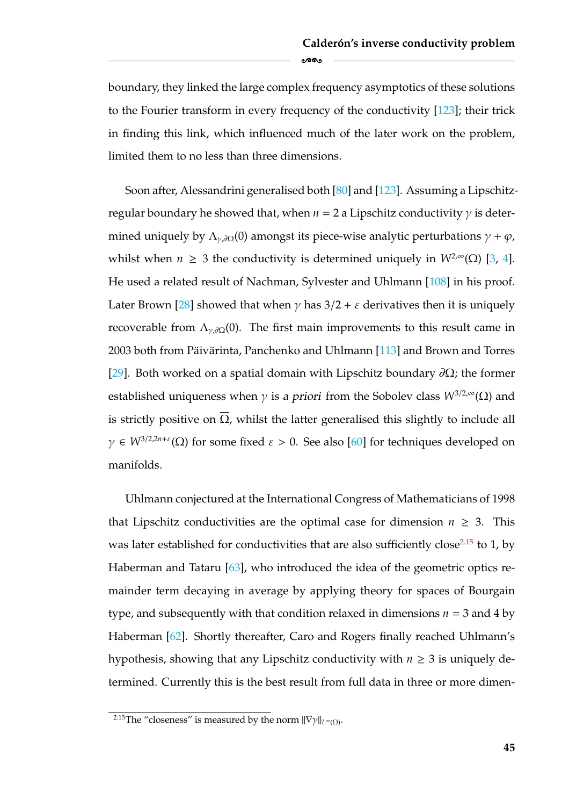boundary, they linked the large complex frequency asymptotics of these solutions to the Fourier transform in every frequency of the conductivity [\[123\]](#page-187-4); their trick in finding this link, which influenced much of the later work on the problem, limited them to no less than three dimensions.

ക്കം

Soon after, Alessandrini generalised both [\[80\]](#page-184-2) and [\[123\]](#page-187-4). Assuming a Lipschitzregular boundary he showed that, when  $n = 2$  a Lipschitz conductivity  $\gamma$  is determined uniquely by  $\Lambda_{\nu,\partial\Omega}(0)$  amongst its piece-wise analytic perturbations  $\gamma + \varphi$ , whilst when  $n \geq 3$  the conductivity is determined uniquely in  $W^{2,\infty}(\Omega)$  [\[3,](#page-179-6) [4\]](#page-179-5). He used a related result of Nachman, Sylvester and Uhlmann [\[108\]](#page-186-2) in his proof. Later Brown [\[28\]](#page-181-3) showed that when  $\gamma$  has  $3/2 + \varepsilon$  derivatives then it is uniquely recoverable from  $\Lambda_{\gamma,\partial\Omega}(0)$ . The first main improvements to this result came in 2003 both from Päivärinta, Panchenko and Uhlmann  $[113]$  $[113]$  and Brown and Torres [\[29\]](#page-181-2). Both worked on a spatial domain with Lipschitz boundary  $\partial\Omega$ ; the former established uniqueness when  $\gamma$  is *a priori* from the Sobolev class  $W^{3/2,\infty}(\Omega)$  and is strictly positive on  $\overline{\Omega}$ , whilst the latter generalised this slightly to include all  $\gamma \in W^{3/2,2n+\epsilon}(\Omega)$  for some fixed  $\varepsilon > 0$ . See also [\[60\]](#page-183-4) for techniques developed on manifolds.

Uhlmann conjectured at the International Congress of Mathematicians of 1998 that Lipschitz conductivities are the optimal case for dimension  $n \geq 3$ . This was later established for conductivities that are also sufficiently close<sup>2.15</sup> to 1, by Haberman and Tataru [\[63\]](#page-183-3), who introduced the idea of the geometric optics remainder term decaying in average by applying theory for spaces of Bourgain type, and subsequently with that condition relaxed in dimensions  $n = 3$  and  $4$  by Haberman [\[62\]](#page-183-2). Shortly thereafter, Caro and Rogers finally reached Uhlmann's hypothesis, showing that any Lipschitz conductivity with  $n \geq 3$  is uniquely determined. Currently this is the best result from full data in three or more dimen-

<span id="page-51-0"></span><sup>&</sup>lt;sup>2.15</sup>The "closeness" is measured by the norm  $||\nabla \gamma||_{L^{\infty}(\Omega)}$ .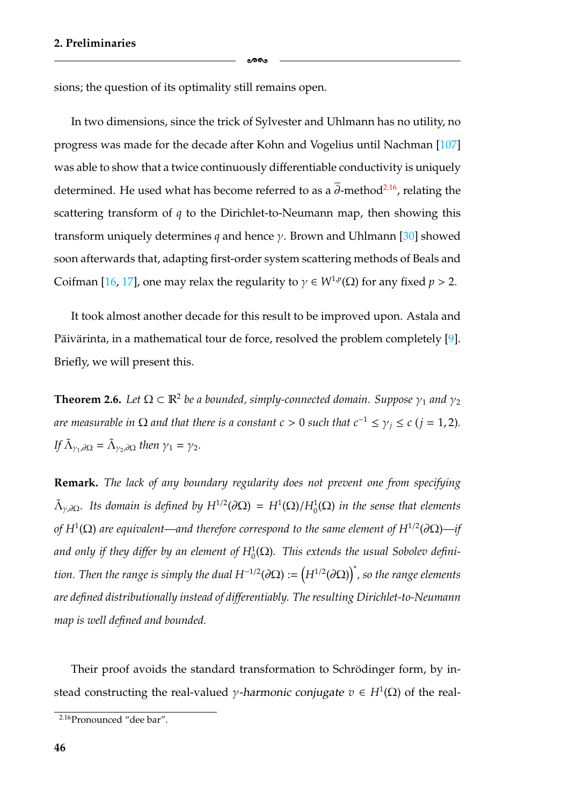sions; the question of its optimality still remains open.

In two dimensions, since the trick of Sylvester and Uhlmann has no utility, no progress was made for the decade after Kohn and Vogelius until Nachman [\[107\]](#page-186-3) was able to show that a twice continuously differentiable conductivity is uniquely determined. He used what has become referred to as a  $\overline{\partial}$ -method<sup>2.16</sup>, relating the scattering transform of *q* to the Dirichlet-to-Neumann map, then showing this transform uniquely determines *q* and hence γ. Brown and Uhlmann [\[30\]](#page-181-4) showed soon afterwards that, adapting first-order system scattering methods of Beals and Coifman [\[16,](#page-180-7) [17\]](#page-180-6), one may relax the regularity to  $\gamma \in W^{1,p}(\Omega)$  for any fixed  $p > 2$ .

ക്കം

It took almost another decade for this result to be improved upon. Astala and Päivärinta, in a mathematical tour de force, resolved the problem completely [[9\]](#page-179-4). Briefly, we will present this.

**Theorem 2.6.** *Let*  $\Omega \subset \mathbb{R}^2$  *be a bounded, simply-connected domain. Suppose*  $\gamma_1$  *and*  $\gamma_2$ *are measurable in*  $\Omega$  *and that there is a constant c* > 0 *such that*  $c^{-1} \leq \gamma_i \leq c$  (*j* = 1, 2)*. If*  $\tilde{\Lambda}_{\gamma_1,\partial\Omega} = \tilde{\Lambda}_{\gamma_2,\partial\Omega}$  *then*  $\gamma_1 = \gamma_2$ *.* 

**Remark.** *The lack of any boundary regularity does not prevent one from specifying*  $\tilde{\Lambda}_{\gamma,\partial\Omega}$ . Its domain is defined by  $H^{1/2}(\partial\Omega) = H^1(\Omega)/H^1_0(\Omega)$  in the sense that elements *of*  $H^1(\Omega)$  are equivalent—and therefore correspond to the same element of  $H^{1/2}(\partial\Omega)$ —if and only if they differ by an element of  $H_0^1(\Omega)$ . This extends the usual Sobolev defini*tion. Then the range is simply the dual H*−1/2(∂Ω) := *H*<sup>1</sup>/2(∂Ω) ∗ *, so the range elements are defined distributionally instead of differentiably. The resulting Dirichlet-to-Neumann map is well defined and bounded.*

Their proof avoids the standard transformation to Schrödinger form, by instead constructing the real-valued *γ*-harmonic conjugate  $v \in H^1(\Omega)$  of the real-

<span id="page-52-0"></span><sup>&</sup>lt;sup>2.16</sup>Pronounced "dee bar".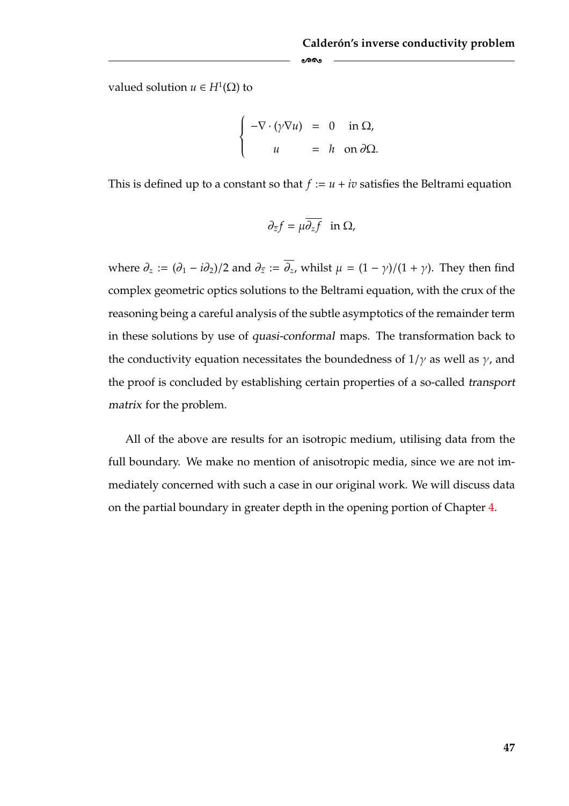valued solution *u* ∈ *H*<sup>1</sup>(Ω) to

$$
\begin{cases}\n-\nabla \cdot (\gamma \nabla u) = 0 & \text{in } \Omega, \\
u = h & \text{on } \partial \Omega.\n\end{cases}
$$

-

This is defined up to a constant so that  $f := u + iv$  satisfies the Beltrami equation

$$
\partial_{\overline{z}}f=\mu\overline{\partial_zf}\ \ \text{in}\ \Omega,
$$

where  $\partial_z := (\partial_1 - i \partial_2)/2$  and  $\partial_{\bar{z}} := \overline{\partial_z}$ , whilst  $\mu = (1 - \gamma)/(1 + \gamma)$ . They then find complex geometric optics solutions to the Beltrami equation, with the crux of the reasoning being a careful analysis of the subtle asymptotics of the remainder term in these solutions by use of *quasi-conformal* maps. The transformation back to the conductivity equation necessitates the boundedness of  $1/\gamma$  as well as  $\gamma$ , and the proof is concluded by establishing certain properties of a so-called *transport matrix* for the problem.

All of the above are results for an isotropic medium, utilising data from the full boundary. We make no mention of anisotropic media, since we are not immediately concerned with such a case in our original work. We will discuss data on the partial boundary in greater depth in the opening portion of Chapter [4.](#page-105-0)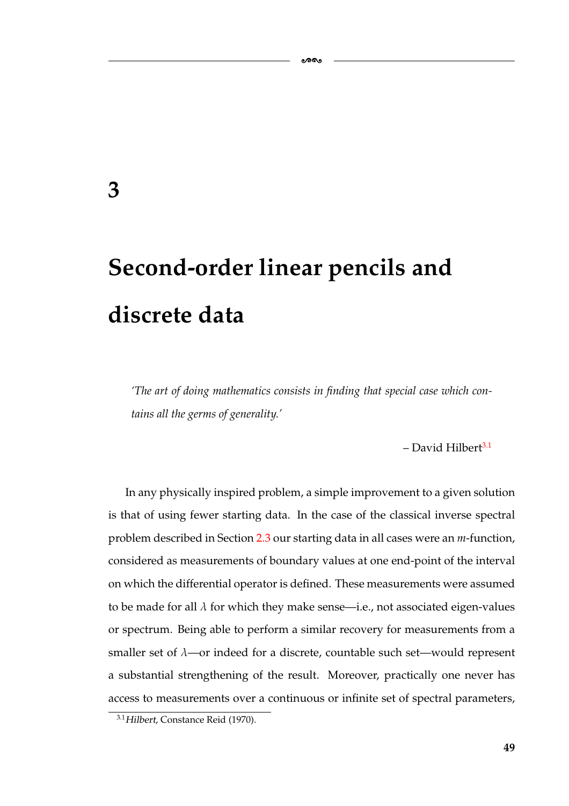## <span id="page-55-0"></span>**3**

# **Second-order linear pencils and discrete data**

*'The art of doing mathematics consists in finding that special case which contains all the germs of generality.'*

-

 $-$  David Hilbert<sup>3.1</sup>

In any physically inspired problem, a simple improvement to a given solution is that of using fewer starting data. In the case of the classical inverse spectral problem described in Section [2.3](#page-38-0) our starting data in all cases were an *m*-function, considered as measurements of boundary values at one end-point of the interval on which the differential operator is defined. These measurements were assumed to be made for all  $\lambda$  for which they make sense—i.e., not associated eigen-values or spectrum. Being able to perform a similar recovery for measurements from a smaller set of  $\lambda$ —or indeed for a discrete, countable such set—would represent a substantial strengthening of the result. Moreover, practically one never has access to measurements over a continuous or infinite set of spectral parameters,

<span id="page-55-1"></span><sup>3.1</sup>*Hilbert*, Constance Reid (1970).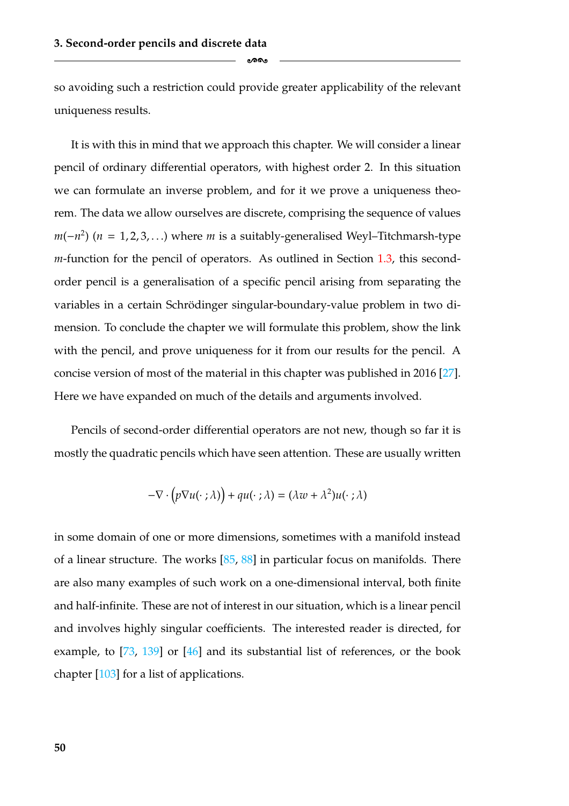ക്ക

so avoiding such a restriction could provide greater applicability of the relevant uniqueness results.

It is with this in mind that we approach this chapter. We will consider a linear pencil of ordinary differential operators, with highest order 2. In this situation we can formulate an inverse problem, and for it we prove a uniqueness theorem. The data we allow ourselves are discrete, comprising the sequence of values  $m(-n^2)$  ( $n = 1, 2, 3, ...$ ) where *m* is a suitably-generalised Weyl–Titchmarsh-type *m*-function for the pencil of operators. As outlined in Section [1.3,](#page-19-0) this secondorder pencil is a generalisation of a specific pencil arising from separating the variables in a certain Schrödinger singular-boundary-value problem in two dimension. To conclude the chapter we will formulate this problem, show the link with the pencil, and prove uniqueness for it from our results for the pencil. A concise version of most of the material in this chapter was published in 2016 [\[27\]](#page-181-5). Here we have expanded on much of the details and arguments involved.

Pencils of second-order differential operators are not new, though so far it is mostly the quadratic pencils which have seen attention. These are usually written

$$
-\nabla \cdot (p\nabla u(\cdot;\lambda)) + qu(\cdot;\lambda) = (\lambda w + \lambda^2)u(\cdot;\lambda)
$$

in some domain of one or more dimensions, sometimes with a manifold instead of a linear structure. The works  $[85, 88]$  $[85, 88]$  $[85, 88]$  in particular focus on manifolds. There are also many examples of such work on a one-dimensional interval, both finite and half-infinite. These are not of interest in our situation, which is a linear pencil and involves highly singular coefficients. The interested reader is directed, for example, to [\[73,](#page-184-4) [139\]](#page-188-0) or [\[46\]](#page-182-4) and its substantial list of references, or the book chapter [\[103\]](#page-186-4) for a list of applications.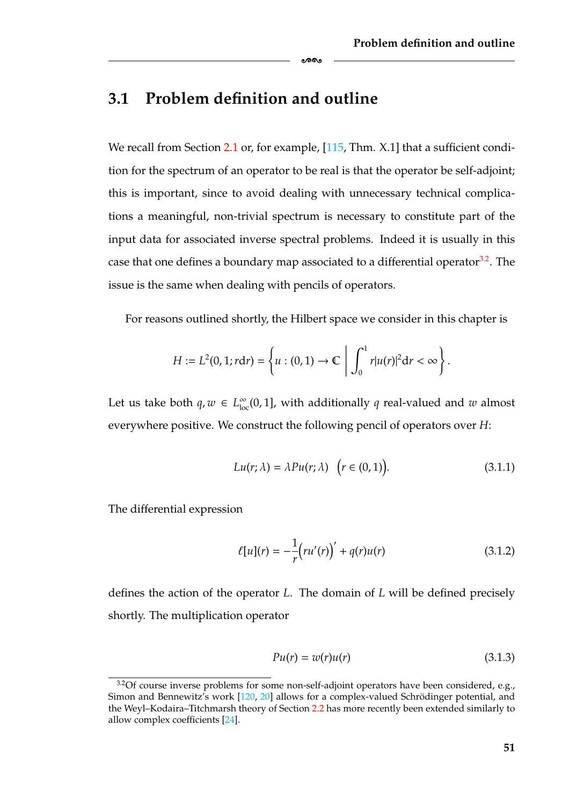### **3.1 Problem definition and outline**

We recall from Section [2.1](#page-26-0) or, for example, [\[115,](#page-186-5) Thm. X.1] that a sufficient condition for the spectrum of an operator to be real is that the operator be self-adjoint; this is important, since to avoid dealing with unnecessary technical complications a meaningful, non-trivial spectrum is necessary to constitute part of the input data for associated inverse spectral problems. Indeed it is usually in this case that one defines a boundary map associated to a differential operator<sup>3.2</sup>. The issue is the same when dealing with pencils of operators.

-

For reasons outlined shortly, the Hilbert space we consider in this chapter is

$$
H := L^{2}(0, 1; r dr) = \left\{ u : (0, 1) \to \mathbb{C} \middle| \int_{0}^{1} r |u(r)|^{2} dr < \infty \right\}.
$$

Let us take both  $q, w \in L^{\infty}_{loc}(0, 1]$ , with additionally  $q$  real-valued and  $w$  almost everywhere positive. We construct the following pencil of operators over *H*:

<span id="page-57-1"></span>
$$
Lu(r; \lambda) = \lambda Pu(r; \lambda) \quad (r \in (0, 1)). \tag{3.1.1}
$$

The differential expression

$$
\ell[u](r) = -\frac{1}{r}(ru'(r))' + q(r)u(r)
$$
\n(3.1.2)

defines the action of the operator *L*. The domain of *L* will be defined precisely shortly. The multiplication operator

$$
Pu(r) = w(r)u(r) \tag{3.1.3}
$$

<span id="page-57-0"></span> $3.2$ Of course inverse problems for some non-self-adjoint operators have been considered, e.g., Simon and Bennewitz's work [\[120,](#page-187-0) [20\]](#page-180-0) allows for a complex-valued Schrödinger potential, and the Weyl–Kodaira–Titchmarsh theory of Section [2.2](#page-33-0) has more recently been extended similarly to allow complex coefficients [\[24\]](#page-180-8).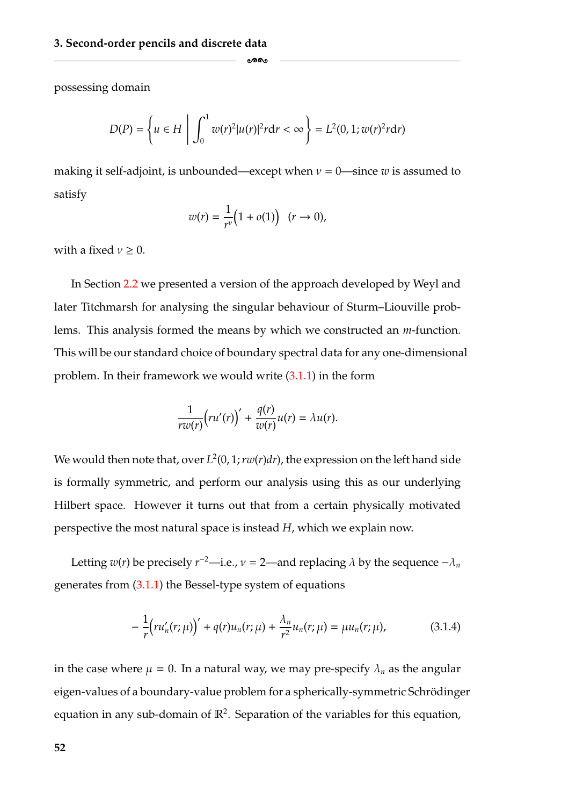possessing domain

$$
D(P) = \left\{ u \in H \mid \int_0^1 w(r)^2 |u(r)|^2 r dr < \infty \right\} = L^2(0, 1; w(r)^2 r dr)
$$

-

making it self-adjoint, is unbounded—except when  $v = 0$ —since *w* is assumed to satisfy

$$
w(r) = \frac{1}{r^{\nu}}\big(1 + o(1)\big) \quad (r \to 0),
$$

with a fixed  $\nu \geq 0$ .

In Section [2.2](#page-33-0) we presented a version of the approach developed by Weyl and later Titchmarsh for analysing the singular behaviour of Sturm–Liouville problems. This analysis formed the means by which we constructed an *m*-function. This will be our standard choice of boundary spectral data for any one-dimensional problem. In their framework we would write [\(3.1.1\)](#page-57-1) in the form

$$
\frac{1}{rw(r)}\Big(ru'(r)\Big)'+\frac{q(r)}{w(r)}u(r)=\lambda u(r).
$$

We would then note that, over  $L^2(0, 1; rw(r)dr)$ , the expression on the left hand side is formally symmetric, and perform our analysis using this as our underlying Hilbert space. However it turns out that from a certain physically motivated perspective the most natural space is instead *H*, which we explain now.

Letting *w*(*r*) be precisely *r*<sup>−2</sup>—i.e., *ν* = 2—and replacing  $λ$  by the sequence  $-λ<sub>n</sub>$ generates from [\(3.1.1\)](#page-57-1) the Bessel-type system of equations

<span id="page-58-0"></span>
$$
-\frac{1}{r}\left(ru'_{n}(r;\mu)\right)' + q(r)u_{n}(r;\mu) + \frac{\lambda_{n}}{r^{2}}u_{n}(r;\mu) = \mu u_{n}(r;\mu), \qquad (3.1.4)
$$

in the case where  $\mu = 0$ . In a natural way, we may pre-specify  $\lambda_n$  as the angular eigen-values of a boundary-value problem for a spherically-symmetric Schrödinger equation in any sub-domain of  $\mathbb{R}^2$ . Separation of the variables for this equation,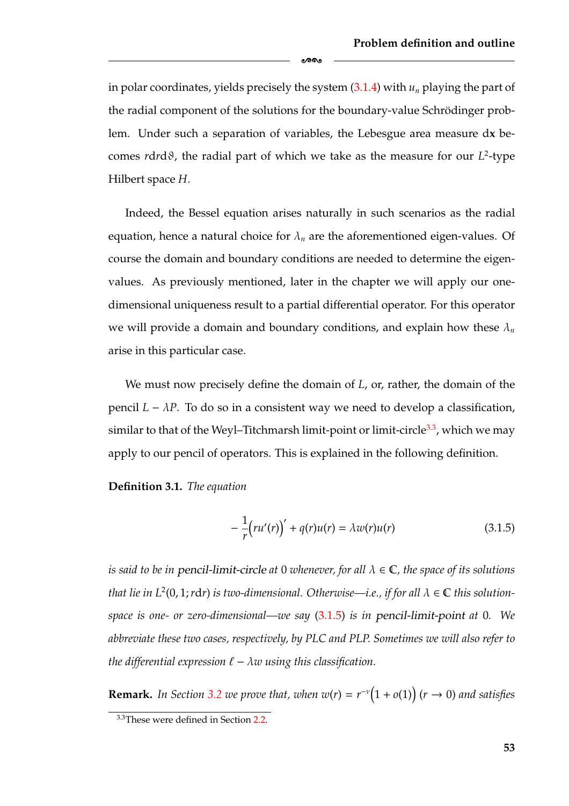in polar coordinates, yields precisely the system [\(3.1.4\)](#page-58-0) with *un* playing the part of the radial component of the solutions for the boundary-value Schrödinger problem. Under such a separation of variables, the Lebesgue area measure d**x** becomes *rdrd* $\vartheta$ , the radial part of which we take as the measure for our  $L^2$ -type Hilbert space *H*.

-

Indeed, the Bessel equation arises naturally in such scenarios as the radial equation, hence a natural choice for  $\lambda_n$  are the aforementioned eigen-values. Of course the domain and boundary conditions are needed to determine the eigenvalues. As previously mentioned, later in the chapter we will apply our onedimensional uniqueness result to a partial differential operator. For this operator we will provide a domain and boundary conditions, and explain how these λ*<sup>n</sup>* arise in this particular case.

We must now precisely define the domain of *L*, or, rather, the domain of the pencil  $L - \lambda P$ . To do so in a consistent way we need to develop a classification, similar to that of the Weyl–Titchmarsh limit-point or limit-circle<sup>3.3</sup>, which we may apply to our pencil of operators. This is explained in the following definition.

**Definition 3.1.** *The equation*

<span id="page-59-0"></span>
$$
-\frac{1}{r}\left(ru'(r)\right)' + q(r)u(r) = \lambda w(r)u(r) \tag{3.1.5}
$$

*is said to be in pencil-limit-circle at* 0 *whenever, for all*  $\lambda \in \mathbb{C}$ *, the space of its solutions that lie in*  $L^2(0, 1; r dr)$  *is two-dimensional. Otherwise—i.e., if for all*  $\lambda \in \mathbb{C}$  *this solutionspace is one- or zero-dimensional—we say* [\(3.1.5\)](#page-59-0) *is in pencil-limit-point at* 0*. We abbreviate these two cases, respectively, by PLC and PLP. Sometimes we will also refer to the differential expression*  $\ell - \lambda w$  *using this classification.* 

<span id="page-59-2"></span>**Remark.** In Section [3.2](#page-64-0) we prove that, when  $w(r) = r^{-\nu}(1 + o(1))$  ( $r \to 0$ ) and satisfies

<span id="page-59-1"></span><sup>&</sup>lt;sup>3.3</sup>These were defined in Section [2.2.](#page-33-0)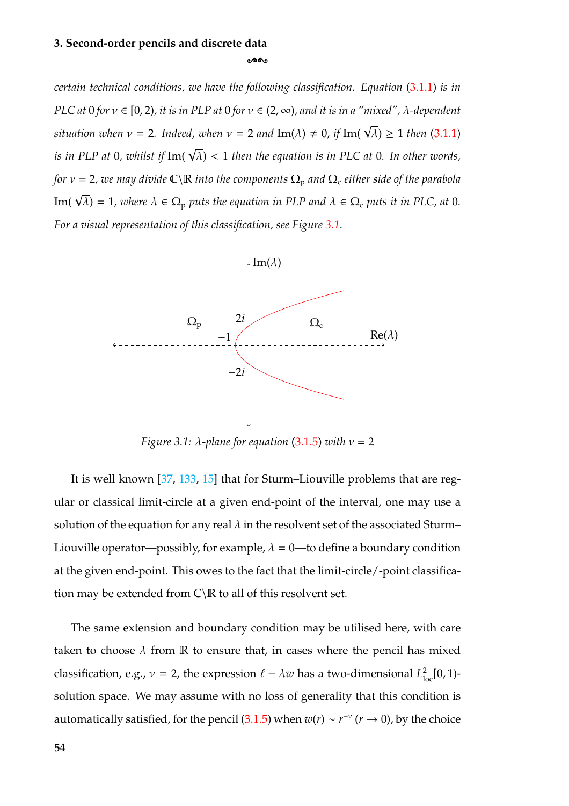*certain technical conditions, we have the following classification. Equation* [\(3.1.1\)](#page-57-1) *is in PLC at* 0 *for* ν ∈ [0, 2)*, it is in PLP at* 0 *for* ν ∈ (2, ∞)*, and it is in a "mixed",* λ*-dependent*  $s$ ituation when  $v = 2$ . Indeed, when  $v = 2$  and  $\text{Im}(\lambda) \neq 0$ , if  $\text{Im}(\sqrt{\lambda}) \geq 1$  then  $(3.1.1)$ *is in PLP at* <sup>0</sup>*, whilst if* Im( <sup>√</sup> λ) < 1 *then the equation is in PLC at* 0*. In other words, for*  $v = 2$ *, we may divide*  $\mathbb{C} \setminus \mathbb{R}$  *into the components*  $\Omega_p$  *and*  $\Omega_c$  *either side of the parabola* Im(  $\sqrt{\lambda}$ ) = 1, where  $\lambda \in \Omega_p$  puts the equation in PLP and  $\lambda \in \Omega_c$  puts it in PLC, at 0. *For a visual representation of this classification, see Figure [3.1.](#page-60-0)*

-

<span id="page-60-0"></span>

*Figure 3.1:* λ*-plane for equation* [\(3.1.5\)](#page-59-0) *with* ν = 2

It is well known [\[37,](#page-181-6) [133,](#page-187-5) [15\]](#page-180-9) that for Sturm–Liouville problems that are regular or classical limit-circle at a given end-point of the interval, one may use a solution of the equation for any real  $\lambda$  in the resolvent set of the associated Sturm– Liouville operator—possibly, for example,  $\lambda = 0$ —to define a boundary condition at the given end-point. This owes to the fact that the limit-circle/-point classification may be extended from  $\mathbb{C}\backslash\mathbb{R}$  to all of this resolvent set.

The same extension and boundary condition may be utilised here, with care taken to choose  $\lambda$  from  $\mathbb R$  to ensure that, in cases where the pencil has mixed classification, e.g.,  $v = 2$ , the expression  $\ell - \lambda w$  has a two-dimensional  $L^2_{loc}[0,1)$ solution space. We may assume with no loss of generality that this condition is automatically satisfied, for the pencil [\(3.1.5\)](#page-59-0) when  $w(r) \sim r^{-\nu}$  ( $r \to 0$ ), by the choice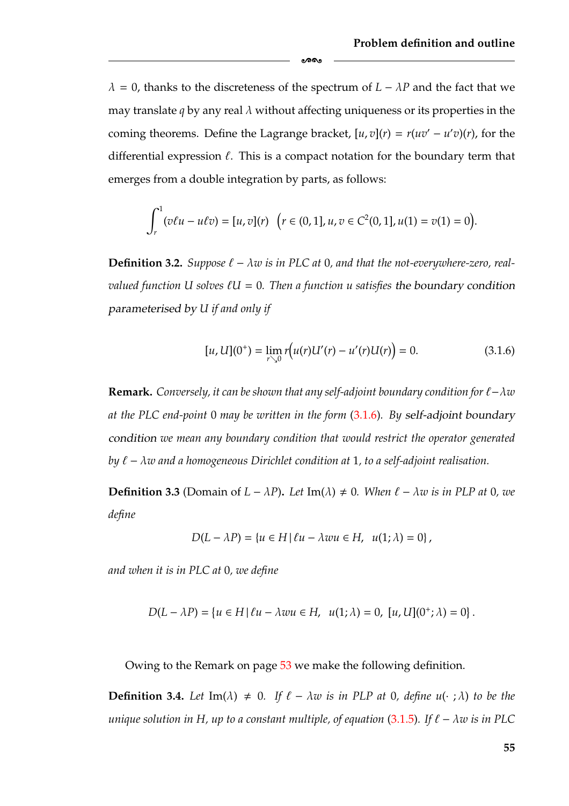$\lambda = 0$ , thanks to the discreteness of the spectrum of  $L - \lambda P$  and the fact that we may translate *q* by any real  $\lambda$  without affecting uniqueness or its properties in the coming theorems. Define the Lagrange bracket,  $[u, v](r) = r(uv' - u'v)(r)$ , for the differential expression  $\ell$ . This is a compact notation for the boundary term that emerges from a double integration by parts, as follows:

ക്ക

$$
\int_r^1 (v\ell u - u\ell v) = [u, v](r) \quad (r \in (0, 1], u, v \in C^2(0, 1], u(1) = v(1) = 0).
$$

**Definition 3.2.** *Suppose*  $\ell - \lambda w$  *is in PLC at 0, and that the not-everywhere-zero, realvalued function U solves U* = 0*. Then a function u satisfies the boundary condition parameterised by U if and only if*

<span id="page-61-0"></span>
$$
[u, U](0^+) = \lim_{r \searrow 0} r(u(r)U'(r) - u'(r)U(r)) = 0.
$$
 (3.1.6)

**Remark.** *Conversely, it can be shown that any self-adjoint boundary condition for*  $ℓ - λw$ *at the PLC end-point* 0 *may be written in the form* [\(3.1.6\)](#page-61-0)*. By self-adjoint boundary condition we mean any boundary condition that would restrict the operator generated by* − λ*w and a homogeneous Dirichlet condition at* 1*, to a self-adjoint realisation.*

<span id="page-61-1"></span>**Definition 3.3** (Domain of  $L - \lambda P$ ). Let Im( $\lambda$ )  $\neq$  0*. When*  $\ell - \lambda w$  is in PLP at 0*, we define*

$$
D(L - \lambda P) = \{u \in H \mid \ell u - \lambda w u \in H, \ \ u(1; \lambda) = 0\},
$$

*and when it is in PLC at* 0*, we define*

$$
D(L - \lambda P) = \{u \in H | \ell u - \lambda w u \in H, \ \ u(1; \lambda) = 0, \ [u, U](0^+; \lambda) = 0\}.
$$

Owing to the Remark on page [53](#page-59-2) we make the following definition.

**Definition 3.4.** Let  $\text{Im}(\lambda) \neq 0$ . If  $\ell - \lambda w$  is in PLP at 0, define  $u(\cdot; \lambda)$  to be the *unique solution in H, up to a constant multiple, of equation* [\(3.1.5\)](#page-59-0). If  $\ell - \lambda w$  is in PLC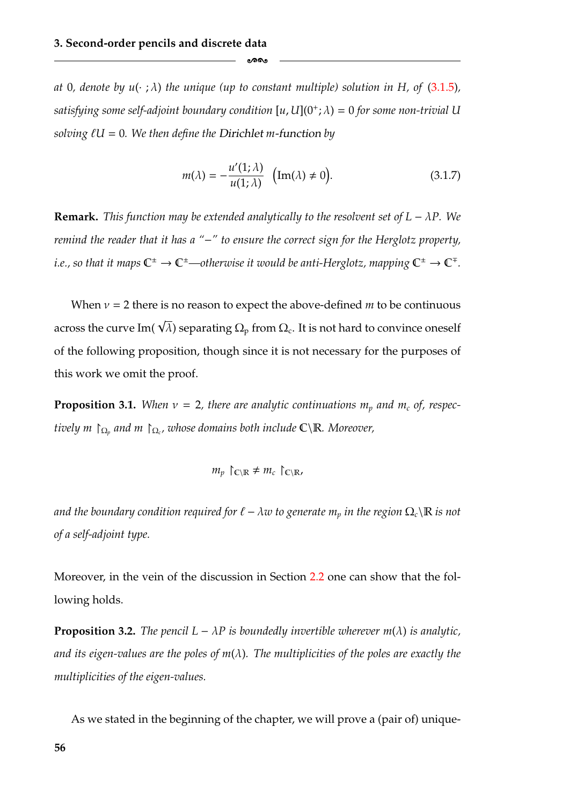*at* 0, denote by  $u(\cdot; \lambda)$  the unique (up to constant multiple) solution in H, of [\(3.1.5\)](#page-59-0), *satisfying some self-adjoint boundary condition*  $[u, U](0^+; \lambda) = 0$  *for some non-trivial* U *solving*  $\ell U = 0$ *. We then define the Dirichlet m-function by* 

ക്കം

<span id="page-62-0"></span>
$$
m(\lambda) = -\frac{u'(1;\lambda)}{u(1;\lambda)} \quad \text{(Im}(\lambda) \neq 0\text{)}.
$$
\n(3.1.7)

**Remark.** *This function may be extended analytically to the resolvent set of*  $L - \lambda P$ *. We remind the reader that it has a "*−*" to ensure the correct sign for the Herglotz property, i.e., so that it maps*  $\mathbb{C}^{\pm} \to \mathbb{C}^{\pm}$ —otherwise it would be anti-Herglotz, mapping  $\mathbb{C}^{\pm} \to \mathbb{C}^{\mp}$ .

When  $v = 2$  there is no reason to expect the above-defined *m* to be continuous across the curve Im(  $\sqrt{\lambda}$ ) separating  $\Omega_{\text{p}}$  from  $\Omega_{\text{c}}.$  It is not hard to convince oneself of the following proposition, though since it is not necessary for the purposes of this work we omit the proof.

**Proposition 3.1.** When  $v = 2$ , there are analytic continuations  $m_p$  and  $m_c$  of, respec*tively m*  $\bigcap_{\Omega_p}$  *and m*  $\bigcap_{\Omega_c}$ , *whose domains both include*  $\mathbb{C}\setminus\mathbb{R}$ *. Moreover,* 

$$
m_p \upharpoonright_{\mathbb{C}\backslash\mathbb{R}} \neq m_c \upharpoonright_{\mathbb{C}\backslash\mathbb{R}}
$$

*and the boundary condition required for*  $\ell - \lambda w$  *to generate*  $m_p$  *in the region*  $\Omega_c \backslash \mathbb{R}$  *is not of a self-adjoint type.*

Moreover, in the vein of the discussion in Section [2.2](#page-33-0) one can show that the following holds.

**Proposition 3.2.** *The pencil*  $L - \lambda P$  *is boundedly invertible wherever m(* $\lambda$ *) is analytic, and its eigen-values are the poles of m*(λ)*. The multiplicities of the poles are exactly the multiplicities of the eigen-values.*

As we stated in the beginning of the chapter, we will prove a (pair of) unique-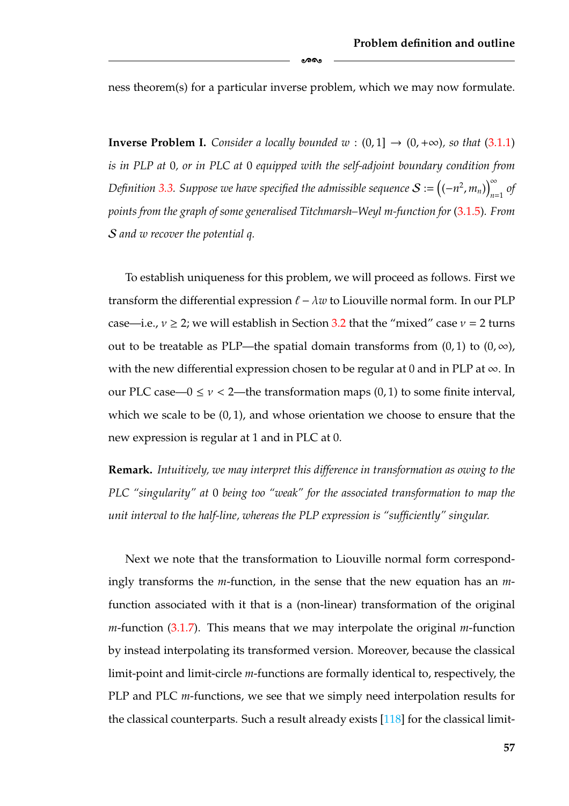ness theorem(s) for a particular inverse problem, which we may now formulate.

ക്കം

<span id="page-63-0"></span>**Inverse Problem I.** *Consider a locally bounded*  $w : (0,1] \rightarrow (0,+\infty)$ *, so that* [\(3.1.1\)](#page-57-1) *is in PLP at* 0*, or in PLC at* 0 *equipped with the self-adjoint boundary condition from Definition [3.3.](#page-61-1) Suppose we have specified the admissible sequence*  $\mathcal{S}:=\left( (-n^{2},m_{n})\right) _{n=1}^{\infty}$  *of points from the graph of some generalised Titchmarsh–Weyl m-function for* [\(3.1.5\)](#page-59-0)*. From* S *and w recover the potential q.*

To establish uniqueness for this problem, we will proceed as follows. First we transform the differential expression  $\ell - \lambda w$  to Liouville normal form. In our PLP case—i.e.,  $v \ge 2$ ; we will establish in Section [3.2](#page-64-0) that the "mixed" case  $v = 2$  turns out to be treatable as PLP—the spatial domain transforms from  $(0, 1)$  to  $(0, \infty)$ , with the new differential expression chosen to be regular at 0 and in PLP at  $\infty$ . In our PLC case— $0 \le v < 2$ —the transformation maps  $(0, 1)$  to some finite interval, which we scale to be  $(0, 1)$ , and whose orientation we choose to ensure that the new expression is regular at 1 and in PLC at 0.

**Remark.** *Intuitively, we may interpret this difference in transformation as owing to the PLC "singularity" at* 0 *being too "weak" for the associated transformation to map the unit interval to the half-line, whereas the PLP expression is "sufficiently" singular.*

Next we note that the transformation to Liouville normal form correspondingly transforms the *m*-function, in the sense that the new equation has an *m*function associated with it that is a (non-linear) transformation of the original *m*-function [\(3.1.7\)](#page-62-0). This means that we may interpolate the original *m*-function by instead interpolating its transformed version. Moreover, because the classical limit-point and limit-circle *m*-functions are formally identical to, respectively, the PLP and PLC *m*-functions, we see that we simply need interpolation results for the classical counterparts. Such a result already exists [\[118\]](#page-186-6) for the classical limit-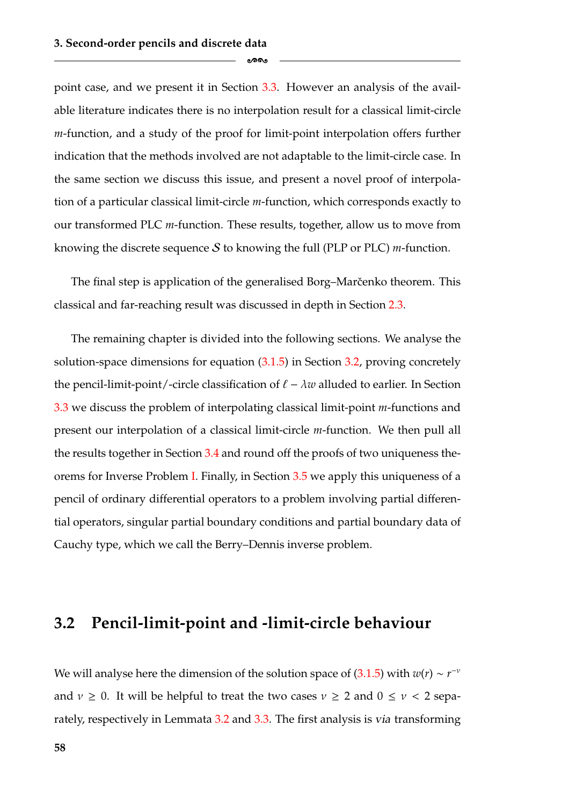point case, and we present it in Section [3.3.](#page-74-0) However an analysis of the available literature indicates there is no interpolation result for a classical limit-circle *m*-function, and a study of the proof for limit-point interpolation offers further indication that the methods involved are not adaptable to the limit-circle case. In the same section we discuss this issue, and present a novel proof of interpolation of a particular classical limit-circle *m*-function, which corresponds exactly to our transformed PLC *m*-function. These results, together, allow us to move from knowing the discrete sequence S to knowing the full (PLP or PLC) *m*-function.

ക്കം

The final step is application of the generalised Borg–Marcenko theorem. This classical and far-reaching result was discussed in depth in Section [2.3.](#page-38-0)

The remaining chapter is divided into the following sections. We analyse the solution-space dimensions for equation [\(3.1.5\)](#page-59-0) in Section [3.2,](#page-64-0) proving concretely the pencil-limit-point/-circle classification of  $\ell - \lambda w$  alluded to earlier. In Section [3.3](#page-74-0) we discuss the problem of interpolating classical limit-point *m*-functions and present our interpolation of a classical limit-circle *m*-function. We then pull all the results together in Section [3.4](#page-90-0) and round off the proofs of two uniqueness theorems for Inverse Problem [I.](#page-63-0) Finally, in Section [3.5](#page-96-0) we apply this uniqueness of a pencil of ordinary differential operators to a problem involving partial differential operators, singular partial boundary conditions and partial boundary data of Cauchy type, which we call the Berry–Dennis inverse problem.

#### <span id="page-64-0"></span>**3.2 Pencil-limit-point and -limit-circle behaviour**

We will analyse here the dimension of the solution space of [\(3.1.5\)](#page-59-0) with  $w(r) \sim r^{-\nu}$ and  $v \ge 0$ . It will be helpful to treat the two cases  $v \ge 2$  and  $0 \le v < 2$  separately, respectively in Lemmata [3.2](#page-66-0) and [3.3.](#page-71-0) The first analysis is *via* transforming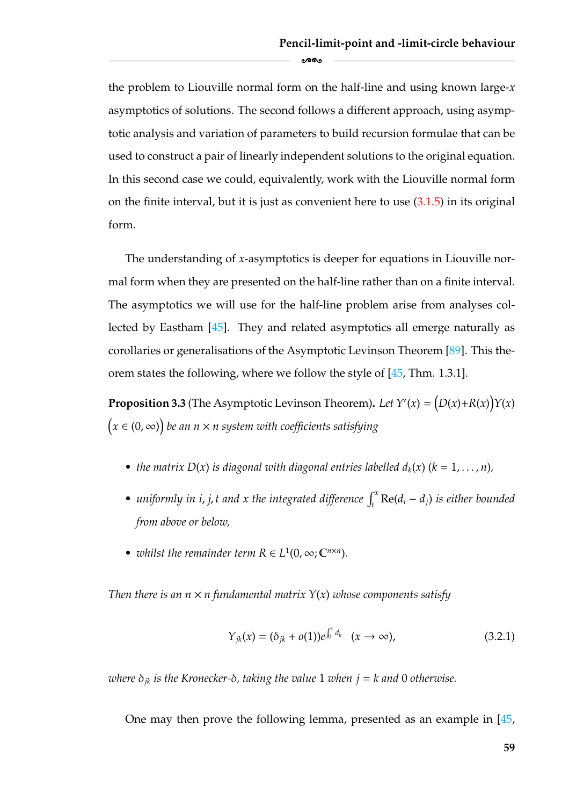the problem to Liouville normal form on the half-line and using known large-*x* asymptotics of solutions. The second follows a different approach, using asymptotic analysis and variation of parameters to build recursion formulae that can be used to construct a pair of linearly independent solutions to the original equation. In this second case we could, equivalently, work with the Liouville normal form on the finite interval, but it is just as convenient here to use  $(3.1.5)$  in its original form.

ക്ക

The understanding of *x*-asymptotics is deeper for equations in Liouville normal form when they are presented on the half-line rather than on a finite interval. The asymptotics we will use for the half-line problem arise from analyses collected by Eastham [\[45\]](#page-182-5). They and related asymptotics all emerge naturally as corollaries or generalisations of the Asymptotic Levinson Theorem [\[89\]](#page-185-7). This theorem states the following, where we follow the style of [\[45,](#page-182-5) Thm. 1.3.1].

**Proposition 3.3** (The Asymptotic Levinson Theorem). Let  $Y'(x) = (D(x)+R(x))Y(x)$ *x* ∈ (0, ∞) *be an n* × *n system with coefficients satisfying*

- the matrix  $D(x)$  *is diagonal with diagonal entries labelled*  $d_k(x)$  ( $k = 1, \ldots, n$ ),
- *•* uniformly in *i*, *j*, *t* and *x* the integrated difference  $\int_t^x \text{Re}(d_i d_j)$  *is either bounded from above or below,*
- *whilst the remainder term*  $R \in L^1(0, \infty; \mathbb{C}^{n \times n})$ *.*

*Then there is an*  $n \times n$  *fundamental matrix*  $Y(x)$  *whose components satisfy* 

$$
Y_{jk}(x) = (\delta_{jk} + o(1))e^{\int_0^x d_k} \quad (x \to \infty),
$$
 (3.2.1)

*where*  $\delta_{ik}$  *is the Kronecker-* $\delta$ *, taking the value* 1 *when*  $j = k$  *and* 0 *otherwise.* 

One may then prove the following lemma, presented as an example in [\[45,](#page-182-5)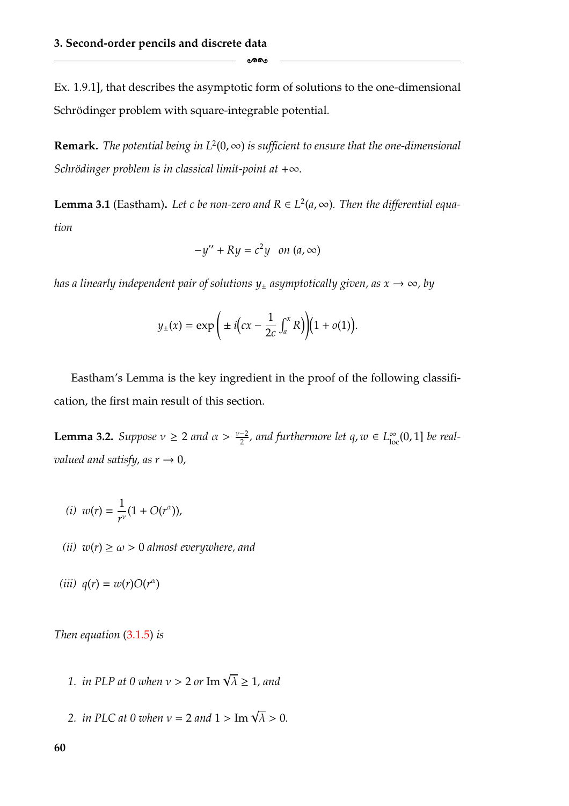Ex. 1.9.1], that describes the asymptotic form of solutions to the one-dimensional Schrödinger problem with square-integrable potential.

-

**Remark.** *The potential being in*  $L^2(0, \infty)$  *is sufficient to ensure that the one-dimensional Schrödinger problem is in classical limit-point at*  $+\infty$ *.* 

<span id="page-66-1"></span>**Lemma 3.1** (Eastham). Let c be non-zero and  $R \in L^2(a,\infty)$ . Then the differential equa*tion*

$$
-y'' + Ry = c^2y \quad on \ (a,\infty)
$$

*has a linearly independent pair of solutions*  $y_{\pm}$  *asymptotically given, as*  $x \rightarrow \infty$ *, by* 

$$
y_{\pm}(x) = \exp\left(\pm i\left(cx - \frac{1}{2c} \int_a^x R\right)\right)\left(1 + o(1)\right).
$$

Eastham's Lemma is the key ingredient in the proof of the following classification, the first main result of this section.

<span id="page-66-0"></span>**Lemma 3.2.** *Suppose*  $v \ge 2$  *and*  $\alpha > \frac{v-2}{2}$ *, and furthermore let*  $q, w \in L^{\infty}_{loc}(0, 1]$  *be realvalued and satisfy, as*  $r \rightarrow 0$ *,* 

$$
(i) \ w(r) = \frac{1}{r^v}(1 + O(r^{\alpha})),
$$

- *(ii)*  $w(r) \ge \omega > 0$  *almost everywhere, and*
- $(iii)$   $q(r) = w(r)O(r^{\alpha})$

*Then equation* [\(3.1.5\)](#page-59-0) *is*

- **1.** in PLP at 0 when  $v > 2$  or  $\text{Im } \sqrt{\lambda} \ge 1$ , and
- *2. in PLC at 0 when*  $v = 2$  *and*  $1 > \text{Im } \sqrt{\lambda} > 0$ *.*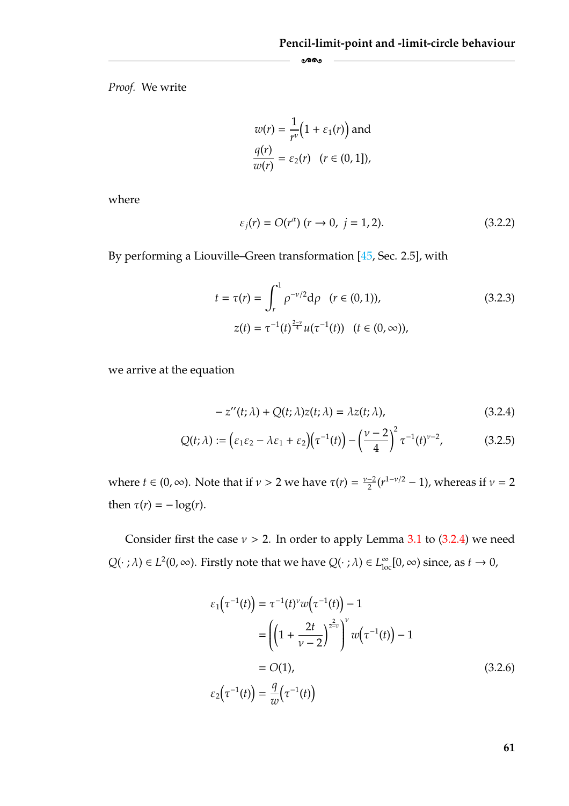*Proof.* We write

$$
w(r) = \frac{1}{r^{\nu}} \Big( 1 + \varepsilon_1(r) \Big) \text{ and}
$$
  

$$
\frac{q(r)}{w(r)} = \varepsilon_2(r) \quad (r \in (0, 1]),
$$

-

where

<span id="page-67-1"></span>
$$
\varepsilon_j(r) = O(r^{\alpha}) \ (r \to 0, \ j = 1, 2). \tag{3.2.2}
$$

By performing a Liouville–Green transformation [\[45,](#page-182-5) Sec. 2.5], with

$$
t = \tau(r) = \int_{r}^{1} \rho^{-\nu/2} d\rho \quad (r \in (0, 1)),
$$
  
\n
$$
z(t) = \tau^{-1}(t)^{\frac{2-\nu}{4}} u(\tau^{-1}(t)) \quad (t \in (0, \infty)),
$$
\n(3.2.3)

we arrive at the equation

<span id="page-67-2"></span><span id="page-67-0"></span>
$$
-z''(t; \lambda) + Q(t; \lambda)z(t; \lambda) = \lambda z(t; \lambda), \qquad (3.2.4)
$$

$$
Q(t; \lambda) := \left(\varepsilon_1 \varepsilon_2 - \lambda \varepsilon_1 + \varepsilon_2\right) \left(\tau^{-1}(t)\right) - \left(\frac{\nu - 2}{4}\right)^2 \tau^{-1}(t)^{\nu - 2}, \tag{3.2.5}
$$

where  $t \in (0, \infty)$ . Note that if  $\nu > 2$  we have  $\tau(r) = \frac{\nu - 2}{2} (r^{1 - \nu/2} - 1)$ , whereas if  $\nu = 2$ then  $\tau(r) = -\log(r)$ .

Consider first the case  $v > 2$ . In order to apply Lemma [3.1](#page-66-1) to [\(3.2.4\)](#page-67-0) we need  $Q(\cdot;\lambda) \in L^2(0,\infty)$ . Firstly note that we have  $Q(\cdot;\lambda) \in L^{\infty}_{loc}[0,\infty)$  since, as  $t \to 0$ ,

$$
\varepsilon_1(\tau^{-1}(t)) = \tau^{-1}(t)^{\nu} w(\tau^{-1}(t)) - 1
$$
  
\n
$$
= \left( \left( 1 + \frac{2t}{\nu - 2} \right)^{\frac{2}{2-\nu}} \right)^{\nu} w(\tau^{-1}(t)) - 1
$$
  
\n
$$
= O(1),
$$
  
\n
$$
\varepsilon_2(\tau^{-1}(t)) = \frac{q}{w}(\tau^{-1}(t))
$$
\n(3.2.6)

**61**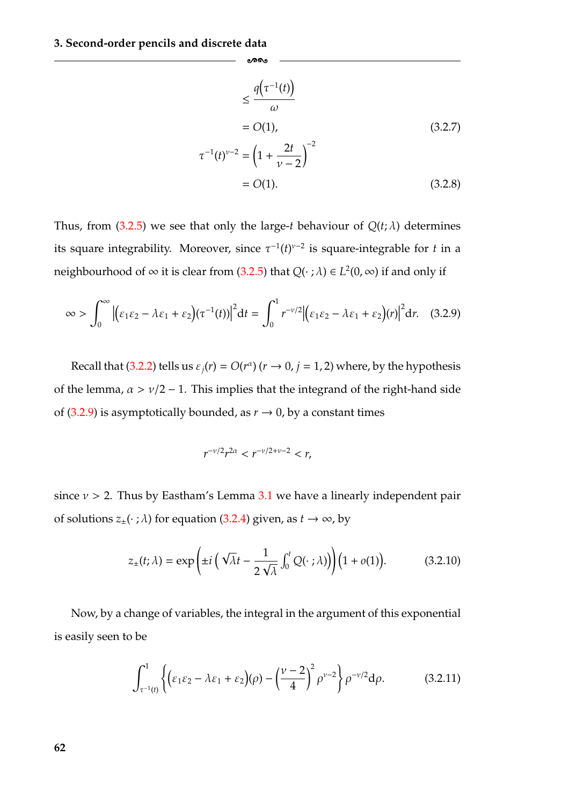$$
\leq \frac{q(\tau^{-1}(t))}{\omega}
$$
  
= O(1), (3.2.7)  

$$
\tau^{-1}(t)^{\nu-2} = \left(1 + \frac{2t}{\nu - 2}\right)^{-2}
$$
  
= O(1). (3.2.8)

Thus, from  $(3.2.5)$  we see that only the large-*t* behaviour of  $Q(t; \lambda)$  determines its square integrability. Moreover, since  $\tau^{-1}(t)^{\nu-2}$  is square-integrable for *t* in a neighbourhood of  $\infty$  it is clear from [\(3.2.5\)](#page-67-2) that  $Q(\cdot; \lambda) \in L^2(0, \infty)$  if and only if

-

<span id="page-68-0"></span>
$$
\infty > \int_0^\infty \left| \left( \varepsilon_1 \varepsilon_2 - \lambda \varepsilon_1 + \varepsilon_2 \right) (\tau^{-1}(t)) \right|^2 dt = \int_0^1 r^{-\nu/2} \left| \left( \varepsilon_1 \varepsilon_2 - \lambda \varepsilon_1 + \varepsilon_2 \right) (r) \right|^2 dr. \tag{3.2.9}
$$

Recall that [\(3.2.2\)](#page-67-1) tells us  $\varepsilon_i(r) = O(r^{\alpha})$  ( $r \to 0$ ,  $j = 1, 2$ ) where, by the hypothesis of the lemma,  $\alpha > v/2 - 1$ . This implies that the integrand of the right-hand side of [\(3.2.9\)](#page-68-0) is asymptotically bounded, as  $r \to 0$ , by a constant times

$$
r^{-\nu/2}r^{2\alpha} < r^{-\nu/2+\nu-2} < r,
$$

since  $v > 2$ . Thus by Eastham's Lemma [3.1](#page-66-1) we have a linearly independent pair of solutions  $z_{\pm}(\cdot; \lambda)$  for equation [\(3.2.4\)](#page-67-0) given, as  $t \to \infty$ , by

<span id="page-68-2"></span>
$$
z_{\pm}(t;\lambda) = \exp\left(\pm i\left(\sqrt{\lambda}t - \frac{1}{2\sqrt{\lambda}}\int_0^t Q(\cdot;\lambda)\right)\right) \left(1 + o(1)\right).
$$
 (3.2.10)

Now, by a change of variables, the integral in the argument of this exponential is easily seen to be

<span id="page-68-1"></span>
$$
\int_{\tau^{-1}(t)}^1 \left\{ \left( \varepsilon_1 \varepsilon_2 - \lambda \varepsilon_1 + \varepsilon_2 \right) (\rho) - \left( \frac{\nu - 2}{4} \right)^2 \rho^{\nu - 2} \right\} \rho^{-\nu/2} d\rho. \tag{3.2.11}
$$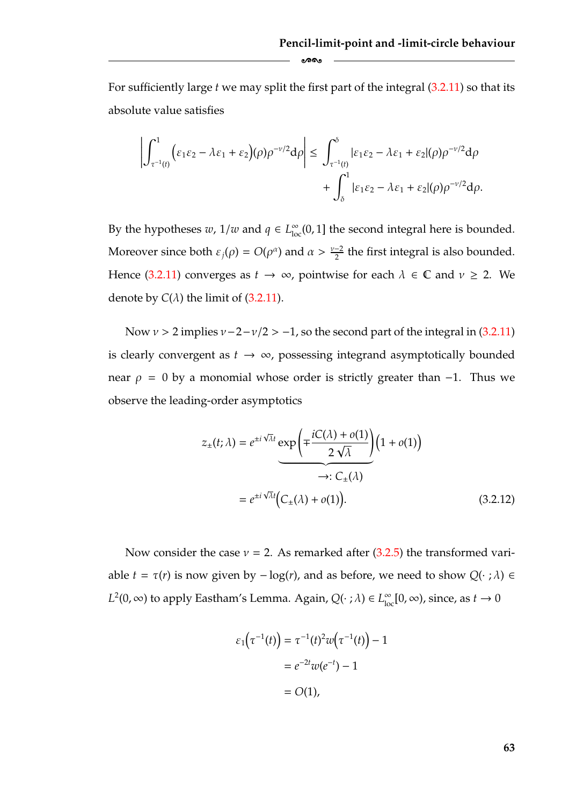For sufficiently large *t* we may split the first part of the integral [\(3.2.11\)](#page-68-1) so that its absolute value satisfies

-

$$
\left|\int_{\tau^{-1}(t)}^1 \Bigl(\varepsilon_1\varepsilon_2-\lambda\varepsilon_1+\varepsilon_2\Bigr)(\rho)\rho^{-\nu/2}{\rm d}\rho\right|\leq \left|\int_{\tau^{-1}(t)}^{\delta} |\varepsilon_1\varepsilon_2-\lambda\varepsilon_1+\varepsilon_2|(\rho)\rho^{-\nu/2}{\rm d}\rho\right| \nonumber\\ \left.+\int_{\delta}^1 |\varepsilon_1\varepsilon_2-\lambda\varepsilon_1+\varepsilon_2|(\rho)\rho^{-\nu/2}{\rm d}\rho.
$$

By the hypotheses *w*,  $1/w$  and  $q \in L^{\infty}_{loc}(0, 1]$  the second integral here is bounded. Moreover since both  $\varepsilon_j(\rho) = O(\rho^{\alpha})$  and  $\alpha > \frac{\nu-2}{2}$  the first integral is also bounded. Hence [\(3.2.11\)](#page-68-1) converges as  $t \to \infty$ , pointwise for each  $\lambda \in \mathbb{C}$  and  $\nu \geq 2$ . We denote by  $C(\lambda)$  the limit of  $(3.2.11)$ .

Now  $v > 2$  implies  $v - 2 - v/2 > -1$ , so the second part of the integral in [\(3.2.11\)](#page-68-1) is clearly convergent as  $t \rightarrow \infty$ , possessing integrand asymptotically bounded near  $\rho = 0$  by a monomial whose order is strictly greater than -1. Thus we observe the leading-order asymptotics

<span id="page-69-0"></span>
$$
z_{\pm}(t;\lambda) = e^{\pm i\sqrt{\lambda}t} \exp\left(\mp \frac{iC(\lambda) + o(1)}{2\sqrt{\lambda}}\right) \left(1 + o(1)\right)
$$
  

$$
\rightarrow : C_{\pm}(\lambda)
$$

$$
= e^{\pm i\sqrt{\lambda}t} \left(C_{\pm}(\lambda) + o(1)\right).
$$
(3.2.12)

Now consider the case  $v = 2$ . As remarked after [\(3.2.5\)](#page-67-2) the transformed variable  $t = \tau(r)$  is now given by  $-\log(r)$ , and as before, we need to show  $Q(\cdot; \lambda) \in$  $L^2(0, \infty)$  to apply Eastham's Lemma. Again,  $Q(\cdot;\lambda) \in L^{\infty}_{loc}[0, \infty)$ , since, as  $t \to 0$ 

$$
\varepsilon_1(\tau^{-1}(t)) = \tau^{-1}(t)^2 w(\tau^{-1}(t)) - 1
$$

$$
= e^{-2t} w(e^{-t}) - 1
$$

$$
= O(1),
$$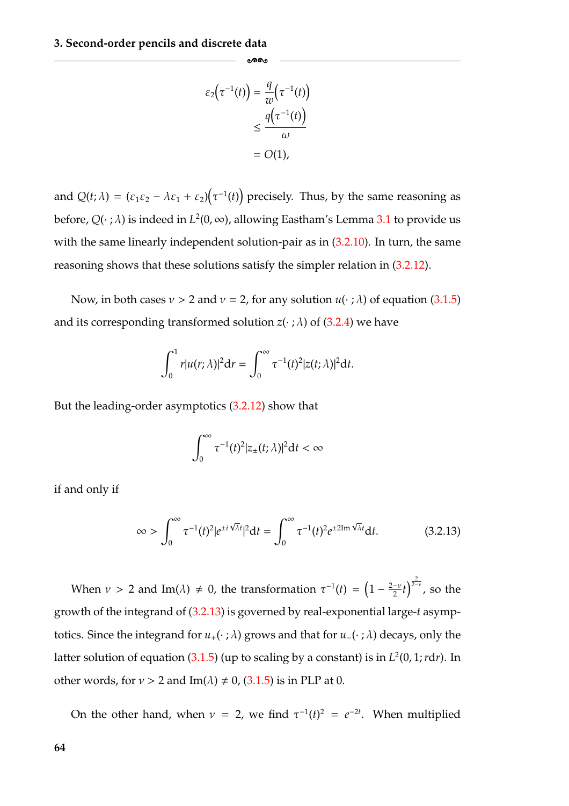$$
\varepsilon_2(\tau^{-1}(t)) = \frac{q}{w}(\tau^{-1}(t))
$$

$$
\leq \frac{q(\tau^{-1}(t))}{\omega}
$$

$$
= O(1),
$$

-

and  $Q(t; \lambda) = (\varepsilon_1 \varepsilon_2 - \lambda \varepsilon_1 + \varepsilon_2)(\tau^{-1}(t))$  precisely. Thus, by the same reasoning as before,  $Q(\cdot;\lambda)$  is indeed in  $L^2(0,\infty)$ , allowing Eastham's Lemma [3.1](#page-66-1) to provide us with the same linearly independent solution-pair as in [\(3.2.10\)](#page-68-2). In turn, the same reasoning shows that these solutions satisfy the simpler relation in [\(3.2.12\)](#page-69-0).

Now, in both cases  $v > 2$  and  $v = 2$ , for any solution  $u(\cdot; \lambda)$  of equation [\(3.1.5\)](#page-59-0) and its corresponding transformed solution  $z(\cdot; \lambda)$  of [\(3.2.4\)](#page-67-0) we have

$$
\int_0^1 r|u(r;\lambda)|^2\mathrm{d}r=\int_0^\infty \tau^{-1}(t)^2|z(t;\lambda)|^2\mathrm{d}t.
$$

But the leading-order asymptotics [\(3.2.12\)](#page-69-0) show that

<span id="page-70-0"></span>
$$
\int_0^\infty \tau^{-1}(t)^2 |z_\pm(t;\lambda)|^2 dt < \infty
$$

if and only if

$$
\infty > \int_0^\infty \tau^{-1}(t)^2 |e^{\pm i\sqrt{\lambda}t}|^2 dt = \int_0^\infty \tau^{-1}(t)^2 e^{\pm 2\mathrm{Im}\sqrt{\lambda}t} dt.
$$
 (3.2.13)

When  $\nu > 2$  and Im( $\lambda$ )  $\neq 0$ , the transformation  $\tau^{-1}(t) = \left(1 - \frac{2-\nu}{2}t\right)^{\frac{2}{2-\nu}}$ , so the growth of the integrand of [\(3.2.13\)](#page-70-0) is governed by real-exponential large-*t* asymptotics. Since the integrand for  $u_+(\cdot; \lambda)$  grows and that for  $u_-(\cdot; \lambda)$  decays, only the latter solution of equation  $(3.1.5)$  (up to scaling by a constant) is in  $L^2(0, 1; r dr)$ . In other words, for  $v > 2$  and Im( $\lambda$ )  $\neq$  0, [\(3.1.5\)](#page-59-0) is in PLP at 0.

On the other hand, when  $v = 2$ , we find  $\tau^{-1}(t)^2 = e^{-2t}$ . When multiplied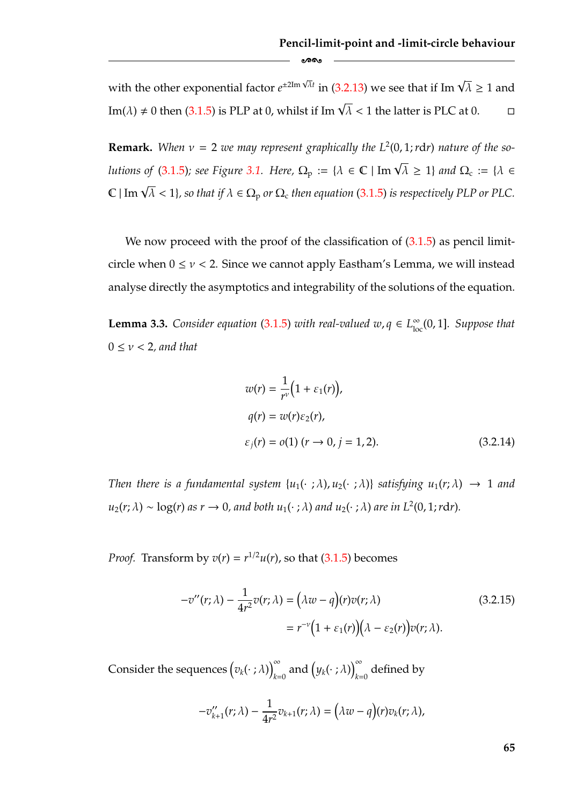with the other exponential factor  $e^{\pm 2\text{Im}\sqrt{\lambda}t}$  in [\(3.2.13\)](#page-70-0) we see that if Im  $\sqrt{\lambda} \geq 1$  and Im( $\lambda$ )  $\neq$  0 then [\(3.1.5\)](#page-59-0) is PLP at 0, whilst if Im  $\sqrt{\lambda}$  < 1 the latter is PLC at 0.  $\qquad \Box$  $\Box$ 

-

**Remark.** When  $v = 2$  we may represent graphically the  $L^2(0, 1; r dr)$  nature of the so-*lutions of [\(3.1.5\)](#page-59-0); see Figure [3.1.](#page-60-0) Here,*  $\Omega_{\rm p} := \{ \lambda \in \mathbb{C} \mid \text{Im } \sqrt{\lambda} \geq 1 \}$  *and*  $\Omega_{\rm c} := \{ \lambda \in \mathbb{C} \mid \text{Im } \sqrt{\lambda} \geq 1 \}$  $\mathbb{C} \mid \text{Im } \sqrt{\lambda} < 1$ }, so that if  $\lambda \in \Omega_{\text{p}}$  or  $\Omega_{\text{c}}$  then equation [\(3.1.5\)](#page-59-0) is respectively PLP or PLC.

We now proceed with the proof of the classification of  $(3.1.5)$  as pencil limitcircle when  $0 \le v < 2$ . Since we cannot apply Eastham's Lemma, we will instead analyse directly the asymptotics and integrability of the solutions of the equation.

<span id="page-71-0"></span>**Lemma 3.3.** *Consider equation* [\(3.1.5\)](#page-59-0) *with real-valued*  $w, q \in L^{\infty}_{loc}(0, 1]$ *. Suppose that* 0 ≤ ν < 2*, and that*

$$
w(r) = \frac{1}{r^{\nu}} (1 + \varepsilon_1(r)),
$$
  
\n
$$
q(r) = w(r) \varepsilon_2(r),
$$
  
\n
$$
\varepsilon_j(r) = o(1) \ (r \to 0, j = 1, 2).
$$
\n(3.2.14)

*Then there is a fundamental system*  $\{u_1(\cdot;\lambda), u_2(\cdot;\lambda)\}$  *satisfying*  $u_1(r;\lambda) \rightarrow 1$  *and*  $u_2(r; \lambda) \sim \log(r)$  *as*  $r \to 0$ *, and both*  $u_1(\cdot; \lambda)$  *and*  $u_2(\cdot; \lambda)$  *are in*  $L^2(0, 1; r dr)$ *.* 

*Proof.* Transform by  $v(r) = r^{1/2}u(r)$ , so that [\(3.1.5\)](#page-59-0) becomes

$$
-v''(r; \lambda) - \frac{1}{4r^2}v(r; \lambda) = (\lambda w - q)(r)v(r; \lambda)
$$
\n
$$
= r^{-\nu}\Big(1 + \varepsilon_1(r)\Big)(\lambda - \varepsilon_2(r)\Big)v(r; \lambda).
$$
\n(3.2.15)

Consider the sequences  $(v_k(\cdot;\lambda))_k^{\infty}$  $\int_{k=0}^{\infty}$  and  $\big(y_k(\cdot\ ;\lambda)\big)_{k=0}^{\infty}$  defined by

$$
-v_{k+1}^{\prime\prime}(r;\lambda)-\frac{1}{4r^2}v_{k+1}(r;\lambda)=\big(\lambda w-q\big)(r)v_k(r;\lambda),
$$

**65**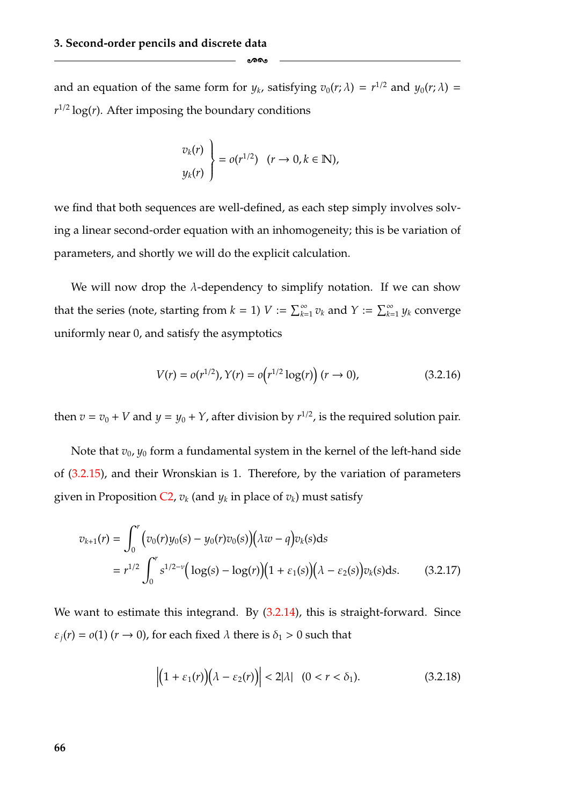and an equation of the same form for  $y_k$ , satisfying  $v_0(r; \lambda) = r^{1/2}$  and  $y_0(r; \lambda) =$  $r^{1/2}$  log(*r*). After imposing the boundary conditions

-

$$
\begin{aligned}\n v_k(r) \\
 y_k(r)\n \end{aligned}\n = o(r^{1/2}) \quad (r \to 0, k \in \mathbb{N}),
$$

we find that both sequences are well-defined, as each step simply involves solving a linear second-order equation with an inhomogeneity; this is be variation of parameters, and shortly we will do the explicit calculation.

We will now drop the  $\lambda$ -dependency to simplify notation. If we can show that the series (note, starting from  $k = 1$ )  $V := \sum_{k=1}^{\infty} v_k$  and  $Y := \sum_{k=1}^{\infty} y_k$  converge uniformly near 0, and satisfy the asymptotics

<span id="page-72-1"></span>
$$
V(r) = o(r^{1/2}), Y(r) = o(r^{1/2}\log(r))(r \to 0),
$$
\n(3.2.16)

then  $v = v_0 + V$  and  $y = y_0 + Y$ , after division by  $r^{1/2}$ , is the required solution pair.

Note that  $v_0$ ,  $y_0$  form a fundamental system in the kernel of the left-hand side of [\(3.2.15\)](#page-71-1), and their Wronskian is 1. Therefore, by the variation of parameters given in Proposition  $C_2$ ,  $v_k$  (and  $y_k$  in place of  $v_k$ ) must satisfy

$$
v_{k+1}(r) = \int_0^r \Big( v_0(r) y_0(s) - y_0(r) v_0(s) \Big) \Big( \lambda w - q \Big) v_k(s) ds
$$
  
=  $r^{1/2} \int_0^r s^{1/2 - \nu} \Big( \log(s) - \log(r) \Big) \Big( 1 + \varepsilon_1(s) \Big) \Big( \lambda - \varepsilon_2(s) \Big) v_k(s) ds.$  (3.2.17)

We want to estimate this integrand. By  $(3.2.14)$ , this is straight-forward. Since  $\varepsilon_i(r) = o(1)$  ( $r \to 0$ ), for each fixed  $\lambda$  there is  $\delta_1 > 0$  such that

<span id="page-72-0"></span>
$$
\left| \left(1 + \varepsilon_1(r)\right) \left(\lambda - \varepsilon_2(r)\right) \right| < 2|\lambda| \quad (0 < r < \delta_1). \tag{3.2.18}
$$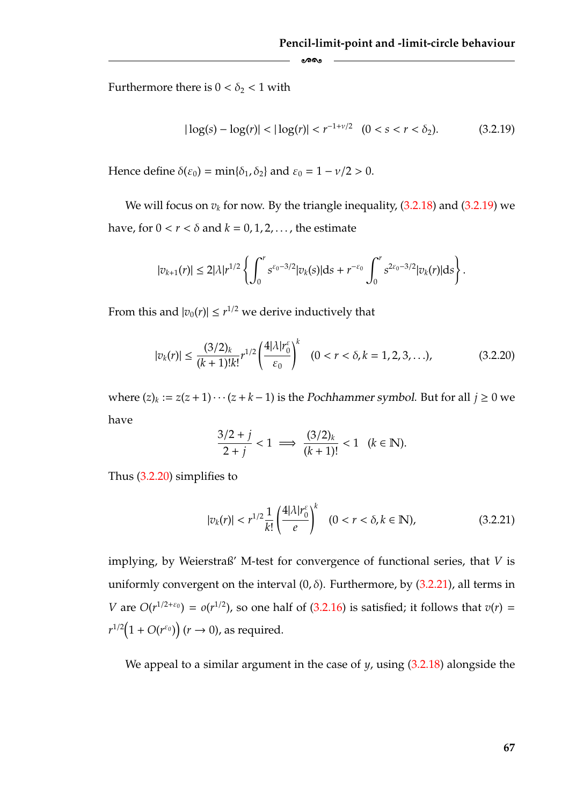Furthermore there is  $0 < \delta_2 < 1$  with

<span id="page-73-2"></span>
$$
|\log(s) - \log(r)| < |\log(r)| < r^{-1+\nu/2} \quad (0 < s < r < \delta_2). \tag{3.2.19}
$$

Hence define  $\delta(\varepsilon_0) = \min{\{\delta_1, \delta_2\}}$  and  $\varepsilon_0 = 1 - \nu/2 > 0$ .

We will focus on  $v_k$  for now. By the triangle inequality,  $(3.2.18)$  and  $(3.2.19)$  we have, for  $0 < r < \delta$  and  $k = 0, 1, 2, \ldots$ , the estimate

-

$$
|v_{k+1}(r)| \leq 2|\lambda|r^{1/2}\left\{\int_0^r s^{\varepsilon_0-3/2}|v_k(s)|ds + r^{-\varepsilon_0}\int_0^r s^{2\varepsilon_0-3/2}|v_k(r)|ds\right\}.
$$

From this and  $|v_0(r)| \le r^{1/2}$  we derive inductively that

<span id="page-73-1"></span>
$$
|v_k(r)| \le \frac{(3/2)_k}{(k+1)!k!} r^{1/2} \left(\frac{4|\lambda|r_0^{\varepsilon}}{\varepsilon_0}\right)^k \quad (0 < r < \delta, k = 1, 2, 3, ...),
$$
 (3.2.20)

where  $(z)_k := z(z+1)\cdots(z+k-1)$  is the *Pochhammer symbol*. But for all  $j \ge 0$  we have

$$
\frac{3/2+j}{2+j} < 1 \implies \frac{(3/2)_k}{(k+1)!} < 1 \quad (k \in \mathbb{N}).
$$

Thus [\(3.2.20\)](#page-73-1) simplifies to

<span id="page-73-0"></span>
$$
|v_k(r)| < r^{1/2} \frac{1}{k!} \left( \frac{4|\lambda|r_0^{\varepsilon}}{e} \right)^k \quad (0 < r < \delta, k \in \mathbb{N}), \tag{3.2.21}
$$

implying, by Weierstraß' M-test for convergence of functional series, that *V* is uniformly convergent on the interval  $(0, \delta)$ . Furthermore, by  $(3.2.21)$ , all terms in *V* are  $O(r^{1/2+\epsilon_0}) = o(r^{1/2})$ , so one half of [\(3.2.16\)](#page-72-1) is satisfied; it follows that  $v(r) =$  $r^{1/2} (1 + O(r^{\varepsilon_0}))$   $(r \to 0)$ , as required.

We appeal to a similar argument in the case of *y*, using [\(3.2.18\)](#page-72-0) alongside the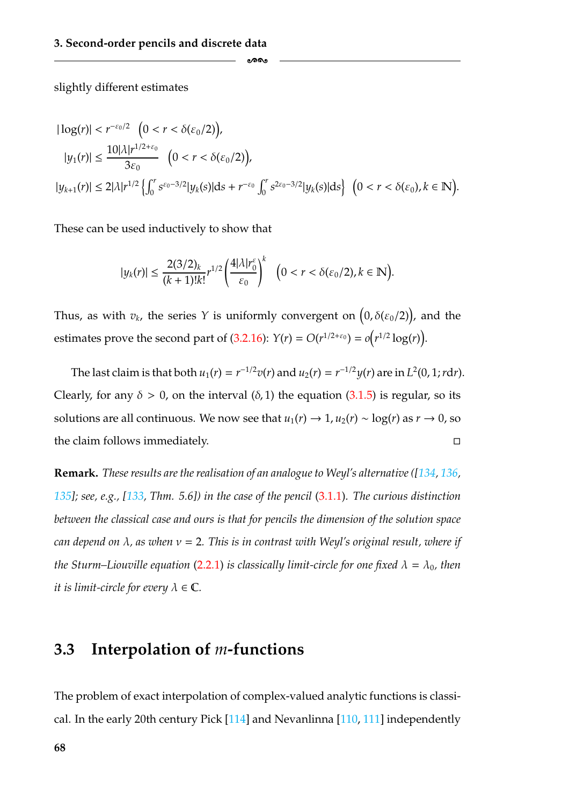slightly different estimates

$$
\begin{aligned} |\log(r)| &< r^{-\varepsilon_0/2} \ \left( 0 < r < \delta(\varepsilon_0/2) \right), \\ |y_1(r)| &\leq \frac{10 |\lambda| r^{1/2 + \varepsilon_0}}{3\varepsilon_0} \ \left( 0 < r < \delta(\varepsilon_0/2) \right), \\ |y_{k+1}(r)| &\leq 2 |\lambda| r^{1/2} \left\{ \int_0^r s^{\varepsilon_0 - 3/2} |y_k(s)| \, \mathrm{d}s + r^{-\varepsilon_0} \int_0^r s^{2\varepsilon_0 - 3/2} |y_k(s)| \, \mathrm{d}s \right\} \ \left( 0 < r < \delta(\varepsilon_0), k \in \mathbb{N} \right). \end{aligned}
$$

ക്ക

These can be used inductively to show that

$$
|y_k(r)|\leq \frac{2(3/2)_k}{(k+1)!k!}r^{1/2}\left(\frac{4|\lambda|r_0^\varepsilon}{\varepsilon_0}\right)^k\quad \bigl(0
$$

Thus, as with  $v_k$ , the series Y is uniformly convergent on  $(0, \delta(\varepsilon_0/2))$ , and the estimates prove the second part of [\(3.2.16\)](#page-72-1):  $Y(r) = O(r^{1/2+\epsilon_0}) = o(r^{1/2} \log(r)).$ 

The last claim is that both  $u_1(r) = r^{-1/2}v(r)$  and  $u_2(r) = r^{-1/2}v(r)$  are in  $L^2(0, 1; r dr)$ . Clearly, for any  $\delta > 0$ , on the interval  $(\delta, 1)$  the equation  $(3.1.5)$  is regular, so its solutions are all continuous. We now see that  $u_1(r) \rightarrow 1$ ,  $u_2(r) \sim \log(r)$  as  $r \rightarrow 0$ , so the claim follows immediately.  $\Box$ 

**Remark.** *These results are the realisation of an analogue to Weyl's alternative ([\[134,](#page-187-1) [136,](#page-188-1) [135\]](#page-188-0); see, e.g., [\[133,](#page-187-0) Thm. 5.6]) in the case of the pencil* [\(3.1.1\)](#page-57-0)*. The curious distinction between the classical case and ours is that for pencils the dimension of the solution space can depend on* λ*, as when* ν = 2*. This is in contrast with Weyl's original result, where if the Sturm–Liouville equation* [\(2.2.1\)](#page-34-0) *is classically limit-circle for one fixed*  $\lambda = \lambda_0$ *, then it is limit-circle for every*  $\lambda \in \mathbb{C}$ *.* 

#### <span id="page-74-0"></span>**3.3 Interpolation of** *m***-functions**

The problem of exact interpolation of complex-valued analytic functions is classical. In the early 20th century Pick [\[114\]](#page-186-2) and Nevanlinna [\[110,](#page-186-1) [111\]](#page-186-0) independently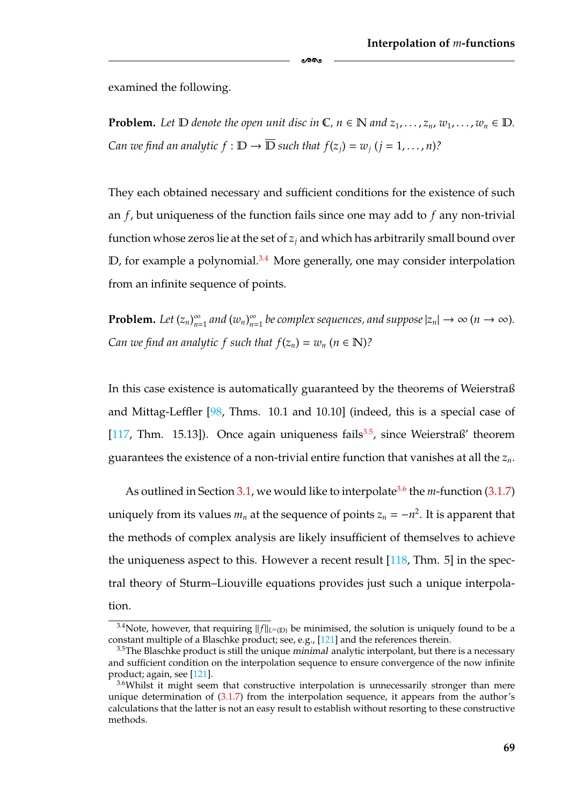examined the following.

**Problem.** Let  $D$  denote the open unit disc in  $C$ ,  $n \in \mathbb{N}$  and  $z_1, \ldots, z_n$ ,  $w_1, \ldots, w_n \in D$ . *Can we find an analytic*  $f : \mathbb{D} \to \overline{\mathbb{D}}$  *such that*  $f(z_i) = w_i$   $(i = 1, ..., n)$ ?

ക്ക

They each obtained necessary and sufficient conditions for the existence of such an *f*, but uniqueness of the function fails since one may add to *f* any non-trivial function whose zeros lie at the set of  $z_i$  and which has arbitrarily small bound over  $D$ , for example a polynomial.<sup>3.4</sup> More generally, one may consider interpolation from an infinite sequence of points.

**Problem.** Let  $(z_n)_{n=1}^{\infty}$  and  $(w_n)_{n=1}^{\infty}$  be complex sequences, and suppose  $|z_n| \to \infty$   $(n \to \infty)$ . *Can we find an analytic f such that*  $f(z_n) = w_n$  *(* $n \in \mathbb{N}$ *)?* 

In this case existence is automatically guaranteed by the theorems of Weierstraß and Mittag-Leffler [\[98,](#page-185-0) Thms. 10.1 and 10.10] (indeed, this is a special case of [\[117,](#page-186-4) Thm. 15.13]). Once again uniqueness fails<sup>3.5</sup>, since Weierstraß' theorem guarantees the existence of a non-trivial entire function that vanishes at all the *zn*.

As outlined in Section [3.1,](#page-57-1) we would like to interpolate<sup>3.6</sup> the *m*-function [\(3.1.7\)](#page-62-0) uniquely from its values  $m_n$  at the sequence of points  $z_n = -n^2$ . It is apparent that the methods of complex analysis are likely insufficient of themselves to achieve the uniqueness aspect to this. However a recent result [\[118,](#page-186-3) Thm. 5] in the spectral theory of Sturm–Liouville equations provides just such a unique interpolation.

<span id="page-75-2"></span> $\frac{3.4}{100}$  Note, however, that requiring  $||f||_{L^{\infty}(\mathbb{D})}$  be minimised, the solution is uniquely found to be a constant multiple of a Blaschke product; see, e.g., [\[121\]](#page-187-2) and the references therein.

<span id="page-75-1"></span><sup>3.5</sup>The Blaschke product is still the unique *minimal* analytic interpolant, but there is a necessary and sufficient condition on the interpolation sequence to ensure convergence of the now infinite product; again, see [\[121\]](#page-187-2).

<span id="page-75-0"></span><sup>&</sup>lt;sup>3.6</sup>Whilst it might seem that constructive interpolation is unnecessarily stronger than mere unique determination of [\(3.1.7\)](#page-62-0) from the interpolation sequence, it appears from the author's calculations that the latter is not an easy result to establish without resorting to these constructive methods.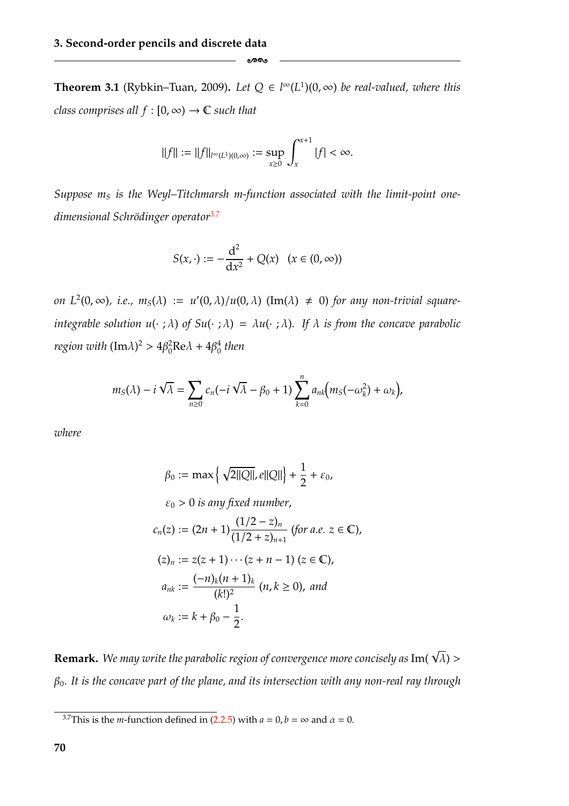<span id="page-76-1"></span>**Theorem 3.1** (Rybkin–Tuan, 2009). Let  $Q \in l^{\infty}(L^1)(0, \infty)$  be real-valued, where this *class comprises all*  $f : [0, \infty) \to \mathbb{C}$  *such that* 

-

$$
||f||:=||f||_{l^{\infty}(L^1)(0,\infty)}:=\sup_{x\geq 0}\int_x^{x+1}|f|<\infty.
$$

Suppose  $m<sub>S</sub>$  is the Weyl–Titchmarsh m-function associated with the limit-point one*dimensional Schrödinger operator<sup>3.7</sup>* 

$$
S(x, \cdot) := -\frac{d^2}{dx^2} + Q(x) \quad (x \in (0, \infty))
$$

*on*  $L^2(0, \infty)$ , *i.e.*,  $m_S(\lambda) := u'(0, \lambda)/u(0, \lambda)$  (Im( $\lambda$ )  $\neq$  0) for any non-trivial square*integrable solution u(·;*  $\lambda$ *) of Su(·;*  $\lambda$ *) =*  $\lambda u$ *(·;*  $\lambda$ *). If*  $\lambda$  *is from the concave parabolic region with*  $(Im \lambda)^2 > 4\beta_0^2 Re \lambda + 4\beta_0^4$  *then* 

$$
m_S(\lambda) - i\sqrt{\lambda} = \sum_{n\geq 0} c_n(-i\sqrt{\lambda} - \beta_0 + 1) \sum_{k=0}^n a_{nk} (m_S(-\omega_k^2) + \omega_k),
$$

*where*

$$
\beta_0 := \max \left\{ \sqrt{2||Q||}, e||Q|| \right\} + \frac{1}{2} + \varepsilon_0,
$$
  
\n
$$
\varepsilon_0 > 0 \text{ is any fixed number,}
$$
  
\n
$$
c_n(z) := (2n + 1) \frac{(1/2 - z)_n}{(1/2 + z)_{n+1}} \text{ (for a.e. } z \in \mathbb{C}),
$$
  
\n
$$
(z)_n := z(z + 1) \cdots (z + n - 1) \text{ (}z \in \mathbb{C),}
$$
  
\n
$$
a_{nk} := \frac{(-n)_k (n + 1)_k}{(k!)^2} \text{ (}n, k \ge 0 \text{), and}
$$
  
\n
$$
\omega_k := k + \beta_0 - \frac{1}{2}.
$$

**Remark.** We may write the parabolic region of convergence more concisely as  $\text{Im}(\sqrt{\lambda})$  > β0*. It is the concave part of the plane, and its intersection with any non-real ray through*

<span id="page-76-0"></span><sup>&</sup>lt;sup>3.7</sup>This is the *m*-function defined in [\(2.2.5\)](#page-36-0) with  $a = 0$ ,  $b = \infty$  and  $\alpha = 0$ .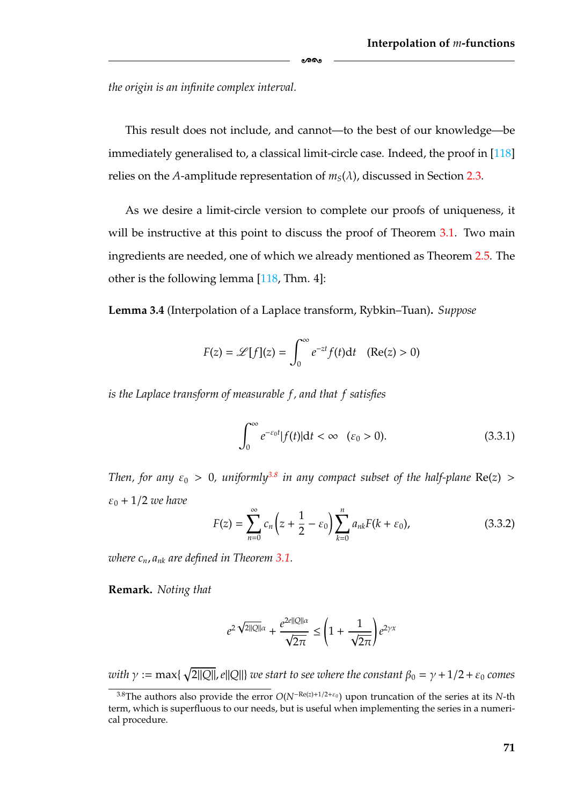*the origin is an infinite complex interval.*

This result does not include, and cannot—to the best of our knowledge—be immediately generalised to, a classical limit-circle case. Indeed, the proof in [\[118\]](#page-186-3) relies on the *A*-amplitude representation of  $m<sub>S</sub>(\lambda)$ , discussed in Section [2.3.](#page-38-0)

-

As we desire a limit-circle version to complete our proofs of uniqueness, it will be instructive at this point to discuss the proof of Theorem [3.1.](#page-76-1) Two main ingredients are needed, one of which we already mentioned as Theorem [2.5.](#page-42-0) The other is the following lemma [\[118,](#page-186-3) Thm. 4]:

<span id="page-77-1"></span>**Lemma 3.4** (Interpolation of a Laplace transform, Rybkin–Tuan)**.** *Suppose*

$$
F(z) = \mathscr{L}[f](z) = \int_0^\infty e^{-zt} f(t) dt \quad (\text{Re}(z) > 0)
$$

*is the Laplace transform of measurable f , and that f satisfies*

<span id="page-77-2"></span>
$$
\int_0^\infty e^{-\varepsilon_0 t} |f(t)| \mathrm{d}t < \infty \quad (\varepsilon_0 > 0). \tag{3.3.1}
$$

*Then, for any*  $\varepsilon_0 > 0$ , uniformly<sup>3.8</sup> in any compact subset of the half-plane Re(*z*) >  $\varepsilon_0 + 1/2$  *we have* 

<span id="page-77-3"></span>
$$
F(z) = \sum_{n=0}^{\infty} c_n \left( z + \frac{1}{2} - \varepsilon_0 \right) \sum_{k=0}^{n} a_{nk} F(k + \varepsilon_0), \tag{3.3.2}
$$

*where cn*, *ank are defined in Theorem [3.1.](#page-76-1)*

**Remark.** *Noting that*

$$
e^{2\sqrt{2||Q||}\alpha} + \frac{e^{2e||Q||\alpha}}{\sqrt{2\pi}} \leq \left(1 + \frac{1}{\sqrt{2\pi}}\right)e^{2\gamma x}
$$

 $\tilde{D}_{\text{w}} := \max\{\sqrt{2||Q||}, e||Q||\}$  we start to see where the constant  $\beta_0 = \gamma + 1/2 + \varepsilon_0$  comes

<span id="page-77-0"></span><sup>&</sup>lt;sup>3.8</sup>The authors also provide the error  $O(N^{-Re(z)+1/2+\epsilon_0})$  upon truncation of the series at its *N*-th term, which is superfluous to our needs, but is useful when implementing the series in a numerical procedure.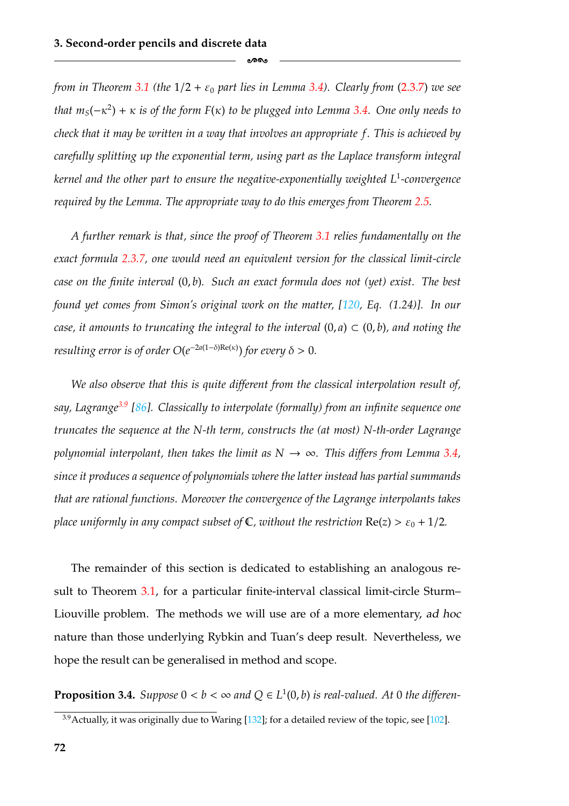*from in Theorem* [3.1](#page-76-1) (the  $1/2 + \varepsilon_0$  *part lies in Lemma* [3.4\)](#page-77-1). Clearly from [\(2.3.7\)](#page-42-1) we see *that*  $m_S(-\kappa^2) + \kappa$  *is of the form F(* $\kappa$ *) to be plugged into Lemma [3.4.](#page-77-1)* One only needs to *check that it may be written in a way that involves an appropriate f. This is achieved by carefully splitting up the exponential term, using part as the Laplace transform integral kernel and the other part to ensure the negative-exponentially weighted L*<sup>1</sup>*-convergence required by the Lemma. The appropriate way to do this emerges from Theorem [2.5.](#page-42-0)*

ക്ക

*A further remark is that, since the proof of Theorem [3.1](#page-76-1) relies fundamentally on the exact formula [2.3.7,](#page-42-1) one would need an equivalent version for the classical limit-circle case on the finite interval* (0, *b*)*. Such an exact formula does not (yet) exist. The best found yet comes from Simon's original work on the matter, [\[120,](#page-187-4) Eq. (1.24)]. In our case, it amounts to truncating the integral to the interval*  $(0, a) \subset (0, b)$ *, and noting the resulting error is of order*  $O(e^{-2a(1-\delta)Re(\kappa)})$  *for every*  $\delta > 0$ *.* 

*We also observe that this is quite different from the classical interpolation result of, say, Lagrang[e3.9](#page-78-0) [\[86\]](#page-185-1). Classically to interpolate (formally) from an infinite sequence one truncates the sequence at the N-th term, constructs the (at most) N-th-order Lagrange polynomial interpolant, then takes the limit as*  $N \rightarrow \infty$ *. This differs from Lemma [3.4,](#page-77-1) since it produces a sequence of polynomials where the latter instead has partial summands that are rational functions. Moreover the convergence of the Lagrange interpolants takes place uniformly in any compact subset of*  $\mathbb{C}$ *, without the restriction*  $\text{Re}(z) > \varepsilon_0 + 1/2$ *.* 

The remainder of this section is dedicated to establishing an analogous result to Theorem [3.1,](#page-76-1) for a particular finite-interval classical limit-circle Sturm– Liouville problem. The methods we will use are of a more elementary, *ad hoc* nature than those underlying Rybkin and Tuan's deep result. Nevertheless, we hope the result can be generalised in method and scope.

<span id="page-78-1"></span>**Proposition 3.4.** *Suppose*  $0 < b < \infty$  *and*  $Q \in L^1(0, b)$  *is real-valued. At* 0 *the differen-*

<span id="page-78-0"></span> $3.9$ Actually, it was originally due to Waring [\[132\]](#page-187-3); for a detailed review of the topic, see [\[102\]](#page-186-5).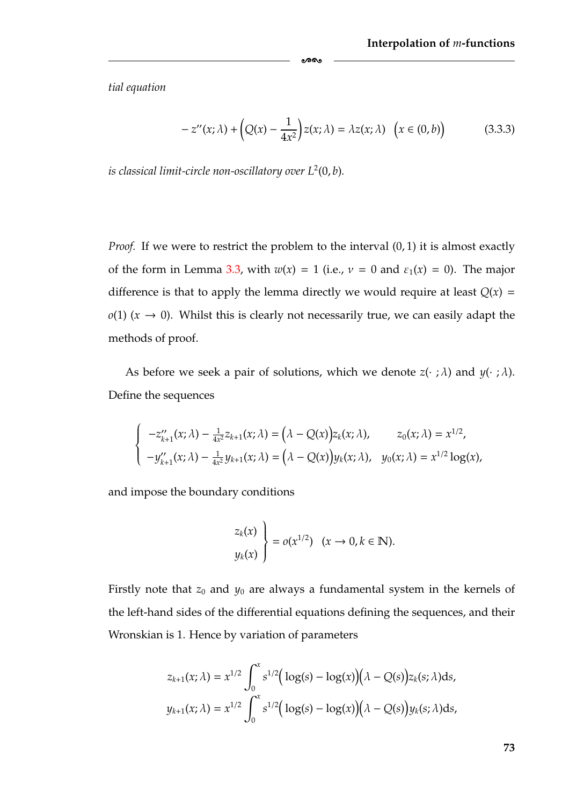*tial equation*

<span id="page-79-0"></span>
$$
-z''(x;\lambda) + \left(Q(x) - \frac{1}{4x^2}\right)z(x;\lambda) = \lambda z(x;\lambda) \quad \left(x \in (0,b)\right) \tag{3.3.3}
$$

*is classical limit-circle non-oscillatory over*  $L^2(0, b)$ *.* 

*Proof.* If we were to restrict the problem to the interval  $(0, 1)$  it is almost exactly of the form in Lemma [3.3,](#page-71-2) with  $w(x) = 1$  (i.e.,  $v = 0$  and  $\varepsilon_1(x) = 0$ ). The major difference is that to apply the lemma directly we would require at least  $Q(x)$  =  $o(1)$  ( $x \rightarrow 0$ ). Whilst this is clearly not necessarily true, we can easily adapt the methods of proof.

ക്ക

As before we seek a pair of solutions, which we denote  $z(\cdot; \lambda)$  and  $y(\cdot; \lambda)$ . Define the sequences

$$
\begin{cases}\n-z''_{k+1}(x;\lambda) - \frac{1}{4x^2}z_{k+1}(x;\lambda) = (\lambda - Q(x))z_k(x;\lambda), & z_0(x;\lambda) = x^{1/2}, \\
-y''_{k+1}(x;\lambda) - \frac{1}{4x^2}y_{k+1}(x;\lambda) = (\lambda - Q(x))y_k(x;\lambda), & y_0(x;\lambda) = x^{1/2}\log(x),\n\end{cases}
$$

and impose the boundary conditions

$$
\begin{cases} z_k(x) \\ y_k(x) \end{cases} = o(x^{1/2}) \quad (x \to 0, k \in \mathbb{N}).
$$

Firstly note that  $z_0$  and  $y_0$  are always a fundamental system in the kernels of the left-hand sides of the differential equations defining the sequences, and their Wronskian is 1. Hence by variation of parameters

$$
z_{k+1}(x; \lambda) = x^{1/2} \int_0^x s^{1/2} (\log(s) - \log(x)) (\lambda - Q(s)) z_k(s; \lambda) ds,
$$
  

$$
y_{k+1}(x; \lambda) = x^{1/2} \int_0^x s^{1/2} (\log(s) - \log(x)) (\lambda - Q(s)) y_k(s; \lambda) ds,
$$

**73**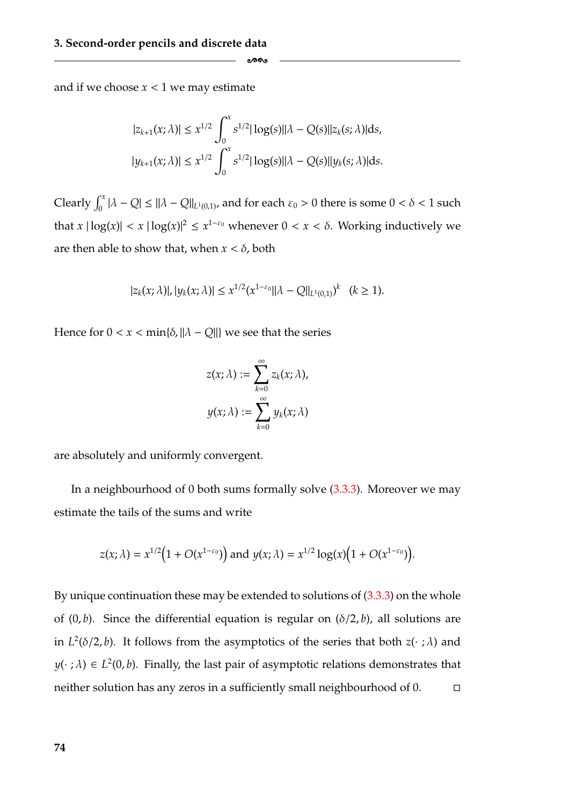and if we choose  $x < 1$  we may estimate

$$
|z_{k+1}(x;\lambda)| \leq x^{1/2} \int_0^x s^{1/2} |\log(s)| |\lambda - Q(s)| |z_k(s;\lambda)| ds,
$$
  

$$
|y_{k+1}(x;\lambda)| \leq x^{1/2} \int_0^x s^{1/2} |\log(s)| |\lambda - Q(s)| |y_k(s;\lambda)| ds.
$$

-

Clearly  $\int_0^x |\lambda - Q| \le ||\lambda - Q||_{L^1(0,1)}$ , and for each  $\varepsilon_0 > 0$  there is some  $0 < \delta < 1$  such that  $x \mid \log(x) \mid < x \mid \log(x) \mid^2 \leq x^{1-\epsilon_0}$  whenever  $0 < x < \delta$ . Working inductively we are then able to show that, when  $x < \delta$ , both

$$
|z_k(x;\lambda)|, |y_k(x;\lambda)| \leq x^{1/2} (x^{1-\varepsilon_0} ||\lambda - Q||_{L^1(0,1)})^k \quad (k \geq 1).
$$

Hence for  $0 < x < \min\{\delta, ||\lambda - Q||\}$  we see that the series

$$
z(x; \lambda) := \sum_{k=0}^{\infty} z_k(x; \lambda),
$$

$$
y(x; \lambda) := \sum_{k=0}^{\infty} y_k(x; \lambda)
$$

are absolutely and uniformly convergent.

In a neighbourhood of 0 both sums formally solve [\(3.3.3\)](#page-79-0). Moreover we may estimate the tails of the sums and write

$$
z(x; \lambda) = x^{1/2} \Big( 1 + O(x^{1-\varepsilon_0}) \Big) \text{ and } y(x; \lambda) = x^{1/2} \log(x) \Big( 1 + O(x^{1-\varepsilon_0}) \Big).
$$

By unique continuation these may be extended to solutions of  $(3.3.3)$  on the whole of  $(0, b)$ . Since the differential equation is regular on  $(\delta/2, b)$ , all solutions are in  $L^2(\delta/2, b)$ . It follows from the asymptotics of the series that both  $z(\cdot; \lambda)$  and  $y(\cdot;\lambda) \in L^2(0,b)$ . Finally, the last pair of asymptotic relations demonstrates that neither solution has any zeros in a sufficiently small neighbourhood of 0.  $\Box$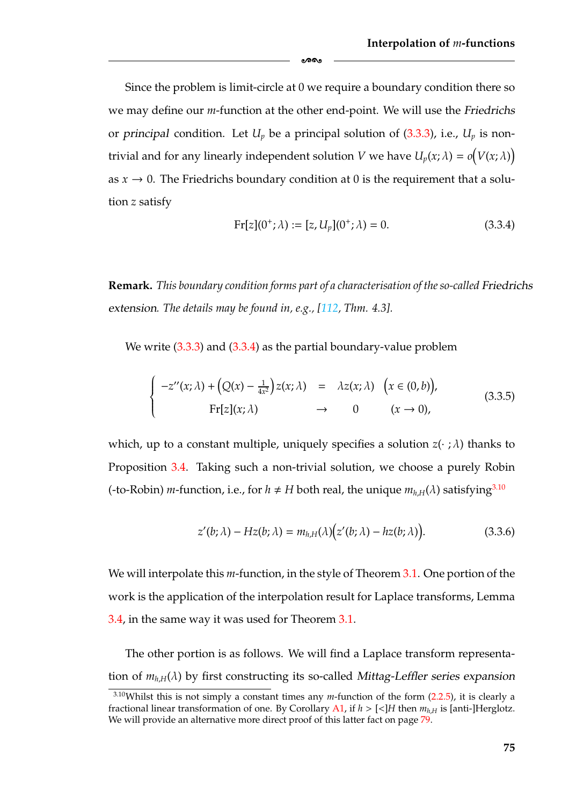Since the problem is limit-circle at 0 we require a boundary condition there so we may define our *m*-function at the other end-point. We will use the *Friedrichs* or *principal* condition. Let  $U_p$  be a principal solution of  $(3.3.3)$ , i.e.,  $U_p$  is nontrivial and for any linearly independent solution *V* we have  $U_p(x; \lambda) = o(V(x; \lambda))$ as  $x \to 0$ . The Friedrichs boundary condition at 0 is the requirement that a solution *z* satisfy

-

<span id="page-81-3"></span><span id="page-81-1"></span>
$$
Fr[z](0^+; \lambda) := [z, U_p](0^+; \lambda) = 0.
$$
 (3.3.4)

**Remark.** *This boundary condition forms part of a characterisation of the so-called Friedrichs extension. The details may be found in, e.g., [\[112,](#page-186-6) Thm. 4.3].*

We write [\(3.3.3\)](#page-79-0) and [\(3.3.4\)](#page-81-1) as the partial boundary-value problem

$$
\begin{cases}\n-z''(x;\lambda) + (Q(x) - \frac{1}{4x^2})z(x;\lambda) & = \lambda z(x;\lambda) & (x \in (0,b)), \\
\text{Fr}[z](x;\lambda) & \to & 0 & (x \to 0),\n\end{cases}
$$
\n(3.3.5)

which, up to a constant multiple, uniquely specifies a solution  $z(\cdot;\lambda)$  thanks to Proposition [3.4.](#page-78-1) Taking such a non-trivial solution, we choose a purely Robin (-to-Robin) *m*-function, i.e., for  $h \neq H$  both real, the unique  $m_{h,H}(\lambda)$  satisfying<sup>3.10</sup>

<span id="page-81-2"></span>
$$
z'(b; \lambda) - Hz(b; \lambda) = m_{h,H}(\lambda) (z'(b; \lambda) - hz(b; \lambda)).
$$
 (3.3.6)

We will interpolate this *m*-function, in the style of Theorem [3.1.](#page-76-1) One portion of the work is the application of the interpolation result for Laplace transforms, Lemma [3.4,](#page-77-1) in the same way it was used for Theorem [3.1.](#page-76-1)

The other portion is as follows. We will find a Laplace transform representation of *mh*,*<sup>H</sup>*(λ) by first constructing its so-called *Mittag-Leffler series expansion*

<span id="page-81-0"></span><sup>&</sup>lt;sup>3.10</sup>Whilst this is not simply a constant times any *m*-function of the form [\(2.2.5\)](#page-36-0), it is clearly a fractional linear transformation of one. By Corollary [A1,](#page-155-0) if  $h > \lfloor \lt d \rfloor H$  then  $m_h$ <sub>*H*</sub> is [anti-]Herglotz. We will provide an alternative more direct proof of this latter fact on page [79.](#page-85-0)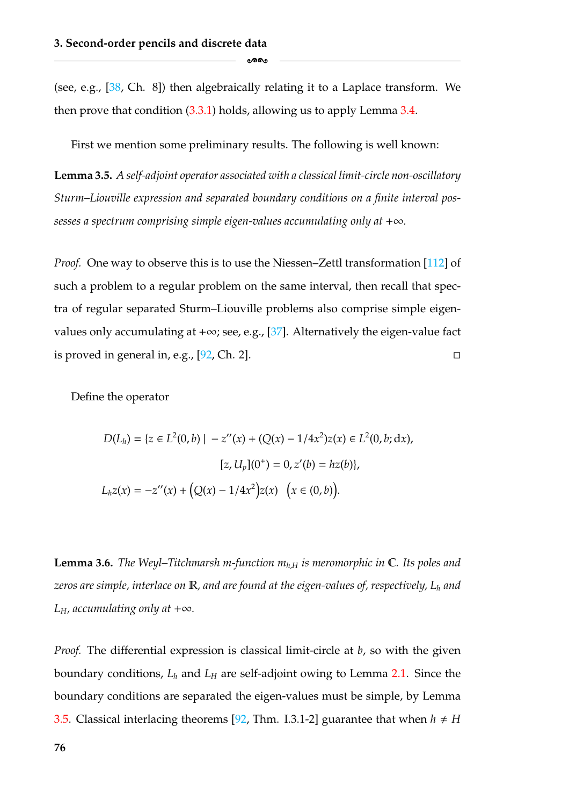(see, e.g., [\[38,](#page-181-1) Ch. 8]) then algebraically relating it to a Laplace transform. We then prove that condition [\(3.3.1\)](#page-77-2) holds, allowing us to apply Lemma [3.4.](#page-77-1)

-

First we mention some preliminary results. The following is well known:

<span id="page-82-0"></span>**Lemma 3.5.** *A self-adjoint operator associated with a classical limit-circle non-oscillatory Sturm–Liouville expression and separated boundary conditions on a finite interval possesses a spectrum comprising simple eigen-values accumulating only at* +∞*.*

*Proof.* One way to observe this is to use the Niessen–Zettl transformation [\[112\]](#page-186-6) of such a problem to a regular problem on the same interval, then recall that spectra of regular separated Sturm–Liouville problems also comprise simple eigen-values only accumulating at +∞; see, e.g., [\[37\]](#page-181-0). Alternatively the eigen-value fact is proved in general in, e.g.,  $[92, Ch. 2]$  $[92, Ch. 2]$ .

Define the operator

$$
D(L_h) = \{ z \in L^2(0, b) \mid -z''(x) + (Q(x) - 1/4x^2)z(x) \in L^2(0, b; dx),
$$

$$
[z, U_p](0^+) = 0, z'(b) = hz(b)\},
$$

$$
L_h z(x) = -z''(x) + (Q(x) - 1/4x^2)z(x) \quad (x \in (0, b)).
$$

**Lemma 3.6.** *The Weyl–Titchmarsh m-function*  $m_{h,H}$  *is meromorphic in*  $\mathbb{C}$ *. Its poles and zeros are simple, interlace on* R*, and are found at the eigen-values of, respectively, Lh and L*<sub>*H*</sub>, *accumulating only at*  $+\infty$ *.* 

*Proof.* The differential expression is classical limit-circle at *b*, so with the given boundary conditions,  $L_h$  and  $L_H$  are self-adjoint owing to Lemma [2.1.](#page-35-0) Since the boundary conditions are separated the eigen-values must be simple, by Lemma [3.5.](#page-82-0) Classical interlacing theorems [\[92,](#page-185-2) Thm. I.3.1-2] guarantee that when  $h \neq H$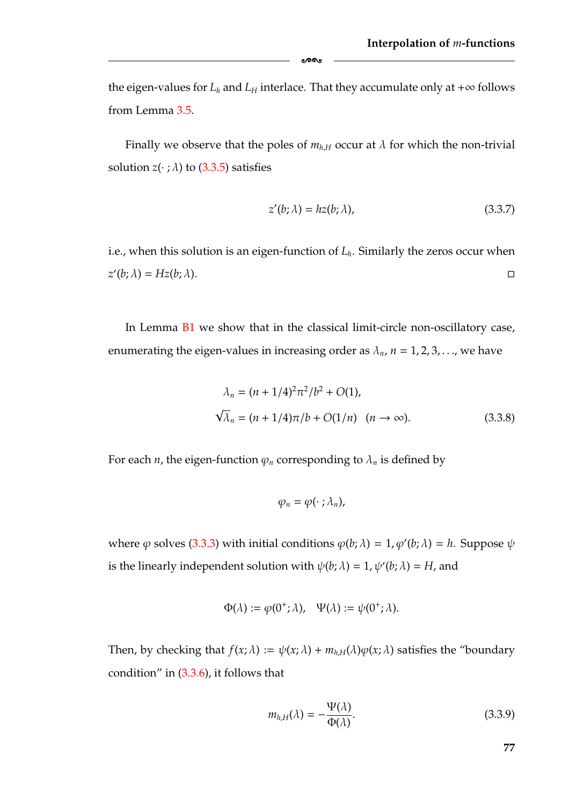the eigen-values for  $L_h$  and  $L_H$  interlace. That they accumulate only at  $+\infty$  follows from Lemma [3.5.](#page-82-0)

ക്ക

Finally we observe that the poles of  $m_{h,H}$  occur at  $\lambda$  for which the non-trivial solution  $z(\cdot; \lambda)$  to [\(3.3.5\)](#page-81-3) satisfies

$$
z'(b; \lambda) = hz(b; \lambda), \tag{3.3.7}
$$

i.e., when this solution is an eigen-function of  $L<sub>h</sub>$ . Similarly the zeros occur when  $z'(b; \lambda) = Hz(b; \lambda).$  $\Box$ 

In Lemma [B1](#page-158-0) we show that in the classical limit-circle non-oscillatory case, enumerating the eigen-values in increasing order as  $\lambda_n$ ,  $n = 1, 2, 3, \dots$ , we have

$$
\lambda_n = (n + 1/4)^2 \pi^2 / b^2 + O(1),
$$
  
\n
$$
\sqrt{\lambda}_n = (n + 1/4) \pi / b + O(1/n) \quad (n \to \infty).
$$
 (3.3.8)

For each *n*, the eigen-function  $\varphi_n$  corresponding to  $\lambda_n$  is defined by

<span id="page-83-0"></span>
$$
\varphi_n=\varphi(\cdot\ ;\lambda_n),
$$

where  $\varphi$  solves [\(3.3.3\)](#page-79-0) with initial conditions  $\varphi(b; \lambda) = 1, \varphi'(b; \lambda) = h$ . Suppose  $\psi$ is the linearly independent solution with  $\psi(b; \lambda) = 1$ ,  $\psi'(b; \lambda) = H$ , and

$$
\Phi(\lambda) := \varphi(0^+;\lambda), \quad \Psi(\lambda) := \psi(0^+;\lambda).
$$

Then, by checking that  $f(x; \lambda) := \psi(x; \lambda) + m_{h,H}(\lambda)\varphi(x; \lambda)$  satisfies the "boundary" condition" in  $(3.3.6)$ , it follows that

<span id="page-83-1"></span>
$$
m_{h,H}(\lambda) = -\frac{\Psi(\lambda)}{\Phi(\lambda)}.
$$
\n(3.3.9)

**77**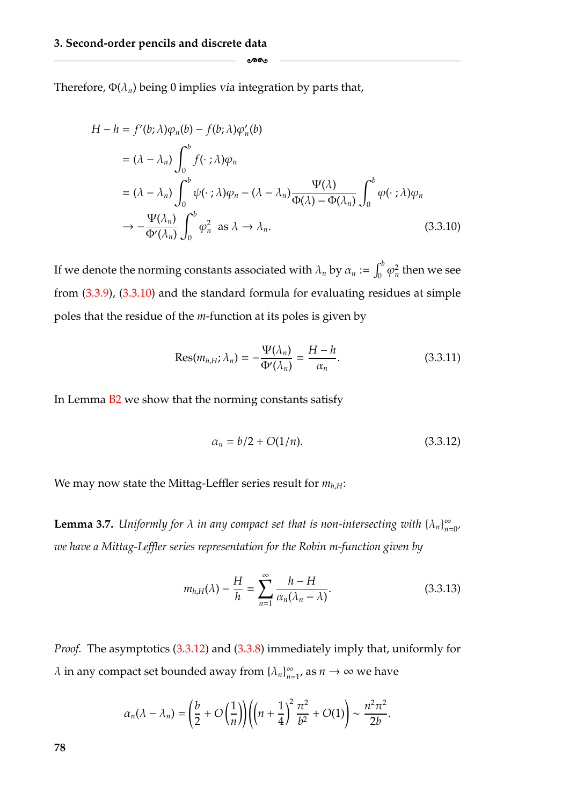Therefore,  $\Phi(\lambda_n)$  being 0 implies *via* integration by parts that,

$$
H - h = f'(b; \lambda)\varphi_n(b) - f(b; \lambda)\varphi'_n(b)
$$
  
\n
$$
= (\lambda - \lambda_n) \int_0^b f(\cdot; \lambda)\varphi_n
$$
  
\n
$$
= (\lambda - \lambda_n) \int_0^b \psi(\cdot; \lambda)\varphi_n - (\lambda - \lambda_n) \frac{\Psi(\lambda)}{\Phi(\lambda) - \Phi(\lambda_n)} \int_0^b \varphi(\cdot; \lambda)\varphi_n
$$
  
\n
$$
\to -\frac{\Psi(\lambda_n)}{\Phi'(\lambda_n)} \int_0^b \varphi_n^2 \text{ as } \lambda \to \lambda_n.
$$
 (3.3.10)

<span id="page-84-1"></span>-

If we denote the norming constants associated with  $\lambda_n$  by  $\alpha_n := \int_0^b \varphi_n^2$  then we see from [\(3.3.9\)](#page-83-1), [\(3.3.10\)](#page-84-1) and the standard formula for evaluating residues at simple poles that the residue of the *m*-function at its poles is given by

<span id="page-84-3"></span>
$$
Res(m_{h,H}; \lambda_n) = -\frac{\Psi(\lambda_n)}{\Phi'(\lambda_n)} = \frac{H - h}{\alpha_n}.
$$
 (3.3.11)

In Lemma [B2](#page-160-0) we show that the norming constants satisfy

<span id="page-84-0"></span>
$$
\alpha_n = b/2 + O(1/n). \tag{3.3.12}
$$

We may now state the Mittag-Leffler series result for  $m_{h,H}$ :

<span id="page-84-2"></span>**Lemma 3.7.** *Uniformly for*  $\lambda$  *in any compact set that is non-intersecting with*  $\{\lambda_n\}_{n=0}^{\infty}$ *we have a Mittag-Leffler series representation for the Robin m-function given by*

<span id="page-84-4"></span>
$$
m_{h,H}(\lambda) - \frac{H}{h} = \sum_{n=1}^{\infty} \frac{h - H}{\alpha_n(\lambda_n - \lambda)}.
$$
 (3.3.13)

*Proof.* The asymptotics [\(3.3.12\)](#page-84-0) and [\(3.3.8\)](#page-83-0) immediately imply that, uniformly for  $\lambda$  in any compact set bounded away from  $\{\lambda_n\}_{n=1}^{\infty}$ , as  $n \to \infty$  we have

$$
\alpha_n(\lambda-\lambda_n)=\bigg(\frac{b}{2}+O\bigg(\frac{1}{n}\bigg)\bigg)\bigg(\bigg(n+\frac{1}{4}\bigg)^2\frac{\pi^2}{b^2}+O(1)\bigg)\sim\frac{n^2\pi^2}{2b}.
$$

**78**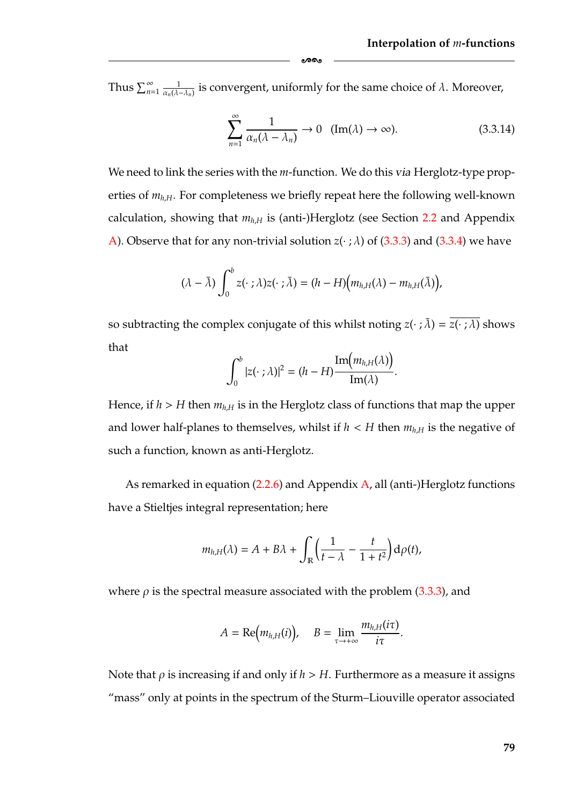Thus  $\sum_{n=1}^{\infty} \frac{1}{\alpha_n(\lambda-\lambda_n)}$  is convergent, uniformly for the same choice of  $\lambda$ . Moreover,

ക്ക

<span id="page-85-0"></span>
$$
\sum_{n=1}^{\infty} \frac{1}{\alpha_n (\lambda - \lambda_n)} \to 0 \quad (\text{Im}(\lambda) \to \infty). \tag{3.3.14}
$$

We need to link the series with the *m*-function. We do this *via* Herglotz-type properties of  $m_{h,H}$ . For completeness we briefly repeat here the following well-known calculation, showing that  $m_{h,H}$  is (anti-)Herglotz (see Section [2.2](#page-33-0) and Appendix [A\)](#page-154-0). Observe that for any non-trivial solution  $z(\cdot; \lambda)$  of [\(3.3.3\)](#page-79-0) and [\(3.3.4\)](#page-81-1) we have

$$
(\lambda - \bar{\lambda}) \int_0^b z(\cdot\ ;\lambda)z(\cdot\ ;\bar{\lambda}) = (h-H)\big(m_{h,H}(\lambda)-m_{h,H}(\bar{\lambda})\big),
$$

so subtracting the complex conjugate of this whilst noting  $z(\cdot;\bar{\lambda}) = \overline{z(\cdot;\lambda)}$  shows that  $\Delta$ 

$$
\int_0^b |z(\cdot; \lambda)|^2 = (h - H) \frac{\mathrm{Im}\big(m_{h,H}(\lambda)\big)}{\mathrm{Im}(\lambda)}.
$$

Hence, if  $h > H$  then  $m_{h,H}$  is in the Herglotz class of functions that map the upper and lower half-planes to themselves, whilst if  $h < H$  then  $m_{h,H}$  is the negative of such a function, known as anti-Herglotz.

As remarked in equation  $(2.2.6)$  and Appendix  $\overline{A}$ , all (anti-)Herglotz functions have a Stieltjes integral representation; here

$$
m_{h,H}(\lambda) = A + B\lambda + \int_{\mathbb{R}} \left( \frac{1}{t - \lambda} - \frac{t}{1 + t^2} \right) d\rho(t),
$$

where  $\rho$  is the spectral measure associated with the problem [\(3.3.3\)](#page-79-0), and

$$
A = \text{Re}\big(m_{h,H}(i)\big), \quad B = \lim_{\tau \to +\infty} \frac{m_{h,H}(i\tau)}{i\tau}.
$$

Note that  $\rho$  is increasing if and only if  $h > H$ . Furthermore as a measure it assigns "mass" only at points in the spectrum of the Sturm–Liouville operator associated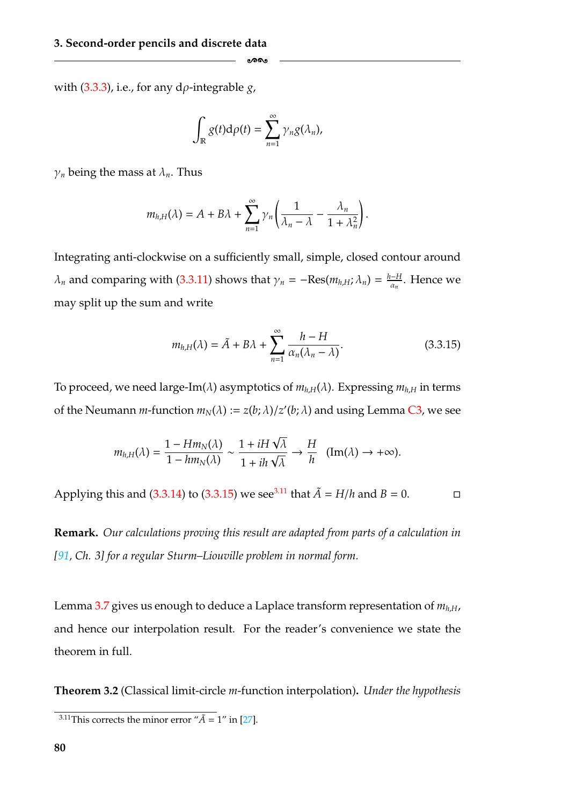with [\(3.3.3\)](#page-79-0), i.e., for any dρ-integrable *g*,

$$
\int_{\mathbb{R}} g(t) d\rho(t) = \sum_{n=1}^{\infty} \gamma_n g(\lambda_n),
$$

-

 $\gamma_n$  being the mass at  $\lambda_n$ . Thus

$$
m_{h,H}(\lambda) = A + B\lambda + \sum_{n=1}^{\infty} \gamma_n \left( \frac{1}{\lambda_n - \lambda} - \frac{\lambda_n}{1 + \lambda_n^2} \right).
$$

Integrating anti-clockwise on a sufficiently small, simple, closed contour around  $\lambda_n$  and comparing with [\(3.3.11\)](#page-84-3) shows that  $\gamma_n = -\text{Res}(m_{h,H}; \lambda_n) = \frac{h-H}{\alpha_n}$ . Hence we may split up the sum and write

<span id="page-86-1"></span>
$$
m_{h,H}(\lambda) = \tilde{A} + B\lambda + \sum_{n=1}^{\infty} \frac{h - H}{\alpha_n(\lambda_n - \lambda)}.
$$
 (3.3.15)

To proceed, we need large-Im( $\lambda$ ) asymptotics of  $m_{h,H}(\lambda)$ . Expressing  $m_{h,H}$  in terms of the Neumann *m*-function  $m_N(\lambda) := z(b; \lambda)/z'(b; \lambda)$  and using Lemma [C3,](#page-165-0) we see

$$
m_{h,H}(\lambda) = \frac{1 - Hm_N(\lambda)}{1 - hm_N(\lambda)} \sim \frac{1 + iH\sqrt{\lambda}}{1 + ih\sqrt{\lambda}} \to \frac{H}{h} \quad (\text{Im}(\lambda) \to +\infty).
$$

Applying this and [\(3.3.14\)](#page-85-0) to [\(3.3.15\)](#page-86-1) we see<sup>3.11</sup> that  $\tilde{A} = H/h$  and  $B = 0$ .  $\Box$ 

**Remark.** *Our calculations proving this result are adapted from parts of a calculation in [\[91,](#page-185-3) Ch. 3] for a regular Sturm–Liouville problem in normal form.*

Lemma [3.7](#page-84-2) gives us enough to deduce a Laplace transform representation of  $m_{h,H}$ , and hence our interpolation result. For the reader's convenience we state the theorem in full.

<span id="page-86-2"></span>**Theorem 3.2** (Classical limit-circle *m*-function interpolation)**.** *Under the hypothesis*

<span id="page-86-0"></span><sup>&</sup>lt;sup>3.11</sup>This corrects the minor error " $\tilde{A}$  = 1" in [\[27\]](#page-181-2).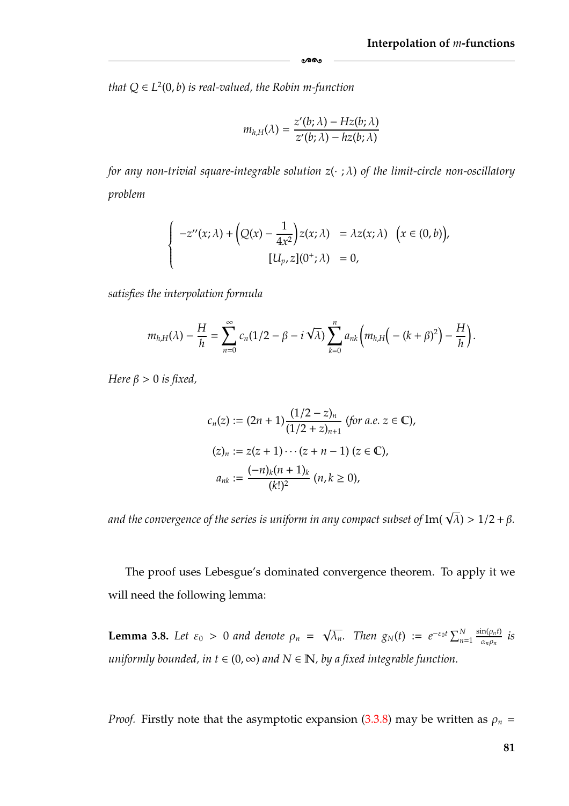*that*  $Q \in L^2(0, b)$  *is real-valued, the Robin m-function* 

$$
m_{h,H}(\lambda) = \frac{z'(b;\lambda) - Hz(b;\lambda)}{z'(b;\lambda) - hz(b;\lambda)}
$$

-

*for any non-trivial square-integrable solution z*(· ; λ) *of the limit-circle non-oscillatory problem*

$$
\begin{cases}\n-z''(x;\lambda) + \left(Q(x) - \frac{1}{4x^2}\right)z(x;\lambda) & = \lambda z(x;\lambda) \quad \big(x \in (0,b)\big), \\
[U_p, z](0^+;\lambda) & = 0,\n\end{cases}
$$

*satisfies the interpolation formula*

$$
m_{h,H}(\lambda)-\frac{H}{h}=\sum_{n=0}^\infty c_n(1/2-\beta-i\sqrt{\lambda})\sum_{k=0}^n a_{nk}\bigg(m_{h,H}\big(-{(k+\beta)^2}\big)-\frac{H}{h}\bigg).
$$

*Here*  $\beta > 0$  *is fixed,* 

$$
c_n(z) := (2n + 1) \frac{(1/2 - z)_n}{(1/2 + z)_{n+1}} \text{ (for a.e. } z \in \mathbb{C}\text{)},
$$
  
\n
$$
(z)_n := z(z + 1) \cdots (z + n - 1) \text{ (}z \in \mathbb{C}\text{)},
$$
  
\n
$$
a_{nk} := \frac{(-n)_k (n + 1)_k}{(k!)^2} \text{ (}n, k \ge 0\text{)},
$$

and the convergence of the series is uniform in any compact subset of  ${\rm Im} (\sqrt{\lambda})$   $>1/2$  +  $\beta$ .

The proof uses Lebesgue's dominated convergence theorem. To apply it we will need the following lemma:

<span id="page-87-0"></span>**Lemma 3.8.** *Let*  $\varepsilon_0 > 0$  *and denote*  $\rho_n = \sqrt{\lambda_n}$ . *Then*  $g_N(t) := e^{-\varepsilon_0 t} \sum_{n=1}^N f_n$  $\frac{\sin(\rho_n t)}{\alpha_n \rho_n}$  *is uniformly bounded, in*  $t \in (0, \infty)$  *and*  $N \in \mathbb{N}$ *, by a fixed integrable function.* 

*Proof.* Firstly note that the asymptotic expansion [\(3.3.8\)](#page-83-0) may be written as  $\rho_n$  =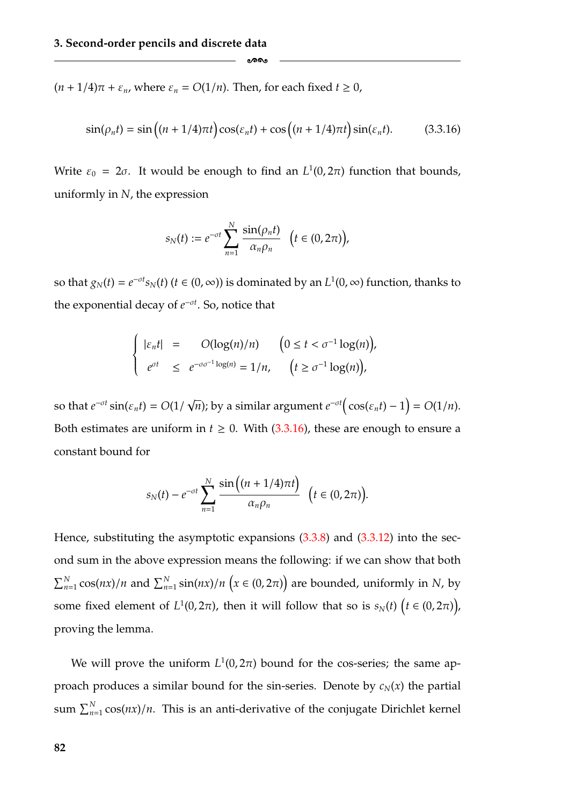$(n + 1/4)\pi + \varepsilon_n$ , where  $\varepsilon_n = O(1/n)$ . Then, for each fixed  $t \ge 0$ ,

$$
\sin(\rho_n t) = \sin\left((n+1/4)\pi t\right)\cos(\varepsilon_n t) + \cos\left((n+1/4)\pi t\right)\sin(\varepsilon_n t). \tag{3.3.16}
$$

Write  $\varepsilon_0 = 2\sigma$ . It would be enough to find an  $L^1(0, 2\pi)$  function that bounds, uniformly in *N*, the expression

<span id="page-88-0"></span>-

$$
s_N(t) := e^{-\sigma t} \sum_{n=1}^N \frac{\sin(\rho_n t)}{\alpha_n \rho_n} \quad \big( t \in (0, 2\pi) \big),
$$

so that  $g_N(t) = e^{-\sigma t} s_N(t)$  ( $t \in (0, \infty)$ ) is dominated by an  $L^1(0, \infty)$  function, thanks to the exponential decay of *e*<sup>−</sup>σ*<sup>t</sup>* . So, notice that

$$
\begin{cases}\n|\varepsilon_n t| = O(\log(n)/n) & (0 \le t < \sigma^{-1} \log(n)), \\
e^{\sigma t} \le e^{-\sigma \sigma^{-1} \log(n)} = 1/n, & (t \ge \sigma^{-1} \log(n)),\n\end{cases}
$$

so that  $e^{-\sigma t}$   $\sin(\varepsilon_n t) = O(1/\sqrt{n})$ ; by a similar argument  $e^{-\sigma t}(\cos(\varepsilon_n t) - 1) = O(1/n)$ . Both estimates are uniform in  $t \ge 0$ . With [\(3.3.16\)](#page-88-0), these are enough to ensure a constant bound for

$$
s_N(t) - e^{-\sigma t} \sum_{n=1}^N \frac{\sin\left((n+1/4)\pi t\right)}{\alpha_n \rho_n} \quad \left(t \in (0, 2\pi)\right).
$$

Hence, substituting the asymptotic expansions  $(3.3.8)$  and  $(3.3.12)$  into the second sum in the above expression means the following: if we can show that both  $\sum_{n=1}^{N}$  cos(*nx*)/*n* and  $\sum_{n=1}^{N}$  sin(*nx*)/*n* (*x* ∈ (0, 2 $\pi$ )) are bounded, uniformly in *N*, by some fixed element of  $L^1(0, 2\pi)$ , then it will follow that so is  $s_N(t)$   $(t \in (0, 2\pi))$ , proving the lemma.

We will prove the uniform  $L^1(0, 2\pi)$  bound for the cos-series; the same approach produces a similar bound for the sin-series. Denote by  $c_N(x)$  the partial sum  $\sum_{n=1}^{N} \cos(nx)/n$ . This is an anti-derivative of the conjugate Dirichlet kernel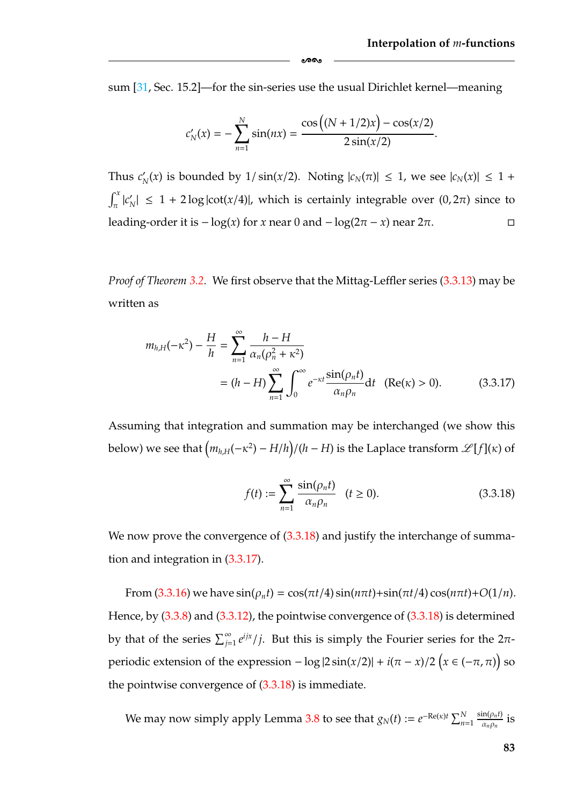sum [\[31,](#page-181-3) Sec. 15.2]—for the sin-series use the usual Dirichlet kernel—meaning

-

$$
c'_{N}(x) = -\sum_{n=1}^{N} \sin(nx) = \frac{\cos((N + 1/2)x) - \cos(x/2)}{2\sin(x/2)}.
$$

Thus  $c'_{N}(x)$  is bounded by  $1/\sin(x/2)$ . Noting  $|c_{N}(\pi)| \leq 1$ , we see  $|c_{N}(x)| \leq 1 + \pi$  $\int_{\pi}^{x} |c'_N| \leq 1 + 2 \log |\cot(x/4)|$ , which is certainly integrable over  $(0, 2\pi)$  since to leading-order it is  $-\log(x)$  for *x* near 0 and  $-\log(2\pi - x)$  near  $2\pi$ .  $\Box$ 

*Proof of Theorem [3.2.](#page-86-2)* We first observe that the Mittag-Leffler series [\(3.3.13\)](#page-84-4) may be written as

$$
m_{h,H}(-\kappa^2) - \frac{H}{h} = \sum_{n=1}^{\infty} \frac{h - H}{\alpha_n(\rho_n^2 + \kappa^2)}
$$
  
=  $(h - H) \sum_{n=1}^{\infty} \int_0^{\infty} e^{-\kappa t} \frac{\sin(\rho_n t)}{\alpha_n \rho_n} dt$  (Re( $\kappa$ ) > 0). (3.3.17)

Assuming that integration and summation may be interchanged (we show this below) we see that  $\left(m_{h,H}(-\kappa^2) - H/h\right)/(h-H)$  is the Laplace transform  $\mathscr{L}[f](\kappa)$  of

<span id="page-89-1"></span><span id="page-89-0"></span>
$$
f(t) := \sum_{n=1}^{\infty} \frac{\sin(\rho_n t)}{\alpha_n \rho_n} \quad (t \ge 0).
$$
 (3.3.18)

We now prove the convergence of  $(3.3.18)$  and justify the interchange of summation and integration in [\(3.3.17\)](#page-89-1).

From  $(3.3.16)$  we have  $\sin(\rho_n t) = \cos(\pi t/4) \sin(n\pi t) + \sin(\pi t/4) \cos(n\pi t) + O(1/n)$ . Hence, by [\(3.3.8\)](#page-83-0) and [\(3.3.12\)](#page-84-0), the pointwise convergence of [\(3.3.18\)](#page-89-0) is determined by that of the series  $\sum_{j=1}^{\infty} e^{ijx}/j$ . But this is simply the Fourier series for the 2 $\pi$ periodic extension of the expression  $-\log|2\sin(x/2)| + i(\pi - x)/2(x \in (-\pi, \pi))$  so the pointwise convergence of  $(3.3.18)$  is immediate.

We may now simply apply Lemma [3.8](#page-87-0) to see that  $g_N(t) := e^{-\text{Re}(\kappa)t} \sum_{n=1}^N$  $\frac{\sin(\rho_n t)}{\alpha_n \rho_n}$  is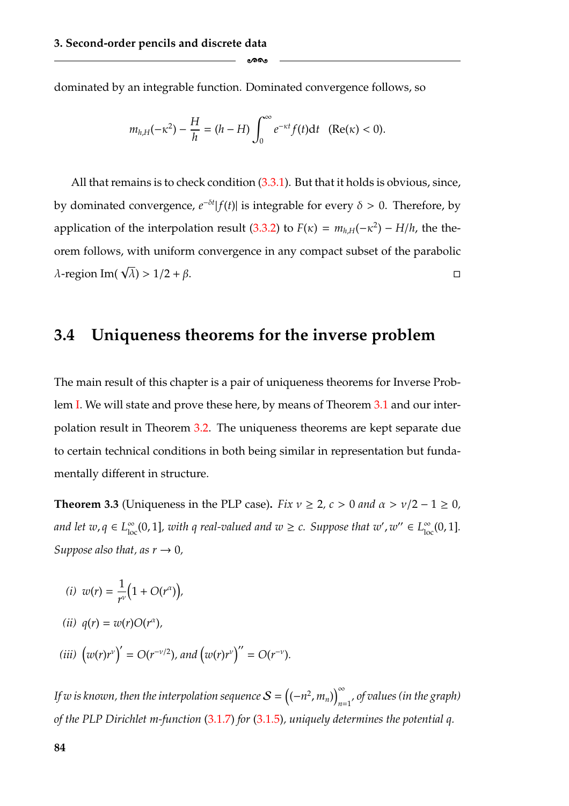dominated by an integrable function. Dominated convergence follows, so

$$
m_{h,H}(-\kappa^2) - \frac{H}{h} = (h - H) \int_0^\infty e^{-\kappa t} f(t) dt \quad (\text{Re}(\kappa) < 0).
$$

ക്ക

All that remains is to check condition [\(3.3.1\)](#page-77-2). But that it holds is obvious, since, by dominated convergence,  $e^{-\delta t}$  |  $f(t)$ | is integrable for every  $\delta > 0$ . Therefore, by application of the interpolation result [\(3.3.2\)](#page-77-3) to  $F(\kappa) = m_{h,H}(-\kappa^2) - H/h$ , the theorem follows, with uniform convergence in any compact subset of the parabolic  $\lambda$ -region Im( $\sqrt{\lambda}$ ) > 1/2 + β.

### **3.4 Uniqueness theorems for the inverse problem**

The main result of this chapter is a pair of uniqueness theorems for Inverse Problem [I.](#page-63-0) We will state and prove these here, by means of Theorem [3.1](#page-76-1) and our interpolation result in Theorem [3.2.](#page-86-2) The uniqueness theorems are kept separate due to certain technical conditions in both being similar in representation but fundamentally different in structure.

<span id="page-90-2"></span>**Theorem 3.3** (Uniqueness in the PLP case). *Fix*  $v \ge 2$ ,  $c > 0$  and  $\alpha > v/2 - 1 \ge 0$ , *and let*  $w, q \in L^{\infty}_{loc}(0, 1]$ , with q real-valued and  $w \ge c$ . Suppose that  $w', w'' \in L^{\infty}_{loc}(0, 1]$ . *Suppose also that, as*  $r \rightarrow 0$ *,* 

- <span id="page-90-1"></span>(*i*)  $w(r) = \frac{1}{r^v}$  $(1 + O(r^{\alpha}))$
- *(ii)*  $q(r) = w(r)O(r^{\alpha})$ ,
- <span id="page-90-0"></span>*(iii)*  $(w(r)r^{\nu})' = O(r^{-\nu/2})$ *, and*  $(w(r)r^{\nu})'' = O(r^{-\nu})$ *.*

*If w is known, then the interpolation sequence*  $\mathcal{S} = \left( (-n^2, m_n) \right)^{\infty}$ *n*=1 *, of values (in the graph) of the PLP Dirichlet m-function* [\(3.1.7\)](#page-62-0) *for* [\(3.1.5\)](#page-59-0)*, uniquely determines the potential q.*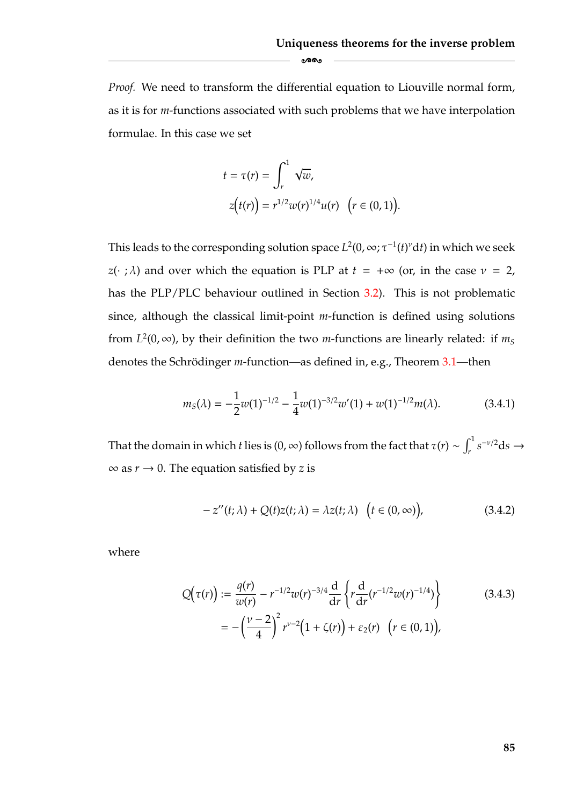*Proof.* We need to transform the differential equation to Liouville normal form, as it is for *m*-functions associated with such problems that we have interpolation formulae. In this case we set

-

$$
t = \tau(r) = \int_r^1 \sqrt{w},
$$
  
\n
$$
z(t(r)) = r^{1/2} w(r)^{1/4} u(r) \quad (r \in (0, 1)).
$$

This leads to the corresponding solution space  $L^2(0,\infty;\tau^{-1}(t)^\nu \mathrm{d} t)$  in which we seek *z*(· ;  $\lambda$ ) and over which the equation is PLP at  $t = +\infty$  (or, in the case  $\nu = 2$ , has the PLP/PLC behaviour outlined in Section [3.2\)](#page-64-0). This is not problematic since, although the classical limit-point *m*-function is defined using solutions from  $L^2(0, \infty)$ , by their definition the two *m*-functions are linearly related: if  $m<sub>S</sub>$ denotes the Schrödinger *m*-function—as defined in, e.g., Theorem [3.1—](#page-76-1)then

<span id="page-91-0"></span>
$$
m_S(\lambda) = -\frac{1}{2}w(1)^{-1/2} - \frac{1}{4}w(1)^{-3/2}w'(1) + w(1)^{-1/2}m(\lambda).
$$
 (3.4.1)

That the domain in which *t* lies is (0, ∞) follows from the fact that  $\tau(r) \sim \int_r^1 s^{-\nu/2} ds \to$  $\infty$  as  $r \to 0$ . The equation satisfied by *z* is

<span id="page-91-2"></span><span id="page-91-1"></span>
$$
-z''(t; \lambda) + Q(t)z(t; \lambda) = \lambda z(t; \lambda) \quad \left(t \in (0, \infty)\right), \tag{3.4.2}
$$

where

$$
Q(\tau(r)) := \frac{q(r)}{w(r)} - r^{-1/2}w(r)^{-3/4}\frac{d}{dr}\left\{r\frac{d}{dr}(r^{-1/2}w(r)^{-1/4})\right\}
$$
(3.4.3)  

$$
= -\left(\frac{v-2}{4}\right)^2 r^{v-2} \left(1 + \zeta(r)\right) + \varepsilon_2(r) \quad (r \in (0,1)),
$$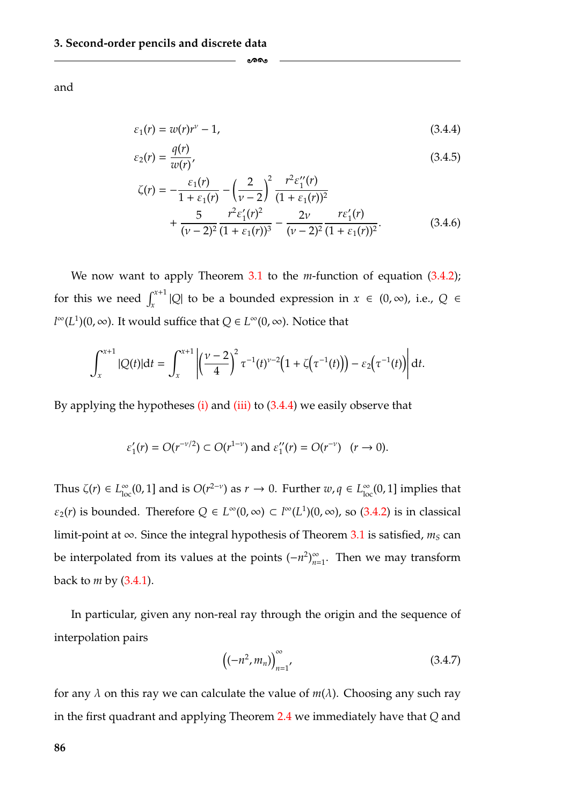and

$$
\varepsilon_1(r) = w(r)r^{\nu} - 1,\tag{3.4.4}
$$

$$
\varepsilon_2(r) = \frac{q(r)}{w(r)},\tag{3.4.5}
$$

$$
\zeta(r) = -\frac{\varepsilon_1(r)}{1 + \varepsilon_1(r)} - \left(\frac{2}{\nu - 2}\right)^2 \frac{r^2 \varepsilon_1''(r)}{(1 + \varepsilon_1(r))^2} + \frac{5}{(\nu - 2)^2} \frac{r^2 \varepsilon_1'(r)^2}{(1 + \varepsilon_1(r))^3} - \frac{2\nu}{(\nu - 2)^2} \frac{r \varepsilon_1'(r)}{(1 + \varepsilon_1(r))^2}.
$$
(3.4.6)

We now want to apply Theorem [3.1](#page-76-1) to the *m*-function of equation [\(3.4.2\)](#page-91-1); for this we need  $\int_{x}^{x+1} |Q|$  to be a bounded expression in  $x \in (0, \infty)$ , i.e.,  $Q \in$ *l*<sup>∞</sup>(*L*<sup>1</sup>)(0, ∞). It would suffice that  $Q \in L^{\infty}(0, \infty)$ . Notice that

<span id="page-92-2"></span><span id="page-92-1"></span><span id="page-92-0"></span>-

$$
\int_{x}^{x+1} |Q(t)| dt = \int_{x}^{x+1} \left| \left( \frac{\nu - 2}{4} \right)^2 \tau^{-1}(t)^{\nu - 2} \left( 1 + \zeta(\tau^{-1}(t)) \right) - \varepsilon_2(\tau^{-1}(t)) \right| dt.
$$

By applying the hypotheses  $(i)$  and  $(iii)$  to  $(3.4.4)$  we easily observe that

$$
\varepsilon'_1(r) = O(r^{-\nu/2}) \subset O(r^{1-\nu})
$$
 and  $\varepsilon''_1(r) = O(r^{-\nu})$   $(r \to 0)$ .

Thus  $\zeta(r) \in L^{\infty}_{loc}(0, 1]$  and is  $O(r^{2-\nu})$  as  $r \to 0$ . Further  $w, q \in L^{\infty}_{loc}(0, 1]$  implies that  $\varepsilon_2(r)$  is bounded. Therefore  $Q \in L^{\infty}(0, \infty) \subset l^{\infty}(L^1)(0, \infty)$ , so [\(3.4.2\)](#page-91-1) is in classical limit-point at  $\infty$ . Since the integral hypothesis of Theorem [3.1](#page-76-1) is satisfied,  $m_S$  can be interpolated from its values at the points  $(-n^2)_{n=1}^{\infty}$ . Then we may transform back to *m* by [\(3.4.1\)](#page-91-0).

In particular, given any non-real ray through the origin and the sequence of interpolation pairs

$$
\left( (-n^2, m_n) \right)_{n=1}^{\infty}, \tag{3.4.7}
$$

for any  $\lambda$  on this ray we can calculate the value of  $m(\lambda)$ . Choosing any such ray in the first quadrant and applying Theorem [2.4](#page-41-0) we immediately have that *Q* and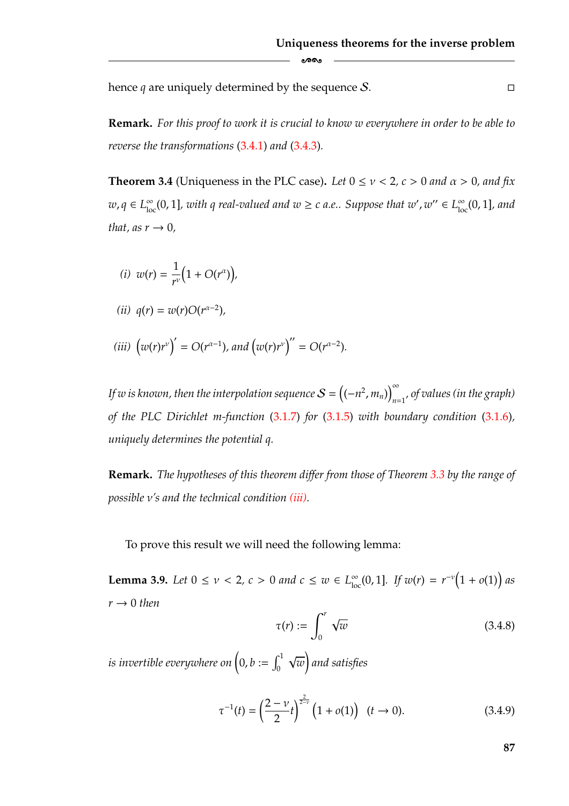$\Box$ 

hence  $q$  are uniquely determined by the sequence  $S$ .

**Remark.** *For this proof to work it is crucial to know w everywhere in order to be able to reverse the transformations* [\(3.4.1\)](#page-91-0) *and* [\(3.4.3\)](#page-91-2)*.*

-

<span id="page-93-0"></span>**Theorem 3.4** (Uniqueness in the PLC case). Let  $0 \le v < 2$ ,  $c > 0$  and  $\alpha > 0$ , and fix  $w, q \in L^{\infty}_{loc}(0, 1]$ , with q real-valued and  $w \ge c$  a.e.. Suppose that  $w', w'' \in L^{\infty}_{loc}(0, 1]$ , and *that, as*  $r \rightarrow 0$ *,* 

- (*i*)  $w(r) = \frac{1}{r^{\nu}}$  $(1 + O(r^{\alpha}))$
- *(ii)*  $q(r) = w(r)O(r^{α-2})$ *,*
- <span id="page-93-2"></span>*(iii)*  $(w(r)r^{\nu})' = O(r^{\alpha-1})$ *, and*  $(w(r)r^{\nu})'' = O(r^{\alpha-2})$ *.*

*If w is known, then the interpolation sequence*  $\mathcal{S} = \left( (-n^2, m_n) \right)^{\infty}$ *n*=1 *, of values (in the graph) of the PLC Dirichlet m-function* [\(3.1.7\)](#page-62-0) *for* [\(3.1.5\)](#page-59-0) *with boundary condition* [\(3.1.6\)](#page-61-0)*, uniquely determines the potential q.*

**Remark.** *The hypotheses of this theorem differ from those of Theorem [3.3](#page-90-2) by the range of possible* ν*'s and the technical condition [\(iii\).](#page-90-0)*

To prove this result we will need the following lemma:

<span id="page-93-3"></span>**Lemma 3.9.** *Let*  $0 \le v < 2$ ,  $c > 0$  *and*  $c \le w \in L^{\infty}_{loc}(0, 1]$ *. If*  $w(r) = r^{-\nu}(1 + o(1))$  *as*  $r \rightarrow 0$  *then* 

$$
\tau(r) := \int_0^r \sqrt{w} \tag{3.4.8}
$$

is invertible everywhere on  $\Big(0,b:=\int_0^1$ √ *w*  $\overline{1}$ *and satisfies*

<span id="page-93-1"></span>
$$
\tau^{-1}(t) = \left(\frac{2-\nu}{2}t\right)^{\frac{2}{2-\nu}} \left(1 + o(1)\right) \quad (t \to 0). \tag{3.4.9}
$$

**87**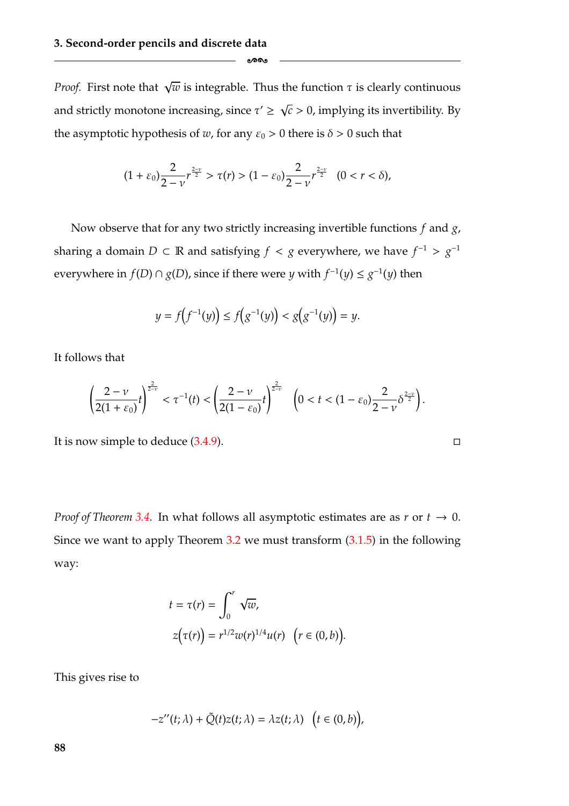*Proof.* First note that  $\sqrt{w}$  is integrable. Thus the function  $\tau$  is clearly continuous and strictly monotone increasing, since  $\tau' \geq \sqrt{c} > 0$ , implying its invertibility. By the asymptotic hypothesis of *w*, for any  $\varepsilon_0 > 0$  there is  $\delta > 0$  such that

-

$$
(1+\varepsilon_0)\frac{2}{2-\nu}r^{\frac{2-\nu}{2}}>\tau(r)>(1-\varepsilon_0)\frac{2}{2-\nu}r^{\frac{2-\nu}{2}}\quad(0
$$

Now observe that for any two strictly increasing invertible functions *f* and *g*, sharing a domain *D* ⊂ R and satisfying *f* < *g* everywhere, we have  $f^{-1} > g^{-1}$ everywhere in *f*(*D*) ∩ *g*(*D*), since if there were *y* with  $f^{-1}(y) \le g^{-1}(y)$  then

$$
y = f(f^{-1}(y)) \le f(g^{-1}(y)) < g(g^{-1}(y)) = y.
$$

It follows that

$$
\left(\frac{2-\nu}{2(1+\varepsilon_0)}t\right)^{\frac{2}{2-\nu}}<\tau^{-1}(t)<\left(\frac{2-\nu}{2(1-\varepsilon_0)}t\right)^{\frac{2}{2-\nu}}\quad \left(0
$$

 $\Box$ 

It is now simple to deduce  $(3.4.9)$ .

*Proof of Theorem [3.4.](#page-93-0)* In what follows all asymptotic estimates are as  $r$  or  $t \to 0$ . Since we want to apply Theorem [3.2](#page-86-2) we must transform [\(3.1.5\)](#page-59-0) in the following way:

$$
t = \tau(r) = \int_0^r \sqrt{w},
$$
  
\n
$$
z(\tau(r)) = r^{1/2} w(r)^{1/4} u(r) \quad (r \in (0, b)).
$$

This gives rise to

$$
-z''(t;\lambda) + \tilde{Q}(t)z(t;\lambda) = \lambda z(t;\lambda) \quad \big(t \in (0,b)\big),
$$

**88**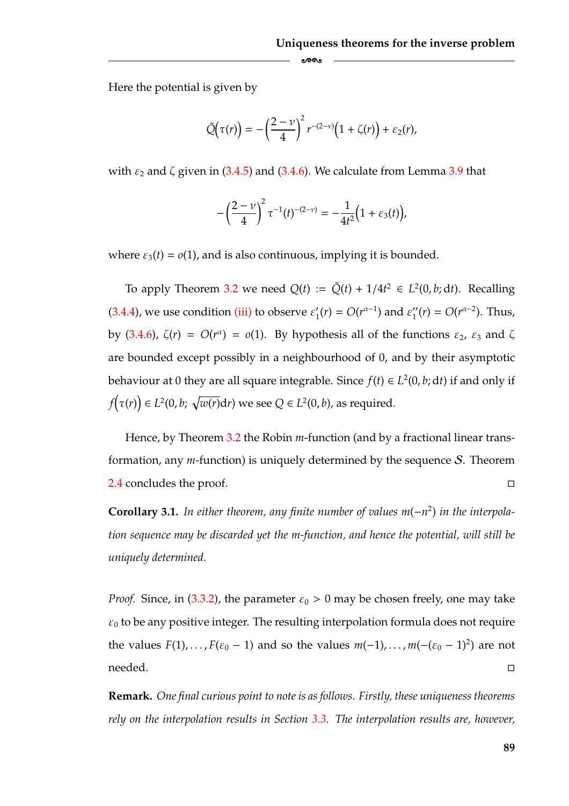Here the potential is given by

$$
\tilde{Q}(\tau(r)) = -\left(\frac{2-\nu}{4}\right)^2 r^{-(2-\nu)}\left(1+\zeta(r)\right) + \varepsilon_2(r),
$$

ക്ക

with  $\varepsilon_2$  and  $\zeta$  given in [\(3.4.5\)](#page-92-2) and [\(3.4.6\)](#page-92-1). We calculate from Lemma [3.9](#page-93-3) that

$$
-\left(\frac{2-\nu}{4}\right)^2\tau^{-1}(t)^{-(2-\nu)}=-\frac{1}{4t^2}\Big(1+\varepsilon_3(t)\Big),
$$

where  $\varepsilon_3(t) = o(1)$ , and is also continuous, implying it is bounded.

To apply Theorem [3.2](#page-86-2) we need  $Q(t) := \tilde{Q}(t) + 1/4t^2 \in L^2(0, b; dt)$ . Recalling [\(3.4.4\)](#page-92-0), we use condition [\(iii\)](#page-93-2) to observe  $\varepsilon'_1(r) = O(r^{\alpha-1})$  and  $\varepsilon''_1(r) = O(r^{\alpha-2})$ . Thus, by [\(3.4.6\)](#page-92-1),  $\zeta(r) = O(r^{\alpha}) = o(1)$ . By hypothesis all of the functions  $\varepsilon_2$ ,  $\varepsilon_3$  and  $\zeta$ are bounded except possibly in a neighbourhood of 0, and by their asymptotic behaviour at 0 they are all square integrable. Since  $f(t) \in L^2(0, b; dt)$  if and only if  $f\big(\tau(r)\big) \in L^2(0,b;\ \sqrt{w(r)}\text{d}r)$  we see  $Q \in L^2(0,b)$ , as required.

Hence, by Theorem [3.2](#page-86-2) the Robin *m*-function (and by a fractional linear transformation, any *m*-function) is uniquely determined by the sequence S. Theorem [2.4](#page-41-0) concludes the proof.  $\Box$ 

<span id="page-95-0"></span>**Corollary 3.1.** *In either theorem, any finite number of values m*(−*n*2) *in the interpolation sequence may be discarded yet the m-function, and hence the potential, will still be uniquely determined.*

*Proof.* Since, in [\(3.3.2\)](#page-77-3), the parameter  $\varepsilon_0 > 0$  may be chosen freely, one may take  $\varepsilon_0$  to be any positive integer. The resulting interpolation formula does not require the values  $F(1)$ , ...,  $F(\varepsilon_0 - 1)$  and so the values  $m(-1)$ , ...,  $m(-( \varepsilon_0 - 1)^2)$  are not needed. - $\Box$ 

**Remark.** *One final curious point to note is as follows. Firstly, these uniqueness theorems rely on the interpolation results in Section [3.3.](#page-74-0) The interpolation results are, however,*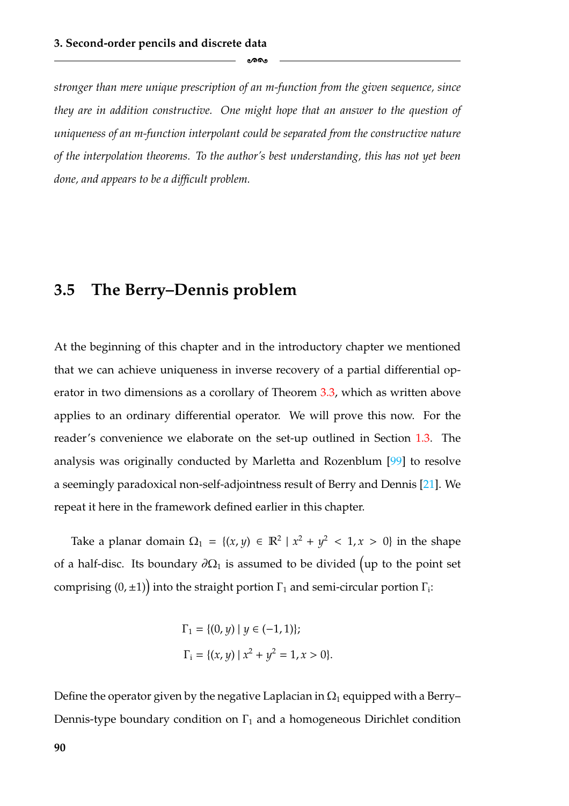*stronger than mere unique prescription of an m-function from the given sequence, since they are in addition constructive. One might hope that an answer to the question of uniqueness of an m-function interpolant could be separated from the constructive nature of the interpolation theorems. To the author's best understanding, this has not yet been done, and appears to be a difficult problem.*

-

#### **3.5 The Berry–Dennis problem**

At the beginning of this chapter and in the introductory chapter we mentioned that we can achieve uniqueness in inverse recovery of a partial differential operator in two dimensions as a corollary of Theorem [3.3,](#page-90-2) which as written above applies to an ordinary differential operator. We will prove this now. For the reader's convenience we elaborate on the set-up outlined in Section [1.3.](#page-19-0) The analysis was originally conducted by Marletta and Rozenblum [\[99\]](#page-185-4) to resolve a seemingly paradoxical non-self-adjointness result of Berry and Dennis [\[21\]](#page-180-0). We repeat it here in the framework defined earlier in this chapter.

Take a planar domain  $\Omega_1 = \{(x, y) \in \mathbb{R}^2 \mid x^2 + y^2 < 1, x > 0\}$  in the shape of a half-disc. Its boundary  $\partial\Omega_1$  is assumed to be divided (up to the point set comprising  $(0, \pm 1)$  into the straight portion  $\Gamma_1$  and semi-circular portion  $\Gamma_i$ :

$$
\Gamma_1 = \{(0, y) \mid y \in (-1, 1)\};
$$
  
\n
$$
\Gamma_i = \{(x, y) \mid x^2 + y^2 = 1, x > 0\}.
$$

Define the operator given by the negative Laplacian in  $\Omega_1$  equipped with a Berry– Dennis-type boundary condition on  $\Gamma_1$  and a homogeneous Dirichlet condition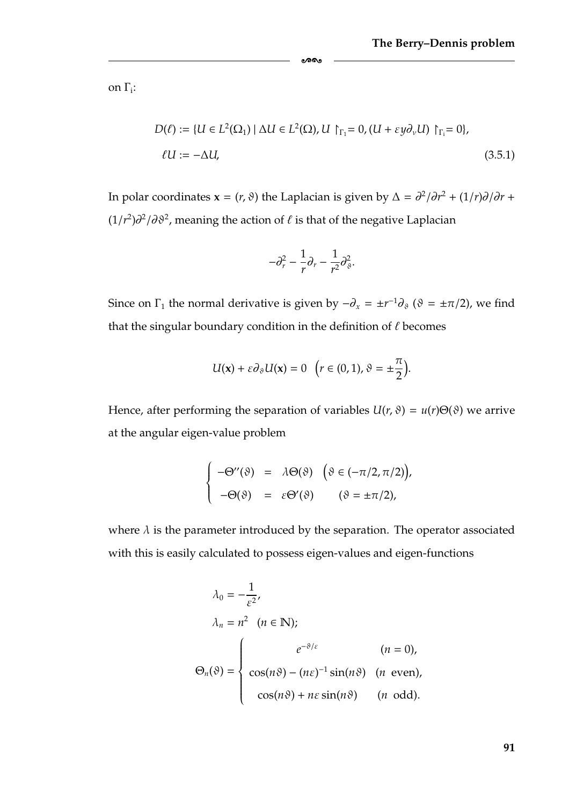on  $\Gamma_i$ :

$$
D(\ell) := \{ U \in L^{2}(\Omega_{1}) \mid \Delta U \in L^{2}(\Omega), U \upharpoonright_{\Gamma_{1}} = 0, (U + \varepsilon y \partial_{\nu} U) \upharpoonright_{\Gamma_{1}} = 0 \},
$$
  

$$
\ell U := -\Delta U,
$$
 (3.5.1)

In polar coordinates **x** = (*r*,  $\vartheta$ ) the Laplacian is given by  $\Delta = \frac{\partial^2}{\partial r^2} + \frac{1}{r}\frac{\partial}{\partial r} + \frac{1}{r^2}$ (1/*r*<sup>2</sup>) $\partial$ <sup>2</sup>/∂ $\vartheta$ <sup>2</sup>, meaning the action of  $\ell$  is that of the negative Laplacian

-

$$
-\partial_r^2 - \frac{1}{r}\partial_r - \frac{1}{r^2}\partial_\vartheta^2.
$$

Since on  $\Gamma_1$  the normal derivative is given by  $-\partial_x = \pm r^{-1}\partial_\vartheta$  ( $\vartheta = \pm \pi/2$ ), we find that the singular boundary condition in the definition of  $\ell$  becomes

$$
U(\mathbf{x}) + \varepsilon \partial_{\vartheta} U(\mathbf{x}) = 0 \quad \big( r \in (0, 1), \vartheta = \pm \frac{\pi}{2} \big).
$$

Hence, after performing the separation of variables  $U(r, \vartheta) = u(r) \Theta(\vartheta)$  we arrive at the angular eigen-value problem

$$
\begin{cases}\n-\Theta''(\vartheta) = \lambda \Theta(\vartheta) \quad (\vartheta \in (-\pi/2, \pi/2)), \\
-\Theta(\vartheta) = \varepsilon \Theta'(\vartheta) \quad (\vartheta = \pm \pi/2),\n\end{cases}
$$

where  $\lambda$  is the parameter introduced by the separation. The operator associated with this is easily calculated to possess eigen-values and eigen-functions

$$
\lambda_0 = -\frac{1}{\varepsilon^2},
$$
\n
$$
\lambda_n = n^2 \quad (n \in \mathbb{N});
$$
\n
$$
\Theta_n(\vartheta) = \begin{cases}\n e^{-\vartheta/\varepsilon} & (n = 0), \\
 \cos(n\vartheta) - (n\varepsilon)^{-1} \sin(n\vartheta) & (n \text{ even}), \\
 \cos(n\vartheta) + n\varepsilon \sin(n\vartheta) & (n \text{ odd}).\n\end{cases}
$$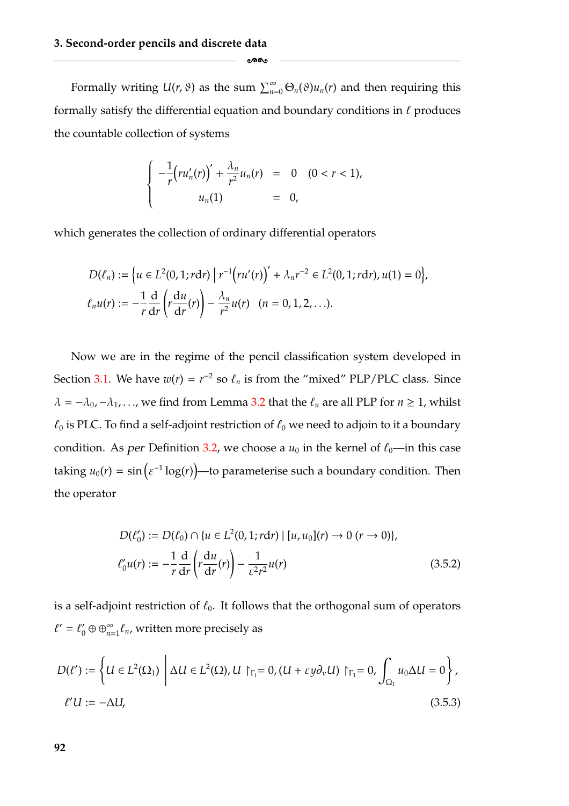Formally writing  $U(r,\vartheta)$  as the sum  $\sum_{n=0}^{\infty}\Theta_n(\vartheta)u_n(r)$  and then requiring this formally satisfy the differential equation and boundary conditions in  $\ell$  produces the countable collection of systems

-

$$
\begin{cases}\n-\frac{1}{r}(ru'_n(r))' + \frac{\lambda_n}{r^2}u_n(r) = 0 & (0 < r < 1), \\
u_n(1) = 0,\n\end{cases}
$$

which generates the collection of ordinary differential operators

$$
D(\ell_n) := \left\{ u \in L^2(0, 1; r \, dr) \mid r^{-1} \left( r u'(r) \right)' + \lambda_n r^{-2} \in L^2(0, 1; r \, dr), u(1) = 0 \right\},\
$$
  

$$
\ell_n u(r) := -\frac{1}{r} \frac{d}{dr} \left( r \frac{du}{dr}(r) \right) - \frac{\lambda_n}{r^2} u(r) \quad (n = 0, 1, 2, \ldots).
$$

Now we are in the regime of the pencil classification system developed in Section [3.1.](#page-57-1) We have  $w(r) = r^{-2}$  so  $\ell_n$  is from the "mixed" PLP/PLC class. Since  $\lambda = -\lambda_0, -\lambda_1, \ldots$ , we find from Lemma [3.2](#page-66-0) that the  $\ell_n$  are all PLP for  $n \ge 1$ , whilst  $\ell_0$  is PLC. To find a self-adjoint restriction of  $\ell_0$  we need to adjoin to it a boundary condition. As *per* Definition [3.2,](#page-61-1) we choose a  $u_0$  in the kernel of  $\ell_0$ —in this case taking  $u_0(r) = \sin(\varepsilon^{-1} \log(r))$ —to parameterise such a boundary condition. Then the operator

$$
D(\ell'_0) := D(\ell_0) \cap \{u \in L^2(0, 1; r dr) \mid [u, u_0](r) \to 0 \ (r \to 0)\},\
$$
  

$$
\ell'_0 u(r) := -\frac{1}{r} \frac{d}{dr} \left(r \frac{du}{dr}(r)\right) - \frac{1}{\varepsilon^2 r^2} u(r) \tag{3.5.2}
$$

is a self-adjoint restriction of  $\ell_0$ . It follows that the orthogonal sum of operators  $\ell' = \ell'_0 \oplus \bigoplus_{n=1}^{\infty} \ell_n$ , written more precisely as

$$
D(\ell') := \left\{ U \in L^{2}(\Omega_{1}) \mid \Delta U \in L^{2}(\Omega), U \upharpoonright_{\Gamma_{1}} = 0, (U + \varepsilon y \partial_{\nu} U) \upharpoonright_{\Gamma_{1}} = 0, \int_{\Omega_{1}} u_{0} \Delta U = 0 \right\},\
$$
  

$$
\ell'U := -\Delta U,\tag{3.5.3}
$$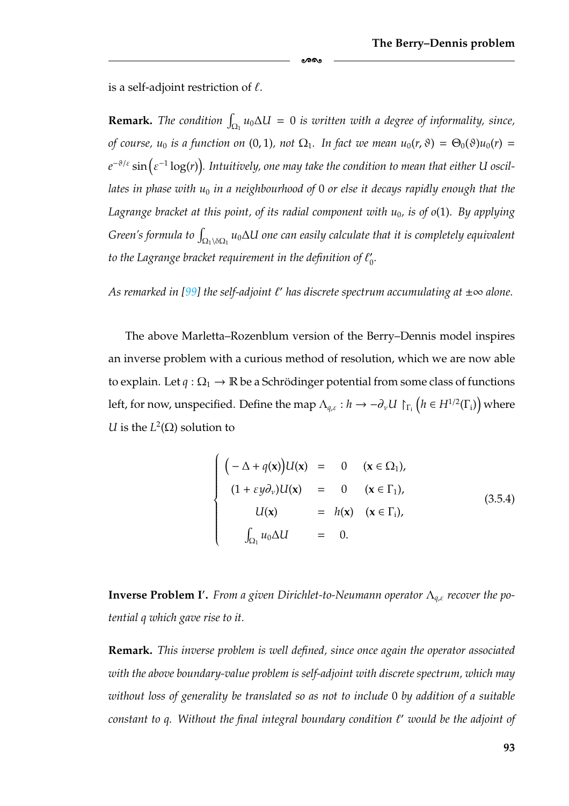is a self-adjoint restriction of  $\ell$ .

**Remark.** The condition  $\int_{\Omega_1} u_0 \Delta U = 0$  is written with a degree of informality, since, *of course, u*<sub>0</sub> *is a function on* (0, 1), not  $\Omega_1$ *. In fact we mean*  $u_0(r, \vartheta) = \Theta_0(\vartheta)u_0(r)$  = *<sup>e</sup>*<sup>−</sup>ϑ/ε sin ε<sup>−</sup><sup>1</sup> log(*r*) *. Intuitively, one may take the condition to mean that either U oscil*lates in phase with u<sub>0</sub> in a neighbourhood of 0 or else it decays rapidly enough that the *Lagrange bracket at this point, of its radial component with u*0*, is of o*(1)*. By applying*  $G$ reen's formula to  $\int_{\Omega_1 \backslash \delta\Omega_1} u_0 \Delta U$  one can easily calculate that it is completely equivalent to the Lagrange bracket requirement in the definition of  $\ell_0'$ .

കൈ

*As remarked in [\[99\]](#page-185-4)* the self-adjoint  $\ell'$  has discrete spectrum accumulating at  $\pm \infty$  alone.

The above Marletta–Rozenblum version of the Berry–Dennis model inspires an inverse problem with a curious method of resolution, which we are now able to explain. Let  $q : \Omega_1 \to \mathbb{R}$  be a Schrödinger potential from some class of functions left, for now, unspecified. Define the map  $\Lambda_{q,\varepsilon}: h \to -\partial_\nu U\restriction_{\Gamma_{\bf i}} \bigl(h\in H^{1/2}(\Gamma_{\bf i})\bigr)$  where *U* is the  $L^2(\Omega)$  solution to

<span id="page-99-0"></span>
$$
\begin{cases}\n(-\Delta + q(\mathbf{x}))U(\mathbf{x}) = 0 & (\mathbf{x} \in \Omega_1), \\
(1 + \varepsilon y \partial_v)U(\mathbf{x}) = 0 & (\mathbf{x} \in \Gamma_1), \\
U(\mathbf{x}) = h(\mathbf{x}) & (\mathbf{x} \in \Gamma_1), \\
\int_{\Omega_1} u_0 \Delta U = 0.\n\end{cases}
$$
\n(3.5.4)

**Inverse Problem I .** *From a given Dirichlet-to-Neumann operator* Λ*<sup>q</sup>*,ε *recover the potential q which gave rise to it.*

**Remark.** *This inverse problem is well defined, since once again the operator associated with the above boundary-value problem is self-adjoint with discrete spectrum, which may without loss of generality be translated so as not to include* 0 *by addition of a suitable constant to q. Without the final integral boundary condition*  $\ell'$  *would be the adjoint of*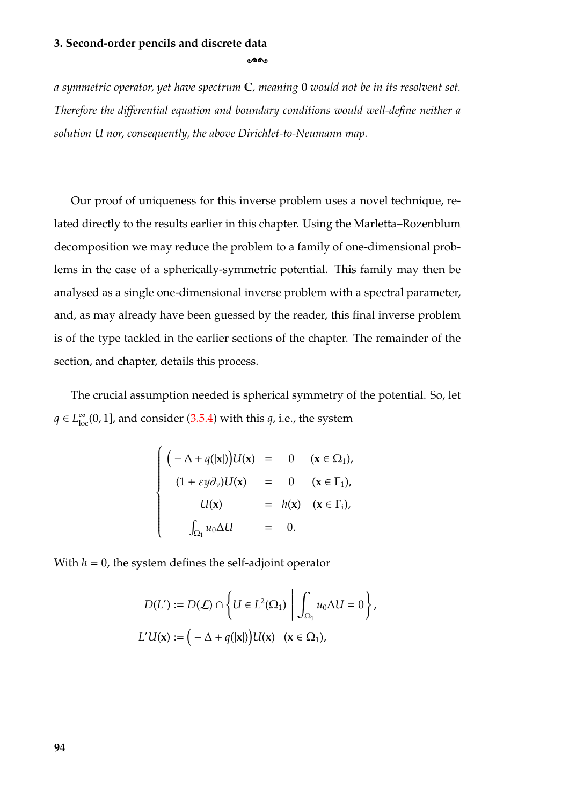*a symmetric operator, yet have spectrum* C*, meaning* 0 *would not be in its resolvent set. Therefore the differential equation and boundary conditions would well-define neither a solution U nor, consequently, the above Dirichlet-to-Neumann map.*

-

Our proof of uniqueness for this inverse problem uses a novel technique, related directly to the results earlier in this chapter. Using the Marletta–Rozenblum decomposition we may reduce the problem to a family of one-dimensional problems in the case of a spherically-symmetric potential. This family may then be analysed as a single one-dimensional inverse problem with a spectral parameter, and, as may already have been guessed by the reader, this final inverse problem is of the type tackled in the earlier sections of the chapter. The remainder of the section, and chapter, details this process.

The crucial assumption needed is spherical symmetry of the potential. So, let *q* ∈  $L^{\infty}_{loc}(0, 1]$ , and consider [\(3.5.4\)](#page-99-0) with this *q*, i.e., the system

$$
\begin{cases}\n(-\Delta + q(|\mathbf{x}|))U(\mathbf{x}) = 0 & (\mathbf{x} \in \Omega_1), \\
(1 + \varepsilon y \partial_v)U(\mathbf{x}) = 0 & (\mathbf{x} \in \Gamma_1), \\
U(\mathbf{x}) = h(\mathbf{x}) & (\mathbf{x} \in \Gamma_i), \\
\int_{\Omega_1} u_0 \Delta U = 0.\n\end{cases}
$$

With  $h = 0$ , the system defines the self-adjoint operator

$$
D(L') := D(\mathcal{L}) \cap \left\{ U \in L^{2}(\Omega_{1}) \mid \int_{\Omega_{1}} u_{0} \Delta U = 0 \right\},\
$$
  

$$
L'U(\mathbf{x}) := \left( -\Delta + q(|\mathbf{x}|) \right) U(\mathbf{x}) \quad (\mathbf{x} \in \Omega_{1}),\
$$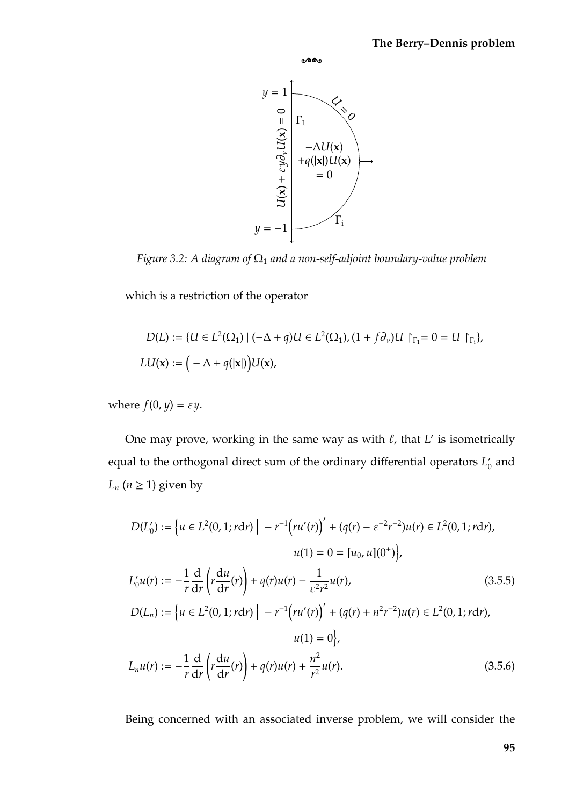

-

*Figure 3.2: A diagram of*  $Ω<sub>1</sub>$  *and a non-self-adjoint boundary-value problem* 

which is a restriction of the operator

$$
D(L) := \{ U \in L^{2}(\Omega_{1}) \mid (-\Delta + q)U \in L^{2}(\Omega_{1}), (1 + f\partial_{\nu})U \upharpoonright_{\Gamma_{1}} = 0 = U \upharpoonright_{\Gamma_{1}}\},\
$$
  

$$
LU(\mathbf{x}) := \left( -\Delta + q(|\mathbf{x}|) \right) U(\mathbf{x}),
$$

where  $f(0, y) = \varepsilon y$ .

One may prove, working in the same way as with  $\ell$ , that  $L'$  is isometrically equal to the orthogonal direct sum of the ordinary differential operators  $L'_0$  and *L<sub>n</sub>* ( $n \geq 1$ ) given by

$$
D(L'_0) := \left\{ u \in L^2(0, 1; r \, dr) \mid -r^{-1} \left( ru'(r) \right)' + \left( q(r) - \varepsilon^{-2} r^{-2} \right) u(r) \in L^2(0, 1; r \, dr), \right\}
$$
\n
$$
u(1) = 0 = \left[ u_0, u \right](0^+) \right\},
$$
\n
$$
L'_0 u(r) := -\frac{1}{r} \frac{d}{dr} \left( r \frac{du}{dr}(r) \right) + q(r) u(r) - \frac{1}{\varepsilon^2 r^2} u(r), \qquad (3.5.5)
$$
\n
$$
D(L_n) := \left\{ u \in L^2(0, 1; r \, dr) \mid -r^{-1} \left( ru'(r) \right)' + \left( q(r) + n^2 r^{-2} \right) u(r) \in L^2(0, 1; r \, dr), \right\}
$$
\n
$$
u(1) = 0 \right\},
$$
\n
$$
L_n u(r) := -\frac{1}{r} \frac{d}{dr} \left( r \frac{du}{dr}(r) \right) + q(r) u(r) + \frac{n^2}{r^2} u(r).
$$
\n
$$
(3.5.6)
$$

Being concerned with an associated inverse problem, we will consider the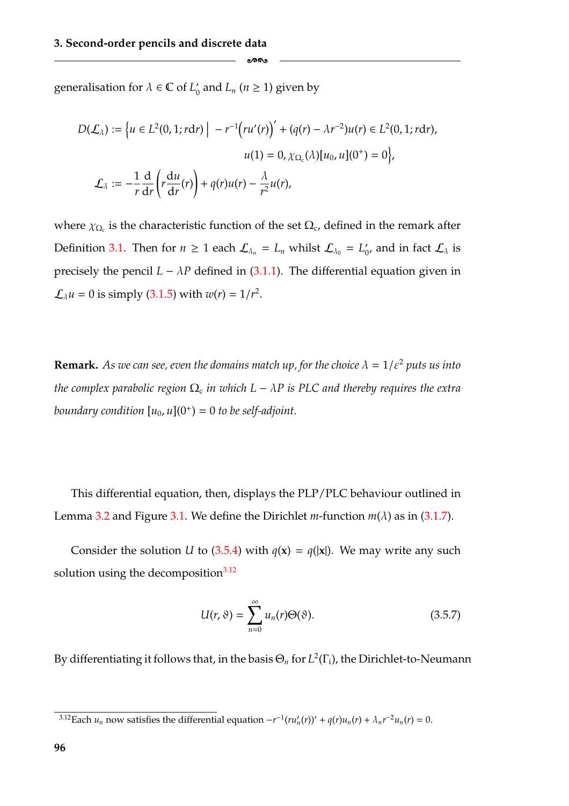generalisation for  $\lambda \in \mathbb{C}$  of  $L'_0$  and  $L_n$  ( $n \geq 1$ ) given by

$$
D(\mathcal{L}_{\lambda}) := \left\{ u \in L^{2}(0, 1; r dr) \mid -r^{-1} \left( ru'(r) \right)' + (q(r) - \lambda r^{-2}) u(r) \in L^{2}(0, 1; r dr), \right\}
$$

$$
u(1) = 0, \chi_{\Omega_{c}}(\lambda) [u_{0}, u](0^{+}) = 0 \right\},
$$

$$
\mathcal{L}_{\lambda} := -\frac{1}{r} \frac{d}{dr} \left( r \frac{du}{dr}(r) \right) + q(r) u(r) - \frac{\lambda}{r^{2}} u(r),
$$

-

where  $\chi_{\Omega_c}$  is the characteristic function of the set  $\Omega_c$ , defined in the remark after Definition [3.1.](#page-59-1) Then for  $n \geq 1$  each  $\mathcal{L}_{\lambda_n} = L_n$  whilst  $\mathcal{L}_{\lambda_0} = L'_0$ , and in fact  $\mathcal{L}_{\lambda}$  is precisely the pencil  $L - \lambda P$  defined in [\(3.1.1\)](#page-57-0). The differential equation given in  $\mathcal{L}_{\lambda} u = 0$  is simply [\(3.1.5\)](#page-59-0) with  $w(r) = 1/r^2$ .

**Remark.** *As we can see, even the domains match up, for the choice*  $\lambda = 1/\varepsilon^2$  *puts us into the complex parabolic region*  $\Omega_c$  *in which*  $L - \lambda P$  *is PLC and thereby requires the extra boundary condition*  $[u_0, u](0^+) = 0$  *to be self-adjoint.* 

This differential equation, then, displays the PLP/PLC behaviour outlined in Lemma [3.2](#page-66-0) and Figure [3.1.](#page-60-0) We define the Dirichlet *m*-function  $m(\lambda)$  as in [\(3.1.7\)](#page-62-0).

Consider the solution *U* to [\(3.5.4\)](#page-99-0) with  $q(x) = q(|x|)$ . We may write any such solution using the decomposition $3.12$ 

$$
U(r,\vartheta) = \sum_{n=0}^{\infty} u_n(r)\Theta(\vartheta).
$$
 (3.5.7)

By differentiating it follows that, in the basis Θ*<sup>n</sup>* for *L*2(Γi), the Dirichlet-to-Neumann

<span id="page-102-0"></span><sup>&</sup>lt;sup>3.12</sup>Each  $u_n$  now satisfies the differential equation  $-r^{-1}(ru'_n(r))' + q(r)u_n(r) + \lambda_n r^{-2}u_n(r) = 0$ .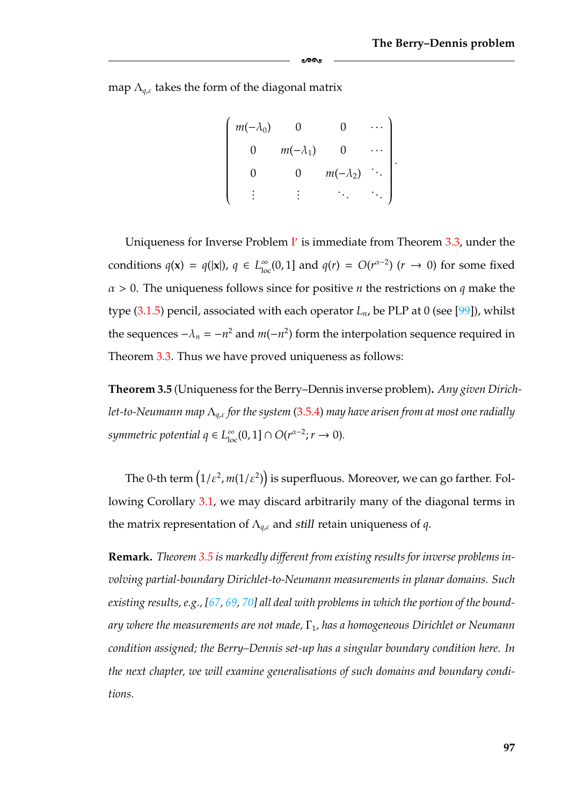map  $\Lambda_{q,\varepsilon}$  takes the form of the diagonal matrix

$$
\begin{pmatrix}\nm(-\lambda_0) & 0 & 0 & \cdots \\
0 & m(-\lambda_1) & 0 & \cdots \\
0 & 0 & m(-\lambda_2) & \cdots \\
\vdots & \vdots & \ddots & \ddots\n\end{pmatrix}.
$$

-

Uniqueness for [I](#page-63-0)nverse Problem  $\mathbf{I}'$  is immediate from Theorem [3.3,](#page-90-2) under the conditions  $q(\mathbf{x}) = q(|\mathbf{x}|)$ ,  $q \in L^{\infty}_{loc}(0, 1]$  and  $q(r) = O(r^{\alpha-2})$  ( $r \to 0$ ) for some fixed α > 0. The uniqueness follows since for positive *n* the restrictions on *q* make the type  $(3.1.5)$  pencil, associated with each operator  $L_n$ , be PLP at 0 (see [\[99\]](#page-185-4)), whilst the sequences  $-\lambda_n = -n^2$  and  $m(-n^2)$  form the interpolation sequence required in Theorem [3.3.](#page-90-2) Thus we have proved uniqueness as follows:

<span id="page-103-0"></span>**Theorem 3.5** (Uniqueness for the Berry–Dennis inverse problem)**.** *Any given Dirichlet-to-Neumann map* Λ*<sup>q</sup>*,ε *for the system* [\(3.5.4\)](#page-99-0) *may have arisen from at most one radially symmetric potential*  $q \in L^{\infty}_{loc}(0, 1] \cap O(r^{\alpha-2}; r \to 0)$ *.* 

The 0-th term  $(1/\varepsilon^2, m(1/\varepsilon^2))$  is superfluous. Moreover, we can go farther. Following Corollary [3.1,](#page-95-0) we may discard arbitrarily many of the diagonal terms in the matrix representation of Λ*<sup>q</sup>*,ε and *still* retain uniqueness of *q*.

**Remark.** *Theorem [3.5](#page-103-0) is markedly different from existing results for inverse problems involving partial-boundary Dirichlet-to-Neumann measurements in planar domains. Such existing results, e.g., [\[67,](#page-183-1) [69,](#page-183-0) [70\]](#page-184-0) all deal with problems in which the portion of the boundary where the measurements are not made,* Γ1*, has a homogeneous Dirichlet or Neumann condition assigned; the Berry–Dennis set-up has a singular boundary condition here. In the next chapter, we will examine generalisations of such domains and boundary conditions.*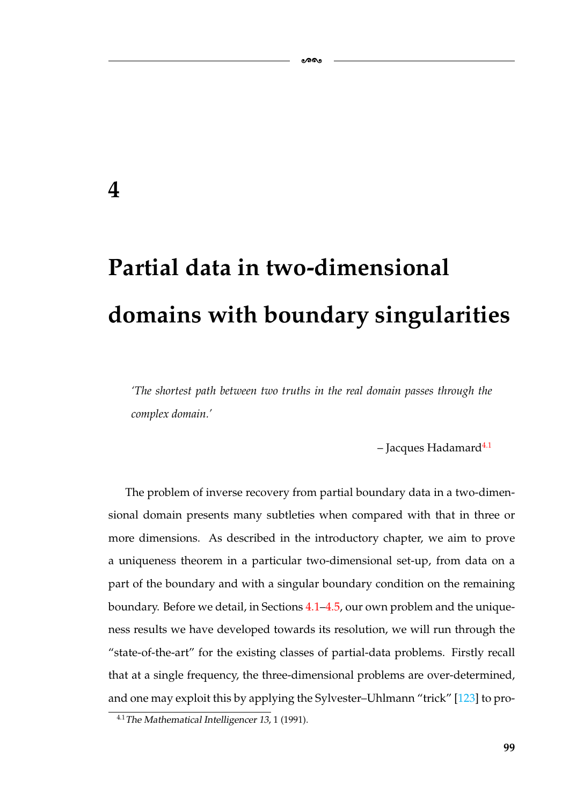## **4**

# **Partial data in two-dimensional domains with boundary singularities**

ക്ക

*'The shortest path between two truths in the real domain passes through the complex domain.'*

 $-$  Jacques Hadamard<sup>4.1</sup>

The problem of inverse recovery from partial boundary data in a two-dimensional domain presents many subtleties when compared with that in three or more dimensions. As described in the introductory chapter, we aim to prove a uniqueness theorem in a particular two-dimensional set-up, from data on a part of the boundary and with a singular boundary condition on the remaining boundary. Before we detail, in Sections [4.1–](#page-114-0)[4.5,](#page-130-0) our own problem and the uniqueness results we have developed towards its resolution, we will run through the "state-of-the-art" for the existing classes of partial-data problems. Firstly recall that at a single frequency, the three-dimensional problems are over-determined, and one may exploit this by applying the Sylvester–Uhlmann "trick" [\[123\]](#page-187-5) to pro-

<span id="page-105-0"></span><sup>4.1</sup>*The Mathematical Intelligencer <sup>13</sup>*, 1 (1991).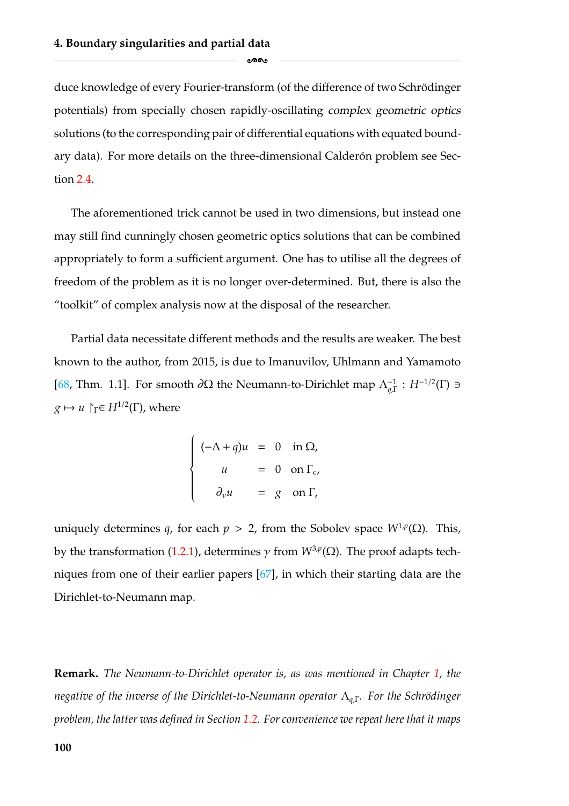duce knowledge of every Fourier-transform (of the difference of two Schrödinger potentials) from specially chosen rapidly-oscillating *complex geometric optics* solutions (to the corresponding pair of differential equations with equated boundary data). For more details on the three-dimensional Calderón problem see Section [2.4.](#page-43-0)

-

The aforementioned trick cannot be used in two dimensions, but instead one may still find cunningly chosen geometric optics solutions that can be combined appropriately to form a sufficient argument. One has to utilise all the degrees of freedom of the problem as it is no longer over-determined. But, there is also the "toolkit" of complex analysis now at the disposal of the researcher.

Partial data necessitate different methods and the results are weaker. The best known to the author, from 2015, is due to Imanuvilov, Uhlmann and Yamamoto [\[68,](#page-183-2) Thm. 1.1]. For smooth  $\partial\Omega$  the Neumann-to-Dirichlet map  $\Lambda_{q,\Gamma}^{-1}$  :  $H^{-1/2}(\Gamma)$  ∋  $g \mapsto u \upharpoonright_{\Gamma} \in H^{1/2}(\Gamma)$ , where

$$
\begin{cases}\n(-\Delta + q)u = 0 & \text{in } \Omega, \\
u = 0 & \text{on } \Gamma_c, \\
\partial_\nu u = g & \text{on } \Gamma,\n\end{cases}
$$

uniquely determines *q*, for each  $p > 2$ , from the Sobolev space  $W^{1,p}(\Omega)$ . This, by the transformation [\(1.2.1\)](#page-13-1), determines  $\gamma$  from *W*<sup>3,*p*</sup>(Ω). The proof adapts techniques from one of their earlier papers [\[67\]](#page-183-1), in which their starting data are the Dirichlet-to-Neumann map.

**Remark.** *The Neumann-to-Dirichlet operator is, as was mentioned in Chapter [1,](#page-7-0) the negative of the inverse of the Dirichlet-to-Neumann operator*  $Λ<sub>α,Γ</sub>$ *. For the Schrödinger problem, the latter was defined in Section [1.2.](#page-13-0) For convenience we repeat here that it maps*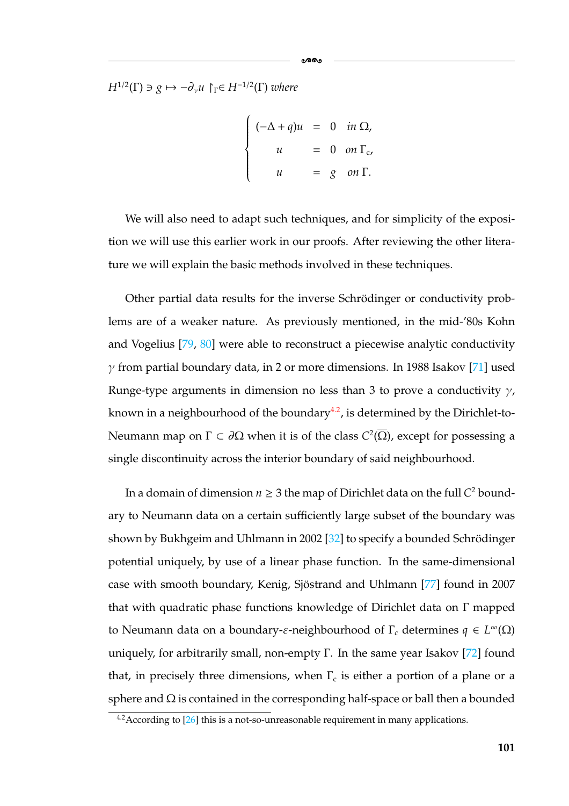*H*<sup>1/2</sup>(Γ)  $\exists$  *g*  $\mapsto -\partial_{\nu}u$   $\upharpoonright$ <sub>*Γ*</sub>∈ *H*<sup>-1/2</sup>(Γ) *where* 

$$
\begin{cases}\n(-\Delta + q)u = 0 & \text{in } \Omega, \\
u = 0 & \text{on } \Gamma_c, \\
u = g & \text{on } \Gamma.\n\end{cases}
$$

ೂನ

We will also need to adapt such techniques, and for simplicity of the exposition we will use this earlier work in our proofs. After reviewing the other literature we will explain the basic methods involved in these techniques.

Other partial data results for the inverse Schrödinger or conductivity problems are of a weaker nature. As previously mentioned, in the mid-'80s Kohn and Vogelius [\[79,](#page-184-5) [80\]](#page-184-4) were able to reconstruct a piecewise analytic conductivity  $\gamma$  from partial boundary data, in 2 or more dimensions. In 1988 Isakov [\[71\]](#page-184-3) used Runge-type arguments in dimension no less than 3 to prove a conductivity  $\gamma$ , known in a neighbourhood of the boundary<sup>4.2</sup>, is determined by the Dirichlet-to-Neumann map on Γ ⊂ ∂Ω when it is of the class  $C^2(\overline{\Omega})$ , except for possessing a single discontinuity across the interior boundary of said neighbourhood.

In a domain of dimension  $n \geq 3$  the map of Dirichlet data on the full  $C^2$  boundary to Neumann data on a certain sufficiently large subset of the boundary was shown by Bukhgeim and Uhlmann in 2002 [\[32\]](#page-181-5) to specify a bounded Schrödinger potential uniquely, by use of a linear phase function. In the same-dimensional case with smooth boundary, Kenig, Sjöstrand and Uhlmann [[77\]](#page-184-2) found in 2007 that with quadratic phase functions knowledge of Dirichlet data on Γ mapped to Neumann data on a boundary-ε-neighbourhood of Γ*<sup>c</sup>* determines *q* ∈ *L*∞(Ω) uniquely, for arbitrarily small, non-empty  $\Gamma$ . In the same year Isakov [\[72\]](#page-184-1) found that, in precisely three dimensions, when  $\Gamma_c$  is either a portion of a plane or a sphere and  $\Omega$  is contained in the corresponding half-space or ball then a bounded

<span id="page-107-0"></span> $4.2$  According to  $[26]$  this is a not-so-unreasonable requirement in many applications.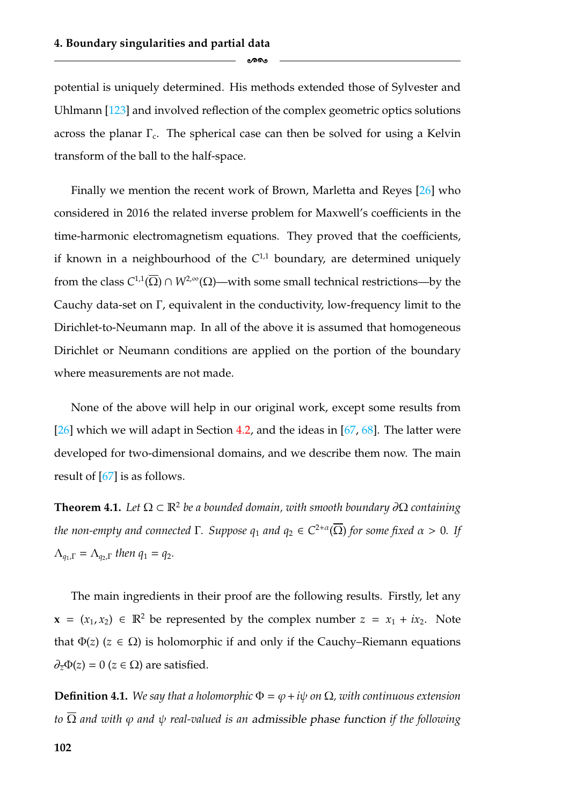potential is uniquely determined. His methods extended those of Sylvester and Uhlmann [\[123\]](#page-187-0) and involved reflection of the complex geometric optics solutions across the planar  $\Gamma_c$ . The spherical case can then be solved for using a Kelvin transform of the ball to the half-space.

ക്കം

Finally we mention the recent work of Brown, Marletta and Reyes [\[26\]](#page-181-0) who considered in 2016 the related inverse problem for Maxwell's coefficients in the time-harmonic electromagnetism equations. They proved that the coefficients, if known in a neighbourhood of the  $C^{1,1}$  boundary, are determined uniquely from the class  $C^{1,1}(\overline{\Omega}) \cap W^{2,\infty}(\Omega)$ —with some small technical restrictions—by the Cauchy data-set on Γ, equivalent in the conductivity, low-frequency limit to the Dirichlet-to-Neumann map. In all of the above it is assumed that homogeneous Dirichlet or Neumann conditions are applied on the portion of the boundary where measurements are not made.

None of the above will help in our original work, except some results from [\[26\]](#page-181-0) which we will adapt in Section [4.2,](#page-120-0) and the ideas in [\[67,](#page-183-0) [68\]](#page-183-1). The latter were developed for two-dimensional domains, and we describe them now. The main result of [\[67\]](#page-183-0) is as follows.

<span id="page-108-0"></span>**Theorem 4.1.** *Let*  $\Omega \subset \mathbb{R}^2$  *be a bounded domain, with smooth boundary*  $\partial\Omega$  *containing the non-empty and connected*  $\Gamma$ *. Suppose*  $q_1$  *and*  $q_2 \in C^{2+\alpha}(\overline{\Omega})$  *for some fixed*  $\alpha > 0$ *. If*  $Λ_{q_1,Γ} = Λ_{q_2,Γ}$  *then*  $q_1 = q_2$ .

The main ingredients in their proof are the following results. Firstly, let any **x** = ( $x_1, x_2$ ) ∈ R<sup>2</sup> be represented by the complex number  $z = x_1 + ix_2$ . Note that  $\Phi(z)$  ( $z \in \Omega$ ) is holomorphic if and only if the Cauchy–Riemann equations  $\partial_{\overline{z}}\Phi(z) = 0$  ( $z \in \Omega$ ) are satisfied.

**Definition 4.1.** *We say that a holomorphic*  $\Phi = \varphi + i\psi$  *on*  $\Omega$ *, with continuous extension to*  $\overline{\Omega}$  *and with*  $\varphi$  *and*  $\psi$  *real-valued is an admissible phase function if the following*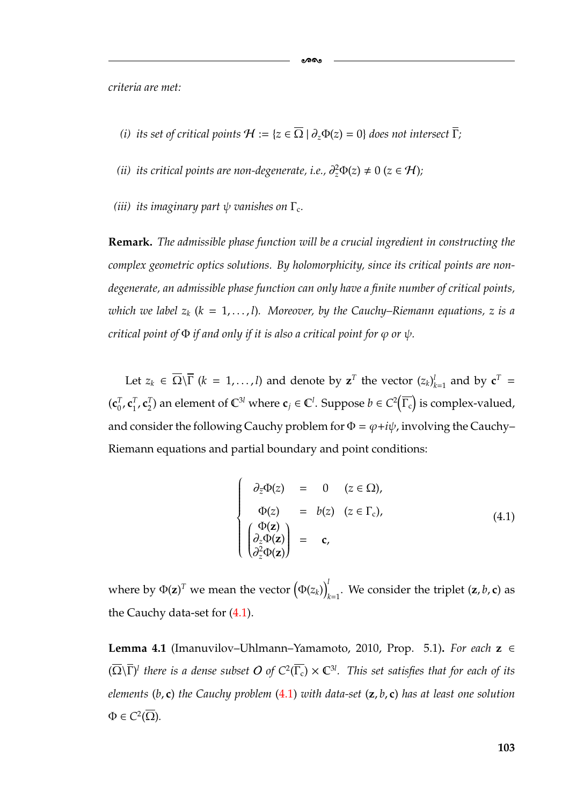*criteria are met:*

*(i) its set of critical points*  $H := \{z \in \overline{\Omega} \mid \partial_z \Phi(z) = 0\}$  *does not intersect*  $\overline{\Gamma}$ *;* 

-

- (*ii*) its critical points are non-degenerate, i.e.,  $\partial_z^2 \Phi(z) \neq 0$  (*z* ∈ H);
- *(iii)* its imaginary part  $\psi$  vanishes on  $\Gamma_c$ .

**Remark.** *The admissible phase function will be a crucial ingredient in constructing the complex geometric optics solutions. By holomorphicity, since its critical points are nondegenerate, an admissible phase function can only have a finite number of critical points, which we label*  $z_k$  ( $k = 1, \ldots, l$ ). Moreover, by the Cauchy–Riemann equations, z is a *critical point of*  $\Phi$  *if and only if it is also a critical point for*  $\varphi$  *or*  $\psi$ *.* 

Let  $z_k \in \overline{\Omega} \setminus \overline{\Gamma}$  ( $k = 1, ..., l$ ) and denote by  $z^T$  the vector  $(z_k)_{k=1}^l$  and by  $c^T =$  $(c_0^T, c_1^T, c_2^T)$  an element of  $\mathbb{C}^{3l}$  where  $c_j \in \mathbb{C}^l$ . Suppose  $b \in C^2$  $\Gamma_\mathrm{c}$ is complex-valued. and consider the following Cauchy problem for  $\Phi = \varphi + i\psi$ , involving the Cauchy-Riemann equations and partial boundary and point conditions:

<span id="page-109-0"></span>
$$
\begin{cases}\n\partial_{\overline{z}}\Phi(z) = 0 & (z \in \Omega), \\
\Phi(z) = b(z) & (z \in \Gamma_c), \\
\begin{pmatrix} \Phi(z) \\
\partial_z \Phi(z) \\
\partial_z^2 \Phi(z) \end{pmatrix} = \mathbf{c},\n\end{cases}
$$
\n(4.1)

where by  $\Phi(\mathbf{z})^T$  we mean the vector  $\big(\Phi(z_k)\big)_{k=1}^T$  $\int_{k=1}^{L}$ . We consider the triplet  $(z, b, c)$  as the Cauchy data-set for  $(4.1)$ .

<span id="page-109-1"></span>**Lemma 4.1** (Imanuvilov–Uhlmann–Yamamoto, 2010, Prop. 5.1)**.** *For each* **z** ∈  $(\overline{\Omega}\backslash\overline{\Gamma})^l$  *there is a dense subset O of C*<sup>2</sup>( $\overline{\Gamma_c}$ )  $\times$  C<sup>31</sup>. This set satisfies that for each of its *elements* (*b*, **c**) *the Cauchy problem* [\(4.1\)](#page-109-0) *with data-set* (**z**, *b*, **c**) *has at least one solution*  $\Phi \in C^2(\overline{\Omega})$ .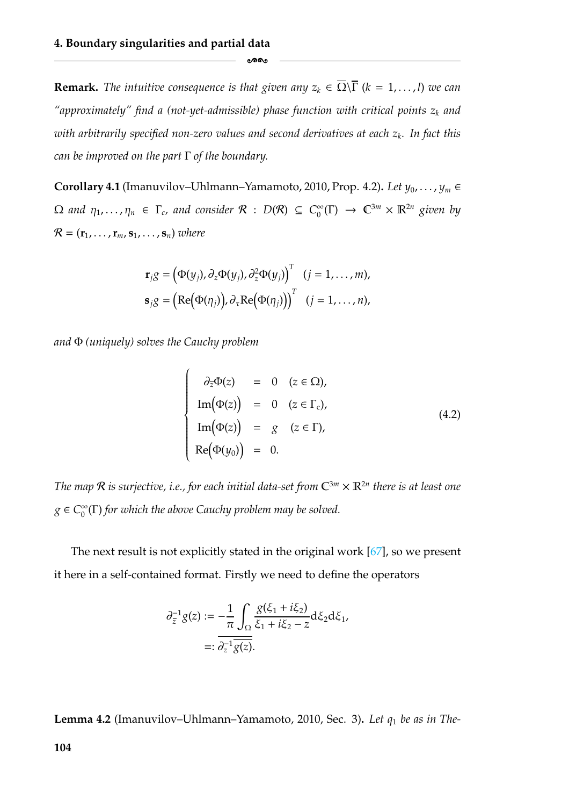**Remark.** *The intuitive consequence is that given any*  $z_k \in \overline{\Omega} \setminus \overline{\Gamma}$  ( $k = 1, ..., l$ ) *we can* "approximately" find a (not-yet-admissible) phase function with critical points  $z_k$  and *with arbitrarily specified non-zero values and second derivatives at each z<sub>k</sub>. In fact this can be improved on the part* Γ *of the boundary.*

ക്കം

<span id="page-110-1"></span>**Corollary 4.1** (Imanuvilov–Uhlmann–Yamamoto, 2010, Prop. 4.2). *Let*  $y_0, \ldots, y_m \in$  $\Omega$  and  $\eta_1, \ldots, \eta_n \in \Gamma_c$ , and consider  $\mathcal{R}$  :  $D(\mathcal{R}) \subseteq C_0^{\infty}(\Gamma) \to \mathbb{C}^{3m} \times \mathbb{R}^{2n}$  given by  $\mathcal{R} = (\mathbf{r}_1, \dots, \mathbf{r}_m, \mathbf{s}_1, \dots, \mathbf{s}_n)$  *where* 

$$
\mathbf{r}_j g = (\Phi(y_j), \partial_z \Phi(y_j), \partial_z^2 \Phi(y_j))^{T} \quad (j = 1, ..., m),
$$
  

$$
\mathbf{s}_j g = (\text{Re}(\Phi(\eta_j)), \partial_\tau \text{Re}(\Phi(\eta_j)))^{T} \quad (j = 1, ..., n),
$$

*and* Φ *(uniquely) solves the Cauchy problem*

 $\overline{1}$ 

 $\begin{cases} \frac{1}{2} & \text{if } 0 \leq x \leq 1 \\ \frac{1}{2} & \text{if } 0 \leq x \leq 1 \end{cases}$ 

 $\begin{array}{c} \begin{array}{c} \begin{array}{c} \end{array} \\ \begin{array}{c} \end{array} \end{array} \end{array}$ 

 $\begin{array}{c} \n\end{array}$ 

$$
\partial_{\overline{z}}\Phi(z) = 0 \quad (z \in \Omega),
$$
  
\n
$$
\text{Im}(\Phi(z)) = 0 \quad (z \in \Gamma_c),
$$
  
\n
$$
\text{Im}(\Phi(z)) = g \quad (z \in \Gamma),
$$
  
\n
$$
\text{Re}(\Phi(y_0)) = 0.
$$
\n(4.2)

*The map*  $\mathcal R$  *is surjective, i.e., for each initial data-set from*  $\mathbb C^{3m} \times \mathbb R^{2n}$  *there is at least one*  $g \in C_0^{\infty}(\Gamma)$  *for which the above Cauchy problem may be solved.* 

The next result is not explicitly stated in the original work [\[67\]](#page-183-0), so we present it here in a self-contained format. Firstly we need to define the operators

$$
\partial_{\overline{z}}^{-1} g(z) := -\frac{1}{\pi} \int_{\Omega} \frac{g(\xi_1 + i\xi_2)}{\xi_1 + i\xi_2 - z} d\xi_2 d\xi_1, \n=: \overline{\partial_z^{-1} \overline{g(z)}}.
$$

<span id="page-110-0"></span>**Lemma 4.2** (Imanuvilov–Uhlmann–Yamamoto, 2010, Sec. 3)**.** *Let q*<sup>1</sup> *be as in The-*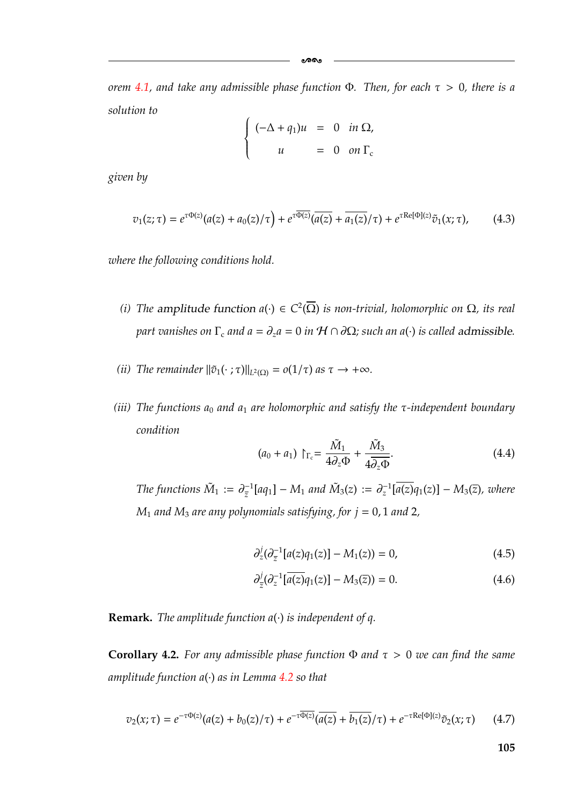ക്ക

*orem [4.1,](#page-108-0) and take any admissible phase function* Φ*. Then, for each* τ > 0*, there is a solution to*  $\overline{1}$ 

$$
\begin{cases}\n(-\Delta + q_1)u = 0 & \text{in } \Omega, \\
u = 0 & \text{on } \Gamma_c\n\end{cases}
$$

*given by*

<span id="page-111-1"></span>
$$
v_1(z;\tau) = e^{\tau \Phi(z)}(a(z) + a_0(z)/\tau) + e^{\tau \overline{\Phi(z)}}(\overline{a(z)} + \overline{a_1(z)}/\tau) + e^{\tau \text{Re}[\Phi](z)}\tilde{v}_1(x;\tau), \quad (4.3)
$$

*where the following conditions hold.*

- <span id="page-111-6"></span>*(i)* The amplitude function  $a(\cdot) \in C^2(\overline{\Omega})$  is non-trivial, holomorphic on  $\Omega$ , its real *part vanishes on*  $\Gamma_c$  *and*  $a = \partial_z a = 0$  *in*  $H \cap \partial\Omega$ *; such an*  $a(\cdot)$  *is called admissible.*
- *(ii) The remainder*  $\|\tilde{v}_1(\cdot;\tau)\|_{L^2(\Omega)} = o(1/\tau)$  *as*  $\tau \to +\infty$ *.*
- *(iii) The functions a*<sup>0</sup> *and a*<sup>1</sup> *are holomorphic and satisfy the* τ*-independent boundary condition*

<span id="page-111-5"></span>
$$
(a_0 + a_1) \upharpoonright_{\Gamma_c} = \frac{\tilde{M}_1}{4\partial_z \Phi} + \frac{\tilde{M}_3}{4\overline{\partial_z \Phi}}.
$$
\n(4.4)

*The functions*  $\tilde{M}_1 := \partial_{\overline{z}}^{-1}[aq_1] - M_1$  and  $\tilde{M}_3(z) := \partial_z^{-1}[\overline{a(z)}q_1(z)] - M_3(\overline{z})$ , where  $M_1$  *and*  $M_3$  *are any polynomials satisfying, for*  $j = 0, 1$  *and* 2*,* 

<span id="page-111-4"></span>
$$
\partial_z^j (\partial_{\overline{z}}^{-1}[a(z)q_1(z)] - M_1(z)) = 0, \qquad (4.5)
$$

<span id="page-111-3"></span>
$$
\partial_{\bar{z}}^{j}(\partial_{z}^{-1}[\overline{a(z)}q_{1}(z)] - M_{3}(\bar{z})) = 0.
$$
 (4.6)

**Remark.** *The amplitude function a*(·) *is independent of q.*

<span id="page-111-2"></span>**Corollary 4.2.** *For any admissible phase function*  $\Phi$  *and*  $\tau > 0$  *we can find the same amplitude function a*(·) *as in Lemma [4.2](#page-110-0) so that*

<span id="page-111-0"></span>
$$
v_2(x;\tau) = e^{-\tau \Phi(z)}(a(z) + b_0(z)/\tau) + e^{-\tau \overline{\Phi(z)}}(\overline{a(z)} + \overline{b_1(z)}/\tau) + e^{-\tau \text{Re}[\Phi](z)}\tilde{v}_2(x;\tau) \tag{4.7}
$$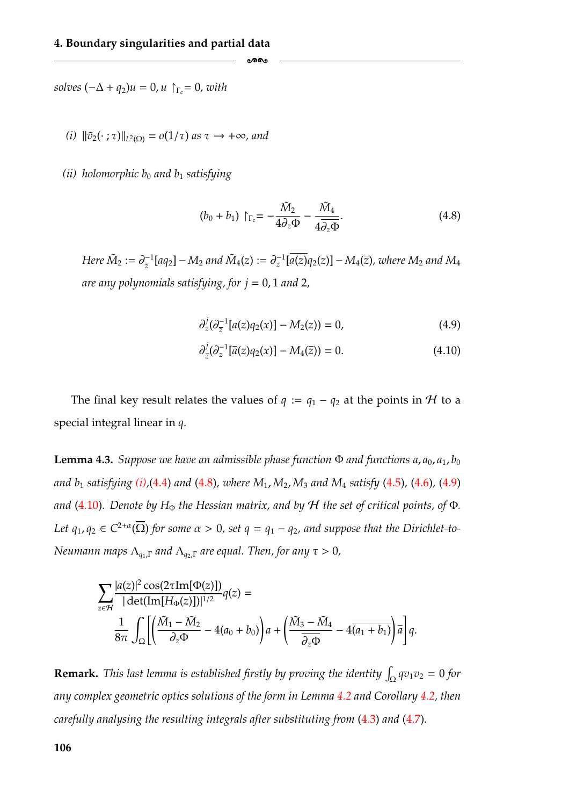$solves$   $(-\Delta + q_2)u = 0, u$   $\uparrow_{\Gamma_c} = 0, with$ 

*(i)*  $\|\tilde{v}_2(\cdot;\tau)\|_{L^2(\Omega)} = o(1/\tau)$  *as*  $\tau \to +\infty$ *, and* 

*(ii) holomorphic b*<sup>0</sup> *and b*<sup>1</sup> *satisfying*

<span id="page-112-2"></span>
$$
(b_0 + b_1) \upharpoonright_{\Gamma_c} = -\frac{\tilde{M}_2}{4\partial_z \Phi} - \frac{\tilde{M}_4}{4\overline{\partial_z \Phi}}.
$$
\n(4.8)

 $Here \ \tilde{M}_2 := \partial_{\overline{z}}^{-1}[aq_2]-M_2$  and  $\tilde{M}_4(z):=\partial_z^{-1}[\overline{a(z)}q_2(z)]-M_4(\overline{z})$ , where  $M_2$  and  $M_4$ *are any polynomials satisfying, for*  $j = 0, 1$  *and* 2,

ക്കം

<span id="page-112-1"></span><span id="page-112-0"></span>
$$
\partial_z^j (\partial_{\overline{z}}^{-1}[a(z)q_2(x)] - M_2(z)) = 0, \qquad (4.9)
$$

$$
\partial_{\bar{z}}^{j}(\partial_{z}^{-1}[\bar{a}(z)q_{2}(x)] - M_{4}(\bar{z})) = 0.
$$
 (4.10)

The final key result relates the values of  $q := q_1 - q_2$  at the points in H to a special integral linear in *q*.

<span id="page-112-3"></span>**Lemma 4.3.** *Suppose we have an admissible phase function*  $\Phi$  *and functions a*, *a*<sub>0</sub>, *a*<sub>1</sub>, *b*<sub>0</sub> *and b*<sup>1</sup> *satisfying [\(i\),](#page-111-6)*[\(4.4\)](#page-111-5) *and* [\(4.8\)](#page-112-2)*, where M*1, *M*2, *M*<sup>3</sup> *and M*<sup>4</sup> *satisfy* [\(4.5\)](#page-111-4)*,* [\(4.6\)](#page-111-3)*,* [\(4.9\)](#page-112-1) *and* [\(4.10\)](#page-112-0)*.* Denote by H<sub>Φ</sub> the Hessian matrix, and by H the set of critical points, of Φ. Let  $q_1, q_2 \in C^{2+\alpha}(\overline{\Omega})$  for some  $\alpha > 0$ , set  $q = q_1 - q_2$ , and suppose that the Dirichlet-to-*Neumann maps*  $Λ_{q_1,Γ}$  *and*  $Λ_{q_2,Γ}$  *are equal. Then, for any*  $τ > 0$ *,* 

$$
\sum_{z \in \mathcal{H}} \frac{|a(z)|^2 \cos(2\tau \text{Im}[\Phi(z)])}{|\det(\text{Im}[H_{\Phi}(z)])|^{1/2}} q(z) =
$$
  

$$
\frac{1}{8\pi} \int_{\Omega} \left[ \left( \frac{\tilde{M}_1 - \tilde{M}_2}{\partial_z \Phi} - 4(a_0 + b_0) \right) a + \left( \frac{\tilde{M}_3 - \tilde{M}_4}{\partial_z \Phi} - 4 \overline{(a_1 + b_1)} \right) \overline{a} \right] q.
$$

**Remark.** This last lemma is established firstly by proving the identity  $\int_{\Omega} qv_1v_2 = 0$  for *any complex geometric optics solutions of the form in Lemma [4.2](#page-110-0) and Corollary [4.2,](#page-111-2) then carefully analysing the resulting integrals after substituting from* [\(4.3\)](#page-111-1) *and* [\(4.7\)](#page-111-0)*.*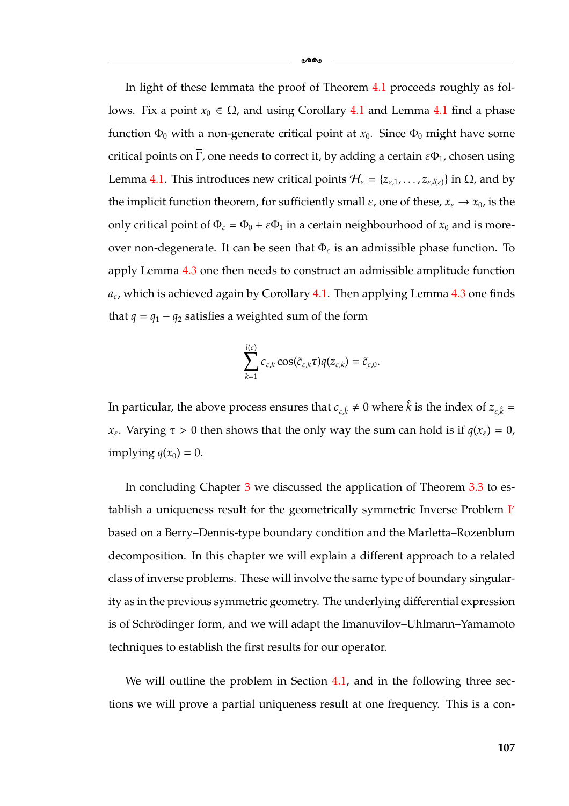In light of these lemmata the proof of Theorem [4.1](#page-108-0) proceeds roughly as follows. Fix a point  $x_0$  ∈ Ω, and using Corollary [4.1](#page-109-1) and Lemma 4.1 find a phase function  $\Phi_0$  with a non-generate critical point at  $x_0$ . Since  $\Phi_0$  might have some critical points on  $\overline{\Gamma}$ , one needs to correct it, by adding a certain  $\epsilon \Phi_1$ , chosen using Lemma [4.1.](#page-109-1) This introduces new critical points  $\mathcal{H}_{\varepsilon} = \{z_{\varepsilon,1}, \dots, z_{\varepsilon, l(\varepsilon)}\}$  in  $\Omega$ , and by the implicit function theorem, for sufficiently small  $\varepsilon$ , one of these,  $x_{\varepsilon} \to x_0$ , is the only critical point of  $\Phi_{\varepsilon} = \Phi_0 + \varepsilon \Phi_1$  in a certain neighbourhood of  $x_0$  and is moreover non-degenerate. It can be seen that  $\Phi_{\varepsilon}$  is an admissible phase function. To apply Lemma [4.3](#page-112-3) one then needs to construct an admissible amplitude function  $a_{\varepsilon}$ , which is achieved again by Corollary [4.1.](#page-110-1) Then applying Lemma [4.3](#page-112-3) one finds that  $q = q_1 - q_2$  satisfies a weighted sum of the form

-

$$
\sum_{k=1}^{l(\varepsilon)} c_{\varepsilon,k} \cos(\tilde{c}_{\varepsilon,k} \tau) q(z_{\varepsilon,k}) = \tilde{c}_{\varepsilon,0}.
$$

In particular, the above process ensures that  $c_{\varepsilon,\hat{k}} \neq 0$  where  $\hat{k}$  is the index of  $z_{\varepsilon,\hat{k}} =$ *x*<sub>ε</sub>. Varying  $\tau > 0$  then shows that the only way the sum can hold is if  $q(x<sub>\epsilon</sub>) = 0$ , implying  $q(x_0) = 0$ .

In concluding Chapter [3](#page-55-0) we discussed the application of Theorem [3.3](#page-90-0) to es-tablish a uniqueness result for the geometrically symmetric [I](#page-63-0)nverse Problem I' based on a Berry–Dennis-type boundary condition and the Marletta–Rozenblum decomposition. In this chapter we will explain a different approach to a related class of inverse problems. These will involve the same type of boundary singularity as in the previous symmetric geometry. The underlying differential expression is of Schrödinger form, and we will adapt the Imanuvilov–Uhlmann–Yamamoto techniques to establish the first results for our operator.

We will outline the problem in Section [4.1,](#page-114-0) and in the following three sections we will prove a partial uniqueness result at one frequency. This is a con-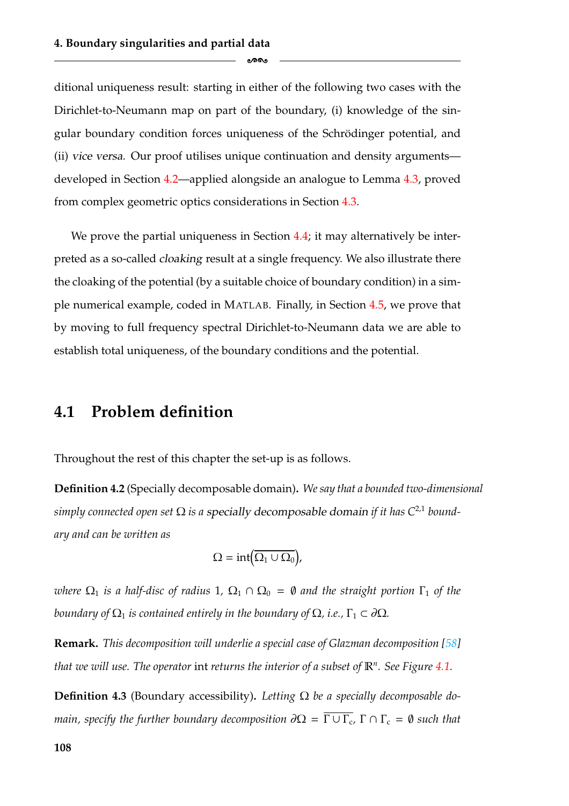ditional uniqueness result: starting in either of the following two cases with the Dirichlet-to-Neumann map on part of the boundary, (i) knowledge of the singular boundary condition forces uniqueness of the Schrödinger potential, and (ii) *vice versa*. Our proof utilises unique continuation and density arguments developed in Section [4.2—](#page-120-0)applied alongside an analogue to Lemma [4.3,](#page-112-3) proved from complex geometric optics considerations in Section [4.3.](#page-124-0)

ക്കം

We prove the partial uniqueness in Section [4.4;](#page-127-0) it may alternatively be interpreted as a so-called *cloaking* result at a single frequency. We also illustrate there the cloaking of the potential (by a suitable choice of boundary condition) in a simple numerical example, coded in MATLAB. Finally, in Section [4.5,](#page-130-0) we prove that by moving to full frequency spectral Dirichlet-to-Neumann data we are able to establish total uniqueness, of the boundary conditions and the potential.

#### <span id="page-114-0"></span>**4.1 Problem definition**

Throughout the rest of this chapter the set-up is as follows.

**Definition 4.2** (Specially decomposable domain)**.** *We say that a bounded two-dimensional simply connected open set* Ω *is a specially decomposable domain if it has C*<sup>2</sup>,<sup>1</sup> *boundary and can be written as*

$$
\Omega = \mathrm{int}(\overline{\Omega_1 \cup \Omega_0}),
$$

*where*  $\Omega_1$  *is a half-disc of radius* 1,  $\Omega_1 \cap \Omega_0 = \emptyset$  *and the straight portion*  $\Gamma_1$  *of the boundary of*  $\Omega_1$  *is contained entirely in the boundary of*  $\Omega$ *, i.e.*,  $\Gamma_1 \subset \partial \Omega$ *.* 

**Remark.** *This decomposition will underlie a special case of Glazman decomposition [\[58\]](#page-183-2) that we will use. The operator* int *returns the interior of a subset of* R*n. See Figure [4.1.](#page-115-0)*

**Definition 4.3** (Boundary accessibility). Letting  $\Omega$  be a specially decomposable do*main, specify the further boundary decomposition*  $\partial\Omega = \overline{\Gamma \cup \Gamma_c}$ ,  $\Gamma \cap \Gamma_c = \emptyset$  *such that*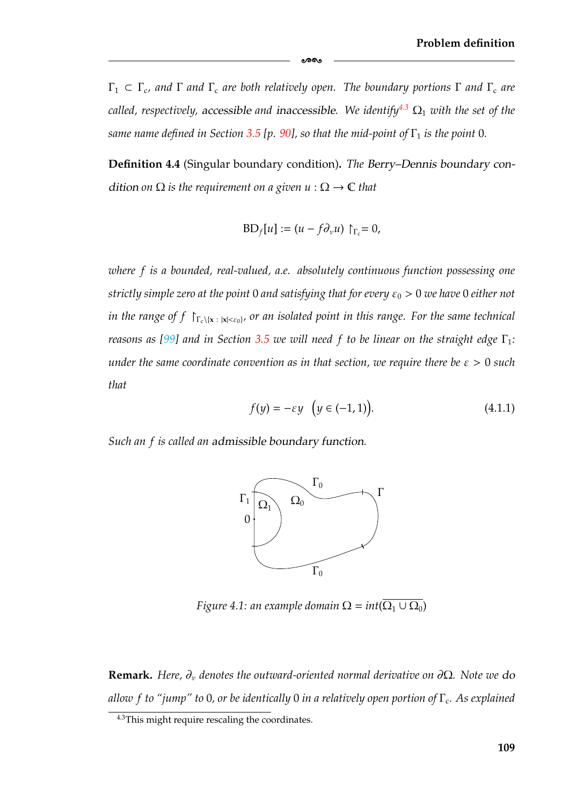Γ<sup>1</sup> ⊂ Γc*, and* Γ *and* Γ<sup>c</sup> *are both relatively open. The boundary portions* Γ *and* Γ<sup>c</sup> *are called, respectively, accessible and inaccessible. We identify<sup>4.3</sup>*  $\Omega_1$  *<i>with the set of the same name defined in Section* [3.5](#page-96-0) [p. [90\]](#page-96-0), so that the mid-point of  $\Gamma_1$  is the point 0.

-

**Definition 4.4** (Singular boundary condition)**.** *The Berry–Dennis boundary condition on*  $\Omega$  *is the requirement on a given*  $u : \Omega \to \mathbb{C}$  *that* 

$$
BD_f[u] := (u - f\partial_\nu u) \upharpoonright_{\Gamma_c} = 0,
$$

*where f is a bounded, real-valued, a.e. absolutely continuous function possessing one strictly simple zero at the point* 0 *and satisfying that for every*  $ε_0$  > 0 *we have* 0 *either not in the range of f*  $\Gamma_{c\backslash {\{x\ : |x| < \varepsilon_0\}}}$ , or an isolated point in this range. For the same technical *reasons as* [\[99\]](#page-185-0) and in Section [3.5](#page-96-0) we will need f to be linear on the straight edge  $\Gamma_1$ : *under the same coordinate convention as in that section, we require there be* ε > 0 *such that*

$$
f(y) = -\varepsilon y \quad \left(y \in (-1, 1)\right). \tag{4.1.1}
$$

<span id="page-115-0"></span>*Such an f is called an admissible boundary function.*



*Figure 4.1: an example domain*  $\Omega = int(\Omega_1 \cup \Omega_0)$ 

**Remark.** *Here,* ∂ν *denotes the outward-oriented normal derivative on* ∂Ω*. Note we do allow f to "jump" to* 0*, or be identically* 0 *in a relatively open portion of* Γc*. As explained*

<span id="page-115-1"></span><sup>4.3</sup>This might require rescaling the coordinates.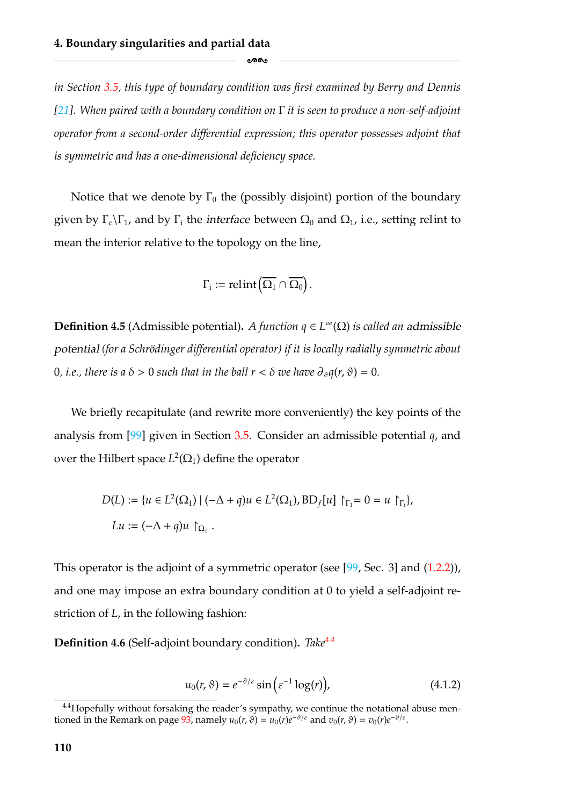*in Section [3.5,](#page-96-0) this type of boundary condition was first examined by Berry and Dennis [\[21\]](#page-180-0). When paired with a boundary condition on* Γ *it is seen to produce a non-self-adjoint operator from a second-order differential expression; this operator possesses adjoint that is symmetric and has a one-dimensional deficiency space.*

ക്കം

Notice that we denote by  $\Gamma_0$  the (possibly disjoint) portion of the boundary given by  $\Gamma_c \backslash \Gamma_1$ , and by  $\Gamma_i$  the *interface* between  $\Omega_0$  and  $\Omega_1$ , i.e., setting relint to mean the interior relative to the topology on the line,

$$
\Gamma_i := \mathrm{relint}(\overline{\Omega_1} \cap \overline{\Omega_0}).
$$

**Definition 4.5** (Admissible potential). *A function*  $q \in L^{\infty}(\Omega)$  *is called an admissible potential (for a Schro¨dinger differential operator) if it is locally radially symmetric about* 0, *i.e.*, *there is a*  $\delta > 0$  *such that in the ball r* <  $\delta$  *we have*  $\partial_{\delta}q(r, \vartheta) = 0$ *.* 

We briefly recapitulate (and rewrite more conveniently) the key points of the analysis from [\[99\]](#page-185-0) given in Section [3.5.](#page-96-0) Consider an admissible potential *q*, and over the Hilbert space  $L^2(\Omega_1)$  define the operator

$$
D(L) := \{ u \in L^2(\Omega_1) \mid (-\Delta + q)u \in L^2(\Omega_1), BD_f[u] \upharpoonright_{\Gamma_1} = 0 = u \upharpoonright_{\Gamma_i},
$$
  
\n
$$
Lu := (-\Delta + q)u \upharpoonright_{\Omega_1}.
$$

This operator is the adjoint of a symmetric operator (see [\[99,](#page-185-0) Sec. 3] and [\(1.2.2\)](#page-14-0)), and one may impose an extra boundary condition at 0 to yield a self-adjoint restriction of *L*, in the following fashion:

**Definition 4.6** (Self-adjoint boundary condition)**.** *Tak[e4.4](#page-116-0)*

$$
u_0(r,\vartheta) = e^{-\vartheta/\varepsilon} \sin\left(\varepsilon^{-1} \log(r)\right),\tag{4.1.2}
$$

<span id="page-116-0"></span><sup>&</sup>lt;sup>4.4</sup>Hopefully without forsaking the reader's sympathy, we continue the notational abuse mentioned in the Remark on page  $93$ , namely  $u_0(r, \theta) = u_0(r)e^{-\theta/\varepsilon}$  and  $v_0(r, \theta) = v_0(r)e^{-\theta/\varepsilon}$ .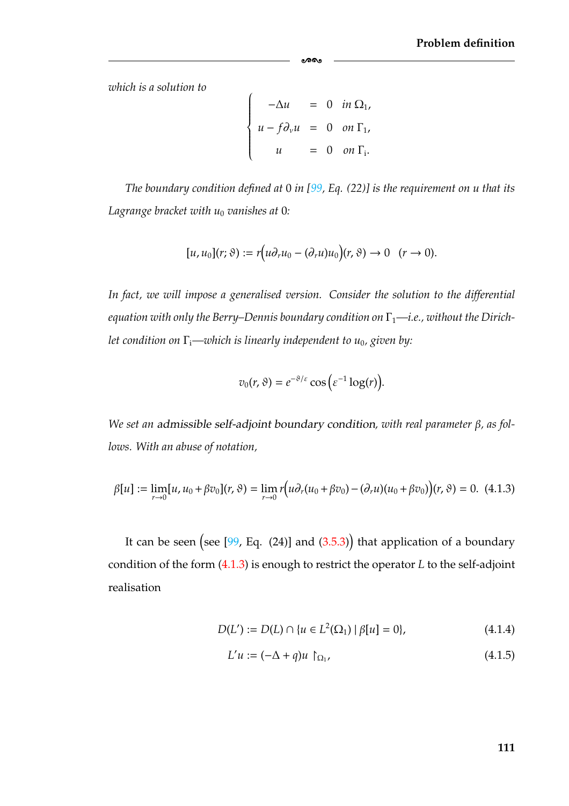*which is a solution to*

$$
\begin{cases}\n-\Delta u = 0 & \text{in } \Omega_1, \\
u - f \partial_v u = 0 & \text{on } \Gamma_1, \\
u = 0 & \text{on } \Gamma_i.\n\end{cases}
$$

ക്കം

*The boundary condition defined at* 0 *in [\[99,](#page-185-0) Eq. (22)] is the requirement on u that its Lagrange bracket with*  $u_0$  *vanishes at* 0:

$$
[u, u_0](r; \vartheta) := r(u \partial_r u_0 - (\partial_r u) u_0)(r, \vartheta) \to 0 \quad (r \to 0).
$$

*In fact, we will impose a generalised version. Consider the solution to the differential equation with only the Berry–Dennis boundary condition on*  $\Gamma_1$ —*i.e., without the Dirichlet condition on* Γi*—which is linearly independent to u*0*, given by:*

$$
v_0(r,\vartheta)=e^{-\vartheta/\varepsilon}\cos\big(\varepsilon^{-1}\log(r)\big).
$$

*We set an admissible self-adjoint boundary condition, with real parameter* β*, as follows. With an abuse of notation,*

<span id="page-117-0"></span>
$$
\beta[u] := \lim_{r \to 0} [u, u_0 + \beta v_0](r, \vartheta) = \lim_{r \to 0} r(u \partial_r(u_0 + \beta v_0) - (\partial_r u)(u_0 + \beta v_0))(r, \vartheta) = 0. \tag{4.1.3}
$$

It can be seen (see [\[99,](#page-185-0) Eq. (24)] and [\(3.5.3\)](#page-98-0)) that application of a boundary condition of the form [\(4.1.3\)](#page-117-0) is enough to restrict the operator *L* to the self-adjoint realisation

$$
D(L') := D(L) \cap \{u \in L^{2}(\Omega_{1}) \mid \beta[u] = 0\},\tag{4.1.4}
$$

<span id="page-117-1"></span>
$$
L'u := (-\Delta + q)u \upharpoonright_{\Omega_1}, \tag{4.1.5}
$$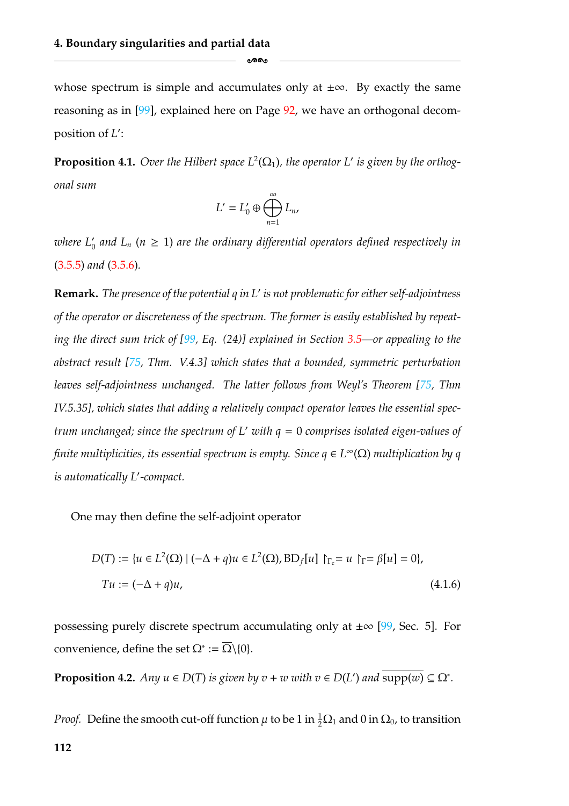whose spectrum is simple and accumulates only at  $\pm\infty$ . By exactly the same reasoning as in [\[99\]](#page-185-0), explained here on Page [92,](#page-98-1) we have an orthogonal decomposition of *L* :

ക്കം

<span id="page-118-0"></span>**Proposition 4.1.** Over the Hilbert space  $L^2(\Omega_1)$ , the operator L' is given by the orthog*onal sum*

$$
L'=L'_0\oplus\bigoplus_{n=1}^\infty L_n,
$$

where  $L_0'$  and  $L_n$  ( $n \geq 1$ ) are the ordinary differential operators defined respectively in [\(3.5.5\)](#page-101-1) *and* [\(3.5.6\)](#page-101-0)*.*

**Remark.** *The presence of the potential q in L is not problematic for either self-adjointness of the operator or discreteness of the spectrum. The former is easily established by repeating the direct sum trick of [\[99,](#page-185-0) Eq. (24)] explained in Section [3.5—](#page-96-0)or appealing to the abstract result [\[75,](#page-184-0) Thm. V.4.3] which states that a bounded, symmetric perturbation leaves self-adjointness unchanged. The latter follows from Weyl's Theorem [\[75,](#page-184-0) Thm IV.5.35], which states that adding a relatively compact operator leaves the essential spectrum unchanged; since the spectrum of L with q* = 0 *comprises isolated eigen-values of finite multiplicities, its essential spectrum is empty. Since q* ∈ *L*∞(Ω) *multiplication by q is automatically L -compact.*

One may then define the self-adjoint operator

<span id="page-118-1"></span>
$$
D(T) := \{ u \in L^{2}(\Omega) \mid (-\Delta + q)u \in L^{2}(\Omega), BD_{f}[u] \upharpoonright_{\Gamma_{c}} = u \upharpoonright_{\Gamma} = \beta[u] = 0 \},
$$
  
\n
$$
Tu := (-\Delta + q)u,
$$
\n(4.1.6)

possessing purely discrete spectrum accumulating only at  $\pm \infty$  [\[99,](#page-185-0) Sec. 5]. For convenience, define the set  $\Omega^* := \overline{\Omega} \setminus \{0\}.$ 

**Proposition 4.2.** *Any*  $u \in D(T)$  *is given by*  $v + w$  *with*  $v \in D(L')$  *and*  $\overline{\text{supp}(w)} \subseteq \Omega^*$ *.* 

*Proof.* Define the smooth cut-off function  $\mu$  to be 1 in  $\frac{1}{2}\Omega_1$  and 0 in  $\Omega_0$ , to transition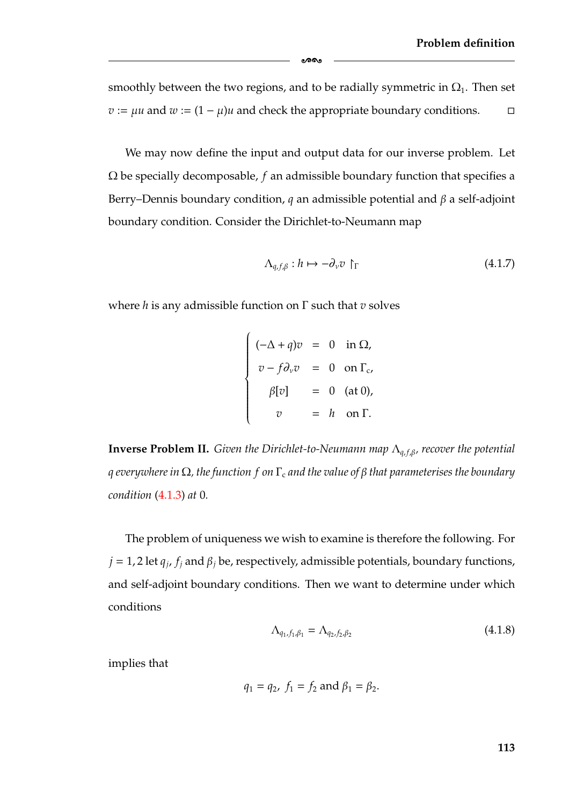smoothly between the two regions, and to be radially symmetric in  $\Omega_1$ . Then set *v* :=  $\mu u$  and  $w$  :=  $(1 - \mu)u$  and check the appropriate boundary conditions.  $\Box$ 

-

We may now define the input and output data for our inverse problem. Let Ω be specially decomposable, *f* an admissible boundary function that specifies a Berry–Dennis boundary condition, *q* an admissible potential and β a self-adjoint boundary condition. Consider the Dirichlet-to-Neumann map

<span id="page-119-0"></span>
$$
\Lambda_{q,f,\beta} : h \mapsto -\partial_{\nu} v \upharpoonright_{\Gamma} \tag{4.1.7}
$$

where *h* is any admissible function on Γ such that *v* solves

$$
\begin{cases}\n(-\Delta + q)v = 0 & \text{in } \Omega, \\
v - f\partial_v v = 0 & \text{on } \Gamma_c, \\
\beta[v] = 0 & (\text{at } 0), \\
v = h & \text{on } \Gamma.\n\end{cases}
$$

<span id="page-119-2"></span>**Inverse Problem II.** *Given the Dirichlet-to-Neumann map*  $Λ_{q, f, β}$ *, recover the potential q everywhere in* Ω*, the function f on* Γ<sup>c</sup> *and the value of* β *that parameterises the boundary condition* [\(4.1.3\)](#page-117-0) *at* 0*.*

The problem of uniqueness we wish to examine is therefore the following. For  $j = 1, 2$  let  $q_j$ ,  $f_j$  and  $\beta_j$  be, respectively, admissible potentials, boundary functions, and self-adjoint boundary conditions. Then we want to determine under which conditions

<span id="page-119-1"></span>
$$
\Lambda_{q_1, f_1, \beta_1} = \Lambda_{q_2, f_2, \beta_2} \tag{4.1.8}
$$

implies that

$$
q_1 = q_2
$$
,  $f_1 = f_2$  and  $\beta_1 = \beta_2$ .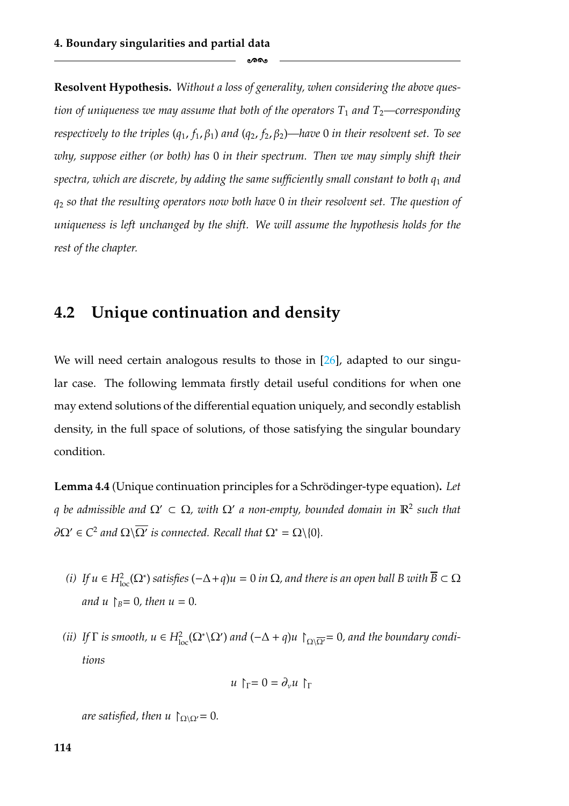**Resolvent Hypothesis.** *Without a loss of generality, when considering the above question of uniqueness we may assume that both of the operators*  $T_1$  *and*  $T_2$ —corresponding *respectively to the triples*  $(q_1, f_1, \beta_1)$  *and*  $(q_2, f_2, \beta_2)$ —*have* 0 *in their resolvent set. To see why, suppose either (or both) has* 0 *in their spectrum. Then we may simply shift their spectra, which are discrete, by adding the same sufficiently small constant to both q*<sup>1</sup> *and q*<sup>2</sup> *so that the resulting operators now both have* 0 *in their resolvent set. The question of uniqueness is left unchanged by the shift. We will assume the hypothesis holds for the rest of the chapter.*

ക്കം

## <span id="page-120-0"></span>**4.2 Unique continuation and density**

We will need certain analogous results to those in [\[26\]](#page-181-0), adapted to our singular case. The following lemmata firstly detail useful conditions for when one may extend solutions of the differential equation uniquely, and secondly establish density, in the full space of solutions, of those satisfying the singular boundary condition.

<span id="page-120-1"></span>**Lemma 4.4** (Unique continuation principles for a Schrödinger-type equation). Let *q* be admissible and  $\Omega' \subset \Omega$ , with  $\Omega'$  a non-empty, bounded domain in  $\mathbb{R}^2$  such that  $\partial\Omega' \in C^2$  *and*  $\Omega \backslash \overline{\Omega'}$  *is connected. Recall that*  $\Omega^* = \Omega \backslash \{0\}$ *.* 

- <span id="page-120-2"></span>*(i)* If  $u \in H^2_{loc}(\Omega^*)$  satisfies  $(-\Delta + q)u = 0$  in  $\Omega$ , and there is an open ball B with  $\overline{B} \subset \Omega$ *and*  $u \upharpoonright_B = 0$ *, then*  $u = 0$ *.*
- <span id="page-120-3"></span>*(ii)* If  $\Gamma$  *is smooth,*  $u \in H^2_{loc}(\Omega^* \setminus \Omega')$  and  $(-\Delta + q)u \upharpoonright_{\Omega \setminus \overline{\Omega'}} = 0$ , and the boundary condi*tions*

$$
u \upharpoonright_{\Gamma} = 0 = \partial_{\nu} u \upharpoonright_{\Gamma}
$$

*are satisfied, then u*  $\int_{\Omega \setminus \Omega'} = 0$ *.*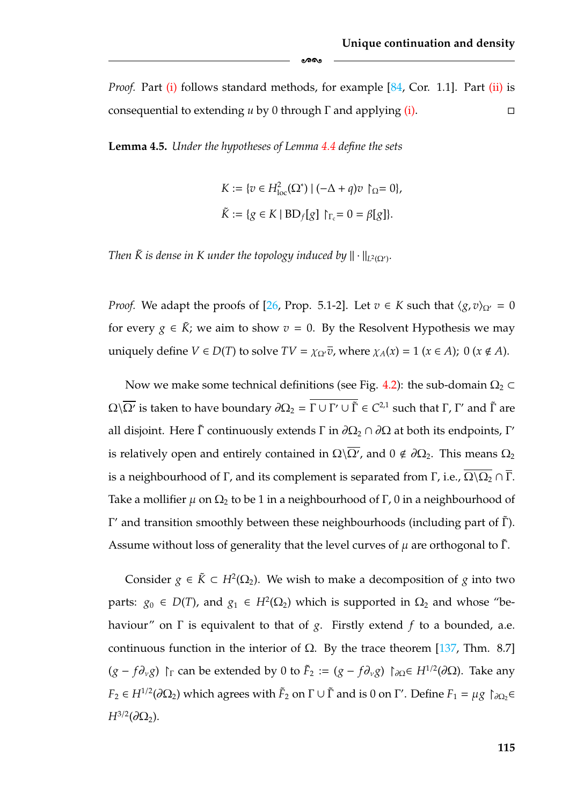*Proof.* Part [\(i\)](#page-120-2) follows standard methods, for example [\[84,](#page-184-1) Cor. 1.1]. Part [\(ii\)](#page-120-3) is consequential to extending *u* by 0 through Γ and applying [\(i\).](#page-120-2)  $\Box$ 

-

<span id="page-121-0"></span>**Lemma 4.5.** *Under the hypotheses of Lemma [4.4](#page-120-1) define the sets*

$$
K := \{ v \in H_{\text{loc}}^2(\Omega^*) \mid (-\Delta + q)v \upharpoonright_{\Omega} = 0 \},
$$
  

$$
\tilde{K} := \{ g \in K \mid BD_f[g] \upharpoonright_{\Gamma_c} = 0 = \beta[g] \}.
$$

*Then*  $\tilde{K}$  *is dense in*  $K$  *under the topology induced by*  $\|\cdot\|_{L^2(\Omega')}$ .

*Proof.* We adapt the proofs of [\[26,](#page-181-0) Prop. 5.1-2]. Let  $v \in K$  such that  $\langle g, v \rangle_{\Omega'} = 0$ for every  $g \in \tilde{K}$ ; we aim to show  $v = 0$ . By the Resolvent Hypothesis we may uniquely define  $V \in D(T)$  to solve  $TV = \chi_{\Omega'} \overline{v}$ , where  $\chi_A(x) = 1$  ( $x \in A$ ); 0 ( $x \notin A$ ).

Now we make some technical definitions (see Fig. [4.2\)](#page-122-0): the sub-domain  $\Omega_2 \subset$  $Ω\sqrt{Ω'}$  is taken to have boundary  $∂Ω<sub>2</sub> = Γ ∪ Γ' ∪ Γ ∈ C<sup>2,1</sup>$  such that Γ, Γ' and Γ are all disjoint. Here Γ continuously extends Γ in  $\partial\Omega_2 \cap \partial\Omega$  at both its endpoints, Γ' is relatively open and entirely contained in  $\Omega\backslash\overline{\Omega'}$ , and  $0\notin\partial\Omega_2$ . This means  $\Omega_2$ is a neighbourhood of Γ, and its complement is separated from Γ, i.e.,  $\overline{\Omega\setminus\Omega_2}\cap\overline{\Gamma}$ . Take a mollifier  $\mu$  on  $\Omega_2$  to be 1 in a neighbourhood of Γ, 0 in a neighbourhood of Γ' and transition smoothly between these neighbourhoods (including part of  $\tilde{\Gamma}$ ). Assume without loss of generality that the level curves of  $\mu$  are orthogonal to  $\tilde{\Gamma}$ .

Consider  $g \in \tilde{K} \subset H^2(\Omega_2)$ . We wish to make a decomposition of *g* into two parts:  $g_0 \in D(T)$ , and  $g_1 \in H^2(\Omega_2)$  which is supported in  $\Omega_2$  and whose "behaviour" on Γ is equivalent to that of *g*. Firstly extend *f* to a bounded, a.e. continuous function in the interior of  $Ω$ . By the trace theorem [\[137,](#page-188-0) Thm. 8.7]  $(g - f\partial_{\nu}g)$   $\Gamma_{\Gamma}$  can be extended by 0 to  $\tilde{F}_2 := (g - f\partial_{\nu}g)$   $\Gamma_{\partial\Omega} \in H^{1/2}(\partial\Omega)$ . Take any  $F_2 \in H^{1/2}(\partial \Omega_2)$  which agrees with  $\tilde{F}_2$  on  $\Gamma \cup \tilde{\Gamma}$  and is 0 on  $\Gamma'$ . Define  $F_1 = \mu g \restriction_{\partial \Omega_2} \in$  $H^{3/2}(\partial \Omega_2)$ .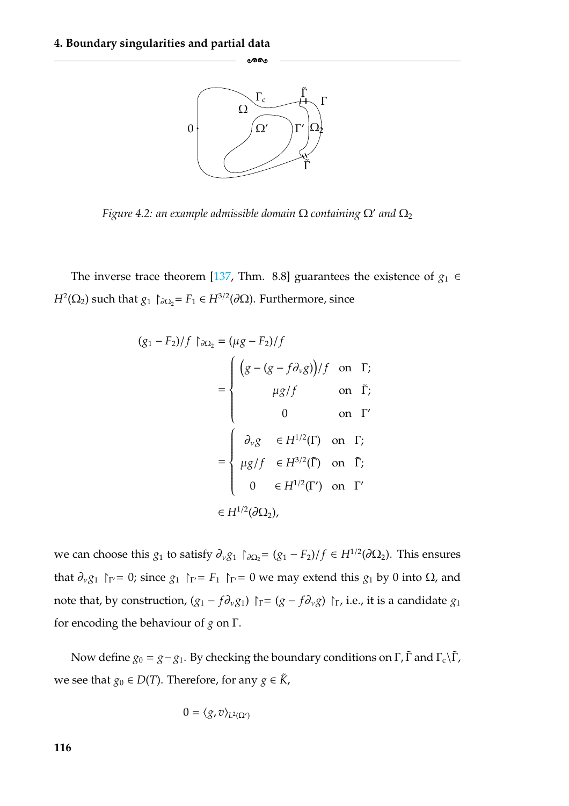<span id="page-122-0"></span>

-

*Figure 4.2: an example admissible domain*  $\Omega$  *containing*  $\Omega'$  *and*  $\Omega_2$ 

The inverse trace theorem [\[137,](#page-188-0) Thm. 8.8] guarantees the existence of  $g_1 \in$ *H*<sup>2</sup>( $\Omega$ <sub>2</sub>) such that *g*<sub>1</sub>  $\uparrow$ <sub>∂ $\Omega$ </sub> = *F*<sub>1</sub> ∈ *H*<sup>3/2</sup>( $\partial$  $\Omega$ ). Furthermore, since

$$
(g_1 - F_2)/f \upharpoonright_{\partial \Omega_2} = (\mu g - F_2)/f
$$
\n
$$
= \begin{cases}\n(g - (g - f \partial_v g))/f & \text{on } \Gamma; \\
\mu g/f & \text{on } \tilde{\Gamma}; \\
0 & \text{on } \Gamma'\n\end{cases}
$$
\n
$$
= \begin{cases}\n\partial_v g & \in H^{1/2}(\Gamma) & \text{on } \Gamma; \\
\mu g/f & \in H^{3/2}(\tilde{\Gamma}) & \text{on } \tilde{\Gamma}; \\
0 & \in H^{1/2}(\Gamma') & \text{on } \Gamma'\n\end{cases}
$$
\n
$$
\in H^{1/2}(\partial \Omega_2),
$$

we can choose this *g*<sub>1</sub> to satisfy  $\partial_v g_1 \upharpoonright_{\partial \Omega_2} = (g_1 - F_2)/f \in H^{1/2}(\partial \Omega_2)$ . This ensures that  $\partial_\nu g_1$  |  $\Gamma_V$  = 0; since  $g_1$  |  $\Gamma_V$  = *F*<sub>1</sub> |  $\Gamma_V$  = 0 we may extend this  $g_1$  by 0 into Ω, and note that, by construction,  $(g_1 - f \partial_v g_1)$   $\upharpoonright_{\Gamma} = (g - f \partial_v g) \upharpoonright_{\Gamma}$ , i.e., it is a candidate  $g_1$ for encoding the behaviour of *g* on Γ.

Now define  $g_0 = g - g_1$ . By checking the boundary conditions on  $\Gamma$ ,  $\tilde{\Gamma}$  and  $\Gamma_c \backslash \tilde{\Gamma}$ , we see that *g*<sup>0</sup> ∈ *D*(*T*). Therefore, for any *g* ∈  $\tilde{K}$ ,

$$
0=\langle g,v\rangle_{L^2(\Omega')}
$$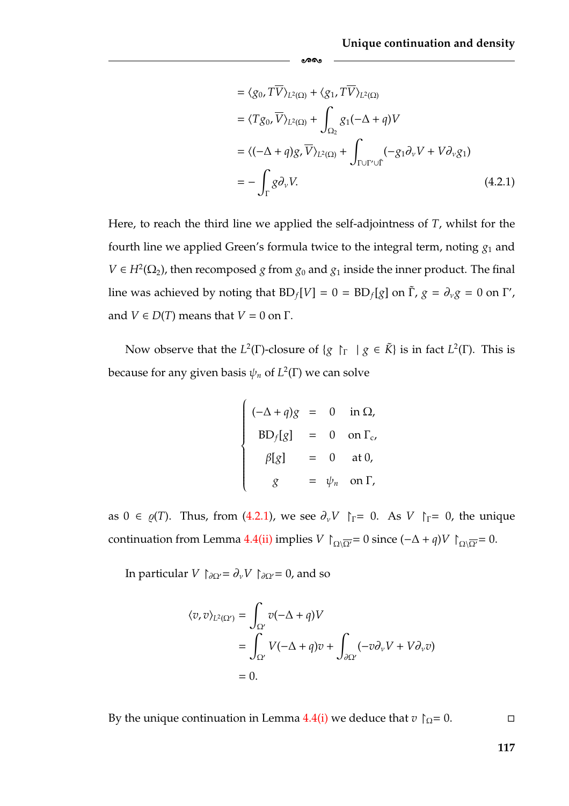$$
= \langle g_0, T\overline{V} \rangle_{L^2(\Omega)} + \langle g_1, T\overline{V} \rangle_{L^2(\Omega)}
$$
  
\n
$$
= \langle Tg_0, \overline{V} \rangle_{L^2(\Omega)} + \int_{\Omega_2} g_1(-\Delta + q)V
$$
  
\n
$$
= \langle (-\Delta + q)g, \overline{V} \rangle_{L^2(\Omega)} + \int_{\Gamma \cup \Gamma' \cup \Gamma} (-g_1 \partial_{\nu} V + V \partial_{\nu} g_1)
$$
  
\n
$$
= - \int_{\Gamma} g \partial_{\nu} V.
$$
 (4.2.1)

Here, to reach the third line we applied the self-adjointness of *T*, whilst for the fourth line we applied Green's formula twice to the integral term, noting  $g_1$  and *V* ∈ *H*<sup>2</sup>( $\Omega$ <sub>2</sub>), then recomposed *g* from *g*<sub>0</sub> and *g*<sub>1</sub> inside the inner product. The final line was achieved by noting that  $BD_f[V] = 0 = BD_f[g]$  on  $\tilde{\Gamma}$ ,  $g = \partial_v g = 0$  on  $\Gamma'$ , and  $V \in D(T)$  means that  $V = 0$  on  $\Gamma$ .

<span id="page-123-0"></span>-

Now observe that the *L*<sup>2</sup>(Γ)-closure of {*g*  $\upharpoonright$   $\upharpoonright$  *g*  $\in \tilde{K}$ } is in fact *L*<sup>2</sup>(Γ). This is because for any given basis  $\psi_n$  of  $L^2(\Gamma)$  we can solve

$$
\begin{cases}\n(-\Delta + q)g = 0 & \text{in } \Omega, \\
BD_f[g] = 0 & \text{on } \Gamma_c, \\
\beta[g] = 0 & \text{at } 0, \\
g = \psi_n & \text{on } \Gamma,\n\end{cases}
$$

as  $0 \in \varrho(T)$ . Thus, from [\(4.2.1\)](#page-123-0), we see  $\partial_{\nu}V \upharpoonright_{\Gamma} = 0$ . As  $V \upharpoonright_{\Gamma} = 0$ , the unique continuation from Lemma [4.4](#page-120-1)[\(ii\)](#page-120-3) implies *V*  $\bigcap_{\Omega\setminus\overline{\Omega'}}= 0$  since  $(-\Delta + q)V \bigcap_{\Omega\setminus\overline{\Omega'}}= 0$ .

In particular *V*  $\uparrow_{\partial\Omega'} = \partial_{\nu}V \uparrow_{\partial\Omega'} = 0$ , and so

$$
\langle v, v \rangle_{L^2(\Omega')} = \int_{\Omega'} v(-\Delta + q)V
$$
  
= 
$$
\int_{\Omega'} V(-\Delta + q)v + \int_{\partial\Omega'} (-v\partial_\nu V + V\partial_\nu v)
$$
  
= 0.

By the unique continuation in Lemma [4.4](#page-120-1)[\(i\)](#page-120-2) we deduce that  $v \upharpoonright_{\Omega} = 0$ .  $\Box$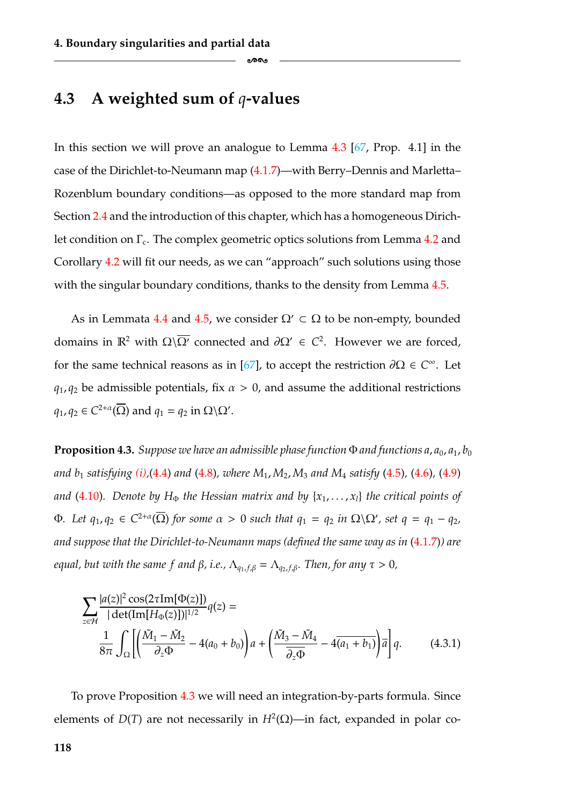### <span id="page-124-0"></span>**4.3 A weighted sum of** *q***-values**

In this section we will prove an analogue to Lemma [4.3](#page-112-3) [\[67,](#page-183-0) Prop. 4.1] in the case of the Dirichlet-to-Neumann map [\(4.1.7\)](#page-119-0)—with Berry–Dennis and Marletta– Rozenblum boundary conditions—as opposed to the more standard map from Section [2.4](#page-43-0) and the introduction of this chapter, which has a homogeneous Dirichlet condition on  $\Gamma_c$ . The complex geometric optics solutions from Lemma [4.2](#page-110-0) and Corollary [4.2](#page-111-2) will fit our needs, as we can "approach" such solutions using those with the singular boundary conditions, thanks to the density from Lemma [4.5.](#page-121-0)

-

As in Lemmata [4.4](#page-120-1) and [4.5,](#page-121-0) we consider  $\Omega' \subset \Omega$  to be non-empty, bounded domains in  $\mathbb{R}^2$  with  $\Omega\setminus\overline{\Omega'}$  connected and  $\partial\Omega' \in C^2$ . However we are forced, for the same technical reasons as in [\[67\]](#page-183-0), to accept the restriction ∂Ω ∈ *C*∞. Let  $q_1$ ,  $q_2$  be admissible potentials, fix  $\alpha > 0$ , and assume the additional restrictions  $q_1, q_2 \in C^{2+\alpha}(\overline{\Omega})$  and  $q_1 = q_2$  in  $\Omega \backslash \Omega'$ .

<span id="page-124-1"></span>**Proposition 4.3.** *Suppose we have an admissible phase function*  $\Phi$  *and functions*  $a_1$ ,  $a_0$ ,  $a_1$ ,  $b_0$ *and b*<sup>1</sup> *satisfying [\(i\),](#page-111-6)*[\(4.4\)](#page-111-5) *and* [\(4.8\)](#page-112-2)*, where M*1, *M*2, *M*<sup>3</sup> *and M*<sup>4</sup> *satisfy* [\(4.5\)](#page-111-4)*,* [\(4.6\)](#page-111-3)*,* [\(4.9\)](#page-112-1) *and* [\(4.10\)](#page-112-0). Denote by H<sub> $\Phi$ </sub> the Hessian matrix and by { $x_1, \ldots, x_l$ } the critical points of  $\Phi$ *. Let*  $q_1, q_2 \in C^{2+\alpha}(\overline{\Omega})$  *for some*  $\alpha > 0$  *such that*  $q_1 = q_2$  *in*  $\Omega \backslash \Omega'$ *, set*  $q = q_1 - q_2$ *, and suppose that the Dirichlet-to-Neumann maps (defined the same way as in* [\(4.1.7\)](#page-119-0)*) are equal, but with the same f and β, i.e.,*  $Λ_{a_1, f, β} = Λ_{a_2, f, β}$ *. Then, for any*  $τ > 0$ *,* 

$$
\sum_{z \in \mathcal{H}} \frac{|a(z)|^2 \cos(2\tau Im[\Phi(z)])}{|\det(Im[H_{\Phi}(z)])|^{1/2}} q(z) =
$$
  

$$
\frac{1}{8\pi} \int_{\Omega} \left[ \left( \frac{\tilde{M}_1 - \tilde{M}_2}{\partial_z \Phi} - 4(a_0 + b_0) \right) a + \left( \frac{\tilde{M}_3 - \tilde{M}_4}{\partial_z \Phi} - 4\overline{(a_1 + b_1)} \right) \overline{a} \right] q.
$$
 (4.3.1)

To prove Proposition [4.3](#page-124-1) we will need an integration-by-parts formula. Since elements of *D*(*T*) are not necessarily in  $H^2(\Omega)$ —in fact, expanded in polar co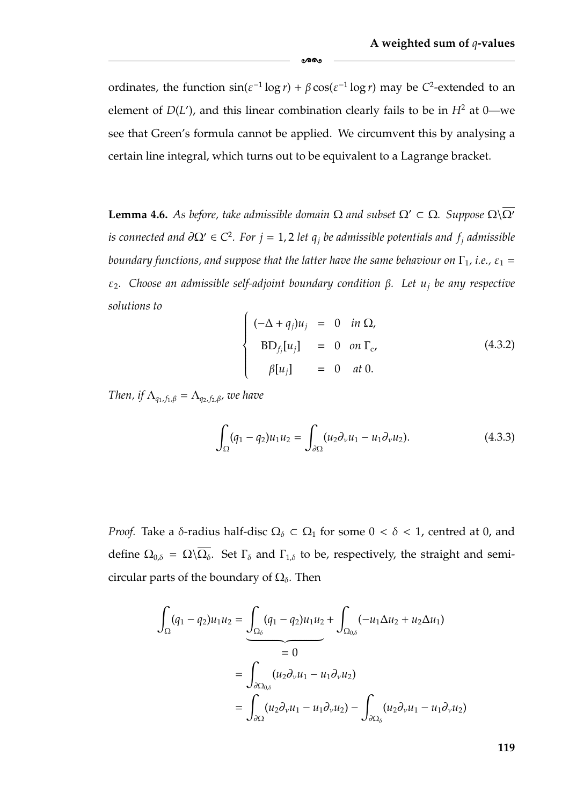ordinates, the function  $\sin(\varepsilon^{-1} \log r) + \beta \cos(\varepsilon^{-1} \log r)$  may be *C*<sup>2</sup>-extended to an element of  $D(L')$ , and this linear combination clearly fails to be in  $H^2$  at 0—we see that Green's formula cannot be applied. We circumvent this by analysing a certain line integral, which turns out to be equivalent to a Lagrange bracket.

ക്ക

<span id="page-125-2"></span>**Lemma 4.6.** *As before, take admissible domain*  $\Omega$  *and subset*  $\Omega' \subset \Omega$ *. Suppose*  $\Omega \setminus \overline{\Omega'}$ *is connected and*  $\partial\Omega' \in C^2$ . For  $j = 1, 2$  *let q<sub>i</sub> be admissible potentials and*  $f_i$  *admissible boundary functions, and suppose that the latter have the same behaviour on*  $\Gamma_1$ *, i.e.,*  $\varepsilon_1$  = ε2*. Choose an admissible self-adjoint boundary condition* β*. Let uj be any respective solutions to*  $\lambda$ 

<span id="page-125-0"></span>
$$
\begin{cases}\n(-\Delta + q_j)u_j = 0 & \text{in } \Omega, \\
BD_{f_j}[u_j] = 0 & \text{on } \Gamma_c, \\
\beta[u_j] = 0 & \text{at } 0.\n\end{cases}
$$
\n(4.3.2)

*Then, if*  $\Lambda_{q_1, f_1, \beta} = \Lambda_{q_2, f_2, \beta}$ , we have

<span id="page-125-1"></span>
$$
\int_{\Omega} (q_1 - q_2) u_1 u_2 = \int_{\partial \Omega} (u_2 \partial_v u_1 - u_1 \partial_v u_2).
$$
 (4.3.3)

*Proof.* Take a  $\delta$ -radius half-disc  $\Omega_{\delta} \subset \Omega_1$  for some  $0 < \delta < 1$ , centred at 0, and define  $\Omega_{0,\delta} = \Omega \setminus \overline{\Omega_{\delta}}$ . Set  $\Gamma_{\delta}$  and  $\Gamma_{1,\delta}$  to be, respectively, the straight and semicircular parts of the boundary of  $\Omega_{\delta}$ . Then

$$
\int_{\Omega} (q_1 - q_2) u_1 u_2 = \underbrace{\int_{\Omega_\delta} (q_1 - q_2) u_1 u_2}_{= 0} + \underbrace{\int_{\Omega_{0,\delta}} (-u_1 \Delta u_2 + u_2 \Delta u_1)}_{= 0}
$$
\n
$$
= \underbrace{\int_{\partial \Omega_{0,\delta}} (u_2 \partial_\nu u_1 - u_1 \partial_\nu u_2)}_{= \int_{\partial \Omega} (u_2 \partial_\nu u_1 - u_1 \partial_\nu u_2) - \int_{\partial \Omega_\delta} (u_2 \partial_\nu u_1 - u_1 \partial_\nu u_2)
$$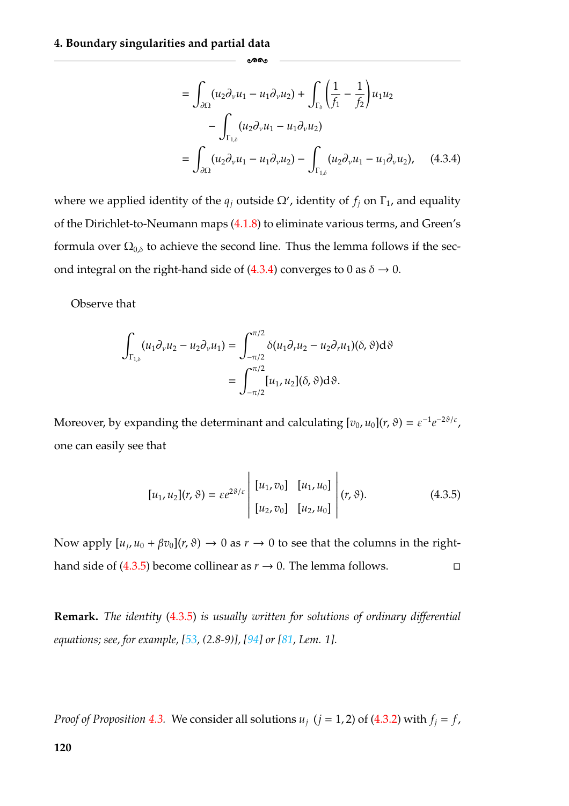$$
= \int_{\partial\Omega} (u_2 \partial_\nu u_1 - u_1 \partial_\nu u_2) + \int_{\Gamma_\delta} \left(\frac{1}{f_1} - \frac{1}{f_2}\right) u_1 u_2 - \int_{\Gamma_{1,\delta}} (u_2 \partial_\nu u_1 - u_1 \partial_\nu u_2) = \int_{\partial\Omega} (u_2 \partial_\nu u_1 - u_1 \partial_\nu u_2) - \int_{\Gamma_{1,\delta}} (u_2 \partial_\nu u_1 - u_1 \partial_\nu u_2), \quad (4.3.4)
$$

where we applied identity of the  $q_j$  outside  $\Omega'$ , identity of  $f_j$  on  $\Gamma_1$ , and equality of the Dirichlet-to-Neumann maps [\(4.1.8\)](#page-119-1) to eliminate various terms, and Green's formula over  $\Omega_{0,\delta}$  to achieve the second line. Thus the lemma follows if the sec-ond integral on the right-hand side of [\(4.3.4\)](#page-126-1) converges to 0 as  $\delta \rightarrow 0$ .

<span id="page-126-1"></span>-

Observe that

$$
\int_{\Gamma_{1,\delta}} (u_1 \partial_\nu u_2 - u_2 \partial_\nu u_1) = \int_{-\pi/2}^{\pi/2} \delta(u_1 \partial_\nu u_2 - u_2 \partial_\nu u_1)(\delta, \vartheta) d\vartheta
$$

$$
= \int_{-\pi/2}^{\pi/2} [u_1, u_2](\delta, \vartheta) d\vartheta.
$$

Moreover, by expanding the determinant and calculating  $[v_0, u_0](r, \vartheta) = \varepsilon^{-1} e^{-2\vartheta/\varepsilon}$ , one can easily see that

<span id="page-126-0"></span>
$$
[u_1, u_2](r, \vartheta) = \varepsilon e^{2\vartheta/\varepsilon} \begin{vmatrix} [u_1, v_0] & [u_1, u_0] \\ [u_2, v_0] & [u_2, u_0] \end{vmatrix} (r, \vartheta).
$$
 (4.3.5)

Now apply  $[u_i, u_0 + \beta v_0](r, \vartheta) \to 0$  as  $r \to 0$  to see that the columns in the right-hand side of [\(4.3.5\)](#page-126-0) become collinear as  $r \to 0$ . The lemma follows.  $\Box$ 

**Remark.** *The identity* [\(4.3.5\)](#page-126-0) *is usually written for solutions of ordinary differential equations; see, for example, [\[53,](#page-182-0) (2.8-9)], [\[94\]](#page-185-1) or [\[81,](#page-184-2) Lem. 1].*

*Proof of Proposition* [4.3.](#page-124-1) We consider all solutions  $u_j$  ( $j = 1, 2$ ) of [\(4.3.2\)](#page-125-0) with  $f_j = f$ ,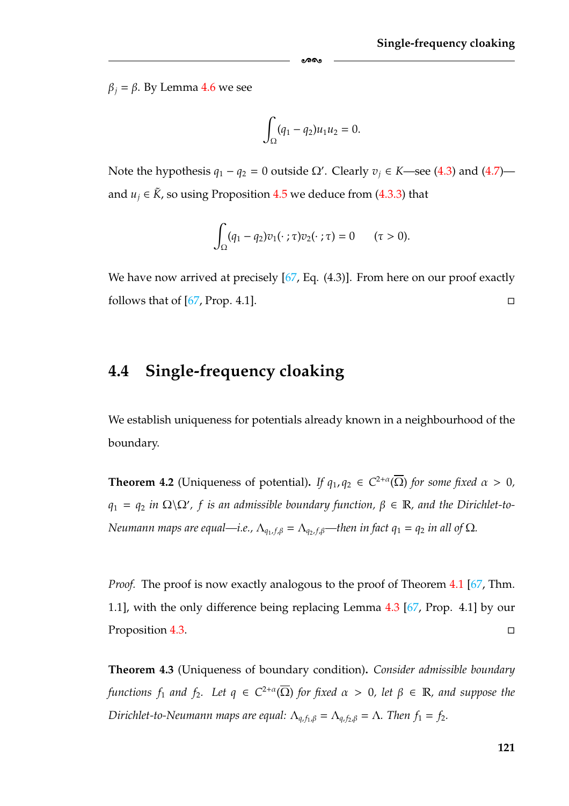$β<sub>j</sub> = β$ . By Lemma [4.6](#page-125-2) we see

$$
\int_{\Omega} (q_1 - q_2) u_1 u_2 = 0.
$$

ക്ക

Note the hypothesis  $q_1 - q_2 = 0$  outside Ω'. Clearly  $v_j \in K$ —see [\(4.3\)](#page-111-1) and [\(4.7\)](#page-111-0) and *u<sub>i</sub>* ∈  $\tilde{K}$ , so using Proposition [4.5](#page-121-0) we deduce from [\(4.3.3\)](#page-125-1) that

$$
\int_{\Omega} (q_1 - q_2) v_1(\cdot \; ; \tau) v_2(\cdot \; ; \tau) = 0 \qquad (\tau > 0).
$$

We have now arrived at precisely [\[67,](#page-183-0) Eq. (4.3)]. From here on our proof exactly follows that of  $[67, Prop. 4.1]$  $[67, Prop. 4.1]$ .  $\Box$ 

### <span id="page-127-0"></span>**4.4 Single-frequency cloaking**

We establish uniqueness for potentials already known in a neighbourhood of the boundary.

**Theorem 4.2** (Uniqueness of potential). *If*  $q_1, q_2 \in C^{2+\alpha}(\overline{\Omega})$  *for some fixed*  $\alpha > 0$ *,*  $q_1 = q_2$  *in*  $\Omega \backslash \Omega'$ , *f is an admissible boundary function*,  $\beta \in \mathbb{R}$ , *and the Dirichlet-to-Neumann maps are equal—i.e.,*  $\Lambda_{q_1, f, \beta} = \Lambda_{q_2, f, \beta}$ —then in fact  $q_1 = q_2$  in all of  $\Omega$ *.* 

*Proof.* The proof is now exactly analogous to the proof of Theorem [4.1](#page-108-0) [\[67,](#page-183-0) Thm. 1.1], with the only difference being replacing Lemma [4.3](#page-112-3) [\[67,](#page-183-0) Prop. 4.1] by our Proposition [4.3.](#page-124-1)  $\Box$ 

**Theorem 4.3** (Uniqueness of boundary condition)**.** *Consider admissible boundary functions*  $f_1$  *and*  $f_2$ *.* Let  $q \in C^{2+\alpha}(\overline{\Omega})$  *for fixed*  $\alpha > 0$ *, let*  $\beta \in \mathbb{R}$ *, and suppose the Dirichlet-to-Neumann maps are equal:*  $\Lambda_{q, f_1, \beta} = \Lambda_{q, f_2, \beta} = \Lambda$ *. Then*  $f_1 = f_2$ *.*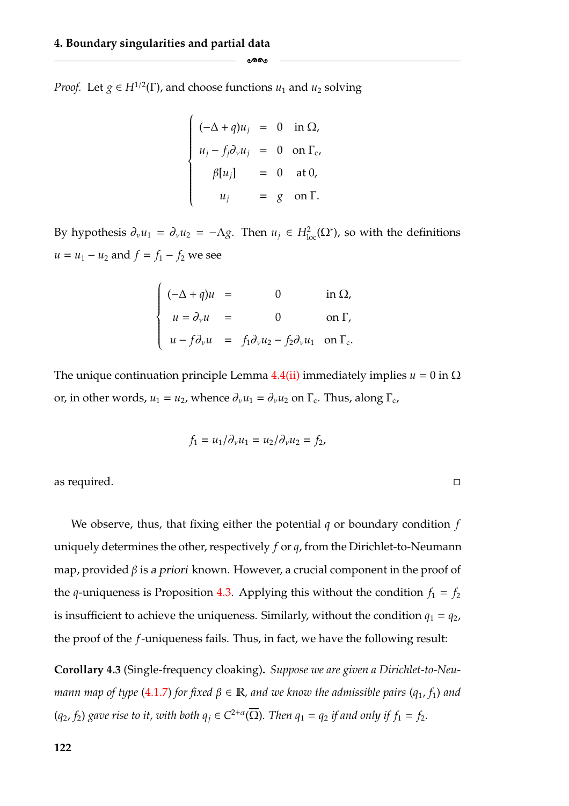*Proof.* Let  $g \in H^{1/2}(\Gamma)$ , and choose functions  $u_1$  and  $u_2$  solving

$$
\begin{cases}\n(-\Delta + q)u_j = 0 & \text{in } \Omega, \\
u_j - f_j \partial_v u_j = 0 & \text{on } \Gamma_c, \\
\beta[u_j] = 0 & \text{at } 0, \\
u_j = g & \text{on } \Gamma.\n\end{cases}
$$

ക്ക

By hypothesis  $\partial_{\nu}u_1 = \partial_{\nu}u_2 = -\Lambda g$ . Then  $u_j \in H^2_{loc}(\Omega^*)$ , so with the definitions *u* = *u*<sub>1</sub> − *u*<sub>2</sub> and  $f = f_1 - f_2$  we see

$$
\begin{cases}\n(-\Delta + q)u = 0 & \text{in } \Omega, \\
u = \partial_{\nu} u = 0 & \text{on } \Gamma,\n\end{cases}
$$
\n
$$
u - f \partial_{\nu} u = f_1 \partial_{\nu} u_2 - f_2 \partial_{\nu} u_1 \text{ on } \Gamma_c.
$$

The unique continuation principle Lemma  $4.4$ [\(ii\)](#page-120-3) immediately implies  $u = 0$  in  $\Omega$ or, in other words,  $u_1 = u_2$ , whence  $\partial_\nu u_1 = \partial_\nu u_2$  on  $\Gamma_c$ . Thus, along  $\Gamma_c$ ,

$$
f_1 = u_1/\partial_\nu u_1 = u_2/\partial_\nu u_2 = f_2,
$$

 $\Box$ 

as required.

We observe, thus, that fixing either the potential *q* or boundary condition *f* uniquely determines the other, respectively *f* or *q*, from the Dirichlet-to-Neumann map, provided β is *<sup>a</sup> priori* known. However, a crucial component in the proof of the *q*-uniqueness is Proposition [4.3.](#page-124-1) Applying this without the condition  $f_1 = f_2$ is insufficient to achieve the uniqueness. Similarly, without the condition  $q_1 = q_2$ , the proof of the *f*-uniqueness fails. Thus, in fact, we have the following result:

<span id="page-128-0"></span>**Corollary 4.3** (Single-frequency cloaking)**.** *Suppose we are given a Dirichlet-to-Neumann map of type* [\(4.1.7\)](#page-119-0) *for fixed*  $\beta \in \mathbb{R}$ *, and we know the admissible pairs* ( $q_1$ ,  $f_1$ ) *and*  $(q_2, f_2)$  *gave rise to it, with both*  $q_j \in C^{2+\alpha}(\overline{\Omega})$ *. Then*  $q_1 = q_2$  *if and only if*  $f_1 = f_2$ *.*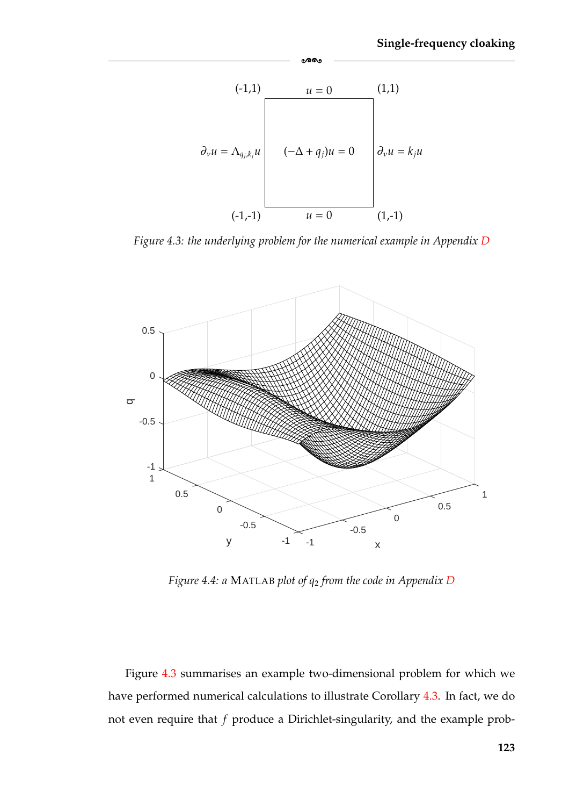<span id="page-129-0"></span>

-

*Figure 4.3: the underlying problem for the numerical example in Appendix [D](#page-169-0)*

<span id="page-129-1"></span>

*Figure 4.4: a* MATLAB *plot of q*<sup>2</sup> *from the code in Appendix [D](#page-169-0)*

Figure [4.3](#page-129-0) summarises an example two-dimensional problem for which we have performed numerical calculations to illustrate Corollary [4.3.](#page-128-0) In fact, we do not even require that *f* produce a Dirichlet-singularity, and the example prob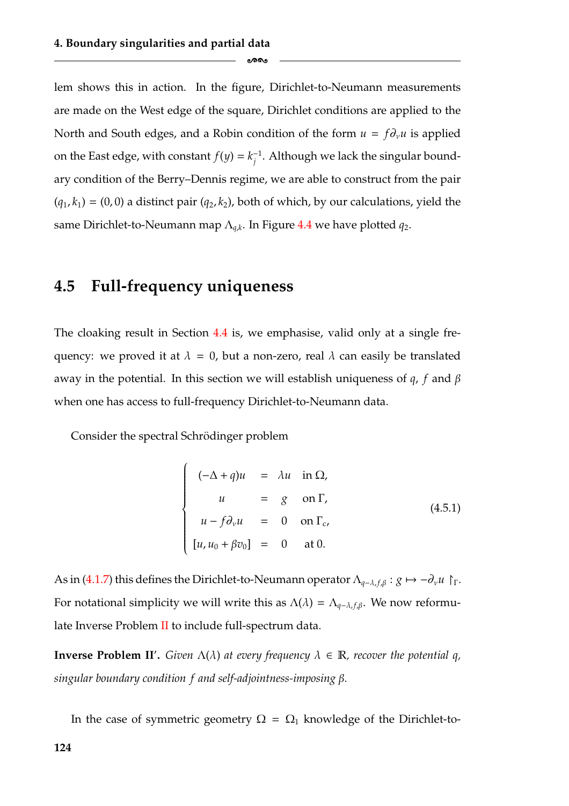lem shows this in action. In the figure, Dirichlet-to-Neumann measurements are made on the West edge of the square, Dirichlet conditions are applied to the North and South edges, and a Robin condition of the form  $u = f \partial_{\nu} u$  is applied on the East edge, with constant  $f(y) = k_i^{-1}$ . Although we lack the singular boundary condition of the Berry–Dennis regime, we are able to construct from the pair  $(q_1, k_1) = (0, 0)$  a distinct pair  $(q_2, k_2)$ , both of which, by our calculations, yield the same Dirichlet-to-Neumann map Λ*<sup>q</sup>*,*<sup>k</sup>*. In Figure [4.4](#page-129-1) we have plotted *q*2.

ക്ക

# <span id="page-130-0"></span>**4.5 Full-frequency uniqueness**

The cloaking result in Section [4.4](#page-127-0) is, we emphasise, valid only at a single frequency: we proved it at  $\lambda = 0$ , but a non-zero, real  $\lambda$  can easily be translated away in the potential. In this section we will establish uniqueness of *q*, *f* and β when one has access to full-frequency Dirichlet-to-Neumann data.

Consider the spectral Schrödinger problem

$$
\begin{cases}\n(-\Delta + q)u = \lambda u & \text{in } \Omega, \\
u = g & \text{on } \Gamma,\n\end{cases}
$$
\n
$$
\begin{cases}\nu - f\partial_{\nu}u = 0 & \text{on } \Gamma_c, \\
[u, u_0 + \beta v_0] = 0 & \text{at } 0.\n\end{cases}
$$
\n(4.5.1)

As in [\(4.1.7\)](#page-119-0) this defines the Dirichlet-to-Neumann operator  $\Lambda_{q-\lambda,f,\beta}: g \mapsto -\partial_{\nu}u$  | [. For notational simplicity we will write this as  $\Lambda(\lambda) = \Lambda_{q-\lambda,f,\beta}$ . We now reformulate Inverse Problem [II](#page-119-2) to include full-spectrum data.

**Inverse Problem II'.** Given  $\Lambda(\lambda)$  at every frequency  $\lambda \in \mathbb{R}$ , recover the potential q, *singular boundary condition f and self-adjointness-imposing* β*.*

In the case of symmetric geometry  $\Omega = \Omega_1$  knowledge of the Dirichlet-to-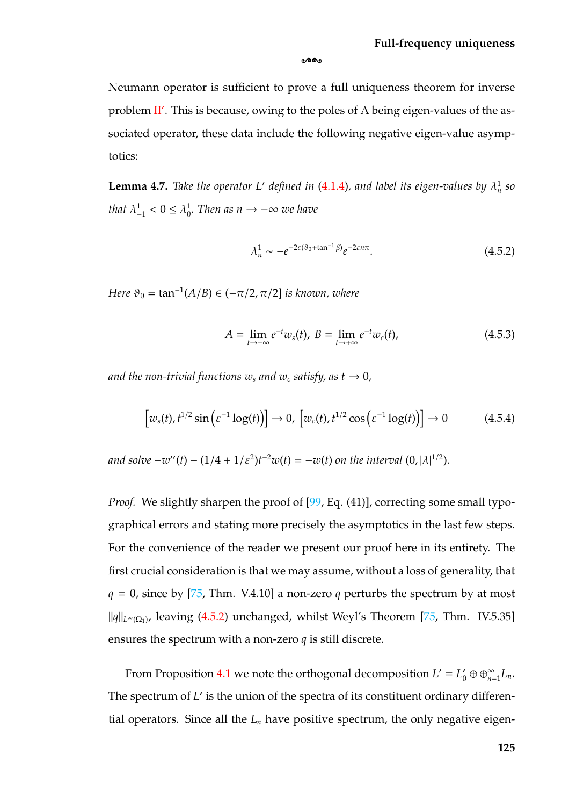Neumann operator is sufficient to prove a full uniqueness theorem for inverse problem [II](#page-119-2)'. This is because, owing to the poles of  $\Lambda$  being eigen-values of the associated operator, these data include the following negative eigen-value asymptotics:

-

**Lemma 4.7.** *Take the operator L' defined in* [\(4.1.4\)](#page-117-1), and label its eigen-values by  $\lambda_n^1$  so *that*  $\lambda_{-1}^1 < 0 \le \lambda_0^1$ *. Then as*  $n \to -\infty$  we have

<span id="page-131-0"></span>
$$
\lambda_n^1 \sim -e^{-2\varepsilon(\vartheta_0 + \tan^{-1}\beta)} e^{-2\varepsilon n\pi}.\tag{4.5.2}
$$

*Here*  $\vartheta_0 = \tan^{-1}(A/B) \in (-\pi/2, \pi/2]$  *is known, where* 

<span id="page-131-1"></span>
$$
A = \lim_{t \to +\infty} e^{-t} w_s(t), \ B = \lim_{t \to +\infty} e^{-t} w_c(t), \tag{4.5.3}
$$

*and the non-trivial functions w<sub>s</sub> and w<sub>c</sub> satisfy, as*  $t \rightarrow 0$ *,* 

$$
\left[w_{s}(t), t^{1/2}\sin\left(\varepsilon^{-1}\log(t)\right)\right] \to 0, \left[w_{c}(t), t^{1/2}\cos\left(\varepsilon^{-1}\log(t)\right)\right] \to 0 \tag{4.5.4}
$$

*and solve*  $-w''(t) - (1/4 + 1/\varepsilon^2)t^{-2}w(t) = -w(t)$  *on the interval*  $(0, |\lambda|^{1/2})$ *.* 

*Proof.* We slightly sharpen the proof of [\[99,](#page-185-0) Eq. (41)], correcting some small typographical errors and stating more precisely the asymptotics in the last few steps. For the convenience of the reader we present our proof here in its entirety. The first crucial consideration is that we may assume, without a loss of generality, that  $q = 0$ , since by [\[75,](#page-184-0) Thm. V.4.10] a non-zero q perturbs the spectrum by at most  $||q||_{L^∞(Ω_1)}$ , leaving [\(4.5.2\)](#page-131-0) unchanged, whilst Weyl's Theorem [\[75,](#page-184-0) Thm. IV.5.35] ensures the spectrum with a non-zero *q* is still discrete.

From Proposition [4.1](#page-118-0) we note the orthogonal decomposition  $L' = L'_0 \oplus \oplus_{n=1}^{\infty} L_n$ . The spectrum of *L'* is the union of the spectra of its constituent ordinary differential operators. Since all the  $L_n$  have positive spectrum, the only negative eigen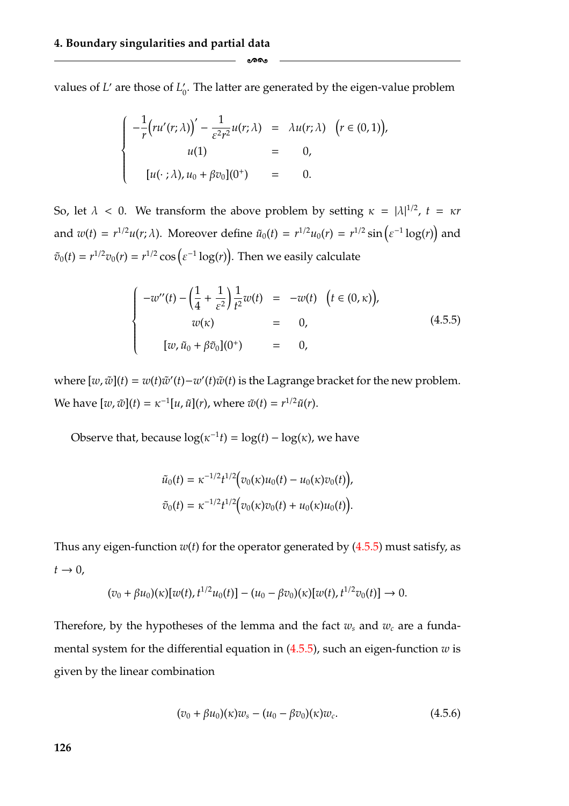values of *L'* are those of  $L_0'$ . The latter are generated by the eigen-value problem

-

$$
\begin{cases}\n-\frac{1}{r}\left(ru'(r;\lambda)\right)' - \frac{1}{\varepsilon^2 r^2}u(r;\lambda) & = \lambda u(r;\lambda) \quad \left(r \in (0,1)\right), \\
u(1) & = 0, \\
u(\cdot;\lambda), u_0 + \beta v_0](0^+) & = 0.\n\end{cases}
$$

So, let  $\lambda < 0$ . We transform the above problem by setting  $\kappa = |\lambda|^{1/2}$ ,  $t = \kappa r$ and  $w(t) = r^{1/2}u(r; \lambda)$ . Moreover define  $\tilde{u}_0(t) = r^{1/2}u_0(r) = r^{1/2}\sin(\varepsilon^{-1}\log(r))$  and  $\tilde{v}_0(t) = r^{1/2} v_0(r) = r^{1/2} \cos \left( \varepsilon^{-1} \log(r) \right)$ . Then we easily calculate

<span id="page-132-0"></span>
$$
\begin{cases}\n-w''(t) - \left(\frac{1}{4} + \frac{1}{\varepsilon^2}\right) \frac{1}{t^2} w(t) &= -w(t) \quad \left(t \in (0, \kappa)\right), \\
w(\kappa) &= 0, \\
[w, \tilde{u}_0 + \beta \tilde{v}_0](0^+) &= 0,\n\end{cases} \tag{4.5.5}
$$

where  $[w, \tilde{w}](t) = w(t)\tilde{w}'(t) - w'(t)\tilde{w}(t)$  is the Lagrange bracket for the new problem. We have  $[w, \tilde{w}](t) = \kappa^{-1}[u, \tilde{u}](r)$ , where  $\tilde{w}(t) = r^{1/2}\tilde{u}(r)$ .

Observe that, because  $\log(\kappa^{-1}t) = \log(t) - \log(\kappa)$ , we have

$$
\tilde{u}_0(t) = \kappa^{-1/2} t^{1/2} \Big( v_0(\kappa) u_0(t) - u_0(\kappa) v_0(t) \Big),
$$
  

$$
\tilde{v}_0(t) = \kappa^{-1/2} t^{1/2} \Big( v_0(\kappa) v_0(t) + u_0(\kappa) u_0(t) \Big).
$$

Thus any eigen-function  $w(t)$  for the operator generated by  $(4.5.5)$  must satisfy, as  $t \rightarrow 0$ ,

$$
(v_0 + \beta u_0)(\kappa)[w(t), t^{1/2}u_0(t)] - (u_0 - \beta v_0)(\kappa)[w(t), t^{1/2}v_0(t)] \to 0.
$$

Therefore, by the hypotheses of the lemma and the fact  $w_s$  and  $w_c$  are a fundamental system for the differential equation in [\(4.5.5\)](#page-132-0), such an eigen-function *w* is given by the linear combination

<span id="page-132-1"></span>
$$
(v_0 + \beta u_0)(\kappa)w_s - (u_0 - \beta v_0)(\kappa)w_c.
$$
 (4.5.6)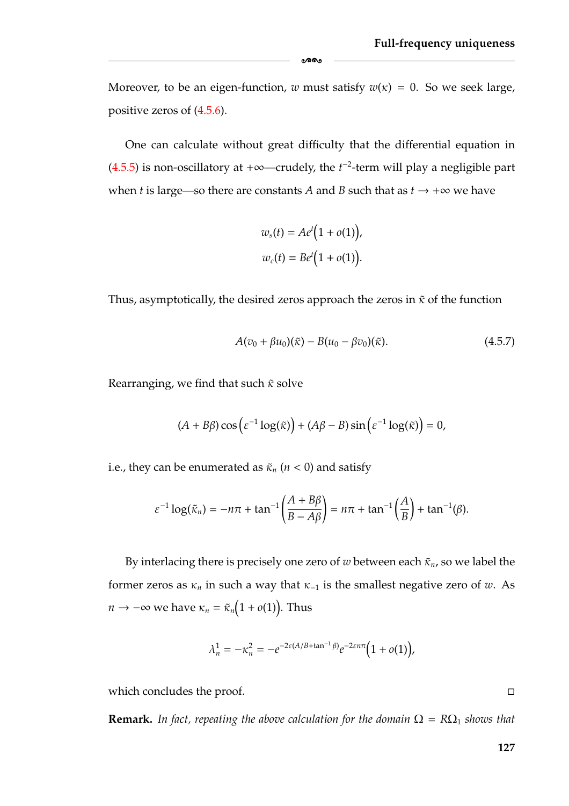Moreover, to be an eigen-function, *w* must satisfy  $w(x) = 0$ . So we seek large, positive zeros of [\(4.5.6\)](#page-132-1).

ക്ക

One can calculate without great difficulty that the differential equation in  $(4.5.5)$  is non-oscillatory at  $+\infty$ —crudely, the  $t^{-2}$ -term will play a negligible part when *t* is large—so there are constants *A* and *B* such that as  $t \rightarrow +\infty$  we have

$$
w_s(t) = Ae^{t}(1 + o(1)),
$$
  

$$
w_c(t) = Be^{t}(1 + o(1)).
$$

Thus, asymptotically, the desired zeros approach the zeros in  $\tilde{\kappa}$  of the function

$$
A(v_0 + \beta u_0)(\tilde{\kappa}) - B(u_0 - \beta v_0)(\tilde{\kappa}).
$$
\n(4.5.7)

Rearranging, we find that such  $\tilde{\kappa}$  solve

$$
(A + B\beta)\cos\left(\varepsilon^{-1}\log(\tilde{\kappa})\right) + (A\beta - B)\sin\left(\varepsilon^{-1}\log(\tilde{\kappa})\right) = 0,
$$

i.e., they can be enumerated as  $\tilde{\kappa}_n$  ( $n < 0$ ) and satisfy

$$
\varepsilon^{-1}\log(\tilde{\kappa}_n)=-n\pi+\tan^{-1}\left(\frac{A+B\beta}{B-A\beta}\right)=n\pi+\tan^{-1}\left(\frac{A}{B}\right)+\tan^{-1}(\beta).
$$

By interlacing there is precisely one zero of *w* between each  $\tilde{\kappa}_n$ , so we label the former zeros as  $\kappa_n$  in such a way that  $\kappa_{-1}$  is the smallest negative zero of *w*. As  $n \to -\infty$  we have  $\kappa_n = \tilde{\kappa}_n \big( 1 + o(1) \big)$ . Thus

$$
\lambda_n^1 = -\kappa_n^2 = -e^{-2\varepsilon(A/B + \tan^{-1}\beta)}e^{-2\varepsilon n\pi} \Big(1 + o(1)\Big),
$$

which concludes the proof.

**Remark.** In fact, repeating the above calculation for the domain  $\Omega = R\Omega_1$  shows that

 $\Box$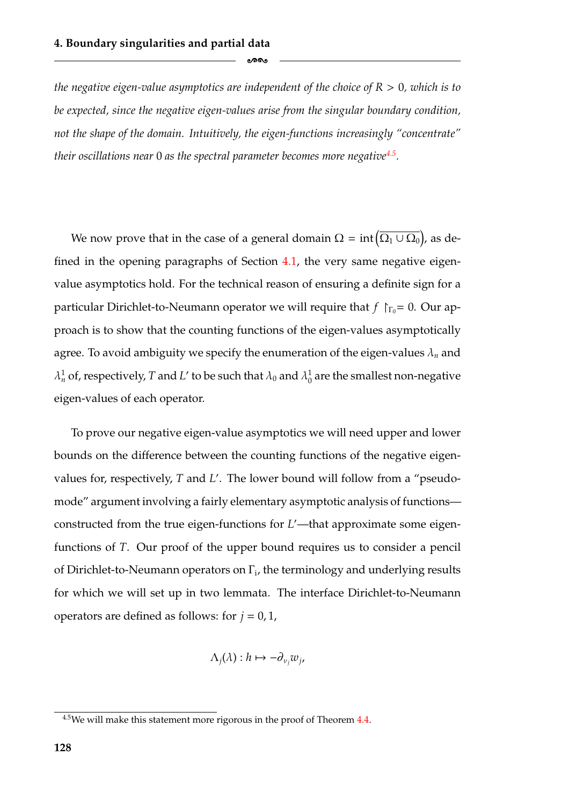*the negative eigen-value asymptotics are independent of the choice of R* > 0*, which is to be expected, since the negative eigen-values arise from the singular boundary condition, not the shape of the domain. Intuitively, the eigen-functions increasingly "concentrate" their oscillations near* 0 *as the spectral parameter becomes more negativ[e4.5.](#page-134-0)*

ക്കം

We now prove that in the case of a general domain  $\Omega = \text{int} \big( \overline{\Omega_1 \cup \Omega_0} \big)$ ), as defined in the opening paragraphs of Section [4.1,](#page-114-0) the very same negative eigenvalue asymptotics hold. For the technical reason of ensuring a definite sign for a particular Dirichlet-to-Neumann operator we will require that  $f \upharpoonright_{\Gamma_0} = 0$ . Our approach is to show that the counting functions of the eigen-values asymptotically agree. To avoid ambiguity we specify the enumeration of the eigen-values  $\lambda_n$  and  $\lambda^1_n$  of, respectively,  $T$  and  $L'$  to be such that  $\lambda_0$  and  $\lambda^1_0$  are the smallest non-negative eigen-values of each operator.

To prove our negative eigen-value asymptotics we will need upper and lower bounds on the difference between the counting functions of the negative eigenvalues for, respectively, *T* and *L* . The lower bound will follow from a "pseudomode" argument involving a fairly elementary asymptotic analysis of functions constructed from the true eigen-functions for *L* —that approximate some eigenfunctions of *T*. Our proof of the upper bound requires us to consider a pencil of Dirichlet-to-Neumann operators on  $\Gamma_i$ , the terminology and underlying results for which we will set up in two lemmata. The interface Dirichlet-to-Neumann operators are defined as follows: for  $j = 0, 1$ ,

$$
\Lambda_j(\lambda): h \mapsto -\partial_{\nu_j} w_j,
$$

<span id="page-134-0"></span> $4.5$ We will make this statement more rigorous in the proof of Theorem [4.4.](#page-140-0)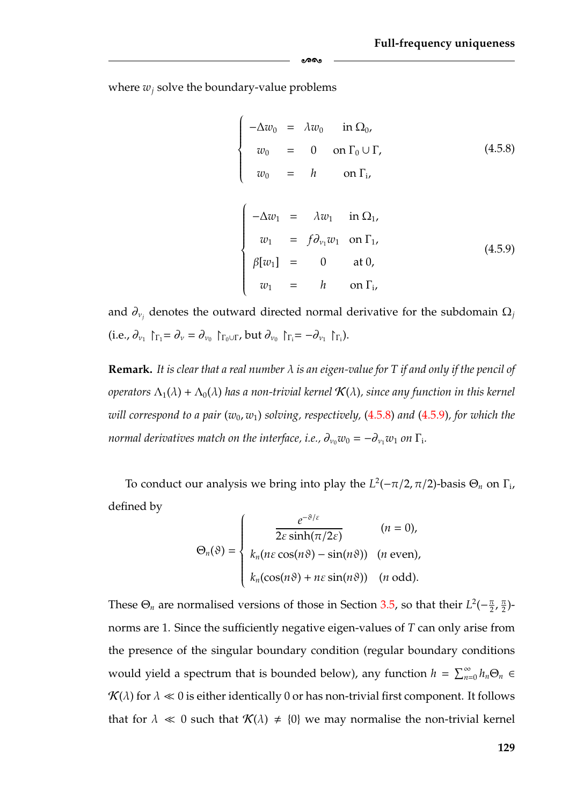where  $w_i$  solve the boundary-value problems

 $\overline{1}$  $\int$ 

 $\left\{\rule{0pt}{12pt}\right.\}$ 

<span id="page-135-1"></span>
$$
-\Delta w_0 = \lambda w_0 \quad \text{in } \Omega_0,
$$
  
\n
$$
w_0 = 0 \quad \text{on } \Gamma_0 \cup \Gamma,
$$
  
\n
$$
w_0 = h \quad \text{on } \Gamma_i,
$$
  
\n(4.5.8)

<span id="page-135-0"></span>
$$
\begin{cases}\n-\Delta w_1 = \lambda w_1 \quad \text{in } \Omega_1, \\
w_1 = f \partial_{v_1} w_1 \quad \text{on } \Gamma_1, \\
\beta[w_1] = 0 \quad \text{at } 0, \\
w_1 = h \quad \text{on } \Gamma_i,\n\end{cases}
$$
\n(4.5.9)

and  $\partial_{v_j}$  denotes the outward directed normal derivative for the subdomain  $\Omega_j$ (i.e.,  $\partial_{\nu_1} \upharpoonright_{\Gamma_1} = \partial_{\nu} = \partial_{\nu_0} \upharpoonright_{\Gamma_0 \cup \Gamma}$ , but  $\partial_{\nu_0} \upharpoonright_{\Gamma_1} = -\partial_{\nu_1} \upharpoonright_{\Gamma_1}$ ).

-

<span id="page-135-2"></span>**Remark.** *It is clear that a real number* λ *is an eigen-value for T if and only if the pencil of operators*  $\Lambda_1(\lambda) + \Lambda_0(\lambda)$  *has a non-trivial kernel*  $\mathcal{K}(\lambda)$ *, since any function in this kernel will correspond to a pair* ( $w_0$ ,  $w_1$ ) *solving*, *respectively*, [\(4.5.8\)](#page-135-1) *and* [\(4.5.9\)](#page-135-0), for which the *normal derivatives match on the interface, i.e.,*  $\partial_{v_0} w_0 = -\partial_{v_1} w_1$  *on*  $\Gamma_i$ *.* 

To conduct our analysis we bring into play the  $L^2(-\pi/2, \pi/2)$ -basis  $\Theta_n$  on  $\Gamma_i$ , defined by  $\overline{1}$ 

$$
\Theta_n(\vartheta) = \begin{cases}\n\frac{e^{-\vartheta/\varepsilon}}{2\varepsilon \sinh(\pi/2\varepsilon)} & (n = 0), \\
k_n(n\varepsilon \cos(n\vartheta) - \sin(n\vartheta)) & (n \text{ even}), \\
k_n(\cos(n\vartheta) + n\varepsilon \sin(n\vartheta)) & (n \text{ odd}).\n\end{cases}
$$

These  $\Theta_n$  are normalised versions of those in Section [3.5,](#page-96-0) so that their  $L^2(-\frac{\pi}{2},\frac{\pi}{2})$ norms are 1. Since the sufficiently negative eigen-values of *T* can only arise from the presence of the singular boundary condition (regular boundary conditions would yield a spectrum that is bounded below), any function  $h = \sum_{n=0}^{\infty} h_n \Theta_n \in$  $\mathcal{K}(\lambda)$  for  $\lambda \ll 0$  is either identically 0 or has non-trivial first component. It follows that for  $\lambda \ll 0$  such that  $\mathcal{K}(\lambda) \neq \{0\}$  we may normalise the non-trivial kernel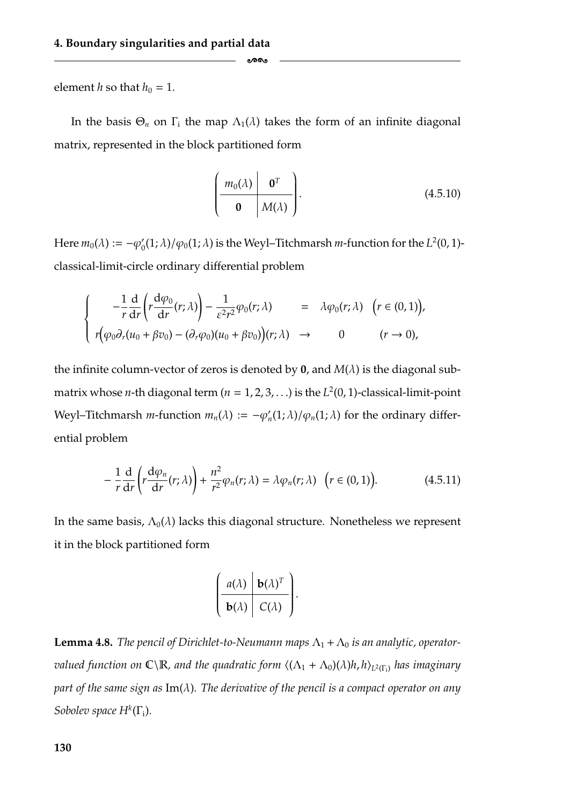element *h* so that  $h_0 = 1$ .

In the basis  $\Theta_n$  on  $\Gamma_i$  the map  $\Lambda_1(\lambda)$  takes the form of an infinite diagonal matrix, represented in the block partitioned form

-

$$
\left(\begin{array}{c|c} m_0(\lambda) & \mathbf{0}^T \\ \hline \mathbf{0} & M(\lambda) \end{array}\right). \tag{4.5.10}
$$

Here  $m_0(\lambda) := -\varphi'_0(1;\lambda)/\varphi_0(1;\lambda)$  is the Weyl–Titchmarsh *m*-function for the  $L^2(0,1)$ classical-limit-circle ordinary differential problem

$$
\begin{cases}\n-\frac{1}{r}\frac{d}{dr}\left(r\frac{d\varphi_0}{dr}(r;\lambda)\right)-\frac{1}{\varepsilon^2r^2}\varphi_0(r;\lambda) & = \lambda\varphi_0(r;\lambda) \quad (r \in (0,1)),\\ \nr(\varphi_0\partial_r(u_0+\beta v_0)-(\partial_r\varphi_0)(u_0+\beta v_0))(r;\lambda) & \to & 0 \quad (r \to 0),\n\end{cases}
$$

the infinite column-vector of zeros is denoted by  $\mathbf{0}$ , and  $M(\lambda)$  is the diagonal submatrix whose *n*-th diagonal term  $(n = 1, 2, 3, ...)$  is the  $L<sup>2</sup>(0, 1)$ -classical-limit-point Weyl–Titchmarsh *m*-function  $m_n(\lambda) := -\varphi'_n(1;\lambda)/\varphi_n(1;\lambda)$  for the ordinary differential problem

<span id="page-136-0"></span>
$$
-\frac{1}{r}\frac{d}{dr}\left(r\frac{d\varphi_n}{dr}(r;\lambda)\right)+\frac{n^2}{r^2}\varphi_n(r;\lambda)=\lambda\varphi_n(r;\lambda)\quad\big(r\in(0,1)\big).
$$
 (4.5.11)

.

In the same basis,  $\Lambda_0(\lambda)$  lacks this diagonal structure. Nonetheless we represent it in the block partitioned form

$$
\left(\begin{array}{c|c}\n a(\lambda) & \mathbf{b}(\lambda)^T \\
 \hline\n \mathbf{b}(\lambda) & C(\lambda)\n\end{array}\right)
$$

<span id="page-136-1"></span>**Lemma 4.8.** *The pencil of Dirichlet-to-Neumann maps*  $\Lambda_1 + \Lambda_0$  *is an analytic, operatorvalued function on*  $\mathbb{C}\backslash\mathbb{R}$ *, and the quadratic form*  $\langle (\Lambda_1 + \Lambda_0)(\lambda)h, h \rangle_{L^2(\Gamma_i)}$  *has imaginary part of the same sign as* Im(λ)*. The derivative of the pencil is a compact operator on any Sobolev space*  $H^k(\Gamma_i)$ *.*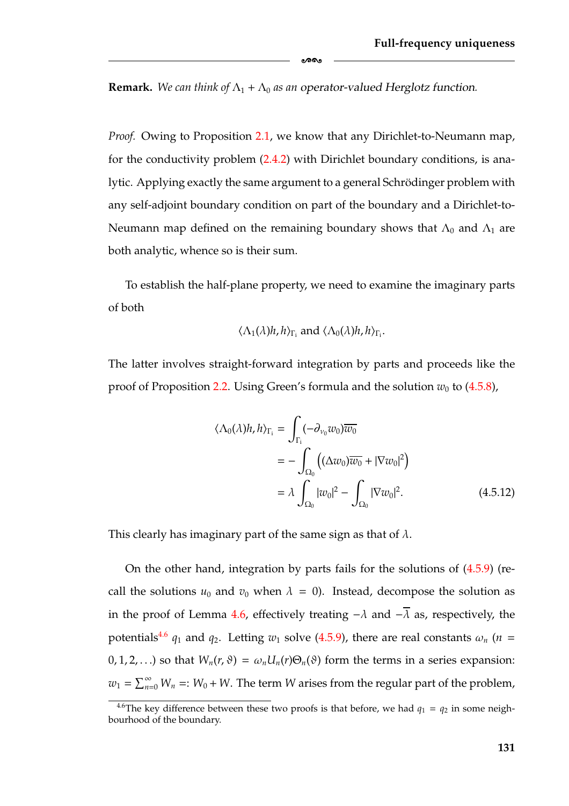**Remark.** We can think of  $\Lambda_1 + \Lambda_0$  as an operator-valued Herglotz function.

-

*Proof.* Owing to Proposition [2.1,](#page-46-0) we know that any Dirichlet-to-Neumann map, for the conductivity problem [\(2.4.2\)](#page-45-0) with Dirichlet boundary conditions, is analytic. Applying exactly the same argument to a general Schrödinger problem with any self-adjoint boundary condition on part of the boundary and a Dirichlet-to-Neumann map defined on the remaining boundary shows that  $\Lambda_0$  and  $\Lambda_1$  are both analytic, whence so is their sum.

To establish the half-plane property, we need to examine the imaginary parts of both

$$
\langle \Lambda_1(\lambda)h, h \rangle_{\Gamma_i}
$$
 and  $\langle \Lambda_0(\lambda)h, h \rangle_{\Gamma_i}$ .

The latter involves straight-forward integration by parts and proceeds like the proof of Proposition [2.2.](#page-47-0) Using Green's formula and the solution  $w_0$  to [\(4.5.8\)](#page-135-1),

<span id="page-137-1"></span>
$$
\langle \Lambda_0(\lambda)h, h \rangle_{\Gamma_i} = \int_{\Gamma_i} (-\partial_{\nu_0} w_0) \overline{w_0}
$$
  
= 
$$
- \int_{\Omega_0} \left( (\Delta w_0) \overline{w_0} + |\nabla w_0|^2 \right)
$$
  
= 
$$
\lambda \int_{\Omega_0} |w_0|^2 - \int_{\Omega_0} |\nabla w_0|^2.
$$
 (4.5.12)

This clearly has imaginary part of the same sign as that of  $\lambda$ .

On the other hand, integration by parts fails for the solutions of [\(4.5.9\)](#page-135-0) (recall the solutions  $u_0$  and  $v_0$  when  $\lambda = 0$ ). Instead, decompose the solution as in the proof of Lemma [4.6,](#page-125-2) effectively treating  $-\lambda$  and  $-\overline{\lambda}$  as, respectively, the potentials<sup>4.6</sup>  $q_1$  and  $q_2$ . Letting  $w_1$  solve [\(4.5.9\)](#page-135-0), there are real constants  $\omega_n$  ( $n =$  $(0, 1, 2, ...)$  so that  $W_n(r, \vartheta) = \omega_n U_n(r) \Theta_n(\vartheta)$  form the terms in a series expansion:  $w_1 = \sum_{n=0}^{\infty} W_n =: W_0 + W$ . The term *W* arises from the regular part of the problem,

<span id="page-137-0"></span><sup>&</sup>lt;sup>4.6</sup>The key difference between these two proofs is that before, we had  $q_1 = q_2$  in some neighbourhood of the boundary.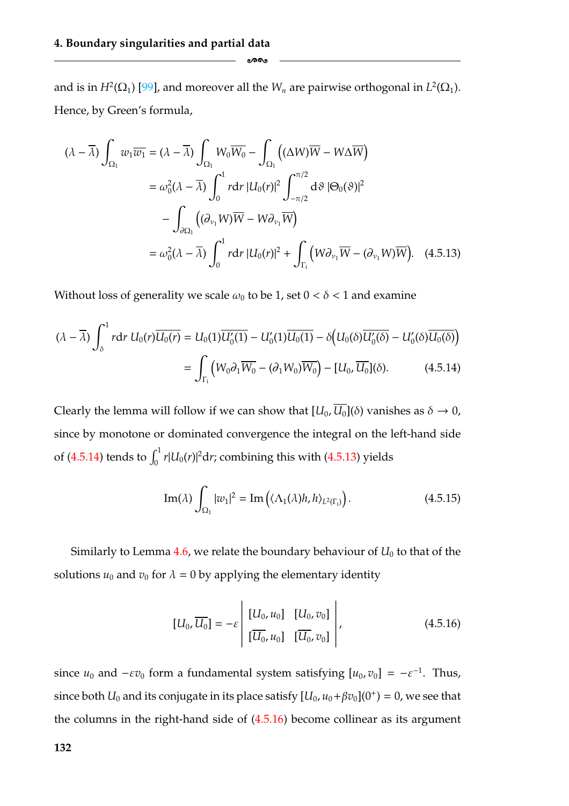and is in  $H^2(\Omega_1)$  [\[99\]](#page-185-0), and moreover all the  $W_n$  are pairwise orthogonal in  $L^2(\Omega_1)$ . Hence, by Green's formula,

<span id="page-138-1"></span>-

$$
(\lambda - \overline{\lambda}) \int_{\Omega_1} w_1 \overline{w_1} = (\lambda - \overline{\lambda}) \int_{\Omega_1} W_0 \overline{W_0} - \int_{\Omega_1} ((\Delta W) \overline{W} - W \Delta \overline{W})
$$
  
\n
$$
= \omega_0^2 (\lambda - \overline{\lambda}) \int_0^1 r dr |U_0(r)|^2 \int_{-\pi/2}^{\pi/2} d\vartheta |\Theta_0(\vartheta)|^2
$$
  
\n
$$
- \int_{\partial \Omega_1} ((\partial_{\nu_1} W) \overline{W} - W \partial_{\nu_1} \overline{W})
$$
  
\n
$$
= \omega_0^2 (\lambda - \overline{\lambda}) \int_0^1 r dr |U_0(r)|^2 + \int_{\Gamma_i} (W \partial_{\nu_1} \overline{W} - (\partial_{\nu_1} W) \overline{W}). \quad (4.5.13)
$$

Without loss of generality we scale  $\omega_0$  to be 1, set  $0 < \delta < 1$  and examine

$$
(\lambda - \overline{\lambda}) \int_{\delta}^{1} r dr U_{0}(r) \overline{U_{0}(r)} = U_{0}(1) \overline{U'_{0}(1)} - U'_{0}(1) \overline{U_{0}(1)} - \delta \Big(U_{0}(\delta) \overline{U'_{0}(\delta)} - U'_{0}(\delta) \overline{U_{0}(\delta)}\Big)
$$
  
= 
$$
\int_{\Gamma_{i}} \Big(W_{0} \partial_{1} \overline{W_{0}} - (\partial_{1} W_{0}) \overline{W_{0}}\Big) - [U_{0}, \overline{U_{0}}](\delta).
$$
 (4.5.14)

Clearly the lemma will follow if we can show that  $[U_0, \overline{U_0}](\delta)$  vanishes as  $\delta \to 0$ , since by monotone or dominated convergence the integral on the left-hand side of [\(4.5.14\)](#page-138-2) tends to  $\int_0^1 r |U_0(r)|^2 dr$ ; combining this with [\(4.5.13\)](#page-138-1) yields

<span id="page-138-2"></span>
$$
\operatorname{Im}(\lambda) \int_{\Omega_1} |w_1|^2 = \operatorname{Im}\left(\langle \Lambda_1(\lambda)h, h \rangle_{L^2(\Gamma_i)}\right). \tag{4.5.15}
$$

Similarly to Lemma  $4.6$ , we relate the boundary behaviour of  $U_0$  to that of the solutions  $u_0$  and  $v_0$  for  $\lambda = 0$  by applying the elementary identity

<span id="page-138-0"></span>
$$
[U_0, \overline{U_0}] = -\varepsilon \begin{vmatrix} [U_0, u_0] & [U_0, v_0] \\ \overline{U_0}, u_0] & [\overline{U_0}, v_0] \end{vmatrix},
$$
(4.5.16)

since  $u_0$  and  $-\varepsilon v_0$  form a fundamental system satisfying  $[u_0, v_0] = -\varepsilon^{-1}$ . Thus, since both  $U_0$  and its conjugate in its place satisfy  $[U_0, u_0 + \beta v_0](0^+) = 0$ , we see that the columns in the right-hand side of [\(4.5.16\)](#page-138-0) become collinear as its argument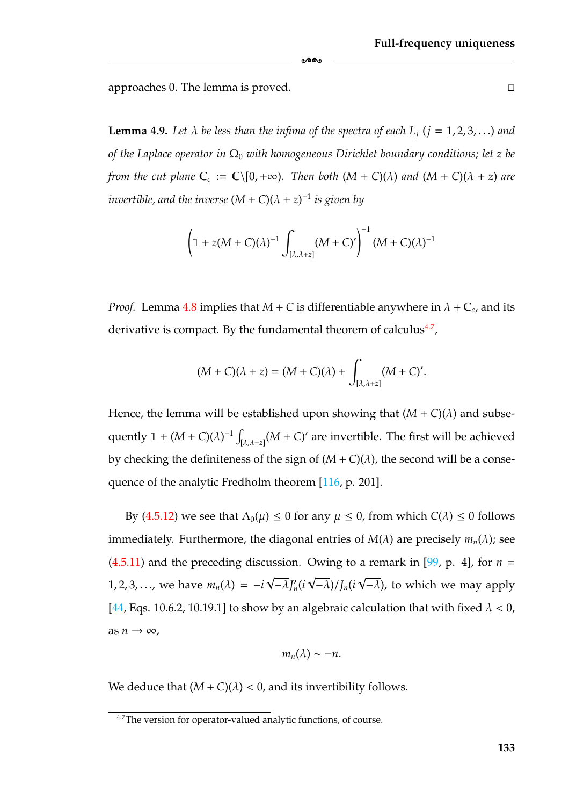approaches 0. The lemma is proved.

**Lemma 4.9.** Let  $\lambda$  be less than the infima of the spectra of each  $L_i$  ( $i = 1, 2, 3, \ldots$ ) and *of the Laplace operator in*  $\Omega_0$  *with homogeneous Dirichlet boundary conditions; let z be from the cut plane*  $\mathbb{C}_c := \mathbb{C} \setminus [0, +\infty)$ *. Then both*  $(M + C)(\lambda)$  *and*  $(M + C)(\lambda + z)$  *are invertible, and the inverse*  $(M+C)(\lambda + z)^{-1}$  *is given by x de tess than the rator in*  $\Omega_0$  *with*<br> *e*  $\mathbb{C}_c := \mathbb{C} \setminus [0, +\infty)$ <br> *inverse*  $(M + C)$ <br>  $\mathbb{I} + z(M + C)(\lambda)$ 

-

$$
\left(\mathbb{1}+z(M+C)(\lambda)^{-1}\int_{[\lambda,\lambda+z]}(M+C)'\right)^{-1}(M+C)(\lambda)^{-1}
$$

*Proof.* Lemma [4.8](#page-136-1) implies that  $M + C$  is differentiable anywhere in  $\lambda + C_c$ , and its derivative is compact. By the fundamental theorem of calculus $4.7$ ,

$$
(M+C)(\lambda + z) = (M+C)(\lambda) + \int_{[\lambda,\lambda+z]} (M+C)'.
$$

Hence, the lemma will be established upon showing that  $(M + C)(\lambda)$  and subsederivative is compact. By<br>  $(M + C)(\lambda)$ <br>
Hence, the lemma will be<br>
quently  $1 + (M + C)(\lambda)^{-1}$  $\int_{[\lambda,\lambda+z]} (M+C)'$  are invertible. The first will be achieved by checking the definiteness of the sign of  $(M+C)(\lambda)$ , the second will be a consequence of the analytic Fredholm theorem [\[116,](#page-186-0) p. 201].

By [\(4.5.12\)](#page-137-1) we see that  $Λ_0(μ) \le 0$  for any  $μ \le 0$ , from which  $C(λ) \le 0$  follows immediately. Furthermore, the diagonal entries of  $M(\lambda)$  are precisely  $m_n(\lambda)$ ; see  $(4.5.11)$  and the preceding discussion. Owing to a remark in [\[99,](#page-185-0) p. 4], for  $n =$ 1, 2, 3, . . ., we have  $m_n(\lambda) = -i$ √  $\overline{-\lambda} J'_n(i)$ √ −λ)/*Jn*(*i* √  $\overline{-\lambda}$ ), to which we may apply [\[44,](#page-182-1) Eqs. 10.6.2, 10.19.1] to show by an algebraic calculation that with fixed  $\lambda < 0$ , as  $n \to \infty$ ,

$$
m_n(\lambda) \sim -n.
$$

We deduce that  $(M + C)(\lambda) < 0$ , and its invertibility follows.

<span id="page-139-0"></span><sup>&</sup>lt;sup>4.7</sup>The version for operator-valued analytic functions, of course.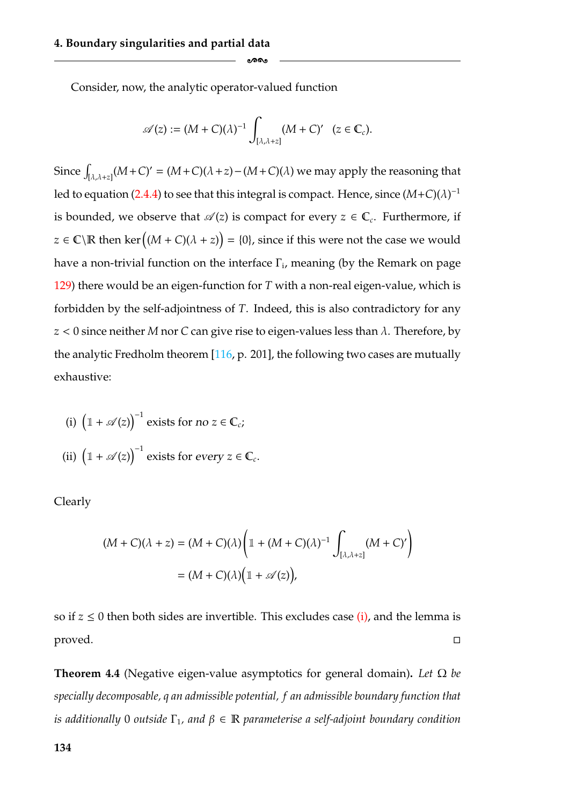Consider, now, the analytic operator-valued function

$$
\mathscr{A}(z) := (M + C)(\lambda)^{-1} \int_{[\lambda,\lambda+z]} (M + C)' \quad (z \in \mathbb{C}_c).
$$

ക്കം

Since  $\int_{[\lambda,\lambda+z]} (M+C)' = (M+C)(\lambda+z) - (M+C)(\lambda)$  we may apply the reasoning that led to equation [\(2.4.4\)](#page-47-1) to see that this integral is compact. Hence, since  $(M+C)(\lambda)^{-1}$ is bounded, we observe that  $\mathscr{A}(z)$  is compact for every  $z \in \mathbb{C}_c$ . Furthermore, if  $z \in \mathbb{C} \backslash \mathbb{R}$  then ker  $((M + C)(\lambda + z)) = \{0\}$ , since if this were not the case we would have a non-trivial function on the interface  $\Gamma_i$ , meaning (by the Remark on page [129\)](#page-135-2) there would be an eigen-function for *T* with a non-real eigen-value, which is forbidden by the self-adjointness of *T*. Indeed, this is also contradictory for any *z* < 0 since neither *M* nor *C* can give rise to eigen-values less than λ. Therefore, by the analytic Fredholm theorem [\[116,](#page-186-0) p. 201], the following two cases are mutually exhaustive: ince neitl<br>alytic Fre<br>stive:<br> $\mathbb{1} + \mathscr{A}(z)$ 

<span id="page-140-1"></span>the analytic Fredholm theorem [116, p. 20

\nchaustive:

\n(i) 
$$
\left(\mathbb{1} + \mathcal{A}(z)\right)^{-1}
$$
 exists for no  $z \in \mathbb{C}_c$ ;

\n(ii) 
$$
\left(\mathbb{1} + \mathcal{A}(z)\right)^{-1}
$$
 exists for every  $z \in \mathbb{C}_c$ .

Clearly

$$
\mathcal{A}(z)\Big)^{-1} \text{ exists for every } z \in \mathbb{C}_c.
$$
\n
$$
(M + C)(\lambda + z) = (M + C)(\lambda)\left(1 + (M + C)(\lambda)^{-1}\int_{[\lambda,\lambda+z]} (M + C)'\right)
$$
\n
$$
= (M + C)(\lambda)\left(1 + \mathcal{A}(z)\right),
$$

so if  $z \leq 0$  then both sides are invertible. This excludes case [\(i\),](#page-140-1) and the lemma is proved.  $\Box$ 

<span id="page-140-0"></span>**Theorem 4.4** (Negative eigen-value asymptotics for general domain)**.** *Let* Ω *be specially decomposable, q an admissible potential, f an admissible boundary function that is additionally* 0 *outside*  $\Gamma_1$ *, and*  $\beta \in \mathbb{R}$  *parameterise a self-adjoint boundary condition*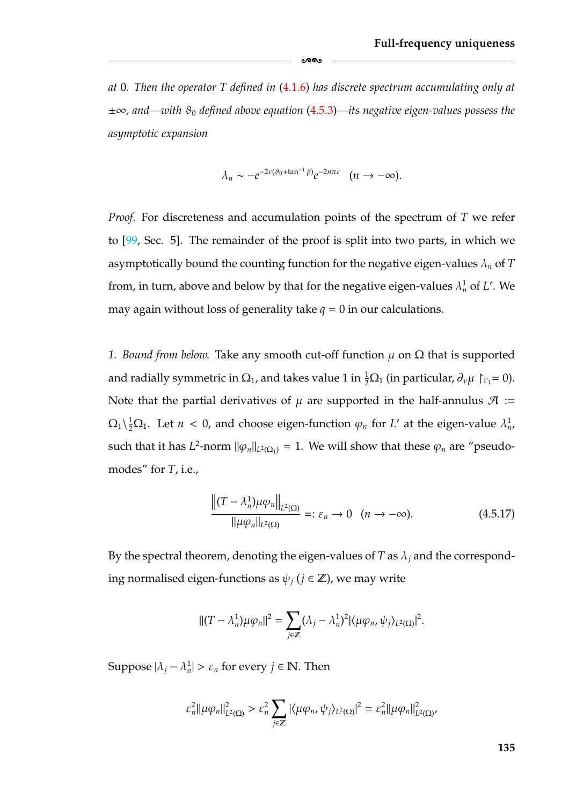*at* 0*. Then the operator T defined in* [\(4.1.6\)](#page-118-1) *has discrete spectrum accumulating only at* ±∞*, and—with* ϑ<sup>0</sup> *defined above equation* [\(4.5.3\)](#page-131-1)*—its negative eigen-values possess the asymptotic expansion*

-

$$
\lambda_n \sim -e^{-2\varepsilon(\vartheta_0 + \tan^{-1}\beta)}e^{-2n\pi\varepsilon} \quad (n \to -\infty).
$$

*Proof.* For discreteness and accumulation points of the spectrum of *T* we refer to [\[99,](#page-185-0) Sec. 5]. The remainder of the proof is split into two parts, in which we asymptotically bound the counting function for the negative eigen-values λ*<sup>n</sup>* of *T* from, in turn, above and below by that for the negative eigen-values  $\lambda_n^1$  of *L'*. We may again without loss of generality take  $q = 0$  in our calculations.

*1. Bound from below.* Take any smooth cut-off function  $\mu$  on  $\Omega$  that is supported and radially symmetric in  $\Omega_1$ , and takes value 1 in  $\frac{1}{2}\Omega_1$  (in particular,  $\partial_\nu\mu\restriction_{\Gamma_1}=0$ ). Note that the partial derivatives of  $\mu$  are supported in the half-annulus  $\mathcal{A}$  :=  $\Omega_1 \backslash \frac{1}{2} \Omega_1$ . Let  $n < 0$ , and choose eigen-function  $\varphi_n$  for *L'* at the eigen-value  $\lambda_n^1$ , such that it has *L*<sup>2</sup>-norm  $\|\varphi_n\|_{L^2(\Omega_1)} = 1$ . We will show that these  $\varphi_n$  are "pseudomodes" for *T*, i.e.,

<span id="page-141-0"></span>
$$
\frac{\left\| (T - \lambda_n^1) \mu \varphi_n \right\|_{L^2(\Omega)}}{\left\| \mu \varphi_n \right\|_{L^2(\Omega)}} =: \varepsilon_n \to 0 \quad (n \to -\infty).
$$
 (4.5.17)

By the spectral theorem, denoting the eigen-values of *T* as  $\lambda_i$  and the corresponding normalised eigen-functions as  $\psi_i$  ( $j \in \mathbb{Z}$ ), we may write

$$
||(T - \lambda_n^1)\mu\varphi_n||^2 = \sum_{j\in\mathbb{Z}} (\lambda_j - \lambda_n^1)^2 |\langle \mu\varphi_n, \psi_j \rangle_{L^2(\Omega)}|^2.
$$

Suppose  $|\lambda_j - \lambda_n^1| > \varepsilon_n$  for every  $j \in \mathbb{N}$ . Then

$$
\varepsilon_n^2 ||\mu \varphi_n||_{L^2(\Omega)}^2 > \varepsilon_n^2 \sum_{j \in \mathbb{Z}} |\langle \mu \varphi_n, \psi_j \rangle_{L^2(\Omega)}|^2 = \varepsilon_n^2 ||\mu \varphi_n||_{L^2(\Omega)}^2,
$$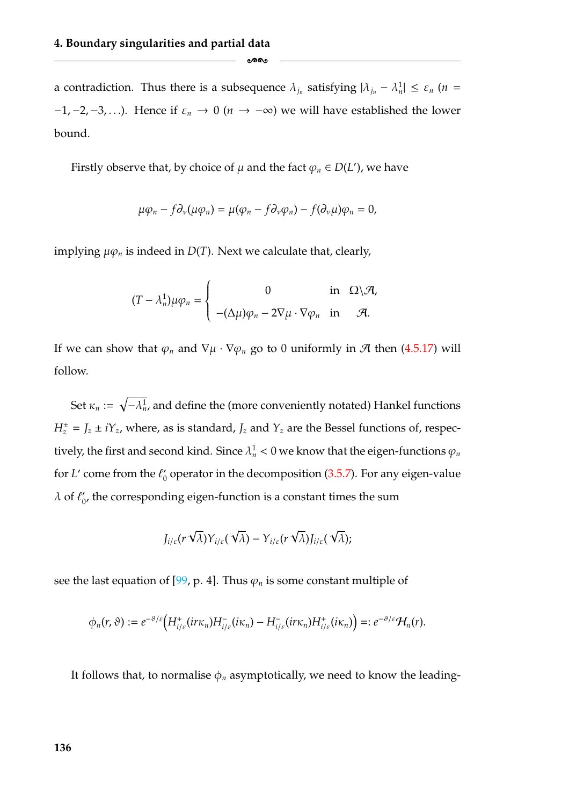a contradiction. Thus there is a subsequence  $\lambda_{j_n}$  satisfying  $|\lambda_{j_n} - \lambda_n^1| \leq \varepsilon_n$  (*n* =  $-1, -2, -3, \ldots$ ). Hence if  $\varepsilon_n \to 0$  ( $n \to -\infty$ ) we will have established the lower bound.

-

Firstly observe that, by choice of  $\mu$  and the fact  $\varphi_n \in D(L')$ , we have

$$
\mu \varphi_n - f \partial_\nu (\mu \varphi_n) = \mu (\varphi_n - f \partial_\nu \varphi_n) - f (\partial_\nu \mu) \varphi_n = 0,
$$

implying  $\mu \varphi_n$  is indeed in  $D(T)$ . Next we calculate that, clearly,

$$
(T - \lambda_n^1) \mu \varphi_n = \begin{cases} 0 & \text{in } \Omega \setminus \mathcal{A}, \\ -(\Delta \mu) \varphi_n - 2 \nabla \mu \cdot \nabla \varphi_n & \text{in } \mathcal{A}. \end{cases}
$$

If we can show that  $\varphi_n$  and  $\nabla \mu \cdot \nabla \varphi_n$  go to 0 uniformly in  $\mathcal A$  then [\(4.5.17\)](#page-141-0) will follow.

Set  $\kappa_n := \sqrt{-\lambda_n^1}$ , and define the (more conveniently notated) Hankel functions  $H_z^{\pm} = J_z \pm iY_z$ , where, as is standard,  $J_z$  and  $Y_z$  are the Bessel functions of, respectively, the first and second kind. Since  $\lambda_n^1 < 0$  we know that the eigen-functions  $\varphi_n$ for *L'* come from the  $\ell_0$  operator in the decomposition [\(3.5.7\)](#page-102-0). For any eigen-value  $\lambda$  of  $\ell'_{0}$ , the corresponding eigen-function is a constant times the sum

$$
J_{i/\varepsilon}(r\sqrt{\lambda})Y_{i/\varepsilon}(\sqrt{\lambda})-Y_{i/\varepsilon}(r\sqrt{\lambda})J_{i/\varepsilon}(\sqrt{\lambda});
$$

see the last equation of [\[99,](#page-185-0) p. 4]. Thus  $\varphi_n$  is some constant multiple of

$$
\phi_n(r,\vartheta):=e^{-\vartheta/\varepsilon}\Big(H^+_{i/\varepsilon}(ir\kappa_n)H^-_{i/\varepsilon}(i\kappa_n)-H^-_{i/\varepsilon}(ir\kappa_n)H^+_{i/\varepsilon}(i\kappa_n)\Big)=:e^{-\vartheta/\varepsilon}\mathcal{H}_n(r).
$$

It follows that, to normalise  $\phi_n$  asymptotically, we need to know the leading-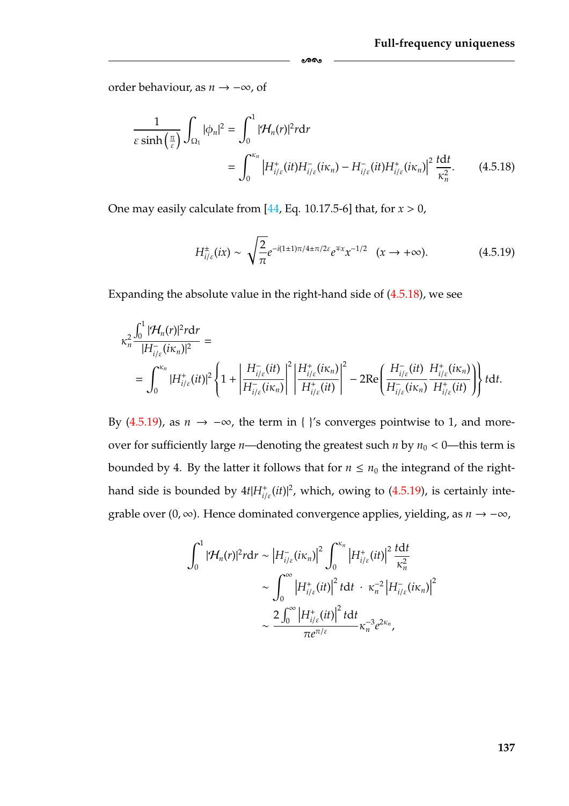order behaviour, as *n* → −∞, of

$$
\frac{1}{\varepsilon \sinh\left(\frac{\pi}{\varepsilon}\right)} \int_{\Omega_1} |\phi_n|^2 = \int_0^1 |\mathcal{H}_n(r)|^2 r dr
$$
\n
$$
= \int_0^{\kappa_n} \left| H^+_{i/\varepsilon}(it) H^-_{i/\varepsilon}(i\kappa_n) - H^-_{i/\varepsilon}(it) H^+_{i/\varepsilon}(i\kappa_n) \right|^2 \frac{t dt}{\kappa_n^2}.
$$
\n(4.5.18)

<span id="page-143-1"></span>ക്ക

One may easily calculate from [\[44,](#page-182-1) Eq. 10.17.5-6] that, for *x* > 0,

<span id="page-143-0"></span>
$$
H_{i/\varepsilon}^{\pm}(ix) \sim \sqrt{\frac{2}{\pi}} e^{-i(1\pm 1)\pi/4 \pm \pi/2\varepsilon} e^{\mp x} x^{-1/2} \quad (x \to +\infty).
$$
 (4.5.19)

Expanding the absolute value in the right-hand side of [\(4.5.18\)](#page-143-1), we see

$$
\begin{split} \kappa_n^2\frac{\int_0^1|\mathcal{H}_n(r)|^2r\mathrm{d}r}{|H_{i/\varepsilon}^-(i\kappa_n)|^2}&=\int_0^{\kappa_n}|H_{i/\varepsilon}^+(it)|^2\left\{1+\left|\frac{H_{i/\varepsilon}^-(it)}{H_{i/\varepsilon}^-(i\kappa_n)}\right|^2\left|\frac{H_{i/\varepsilon}^+(i\kappa_n)}{H_{i/\varepsilon}^+(it)}\right|^2-2\mathrm{Re}\left(\frac{H_{i/\varepsilon}^-(it)}{H_{i/\varepsilon}^-(i\kappa_n)}\frac{H_{i/\varepsilon}^+(i\kappa_n)}{H_{i/\varepsilon}^+(it)}\right)\right\}t\mathrm{d}t. \end{split}
$$

By [\(4.5.19\)](#page-143-0), as  $n \to -\infty$ , the term in {  $\}$ 's converges pointwise to 1, and moreover for sufficiently large *n*—denoting the greatest such *n* by  $n_0 < 0$ —this term is bounded by 4. By the latter it follows that for  $n \leq n_0$  the integrand of the righthand side is bounded by  $4t|H_{i/\varepsilon}^+(it)|^2$ , which, owing to  $(4.5.19)$ , is certainly integrable over (0, ∞). Hence dominated convergence applies, yielding, as *n* → −∞,

$$
\int_0^1 |\mathcal{H}_n(r)|^2 r dr \sim |H_{i/\varepsilon}^-(i\kappa_n)|^2 \int_0^{\kappa_n} |H_{i/\varepsilon}^+(it)|^2 \frac{tdt}{\kappa_n^2}
$$

$$
\sim \int_0^\infty |H_{i/\varepsilon}^+(it)|^2 t dt \cdot \kappa_n^{-2} |H_{i/\varepsilon}^-(i\kappa_n)|^2
$$

$$
\sim \frac{2 \int_0^\infty |H_{i/\varepsilon}^+(it)|^2 t dt}{\pi e^{\pi/\varepsilon}} \kappa_n^{-3} e^{2\kappa_n},
$$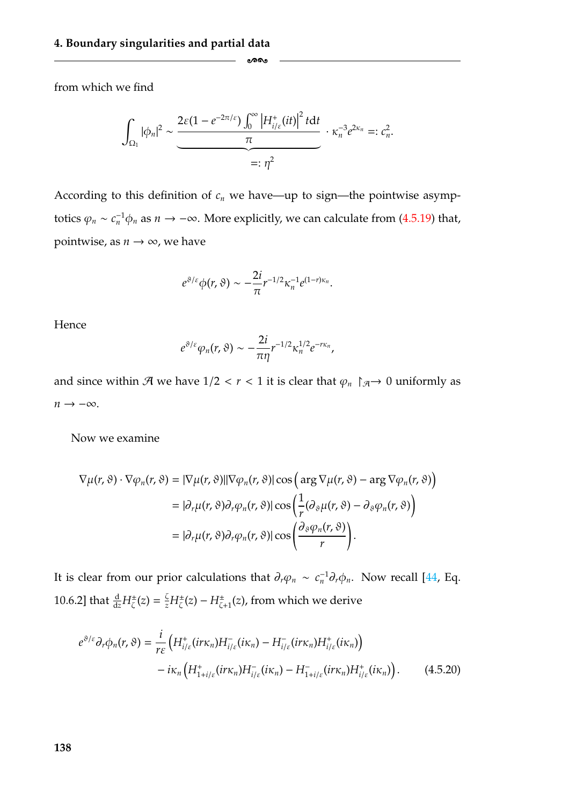from which we find

$$
\int_{\Omega_1} |\phi_n|^2 \sim \underbrace{\frac{2\varepsilon (1 - e^{-2\pi/\varepsilon}) \int_0^\infty \left| H_{i/\varepsilon}^+(it) \right|^2 t \mathrm{d}t}{\pi} \cdot \kappa_n^{-3} e^{2\kappa_n} =: c_n^2.}{=} \frac{\varepsilon_n^2}{\varepsilon_n}.
$$

-

According to this definition of  $c_n$  we have—up to sign—the pointwise asymptotics  $\varphi_n \sim c_n^{-1} \phi_n$  as  $n \to -\infty$ . More explicitly, we can calculate from [\(4.5.19\)](#page-143-0) that, pointwise, as  $n \to \infty$ , we have

$$
e^{\vartheta/\varepsilon}\phi(r,\vartheta)\sim-\frac{2i}{\pi}r^{-1/2}\kappa_n^{-1}e^{(1-r)\kappa_n}.
$$

Hence

$$
e^{\vartheta/\varepsilon}\varphi_n(r,\vartheta)\sim-\frac{2i}{\pi\eta}r^{-1/2}\kappa_n^{1/2}e^{-r\kappa_n},
$$

and since within  $\mathcal A$  we have  $1/2 < r < 1$  it is clear that  $\varphi_n \upharpoonright_{\mathcal A} \to 0$  uniformly as  $n \rightarrow -\infty$ .

Now we examine

$$
\nabla \mu(r,\vartheta) \cdot \nabla \varphi_n(r,\vartheta) = |\nabla \mu(r,\vartheta)||\nabla \varphi_n(r,\vartheta)|\cos\left(\arg \nabla \mu(r,\vartheta) - \arg \nabla \varphi_n(r,\vartheta)\right)
$$
  
\n
$$
= |\partial_r \mu(r,\vartheta) \partial_r \varphi_n(r,\vartheta)|\cos\left(\frac{1}{r}(\partial_\vartheta \mu(r,\vartheta) - \partial_\vartheta \varphi_n(r,\vartheta))\right)
$$
  
\n
$$
= |\partial_r \mu(r,\vartheta) \partial_r \varphi_n(r,\vartheta)|\cos\left(\frac{\partial_\vartheta \varphi_n(r,\vartheta)}{r}\right).
$$

It is clear from our prior calculations that  $\partial_r \varphi_n \sim c_n^{-1} \partial_r \varphi_n$ . Now recall [\[44,](#page-182-0) Eq. 10.6.2] that  $\frac{d}{dz}H^{\pm}_{\zeta}(z) = \frac{\zeta}{z}H^{\pm}_{\zeta}(z) - H^{\pm}_{\zeta+1}(z)$ , from which we derive

<span id="page-144-0"></span>
$$
e^{\vartheta/\varepsilon} \partial_r \phi_n(r, \vartheta) = \frac{i}{r\varepsilon} \left( H^+_{i/\varepsilon}(ir\kappa_n) H^-_{i/\varepsilon}(i\kappa_n) - H^-_{i/\varepsilon}(ir\kappa_n) H^+_{i/\varepsilon}(i\kappa_n) \right) - i\kappa_n \left( H^+_{1+i/\varepsilon}(ir\kappa_n) H^-_{i/\varepsilon}(i\kappa_n) - H^-_{1+i/\varepsilon}(ir\kappa_n) H^+_{i/\varepsilon}(i\kappa_n) \right).
$$
 (4.5.20)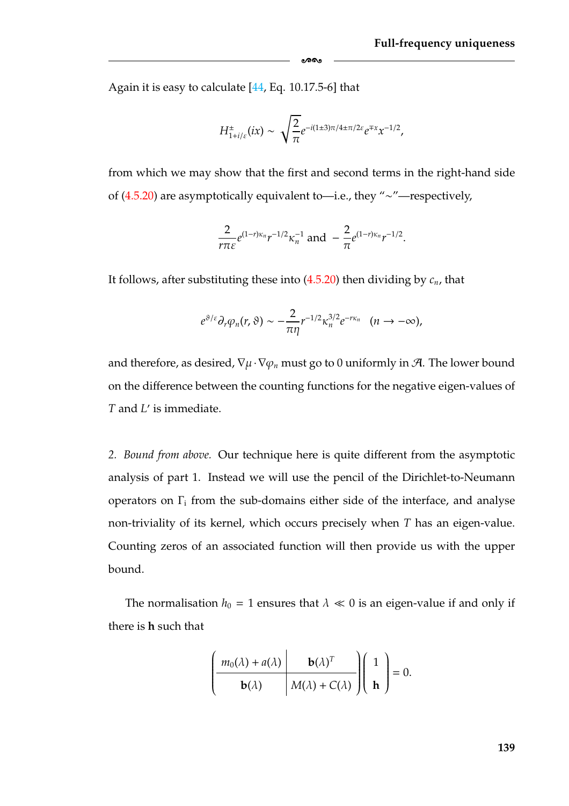Again it is easy to calculate [\[44,](#page-182-0) Eq. 10.17.5-6] that

$$
H^{\pm}_{1+i/\varepsilon}(ix) \sim \sqrt{\frac{2}{\pi}} e^{-i(1\pm 3)\pi/4\pm \pi/2\varepsilon} e^{\mp x} x^{-1/2},
$$

-

from which we may show that the first and second terms in the right-hand side of [\(4.5.20\)](#page-144-0) are asymptotically equivalent to—i.e., they "∼"—respectively,

$$
\frac{2}{r\pi\varepsilon}e^{(1-r)\kappa_n}r^{-1/2}\kappa_n^{-1} \text{ and } -\frac{2}{\pi}e^{(1-r)\kappa_n}r^{-1/2}.
$$

It follows, after substituting these into  $(4.5.20)$  then dividing by  $c_n$ , that

$$
e^{\vartheta/\varepsilon} \partial_r \varphi_n(r,\vartheta) \sim -\frac{2}{\pi\eta} r^{-1/2} \kappa_n^{3/2} e^{-r\kappa_n} \quad (n \to -\infty),
$$

and therefore, as desired,  $\nabla \mu \cdot \nabla \varphi_n$  must go to 0 uniformly in A. The lower bound on the difference between the counting functions for the negative eigen-values of *T* and *L'* is immediate.

*2. Bound from above.* Our technique here is quite different from the asymptotic analysis of part 1. Instead we will use the pencil of the Dirichlet-to-Neumann operators on  $\Gamma_i$  from the sub-domains either side of the interface, and analyse non-triviality of its kernel, which occurs precisely when *T* has an eigen-value. Counting zeros of an associated function will then provide us with the upper bound.

The normalisation  $h_0 = 1$  ensures that  $\lambda \ll 0$  is an eigen-value if and only if there is **h** such that

$$
\left(\begin{array}{c|c} m_0(\lambda) + a(\lambda) & \mathbf{b}(\lambda)^T \\ \hline \mathbf{b}(\lambda) & M(\lambda) + C(\lambda) \end{array}\right) \left(\begin{array}{c} 1 \\ \mathbf{h} \end{array}\right) = 0.
$$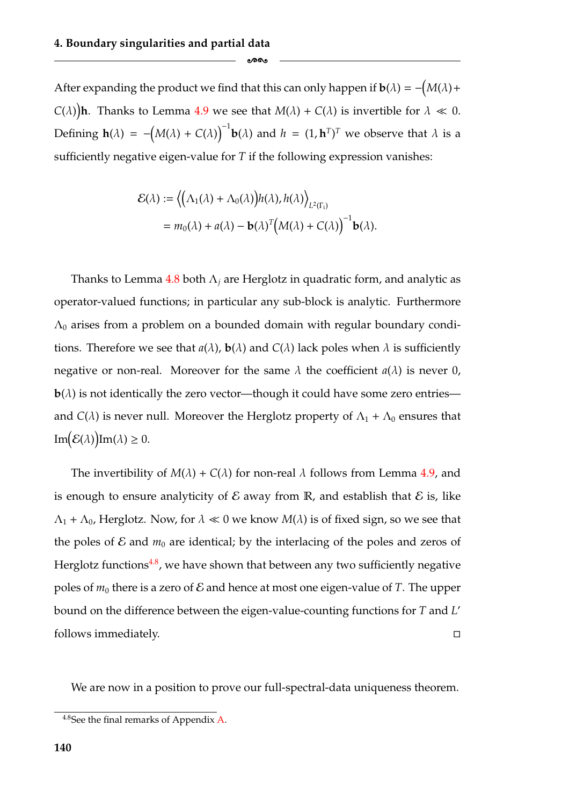After expanding the product we find that this can only happen if  $\mathbf{b}(\lambda) = - (M(\lambda) +$ *C*( $\lambda$ )**h**. Thanks to Lemma [4.9](#page-139-0) we see that  $M(\lambda) + C(\lambda)$  is invertible for  $\lambda \ll 0$ . Defining  $h(\lambda) = -\left(M(\lambda) + C(\lambda)\right)^{-1}h(\lambda)$  and  $h = (1, h^T)^T$  we observe that  $\lambda$  is a sufficiently negative eigen-value for *T* if the following expression vanishes:

-

$$
\mathcal{E}(\lambda) := \left\langle \left( \Lambda_1(\lambda) + \Lambda_0(\lambda) \right) h(\lambda), h(\lambda) \right\rangle_{L^2(\Gamma_i)}
$$
  
=  $m_0(\lambda) + a(\lambda) - b(\lambda)^T \left( M(\lambda) + C(\lambda) \right)^{-1} b(\lambda).$ 

Thanks to Lemma [4.8](#page-136-0) both  $\Lambda_i$  are Herglotz in quadratic form, and analytic as operator-valued functions; in particular any sub-block is analytic. Furthermore  $\Lambda_0$  arises from a problem on a bounded domain with regular boundary conditions. Therefore we see that  $a(\lambda)$ ,  $b(\lambda)$  and  $C(\lambda)$  lack poles when  $\lambda$  is sufficiently negative or non-real. Moreover for the same  $\lambda$  the coefficient  $a(\lambda)$  is never 0,  **is not identically the zero vector—though it could have some zero entries** and *C*( $\lambda$ ) is never null. Moreover the Herglotz property of  $\Lambda_1 + \Lambda_0$  ensures that Im $(\mathcal{E}(\lambda))$ Im $(\lambda) \geq 0$ .

The invertibility of  $M(\lambda) + C(\lambda)$  for non-real  $\lambda$  follows from Lemma [4.9,](#page-139-0) and is enough to ensure analyticity of  $\mathcal E$  away from  $\mathbb R$ , and establish that  $\mathcal E$  is, like  $\Lambda_1 + \Lambda_0$ , Herglotz. Now, for  $\lambda \ll 0$  we know  $M(\lambda)$  is of fixed sign, so we see that the poles of  $\mathcal E$  and  $m_0$  are identical; by the interlacing of the poles and zeros of Herglotz functions<sup>4.8</sup>, we have shown that between any two sufficiently negative poles of  $m_0$  there is a zero of  $\mathcal E$  and hence at most one eigen-value of *T*. The upper bound on the difference between the eigen-value-counting functions for *T* and *L* follows immediately.  $\Box$ 

We are now in a position to prove our full-spectral-data uniqueness theorem.

<span id="page-146-0"></span><sup>4.8</sup>See the final remarks of Appendix [A.](#page-154-0)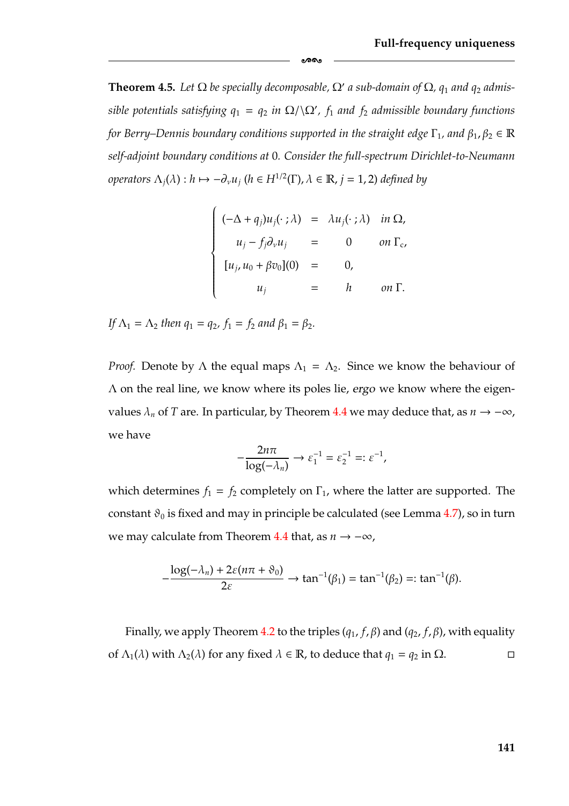<span id="page-147-0"></span>**Theorem 4.5.** Let  $\Omega$  be specially decomposable,  $\Omega'$  a sub-domain of  $\Omega$ ,  $q_1$  and  $q_2$  admis $sible$  potentials satisfying  $q_1 = q_2$  *in*  $\Omega / \Omega'$ ,  $f_1$  and  $f_2$  admissible boundary functions *for Berry–Dennis boundary conditions supported in the straight edge*  $\Gamma_1$ *, and*  $\beta_1$ *,*  $\beta_2 \in \mathbb{R}$ *self-adjoint boundary conditions at* 0*. Consider the full-spectrum Dirichlet-to-Neumann operators*  $\Lambda_j(\lambda)$  :  $h \mapsto -\partial_\nu u_j$  ( $h \in H^{1/2}(\Gamma)$ ,  $\lambda \in \mathbb{R}$ ,  $j = 1, 2$ ) *defined by* 

-

$$
\begin{cases}\n(-\Delta + q_j)u_j(\cdot;\lambda) = \lambda u_j(\cdot;\lambda) & \text{in } \Omega, \\
u_j - f_j \partial_\nu u_j = 0 & \text{on } \Gamma_c, \\
[u_j, u_0 + \beta v_0](0) = 0, \\
u_j = h & \text{on } \Gamma.\n\end{cases}
$$

*If*  $\Lambda_1 = \Lambda_2$  *then*  $q_1 = q_2$ ,  $f_1 = f_2$  *and*  $\beta_1 = \beta_2$ *.* 

*Proof.* Denote by  $\Lambda$  the equal maps  $\Lambda_1 = \Lambda_2$ . Since we know the behaviour of Λ on the real line, we know where its poles lie, *ergo* we know where the eigenvalues  $\lambda_n$  of *T* are. In particular, by Theorem [4.4](#page-140-0) we may deduce that, as  $n \to -\infty$ , we have

$$
-\frac{2n\pi}{\log(-\lambda_n)} \to \varepsilon_1^{-1} = \varepsilon_2^{-1} =: \varepsilon^{-1},
$$

which determines  $f_1 = f_2$  completely on  $\Gamma_1$ , where the latter are supported. The constant  $\vartheta_0$  is fixed and may in principle be calculated (see Lemma [4.7\)](#page-131-0), so in turn we may calculate from Theorem [4.4](#page-140-0) that, as *n* → −∞,

$$
-\frac{\log(-\lambda_n)+2\varepsilon(n\pi+\vartheta_0)}{2\varepsilon}\to\tan^{-1}(\beta_1)=\tan^{-1}(\beta_2)=:\tan^{-1}(\beta).
$$

Finally, we apply Theorem [4.2](#page-127-0) to the triples  $(q_1, f, \beta)$  and  $(q_2, f, \beta)$ , with equality of  $\Lambda_1(\lambda)$  with  $\Lambda_2(\lambda)$  for any fixed  $\lambda \in \mathbb{R}$ , to deduce that  $q_1 = q_2$  in  $\Omega$ .  $\Box$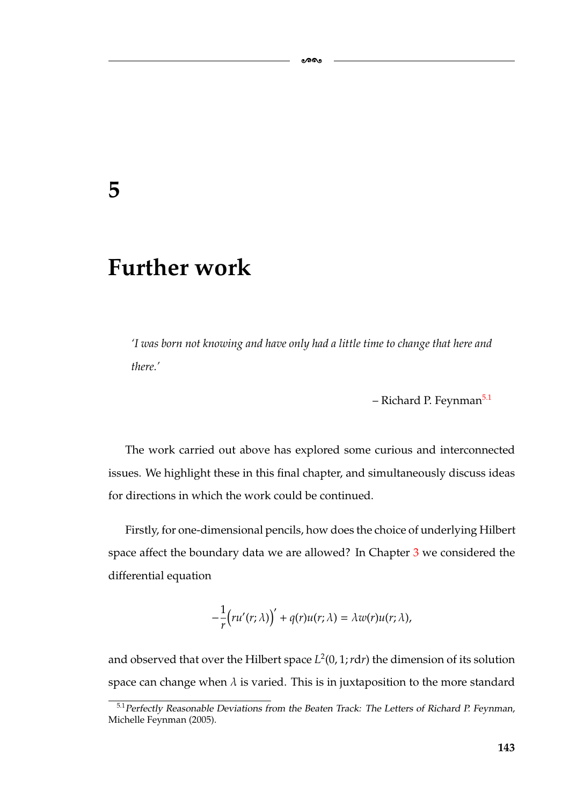## **5**

## **Further work**

*'I was born not knowing and have only had a little time to change that here and there.'*

-

– Richard P. Feynman<sup>5.1</sup>

The work carried out above has explored some curious and interconnected issues. We highlight these in this final chapter, and simultaneously discuss ideas for directions in which the work could be continued.

Firstly, for one-dimensional pencils, how does the choice of underlying Hilbert space affect the boundary data we are allowed? In Chapter [3](#page-55-0) we considered the differential equation

$$
-\frac{1}{r}\big(ru'(r;\lambda)\big)' + q(r)u(r;\lambda) = \lambda w(r)u(r;\lambda),
$$

and observed that over the Hilbert space  $L^2(0, 1; r dr)$  the dimension of its solution space can change when  $\lambda$  is varied. This is in juxtaposition to the more standard

<span id="page-149-0"></span><sup>&</sup>lt;sup>5.1</sup> Perfectly Reasonable Deviations from the Beaten Track: The Letters of Richard P. Feynman, Michelle Feynman (2005).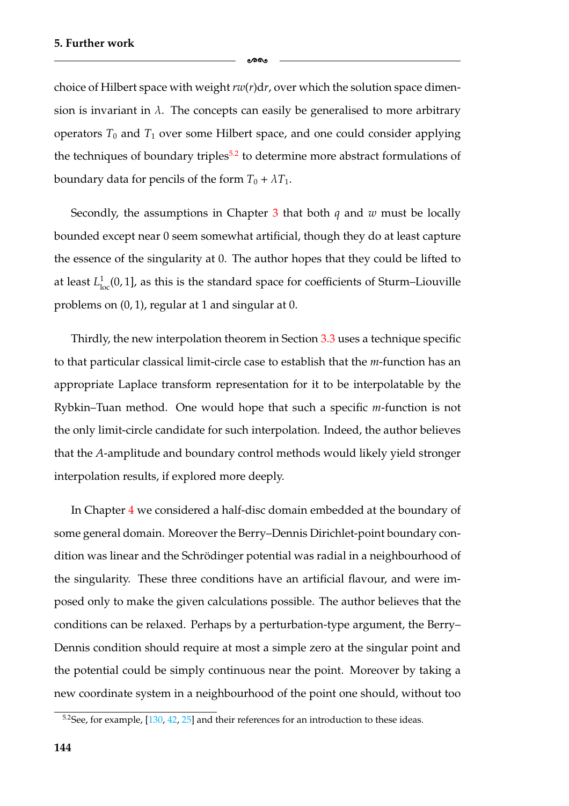choice of Hilbert space with weight *rw*(*r*)d*r*, over which the solution space dimension is invariant in  $\lambda$ . The concepts can easily be generalised to more arbitrary operators  $T_0$  and  $T_1$  over some Hilbert space, and one could consider applying the techniques of boundary triples<sup>5.2</sup> to determine more abstract formulations of boundary data for pencils of the form  $T_0 + \lambda T_1$ .

ക്ക

Secondly, the assumptions in Chapter [3](#page-55-0) that both *q* and *w* must be locally bounded except near 0 seem somewhat artificial, though they do at least capture the essence of the singularity at 0. The author hopes that they could be lifted to at least  $L^1_{loc}(0,1]$ , as this is the standard space for coefficients of Sturm–Liouville problems on (0, 1), regular at 1 and singular at 0.

Thirdly, the new interpolation theorem in Section [3.3](#page-74-0) uses a technique specific to that particular classical limit-circle case to establish that the *m*-function has an appropriate Laplace transform representation for it to be interpolatable by the Rybkin–Tuan method. One would hope that such a specific *m*-function is not the only limit-circle candidate for such interpolation. Indeed, the author believes that the *A*-amplitude and boundary control methods would likely yield stronger interpolation results, if explored more deeply.

In Chapter [4](#page-105-0) we considered a half-disc domain embedded at the boundary of some general domain. Moreover the Berry–Dennis Dirichlet-point boundary condition was linear and the Schrödinger potential was radial in a neighbourhood of the singularity. These three conditions have an artificial flavour, and were imposed only to make the given calculations possible. The author believes that the conditions can be relaxed. Perhaps by a perturbation-type argument, the Berry– Dennis condition should require at most a simple zero at the singular point and the potential could be simply continuous near the point. Moreover by taking a new coordinate system in a neighbourhood of the point one should, without too

<span id="page-150-0"></span> $5.2$ See, for example, [\[130,](#page-187-0) [42,](#page-182-1) [25\]](#page-181-0) and their references for an introduction to these ideas.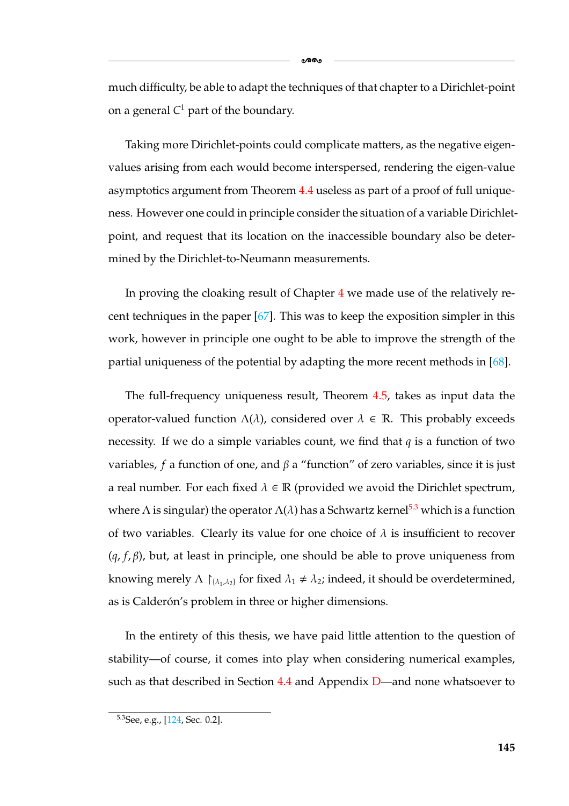much difficulty, be able to adapt the techniques of that chapter to a Dirichlet-point on a general  $C<sup>1</sup>$  part of the boundary.

Taking more Dirichlet-points could complicate matters, as the negative eigenvalues arising from each would become interspersed, rendering the eigen-value asymptotics argument from Theorem [4.4](#page-140-0) useless as part of a proof of full uniqueness. However one could in principle consider the situation of a variable Dirichletpoint, and request that its location on the inaccessible boundary also be determined by the Dirichlet-to-Neumann measurements.

In proving the cloaking result of Chapter [4](#page-105-0) we made use of the relatively recent techniques in the paper [\[67\]](#page-183-1). This was to keep the exposition simpler in this work, however in principle one ought to be able to improve the strength of the partial uniqueness of the potential by adapting the more recent methods in [\[68\]](#page-183-0).

The full-frequency uniqueness result, Theorem [4.5,](#page-147-0) takes as input data the operator-valued function  $Λ(λ)$ , considered over  $λ ∈ ℝ$ . This probably exceeds necessity. If we do a simple variables count, we find that *q* is a function of two variables, *f* a function of one, and β a "function" of zero variables, since it is just a real number. For each fixed  $\lambda \in \mathbb{R}$  (provided we avoid the Dirichlet spectrum, where  $\Lambda$  is singular) the operator  $\Lambda(\lambda)$  has a Schwartz kernel<sup>5.3</sup> which is a function of two variables. Clearly its value for one choice of  $\lambda$  is insufficient to recover (*q*, *f*, β), but, at least in principle, one should be able to prove uniqueness from knowing merely  $\Lambda \restriction_{\{\lambda_1,\lambda_2\}}$  for fixed  $\lambda_1 \neq \lambda_2$ ; indeed, it should be overdetermined, as is Calderón's problem in three or higher dimensions.

In the entirety of this thesis, we have paid little attention to the question of stability—of course, it comes into play when considering numerical examples, such as that described in Section  $4.4$  and Appendix [D—](#page-169-0)and none whatsoever to

<span id="page-151-0"></span><sup>5.3</sup>See, e.g., [\[124,](#page-187-1) Sec. 0.2].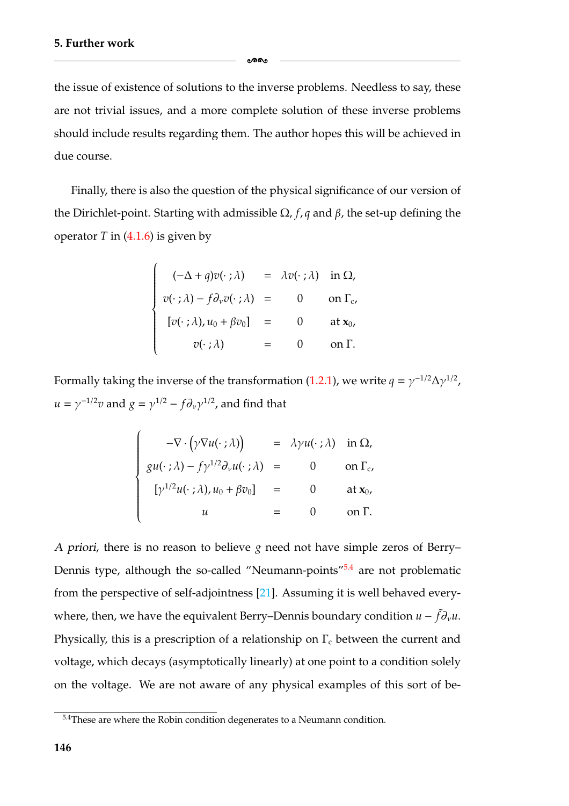the issue of existence of solutions to the inverse problems. Needless to say, these are not trivial issues, and a more complete solution of these inverse problems should include results regarding them. The author hopes this will be achieved in due course.

ക്കം

Finally, there is also the question of the physical significance of our version of the Dirichlet-point. Starting with admissible Ω, *f*, *q* and β, the set-up defining the operator  $T$  in  $(4.1.6)$  is given by

$$
\begin{cases}\n(-\Delta + q)v(\cdot;\lambda) &= \lambda v(\cdot;\lambda) \text{ in } \Omega, \\
v(\cdot;\lambda) - f\partial_v v(\cdot;\lambda) &= 0 \text{ on } \Gamma_c, \\
[v(\cdot;\lambda), u_0 + \beta v_0] &= 0 \text{ at } x_0, \\
v(\cdot;\lambda) &= 0 \text{ on } \Gamma.\n\end{cases}
$$

Formally taking the inverse of the transformation [\(1.2.1\)](#page-13-0), we write  $q = \gamma^{-1/2} \Delta \gamma^{1/2}$ ,  $u = \gamma^{-1/2}v$  and  $g = \gamma^{1/2} - f \partial_v \gamma^{1/2}$ , and find that

$$
\begin{cases}\n-\nabla \cdot (\gamma \nabla u(\cdot;\lambda)) &= \lambda \gamma u(\cdot;\lambda) \text{ in } \Omega, \\
gu(\cdot;\lambda) - f \gamma^{1/2} \partial_{\nu} u(\cdot;\lambda) &= 0 \text{ on } \Gamma_{c}, \\
[\gamma^{1/2} u(\cdot;\lambda), u_0 + \beta v_0] &= 0 \text{ at } x_0, \\
u &= 0 \text{ on } \Gamma.\n\end{cases}
$$

*<sup>A</sup> priori*, there is no reason to believe *g* need not have simple zeros of Berry– Dennis type, although the so-called "Neumann-points" $5.4$  are not problematic from the perspective of self-adjointness [\[21\]](#page-180-0). Assuming it is well behaved everywhere, then, we have the equivalent Berry–Dennis boundary condition  $u - \tilde{f} \partial_v u$ . Physically, this is a prescription of a relationship on  $\Gamma_c$  between the current and voltage, which decays (asymptotically linearly) at one point to a condition solely on the voltage. We are not aware of any physical examples of this sort of be-

<span id="page-152-0"></span><sup>&</sup>lt;sup>5.4</sup>These are where the Robin condition degenerates to a Neumann condition.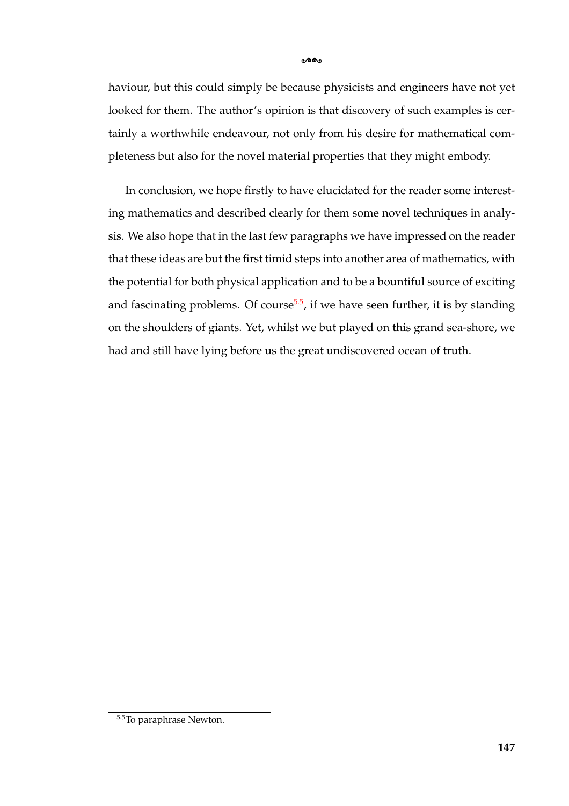haviour, but this could simply be because physicists and engineers have not yet looked for them. The author's opinion is that discovery of such examples is certainly a worthwhile endeavour, not only from his desire for mathematical completeness but also for the novel material properties that they might embody.

-

In conclusion, we hope firstly to have elucidated for the reader some interesting mathematics and described clearly for them some novel techniques in analysis. We also hope that in the last few paragraphs we have impressed on the reader that these ideas are but the first timid steps into another area of mathematics, with the potential for both physical application and to be a bountiful source of exciting and fascinating problems. Of course<sup>5.5</sup>, if we have seen further, it is by standing on the shoulders of giants. Yet, whilst we but played on this grand sea-shore, we had and still have lying before us the great undiscovered ocean of truth.

**147**

<span id="page-153-0"></span> $\overline{5.5}$ To paraphrase Newton.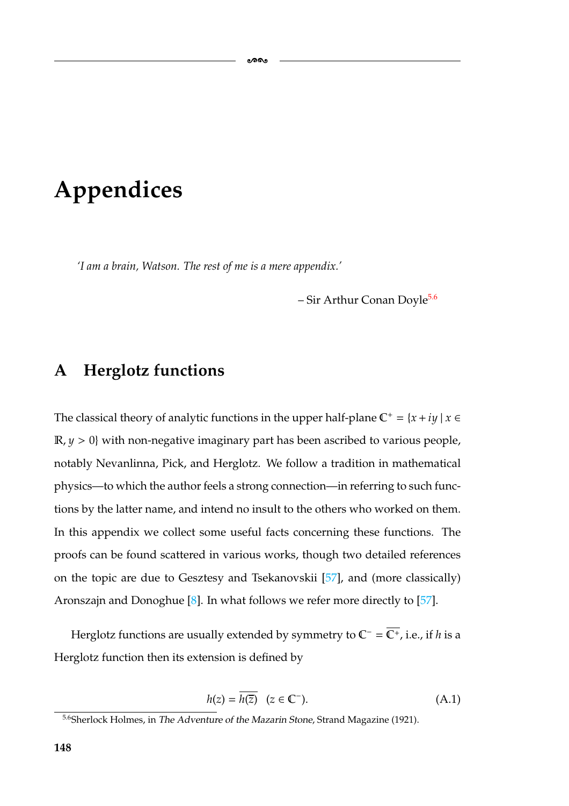# **Appendices**

*'I am a brain, Watson. The rest of me is a mere appendix.'*

 $-$  Sir Arthur Conan Doyle<sup>5.6</sup>

#### <span id="page-154-0"></span>**A Herglotz functions**

The classical theory of analytic functions in the upper half-plane  $\mathbb{C}^+ = \{x + iy \mid x \in \mathbb{C}\}$  $\mathbb{R}, y > 0$ } with non-negative imaginary part has been ascribed to various people, notably Nevanlinna, Pick, and Herglotz. We follow a tradition in mathematical physics—to which the author feels a strong connection—in referring to such functions by the latter name, and intend no insult to the others who worked on them. In this appendix we collect some useful facts concerning these functions. The proofs can be found scattered in various works, though two detailed references on the topic are due to Gesztesy and Tsekanovskii [\[57\]](#page-183-2), and (more classically) Aronszajn and Donoghue [\[8\]](#page-179-0). In what follows we refer more directly to [\[57\]](#page-183-2).

Herglotz functions are usually extended by symmetry to C<sup>−</sup> = C<sup>+</sup>, i.e., if *h* is a Herglotz function then its extension is defined by

<span id="page-154-2"></span>
$$
h(z) = \overline{h(\overline{z})} \quad (z \in \mathbb{C}^{-}).
$$
\n(A.1)

<span id="page-154-1"></span><sup>5.6</sup>Sherlock Holmes, in *The Adventure of the Mazarin Stone*, Strand Magazine (1921).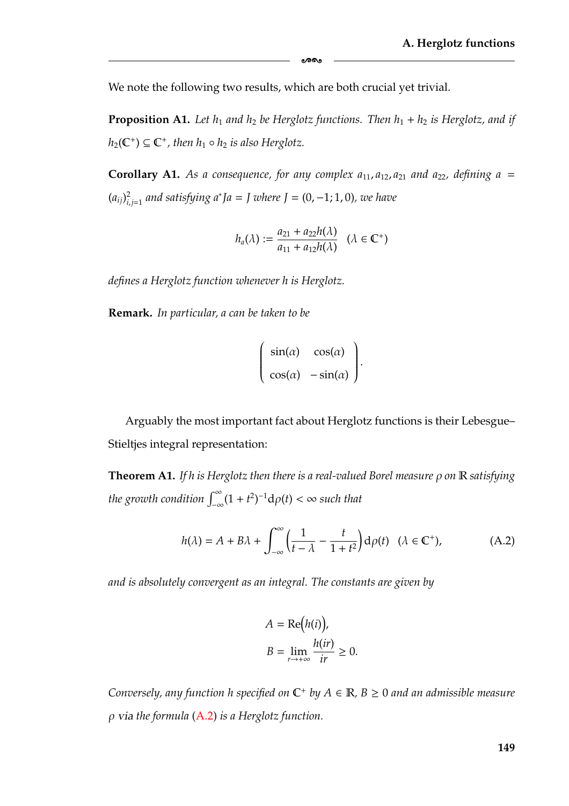We note the following two results, which are both crucial yet trivial.

**Proposition A1.** Let  $h_1$  and  $h_2$  be Herglotz functions. Then  $h_1 + h_2$  is Herglotz, and if  $h_2(\mathbb{C}^+) \subseteq \mathbb{C}^+$ , then  $h_1 \circ h_2$  *is also Herglotz.* 

ക്കം

**Corollary A1.** As a consequence, for any complex  $a_{11}$ ,  $a_{12}$ ,  $a_{21}$  and  $a_{22}$ , defining a =  $(a_{ij})_{i,j=1}^2$  *and satisfying a<sup>∗</sup>Ja* = *J* where *J* = (0, −1; 1, 0), we have

$$
h_a(\lambda):=\frac{a_{21}+a_{22}h(\lambda)}{a_{11}+a_{12}h(\lambda)}\quad (\lambda\in\mathbb{C}^+)
$$

*defines a Herglotz function whenever h is Herglotz.*

**Remark.** *In particular, a can be taken to be*

$$
\begin{pmatrix}\n\sin(\alpha) & \cos(\alpha) \\
\cos(\alpha) & -\sin(\alpha)\n\end{pmatrix}.
$$

Arguably the most important fact about Herglotz functions is their Lebesgue– Stieltjes integral representation:

<span id="page-155-1"></span>**Theorem A1.** *If h is Herglotz then there is a real-valued Borel measure* ρ *on* R *satisfying the growth condition*  $\int_{-\infty}^{\infty} (1 + t^2)^{-1} d\rho(t) < \infty$  such that

<span id="page-155-0"></span>
$$
h(\lambda) = A + B\lambda + \int_{-\infty}^{\infty} \left(\frac{1}{t - \lambda} - \frac{t}{1 + t^2}\right) d\rho(t) \quad (\lambda \in \mathbb{C}^+),
$$
 (A.2)

*and is absolutely convergent as an integral. The constants are given by*

$$
A = \text{Re}(h(i)),
$$
  
\n
$$
B = \lim_{r \to +\infty} \frac{h(ir)}{ir} \ge 0.
$$

*Conversely, any function h specified on*  $\mathbb{C}^+$  *by*  $A \in \mathbb{R}$ *, B*  $\geq$  0 *and an admissible measure* ρ *via the formula* [\(A.2\)](#page-155-0) *is a Herglotz function.*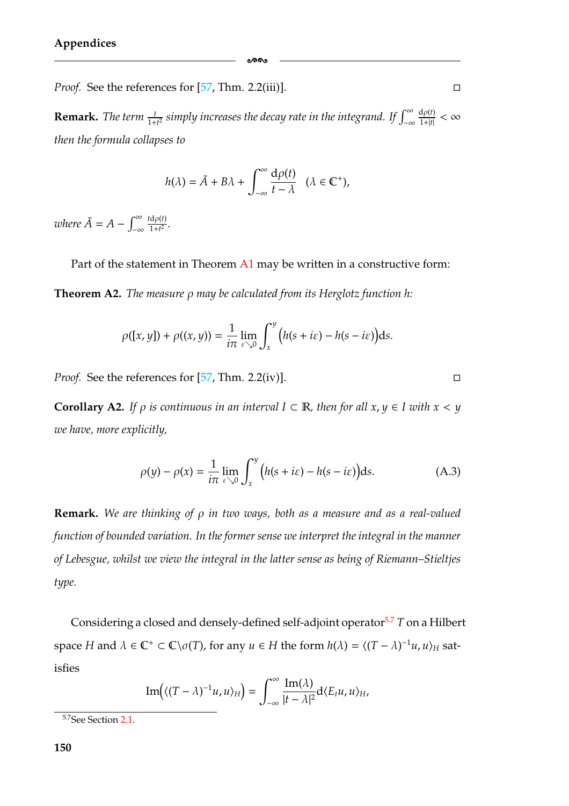*Proof.* See the references for [\[57,](#page-183-2) Thm. 2.2(iii)].

**Remark.** The term  $\frac{t}{1+t^2}$  simply increases the decay rate in the integrand. If  $\int_{-\infty}^{\infty}$  $\frac{\mathrm{d}\rho(t)}{1+|t|}<\infty$ *then the formula collapses to*

-

$$
h(\lambda) = \tilde{A} + B\lambda + \int_{-\infty}^{\infty} \frac{d\rho(t)}{t - \lambda} \quad (\lambda \in \mathbb{C}^+),
$$

*where*  $\tilde{A} = A - \int_{-\infty}^{\infty}$ −∞  $\frac{t d\rho(t)}{1+t^2}$ .

Part of the statement in Theorem [A1](#page-155-1) may be written in a constructive form: **Theorem A2.** *The measure* ρ *may be calculated from its Herglotz function h:*

$$
\rho([x, y]) + \rho((x, y)) = \frac{1}{i\pi} \lim_{\varepsilon \searrow 0} \int_x^y \Big( h(s + i\varepsilon) - h(s - i\varepsilon) \Big) \mathrm{d}s.
$$

*Proof.* See the references for [\[57,](#page-183-2) Thm. 2.2(iv)].

**Corollary A2.** *If*  $\rho$  *is continuous in an interval*  $I \subset \mathbb{R}$ *, then for all*  $x$ ,  $y \in I$  *with*  $x < y$ *we have, more explicitly,*

$$
\rho(y) - \rho(x) = \frac{1}{i\pi} \lim_{\varepsilon \searrow 0} \int_{x}^{y} \left( h(s + i\varepsilon) - h(s - i\varepsilon) \right) \mathrm{d}s. \tag{A.3}
$$

**Remark.** *We are thinking of* ρ *in two ways, both as a measure and as a real-valued function of bounded variation. In the former sense we interpret the integral in the manner of Lebesgue, whilst we view the integral in the latter sense as being of Riemann–Stieltjes type.*

Considering a closed and densely-defined self-adjoint operator<sup>5.7</sup> *T* on a Hilbert space *H* and  $\lambda \in \mathbb{C}^+ \subset \mathbb{C} \setminus \sigma(T)$ , for any  $u \in H$  the form  $h(\lambda) = \langle (T - \lambda)^{-1}u, u \rangle_H$  satisfies

$$
\operatorname{Im}\left(\langle (T-\lambda)^{-1}u,u\rangle_{H}\right)=\int_{-\infty}^{\infty}\frac{\operatorname{Im}(\lambda)}{|t-\lambda|^{2}}d\langle E_{t}u,u\rangle_{H},
$$

 $\Box$ 

<span id="page-156-0"></span><sup>5.7</sup>See Section [2.1.](#page-26-0)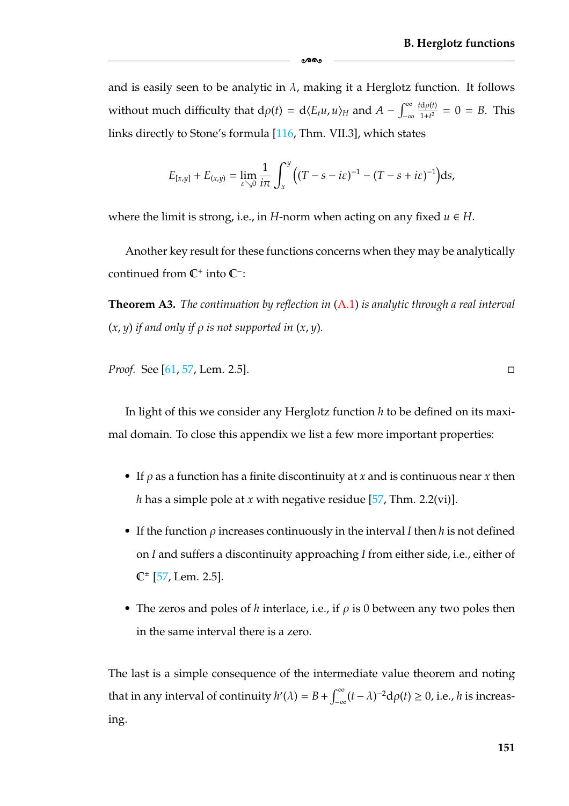and is easily seen to be analytic in  $\lambda$ , making it a Herglotz function. It follows without much difficulty that  $d\rho(t) = d\langle E_t u, u \rangle_H$  and  $A - \int_{-\infty}^{\infty}$  $\frac{t d\rho(t)}{1+t^2} = 0 = B$ . This links directly to Stone's formula [\[116,](#page-186-0) Thm. VII.3], which states

-

$$
E_{[x,y]} + E_{(x,y)} = \lim_{\varepsilon \searrow 0} \frac{1}{i\pi} \int_{x}^{y} \big( (T - s - i\varepsilon)^{-1} - (T - s + i\varepsilon)^{-1} \big) \mathrm{d} s,
$$

where the limit is strong, i.e., in *H*-norm when acting on any fixed  $u \in H$ .

Another key result for these functions concerns when they may be analytically continued from  $\mathbb{C}^+$  into  $\mathbb{C}^-$ :

**Theorem A3.** *The continuation by reflection in* [\(A.1\)](#page-154-2) *is analytic through a real interval*  $(x, y)$  *if and only if*  $\rho$  *is not supported in*  $(x, y)$ *.* 

*Proof.* See [\[61,](#page-183-3) [57,](#page-183-2) Lem. 2.5].

In light of this we consider any Herglotz function *h* to be defined on its maximal domain. To close this appendix we list a few more important properties:

- If ρ as a function has a finite discontinuity at *x* and is continuous near *x* then *h* has a simple pole at *x* with negative residue [\[57,](#page-183-2) Thm. 2.2(vi)].
- If the function ρ increases continuously in the interval *I* then *h* is not defined on *I* and suffers a discontinuity approaching *I* from either side, i.e., either of  $\mathbb{C}^{\pm}$  [\[57,](#page-183-2) Lem. 2.5].
- The zeros and poles of *h* interlace, i.e., if ρ is 0 between any two poles then in the same interval there is a zero.

The last is a simple consequence of the intermediate value theorem and noting that in any interval of continuity  $h'(\lambda) = B + \int_{-\infty}^{\infty} (t - \lambda)^{-2} d\rho(t) \ge 0$ , i.e., *h* is increasing.

 $\Box$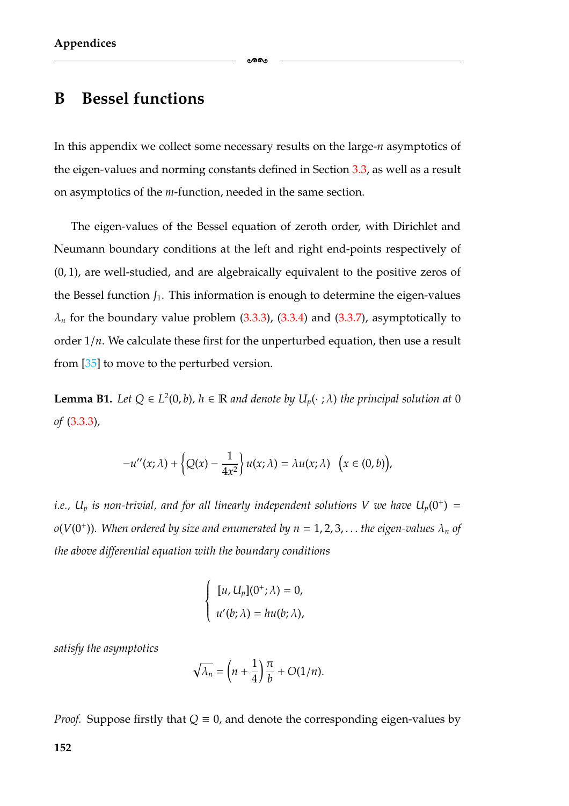#### **B Bessel functions**

In this appendix we collect some necessary results on the large-*n* asymptotics of the eigen-values and norming constants defined in Section [3.3,](#page-74-0) as well as a result on asymptotics of the *m*-function, needed in the same section.

-

The eigen-values of the Bessel equation of zeroth order, with Dirichlet and Neumann boundary conditions at the left and right end-points respectively of (0, 1), are well-studied, and are algebraically equivalent to the positive zeros of the Bessel function  $J_1$ . This information is enough to determine the eigen-values  $\lambda_n$  for the boundary value problem  $(3.3.3)$ ,  $(3.3.4)$  and  $(3.3.7)$ , asymptotically to order  $1/n$ . We calculate these first for the unperturbed equation, then use a result from [\[35\]](#page-181-1) to move to the perturbed version.

<span id="page-158-0"></span>**Lemma B1.** *Let*  $Q \in L^2(0, b)$ *,*  $h \in \mathbb{R}$  *and denote by*  $U_p(\cdot; \lambda)$  *the principal solution at* 0 *of* [\(3.3.3\)](#page-79-0)*,*

$$
-u''(x;\lambda) + \left\{Q(x) - \frac{1}{4x^2}\right\}u(x;\lambda) = \lambda u(x;\lambda) \quad \big(x \in (0,b)\big),
$$

*i.e.,*  $U_p$  *is non-trivial, and for all linearly independent solutions V we have*  $U_p(0^+)$  =  $o(V(0^+))$ . When ordered by size and enumerated by  $n = 1, 2, 3, \ldots$  the eigen-values  $\lambda_n$  of *the above differential equation with the boundary conditions*

$$
\begin{cases} [u, U_p](0^+; \lambda) = 0, \\ u'(b; \lambda) = hu(b; \lambda), \end{cases}
$$

*satisfy the asymptotics*

$$
\sqrt{\lambda_n} = \left(n + \frac{1}{4}\right)\frac{\pi}{b} + O(1/n).
$$

*Proof.* Suppose firstly that  $Q \equiv 0$ , and denote the corresponding eigen-values by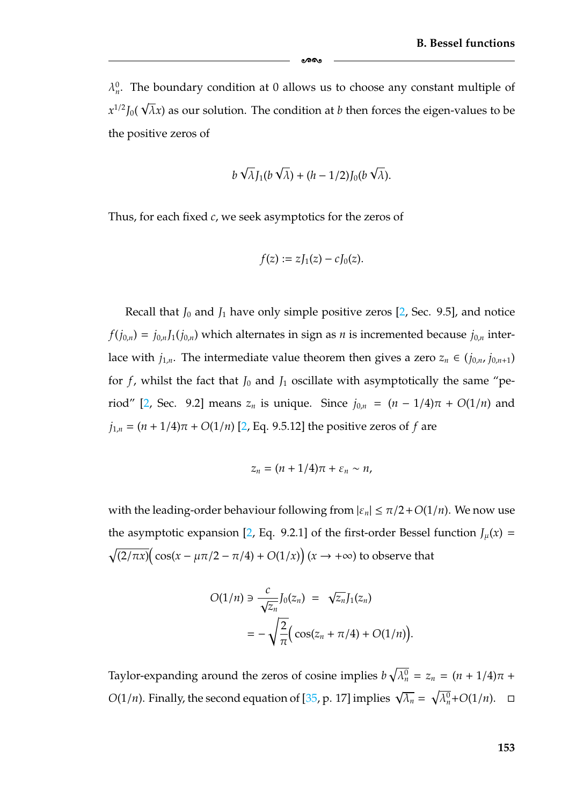$\lambda_n^0$ . The boundary condition at 0 allows us to choose any constant multiple of  $x^{1/2} J_0(x)$ √  $\overline{\lambda}$ x) as our solution. The condition at  $b$  then forces the eigen-values to be the positive zeros of

ക്ക

$$
b\sqrt{\lambda}J_1(b\sqrt{\lambda})+(h-1/2)J_0(b\sqrt{\lambda}).
$$

Thus, for each fixed *c*, we seek asymptotics for the zeros of

$$
f(z) := zJ_1(z) - cJ_0(z).
$$

Recall that  $J_0$  and  $J_1$  have only simple positive zeros  $[2,$  Sec. 9.5], and notice  $f(j_{0,n}) = j_{0,n}J_1(j_{0,n})$  which alternates in sign as *n* is incremented because  $j_{0,n}$  interlace with  $j_{1,n}$ . The intermediate value theorem then gives a zero  $z_n \in (j_{0,n}, j_{0,n+1})$ for  $f$ , whilst the fact that  $J_0$  and  $J_1$  oscillate with asymptotically the same "pe-riod" [\[2,](#page-179-1) Sec. 9.2] means  $z_n$  is unique. Since  $j_{0,n} = (n - 1/4)\pi + O(1/n)$  and  $j_{1,n} = (n + 1/4)\pi + O(1/n)$  [\[2,](#page-179-1) Eq. 9.5.12] the positive zeros of *f* are

$$
z_n=(n+1/4)\pi+\varepsilon_n\sim n,
$$

with the leading-order behaviour following from  $|\varepsilon_n| \leq \pi/2 + O(1/n)$ . We now use the asymptotic expansion [\[2,](#page-179-1) Eq. 9.2.1] of the first-order Bessel function  $J_\mu(x)$  =  $\sqrt{(2/\pi x)} (\cos(x - \mu \pi/2 - \pi/4) + O(1/x)) (x \to +\infty)$  to observe that

$$
O(1/n) \ni \frac{c}{\sqrt{z_n}} J_0(z_n) = \sqrt{z_n} J_1(z_n)
$$

$$
= -\sqrt{\frac{2}{\pi}} \Big( \cos(z_n + \pi/4) + O(1/n) \Big).
$$

Taylor-expanding around the zeros of cosine implies  $b\sqrt{\lambda_n^0} = z_n = (n + 1/4)\pi +$ *O*(1/*n*). Finally, the second equation of [\[35,](#page-181-1) p. 17] implies  $\sqrt{\lambda_n} = \sqrt{\lambda_n^0} + O(1/n)$ .  $\Box$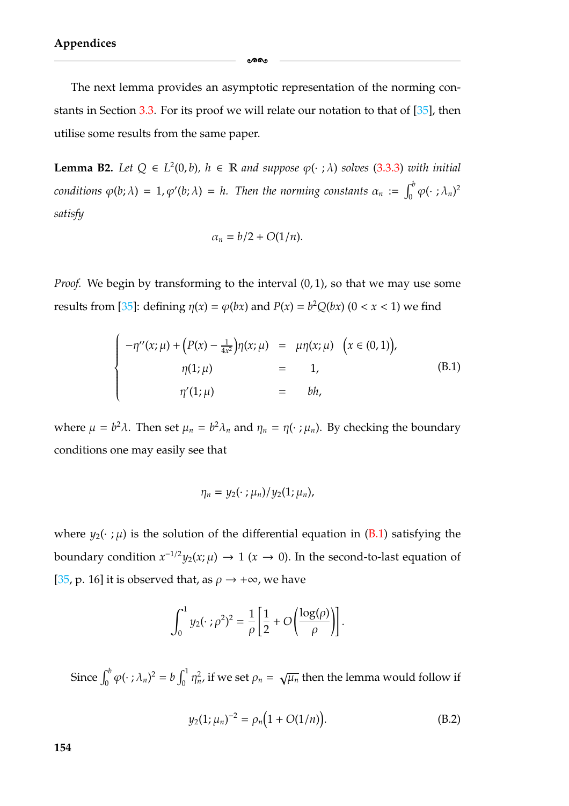The next lemma provides an asymptotic representation of the norming constants in Section [3.3.](#page-74-0) For its proof we will relate our notation to that of [\[35\]](#page-181-1), then utilise some results from the same paper.

ക്ക

**Lemma B2.** *Let*  $Q \in L^2(0, b)$ *,*  $h \in \mathbb{R}$  *and suppose*  $\varphi(\cdot; \lambda)$  *solves* [\(3.3.3\)](#page-79-0) *with initial conditions*  $\varphi$ (*b*;  $\lambda$ ) = 1,  $\varphi$ '(*b*;  $\lambda$ ) = *h.* Then the norming constants  $\alpha_n := \int_0^b \varphi(\cdot;\lambda_n)^2$ *satisfy*

$$
\alpha_n = b/2 + O(1/n).
$$

*Proof.* We begin by transforming to the interval  $(0, 1)$ , so that we may use some results from [\[35\]](#page-181-1): defining  $\eta(x) = \varphi(bx)$  and  $P(x) = b^2Q(bx)$  (0 < *x* < 1) we find

<span id="page-160-0"></span>
$$
\begin{cases}\n-\eta''(x;\mu) + (P(x) - \frac{1}{4x^2})\eta(x;\mu) & = \mu\eta(x;\mu) & (x \in (0,1)), \\
\eta(1;\mu) & = 1, \\
\eta'(1;\mu) & = bh,\n\end{cases}
$$
\n(B.1)

where  $\mu = b^2 \lambda$ . Then set  $\mu_n = b^2 \lambda_n$  and  $\eta_n = \eta(\cdot; \mu_n)$ . By checking the boundary conditions one may easily see that

$$
\eta_n = y_2(\cdot\ ;\mu_n)/y_2(1;\mu_n),
$$

where  $y_2(\cdot;\mu)$  is the solution of the differential equation in [\(B.1\)](#page-160-0) satisfying the boundary condition  $x^{-1/2}y_2(x;\mu) \to 1$  ( $x \to 0$ ). In the second-to-last equation of [\[35,](#page-181-1) p. 16] it is observed that, as  $\rho \rightarrow +\infty$ , we have

$$
\int_0^1 y_2(\cdot;\rho^2)^2 = \frac{1}{\rho} \left[ \frac{1}{2} + O\left(\frac{\log(\rho)}{\rho}\right) \right].
$$

Since  $\int_0^b \varphi(\cdot;\lambda_n)^2 = b \int_0^1 \eta_n^2$ , if we set  $\rho_n = \sqrt{\mu_n}$  then the lemma would follow if

<span id="page-160-1"></span>
$$
y_2(1; \mu_n)^{-2} = \rho_n\big(1 + O(1/n)\big). \tag{B.2}
$$

**154**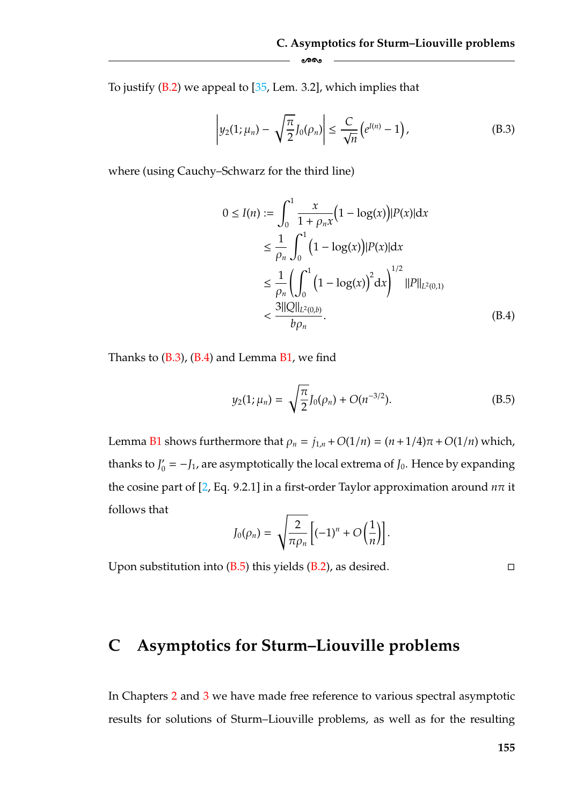To justify [\(B.2\)](#page-160-1) we appeal to [\[35,](#page-181-1) Lem. 3.2], which implies that

-

<span id="page-161-2"></span>
$$
\left| y_2(1;\mu_n) - \sqrt{\frac{\pi}{2}} J_0(\rho_n) \right| \leq \frac{C}{\sqrt{n}} \left( e^{J(n)} - 1 \right), \tag{B.3}
$$

where (using Cauchy–Schwarz for the third line)

$$
0 \le I(n) := \int_0^1 \frac{x}{1 + \rho_n x} (1 - \log(x)) |P(x)| dx
$$
  
\n
$$
\le \frac{1}{\rho_n} \int_0^1 (1 - \log(x)) |P(x)| dx
$$
  
\n
$$
\le \frac{1}{\rho_n} \left( \int_0^1 (1 - \log(x))^2 dx \right)^{1/2} ||P||_{L^2(0,1)}
$$
  
\n
$$
< \frac{3 ||Q||_{L^2(0,b)}}{b \rho_n}.
$$
 (B.4)

Thanks to  $(B.3)$ ,  $(B.4)$  and Lemma  $B1$ , we find

<span id="page-161-0"></span>
$$
y_2(1; \mu_n) = \sqrt{\frac{\pi}{2}} J_0(\rho_n) + O(n^{-3/2}).
$$
 (B.5)

<span id="page-161-1"></span>.

Lemma [B1](#page-158-0) shows furthermore that  $\rho_n = j_{1,n} + O(1/n) = (n+1/4)\pi + O(1/n)$  which, thanks to  $J'_0 = -J_1$ , are asymptotically the local extrema of  $J_0$ . Hence by expanding the cosine part of [\[2,](#page-179-1) Eq. 9.2.1] in a first-order Taylor approximation around *n*π it follows that  $\mathbb{R}^2$ 

$$
J_0(\rho_n) = \sqrt{\frac{2}{\pi \rho_n}} \left[ (-1)^n + O\left(\frac{1}{n}\right) \right]
$$

Upon substitution into  $(B.5)$  this yields  $(B.2)$ , as desired.

 $\Box$ 

### **C Asymptotics for Sturm–Liouville problems**

In Chapters [2](#page-25-0) and [3](#page-55-0) we have made free reference to various spectral asymptotic results for solutions of Sturm–Liouville problems, as well as for the resulting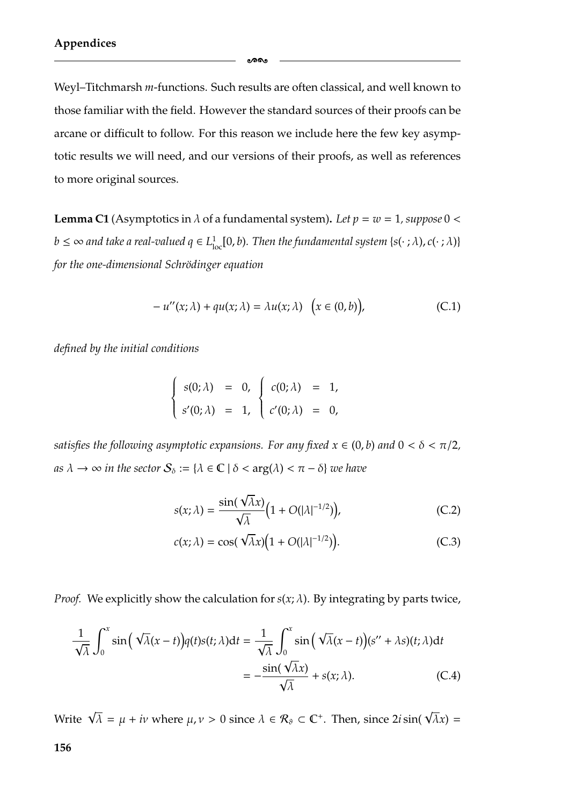Weyl–Titchmarsh *m*-functions. Such results are often classical, and well known to those familiar with the field. However the standard sources of their proofs can be arcane or difficult to follow. For this reason we include here the few key asymptotic results we will need, and our versions of their proofs, as well as references to more original sources.

ക്കം

**Lemma C1** (Asymptotics in  $\lambda$  of a fundamental system). Let  $p = w = 1$ , suppose  $0 <$  $b\leq\infty$  and take a real-valued  $q\in L^1_{\rm loc}[0,b).$  Then the fundamental system { $s(\cdot\ ;\lambda),c(\cdot\ ;\lambda)$ } *for the one-dimensional Schrödinger equation* 

<span id="page-162-1"></span>
$$
-u''(x; \lambda) + qu(x; \lambda) = \lambda u(x; \lambda) \quad (x \in (0, b)), \tag{C.1}
$$

*defined by the initial conditions*

$$
\begin{cases}\ns(0; \lambda) = 0, & c(0; \lambda) = 1, \\
s'(0; \lambda) = 1, & c'(0; \lambda) = 0,\n\end{cases}
$$

*satisfies the following asymptotic expansions. For any fixed*  $x \in (0, b)$  *and*  $0 < \delta < \pi/2$ , *as*  $\lambda \to \infty$  *in the sector*  $S_{\delta} := {\lambda \in \mathbb{C} \mid \delta < arg(\lambda) < \pi - \delta}$  *we have* 

$$
s(x; \lambda) = \frac{\sin(\sqrt{\lambda}x)}{\sqrt{\lambda}} \Big( 1 + O(|\lambda|^{-1/2}) \Big), \tag{C.2}
$$

<span id="page-162-0"></span>
$$
c(x; \lambda) = \cos(\sqrt{\lambda}x)(1 + O(|\lambda|^{-1/2})).
$$
 (C.3)

*Proof.* We explicitly show the calculation for  $s(x; \lambda)$ . By integrating by parts twice,

$$
\frac{1}{\sqrt{\lambda}} \int_0^x \sin\left(\sqrt{\lambda}(x-t)\right) q(t) s(t; \lambda) dt = \frac{1}{\sqrt{\lambda}} \int_0^x \sin\left(\sqrt{\lambda}(x-t)\right) (s'' + \lambda s)(t; \lambda) dt
$$

$$
= -\frac{\sin(\sqrt{\lambda}x)}{\sqrt{\lambda}} + s(x; \lambda).
$$
 (C.4)

Write  $\sqrt{\lambda} = \mu + i\nu$  where  $\mu, \nu > 0$  since  $\lambda \in \mathcal{R}_{\vartheta} \subset \mathbb{C}^+$ . Then, since 2*i* sin(  $\sqrt{\lambda}x$ ) =

**156**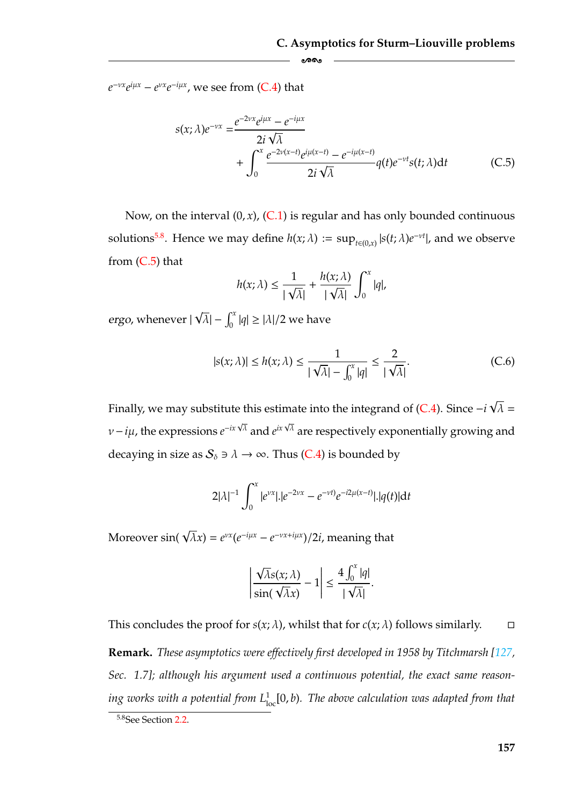$e^{-vx}e^{i\mu x} - e^{vx}e^{-i\mu x}$ , we see from [\(C.4\)](#page-162-0) that

$$
s(x; \lambda)e^{-\nu x} = \frac{e^{-2\nu x}e^{i\mu x} - e^{-i\mu x}}{2i\sqrt{\lambda}} + \int_0^x \frac{e^{-2\nu(x-t)}e^{i\mu(x-t)} - e^{-i\mu(x-t)}}{2i\sqrt{\lambda}} q(t)e^{-\nu t} s(t; \lambda) dt
$$
 (C.5)

Now, on the interval  $(0, x)$ ,  $(C.1)$  is regular and has only bounded continuous solutions<sup>5.8</sup>. Hence we may define  $h(x; \lambda) := \sup_{t \in (0,x)} |s(t; \lambda)e^{-vt}|$ , and we observe from  $(C.5)$  that

<span id="page-163-0"></span>ക്ക

$$
h(x; \lambda) \le \frac{1}{|\sqrt{\lambda}|} + \frac{h(x; \lambda)}{|\sqrt{\lambda}|} \int_0^x |q|,
$$

*ergo*, whenever |  $\sqrt{\lambda}$ | –  $\int_0^x |q| \geq |\lambda|/2$  we have

$$
|s(x;\lambda)| \le h(x;\lambda) \le \frac{1}{|\sqrt{\lambda}| - \int_0^x |q|} \le \frac{2}{|\sqrt{\lambda}|}. \tag{C.6}
$$

Finally, we may substitute this estimate into the integrand of [\(C.4\)](#page-162-0). Since −*i* √  $\lambda =$ <sup>ν</sup>−*i*µ, the expressions *<sup>e</sup>*−*ix* <sup>√</sup> <sup>λ</sup> and *eix* <sup>√</sup> <sup>λ</sup> are respectively exponentially growing and decaying in size as  $S_{\delta} \ni \lambda \to \infty$ . Thus [\(C.4\)](#page-162-0) is bounded by

$$
2|\lambda|^{-1} \int_0^x |e^{\nu x}|.|e^{-2\nu x}-e^{-\nu t)}e^{-i2\mu(x-t)}|.|q(t)|dt
$$

Moreover  $\sin(\sqrt{\lambda}x) = e^{\nu x}(e^{-i\mu x} - e^{-\nu x + i\mu x})/2i$ , meaning that

$$
\left|\frac{\sqrt{\lambda}s(x;\lambda)}{\sin(\sqrt{\lambda}x)}-1\right|\leq \frac{4\int_0^x|q|}{\sqrt{\lambda}}.
$$

This concludes the proof for  $s(x; \lambda)$ , whilst that for  $c(x; \lambda)$  follows similarly.  $\Box$ **Remark.** *These asymptotics were effectively first developed in 1958 by Titchmarsh [\[127,](#page-187-2) Sec. 1.7]; although his argument used a continuous potential, the exact same reason*ing works with a potential from L<sub>loc</sub>[0, b). The above calculation was adapted from that

<span id="page-163-1"></span><sup>5.8</sup>See Section [2.2.](#page-33-0)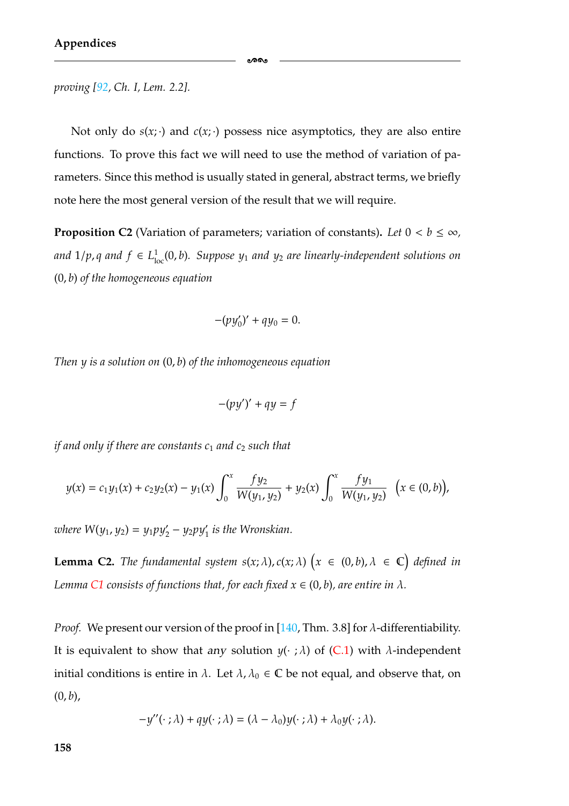*proving [\[92,](#page-185-0) Ch. I, Lem. 2.2].*

Not only do  $s(x; \cdot)$  and  $c(x; \cdot)$  possess nice asymptotics, they are also entire functions. To prove this fact we will need to use the method of variation of parameters. Since this method is usually stated in general, abstract terms, we briefly note here the most general version of the result that we will require.

ക്കം

<span id="page-164-0"></span>**Proposition C2** (Variation of parameters; variation of constants). Let  $0 < b \leq \infty$ , *and*  $1/p$ , *q* and  $f$  ∈  $L<sup>1</sup><sub>loc</sub>(0, b)$ . Suppose  $y<sub>1</sub>$  *and*  $y<sub>2</sub>$  *are linearly-independent solutions on* (0, *b*) *of the homogeneous equation*

$$
-(py'_0)' + qy_0 = 0.
$$

*Then y is a solution on* (0, *b*) *of the inhomogeneous equation*

$$
-(py')' + qy = f
$$

*if and only if there are constants c<sub>1</sub> and c<sub>2</sub> such that* 

$$
y(x) = c_1y_1(x) + c_2y_2(x) - y_1(x)\int_0^x \frac{fy_2}{W(y_1, y_2)} + y_2(x)\int_0^x \frac{fy_1}{W(y_1, y_2)} (x \in (0, b)),
$$

*where*  $W(y_1, y_2) = y_1 p y_2' - y_2 p y_1'$  *is the Wronskian.* 

**Lemma C2.** The fundamental system  $s(x; \lambda)$ ,  $c(x; \lambda)$   $(x \in (0, b)$ ,  $\lambda \in \mathbb{C}$  defined in *Lemma [C1](#page-158-0) consists of functions that, for each fixed*  $x \in (0, b)$ *, are entire in*  $\lambda$ *.* 

*Proof.* We present our version of the proof in [\[140,](#page-188-0) Thm. 3.8] for  $\lambda$ -differentiability. It is equivalent to show that *any* solution  $y(\cdot;\lambda)$  of [\(C.1\)](#page-162-1) with  $\lambda$ -independent initial conditions is entire in  $\lambda$ . Let  $\lambda$ ,  $\lambda_0 \in \mathbb{C}$  be not equal, and observe that, on  $(0, b)$ ,

$$
-y''(\cdot;\lambda) + qy(\cdot;\lambda) = (\lambda - \lambda_0)y(\cdot;\lambda) + \lambda_0y(\cdot;\lambda).
$$

**158**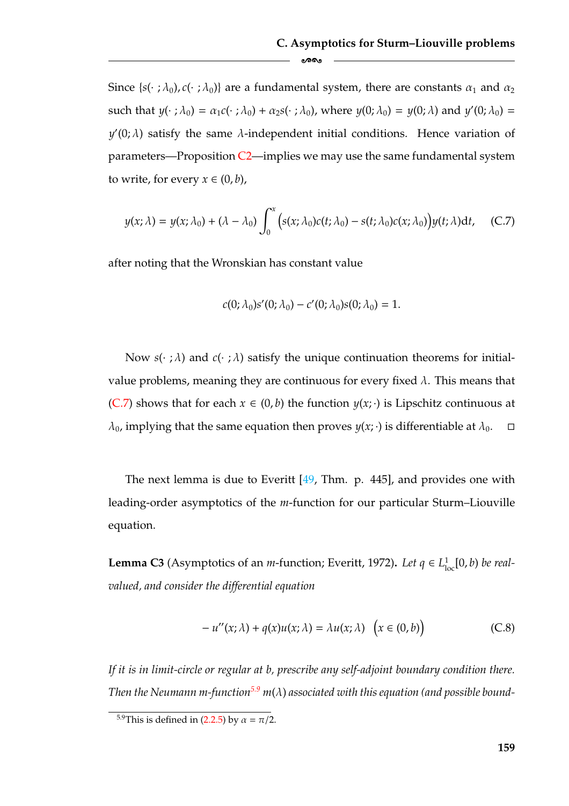Since { $s(\cdot; \lambda_0)$ ,  $c(\cdot; \lambda_0)$ } are a fundamental system, there are constants  $\alpha_1$  and  $\alpha_2$ such that  $y(\cdot; \lambda_0) = \alpha_1 c(\cdot; \lambda_0) + \alpha_2 s(\cdot; \lambda_0)$ , where  $y(0; \lambda_0) = y(0; \lambda)$  and  $y'(0; \lambda_0) =$  $y'(0; \lambda)$  satisfy the same  $\lambda$ -independent initial conditions. Hence variation of parameters—Proposition  $C2$ —implies we may use the same fundamental system to write, for every  $x \in (0, b)$ ,

<span id="page-165-1"></span>
$$
y(x; \lambda) = y(x; \lambda_0) + (\lambda - \lambda_0) \int_0^x \Big( s(x; \lambda_0) c(t; \lambda_0) - s(t; \lambda_0) c(x; \lambda_0) \Big) y(t; \lambda) dt, \quad (C.7)
$$

after noting that the Wronskian has constant value

$$
c(0; \lambda_0)s'(0; \lambda_0) - c'(0; \lambda_0)s(0; \lambda_0) = 1.
$$

Now  $s(\cdot;\lambda)$  and  $c(\cdot;\lambda)$  satisfy the unique continuation theorems for initialvalue problems, meaning they are continuous for every fixed  $\lambda$ . This means that [\(C.7\)](#page-165-1) shows that for each  $x \in (0, b)$  the function  $y(x; \cdot)$  is Lipschitz continuous at  $\lambda_0$ , implying that the same equation then proves  $y(x; \cdot)$  is differentiable at  $\lambda_0$ .  $\Box$ 

The next lemma is due to Everitt  $[49, Thm. p. 445]$  $[49, Thm. p. 445]$ , and provides one with leading-order asymptotics of the *m*-function for our particular Sturm–Liouville equation.

<span id="page-165-2"></span>**Lemma C3** (Asymptotics of an *m*-function; Everitt, 1972). Let  $q \in L^1_{loc}[0, b)$  be real*valued, and consider the differential equation*

$$
-u''(x; \lambda) + q(x)u(x; \lambda) = \lambda u(x; \lambda) \quad (x \in (0, b))
$$
 (C.8)

*If it is in limit-circle or regular at b, prescribe any self-adjoint boundary condition there. Then the Neumann m-function*<sup>5.9</sup> *m*(λ) *associated with this equation (and possible bound-*

<span id="page-165-0"></span><sup>&</sup>lt;sup>5.9</sup>This is defined in [\(2.2.5\)](#page-36-0) by  $\alpha = \pi/2$ .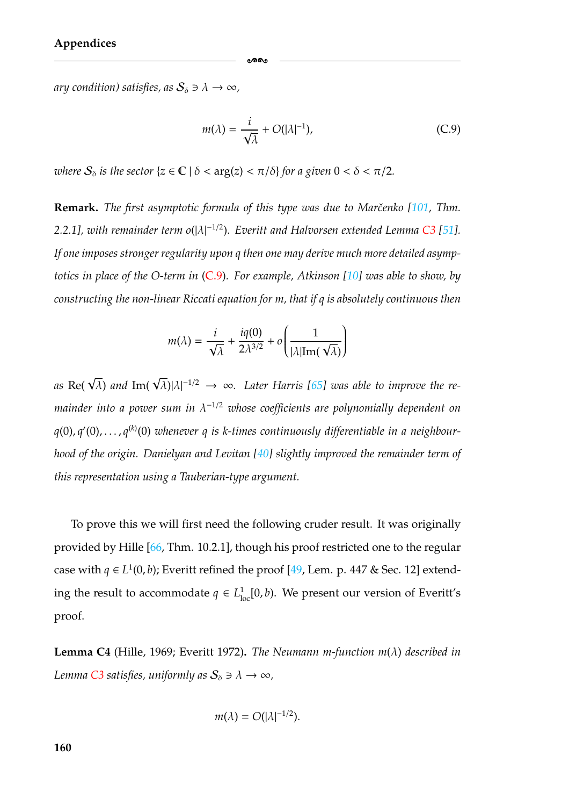*ary condition) satisfies, as*  $S_{\delta} \ni \lambda \to \infty$ ,

<span id="page-166-0"></span>
$$
m(\lambda) = \frac{i}{\sqrt{\lambda}} + O(|\lambda|^{-1}), \tag{C.9}
$$

*where*  $S_{\delta}$  *is the sector*  $\{z \in \mathbb{C} \mid \delta < \arg(z) < \pi/\delta\}$  *for a given*  $0 < \delta < \pi/2$ *.* 

**Remark.** The first asymptotic formula of this type was due to Marčenko [\[101,](#page-185-1) Thm. *2.2.1*], with remainder term o(|λ|<sup>-1/2</sup>). Everitt and Halvorsen extended Lemma [C3](#page-165-2) [\[51\]](#page-182-4). *If one imposes stronger regularity upon q then one may derive much more detailed asymptotics in place of the O-term in* [\(C.9\)](#page-166-0)*. For example, Atkinson [\[10\]](#page-179-2) was able to show, by constructing the non-linear Riccati equation for m, that if q is absolutely continuous then*

ക്ക

$$
m(\lambda) = \frac{i}{\sqrt{\lambda}} + \frac{iq(0)}{2\lambda^{3/2}} + o\left(\frac{1}{|\lambda|\text{Im}(\sqrt{\lambda})}\right)
$$

 $\cos \text{Re}(\sqrt{\lambda})$  and  $\text{Im}(\sqrt{\lambda})|\lambda|^{-1/2} \rightarrow \infty$ . Later Harris [\[65\]](#page-183-5) was able to improve the re*mainder into a power sum in* λ<sup>−</sup>1/<sup>2</sup> *whose coefficients are polynomially dependent on* q(0), q'(0), . . . , q<sup>(k)</sup>(0) whenever q is k-times continuously differentiable in a neighbour*hood of the origin. Danielyan and Levitan [\[40\]](#page-182-3) slightly improved the remainder term of this representation using a Tauberian-type argument.*

To prove this we will first need the following cruder result. It was originally provided by Hille [\[66,](#page-183-4) Thm. 10.2.1], though his proof restricted one to the regular case with *q* ∈ *L*<sup>1</sup>(0, *b*); Everitt refined the proof [\[49,](#page-182-2) Lem. p. 447 & Sec. 12] extending the result to accommodate  $q \in L^1_{loc}[0, b)$ . We present our version of Everitt's proof.

<span id="page-166-1"></span>**Lemma C4** (Hille, 1969; Everitt 1972)**.** *The Neumann m-function m*(λ) *described in Lemma C*3 *satisfies, uniformly as*  $S_{\delta} \ni \lambda \to \infty$ ,

$$
m(\lambda)=O(|\lambda|^{-1/2}).
$$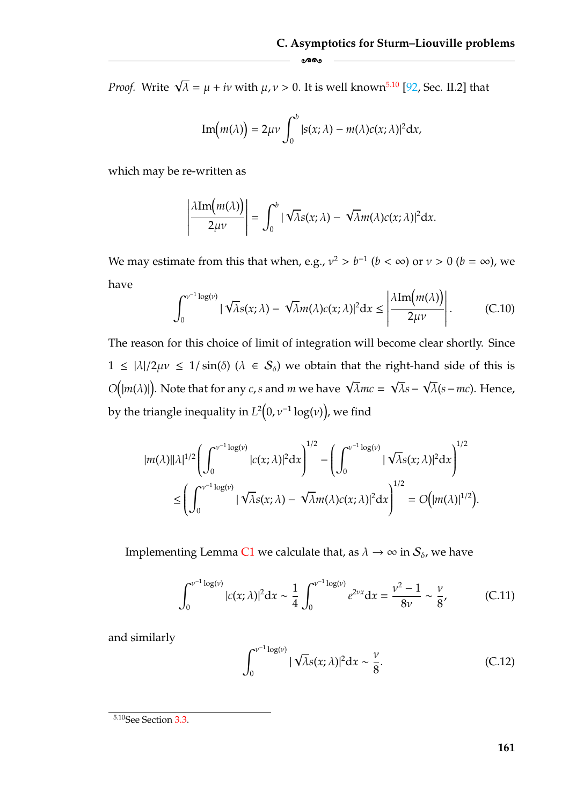*Proof.* Write  $\sqrt{\lambda} = \mu + i\nu$  with  $\mu, \nu > 0$ . It is well known<sup>5.10</sup> [\[92,](#page-185-0) Sec. II.2] that

Im
$$
(m(\lambda)) = 2\mu\nu \int_0^b |s(x;\lambda) - m(\lambda)c(x;\lambda)|^2 dx,
$$

-

which may be re-written as

$$
\left|\frac{\lambda \text{Im}(m(\lambda))}{2\mu\nu}\right| = \int_0^b |\sqrt{\lambda} s(x;\lambda) - \sqrt{\lambda} m(\lambda) c(x;\lambda)|^2 dx.
$$

We may estimate from this that when, e.g.,  $v^2 > b^{-1}$  ( $b < \infty$ ) or  $v > 0$  ( $b = \infty$ ), we have

<span id="page-167-1"></span>
$$
\int_0^{\nu^{-1}\log(\nu)} |\sqrt{\lambda} s(x;\lambda) - \sqrt{\lambda} m(\lambda) c(x;\lambda)|^2 dx \le \left| \frac{\lambda \text{Im}\big(m(\lambda)\big)}{2\mu\nu} \right|.
$$
 (C.10)

The reason for this choice of limit of integration will become clear shortly. Since  $1 \leq |\lambda|/2\mu\nu \leq 1/\sin(\delta)$  ( $\lambda \in S_\delta$ ) we obtain that the right-hand side of this is *O*( $|m(\lambda)|$ ). Note that for any *c*,*s* and *m* we have  $\sqrt{\lambda}mc = \sqrt{\lambda}s - \sqrt{\lambda}(s - mc)$ . Hence, by the triangle inequality in  $L^2(0, \nu^{-1} \log(\nu))$ , we find

$$
|m(\lambda)||\lambda|^{1/2} \left(\int_0^{\nu^{-1}\log(\nu)} |c(x;\lambda)|^2 dx\right)^{1/2} - \left(\int_0^{\nu^{-1}\log(\nu)} |\sqrt{\lambda}s(x;\lambda)|^2 dx\right)^{1/2} \le \left(\int_0^{\nu^{-1}\log(\nu)} |\sqrt{\lambda}s(x;\lambda) - \sqrt{\lambda}m(\lambda)c(x;\lambda)|^2 dx\right)^{1/2} = O\left(|m(\lambda)|^{1/2}\right).
$$

Implementing Lemma [C1](#page-158-0) we calculate that, as  $\lambda \to \infty$  in  $\mathcal{S}_{\delta}$ , we have

<span id="page-167-2"></span>
$$
\int_0^{\nu^{-1}\log(\nu)} |c(x;\lambda)|^2 dx \sim \frac{1}{4} \int_0^{\nu^{-1}\log(\nu)} e^{2\nu x} dx = \frac{\nu^2 - 1}{8\nu} \sim \frac{\nu}{8},
$$
 (C.11)

and similarly

$$
\int_0^{\nu^{-1}\log(\nu)} |\sqrt{\lambda} s(x;\lambda)|^2 dx \sim \frac{\nu}{8}.
$$
 (C.12)

<span id="page-167-0"></span><sup>&</sup>lt;sup>5.10</sup>See Section [3.3.](#page-74-0)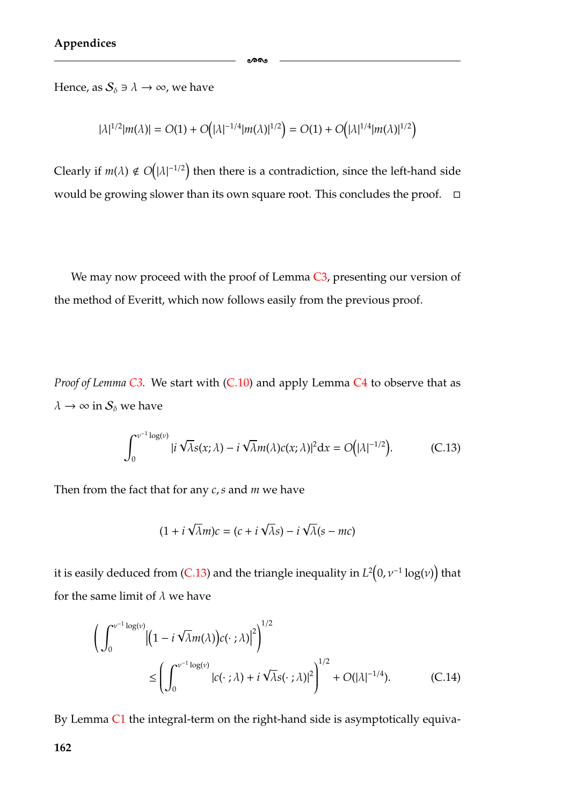Hence, as  $S_{\delta} \ni \lambda \to \infty$ , we have

$$
|\lambda|^{1/2}|m(\lambda)| = O(1) + O(|\lambda|^{-1/4}|m(\lambda)|^{1/2}) = O(1) + O(|\lambda|^{1/4}|m(\lambda)|^{1/2})
$$

ക്കം

Clearly if  $m(\lambda) \notin O$  $|\lambda|^{-1/2}$ ) then there is a contradiction, since the left-hand side would be growing slower than its own square root. This concludes the proof.  $\Box$ 

We may now proceed with the proof of Lemma [C3,](#page-165-2) presenting our version of the method of Everitt, which now follows easily from the previous proof.

*Proof of Lemma C3*. We start with (*C.10*) and apply Lemma *[C4](#page-166-1)* to observe that as  $\lambda \to \infty$  in  $\mathcal{S}_\delta$  we have

<span id="page-168-0"></span>
$$
\int_0^{\nu^{-1}\log(\nu)} |i \sqrt{\lambda} s(x;\lambda) - i \sqrt{\lambda} m(\lambda) c(x;\lambda)|^2 dx = O(|\lambda|^{-1/2}).
$$
 (C.13)

Then from the fact that for any *c*,*s* and *m* we have

<span id="page-168-1"></span>
$$
(1 + i\sqrt{\lambda}m)c = (c + i\sqrt{\lambda}s) - i\sqrt{\lambda}(s - mc)
$$

it is easily deduced from [\(C.13\)](#page-168-0) and the triangle inequality in  $L^2(0,\nu^{-1}\log(\nu))$  that for the same limit of  $\lambda$  we have

$$
\left(\int_0^{\nu^{-1}\log(\nu)} \left|\left(1 - i\sqrt{\lambda}m(\lambda)\right)c(\cdot;\lambda)\right|^2\right)^{1/2} \le \left(\int_0^{\nu^{-1}\log(\nu)} |c(\cdot;\lambda) + i\sqrt{\lambda}s(\cdot;\lambda)|^2\right)^{1/2} + O(|\lambda|^{-1/4}).\tag{C.14}
$$

By Lemma [C1](#page-158-0) the integral-term on the right-hand side is asymptotically equiva-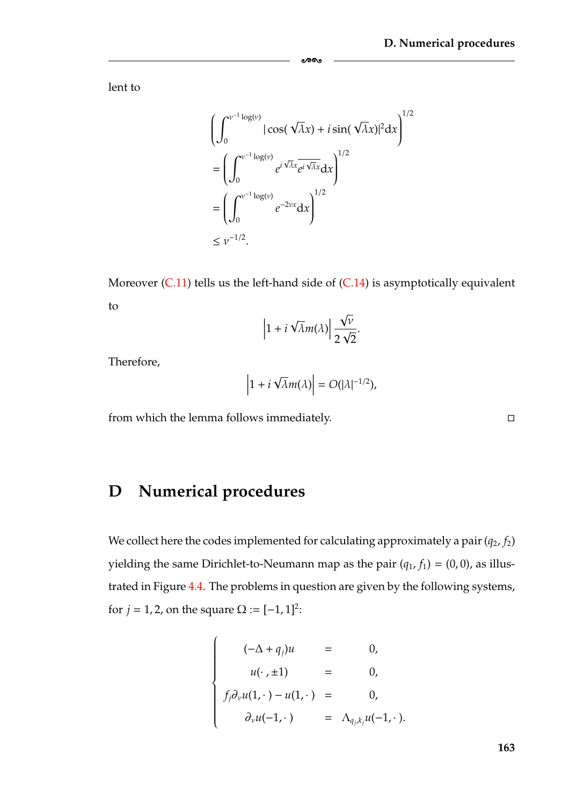lent to

$$
\left(\int_0^{\nu^{-1}\log(\nu)} |\cos(\sqrt{\lambda}x) + i \sin(\sqrt{\lambda}x)|^2 dx\right)^{1/2}
$$

$$
= \left(\int_0^{\nu^{-1}\log(\nu)} e^{i\sqrt{\lambda}x} e^{i\sqrt{\lambda}x} dx\right)^{1/2}
$$

$$
= \left(\int_0^{\nu^{-1}\log(\nu)} e^{-2\nu x} dx\right)^{1/2}
$$

$$
\leq \nu^{-1/2}.
$$

ക്ക

Moreover [\(C.11\)](#page-167-2) tells us the left-hand side of [\(C.14\)](#page-168-1) is asymptotically equivalent to √

$$
\left|1+i\sqrt{\lambda}m(\lambda)\right|\frac{\sqrt{\nu}}{2\sqrt{2}}.
$$

Therefore,

$$
\left|1+i\sqrt{\lambda}m(\lambda)\right|=O(|\lambda|^{-1/2}),
$$

from which the lemma follows immediately.

### <span id="page-169-0"></span>**D Numerical procedures**

We collect here the codes implemented for calculating approximately a pair  $(q_2, f_2)$ yielding the same Dirichlet-to-Neumann map as the pair  $(q_1, f_1) = (0, 0)$ , as illustrated in Figure [4.4.](#page-129-0) The problems in question are given by the following systems, for *j* = 1, 2, on the square  $\Omega := [-1, 1]^2$ :

$$
\begin{cases}\n(-\Delta + q_j)u = 0, \\
u(\cdot, \pm 1) = 0, \\
f_j \partial_\nu u(1, \cdot) - u(1, \cdot) = 0, \\
\partial_\nu u(-1, \cdot) = \Lambda_{q_j, k_j} u(-1, \cdot).\n\end{cases}
$$

 $\Box$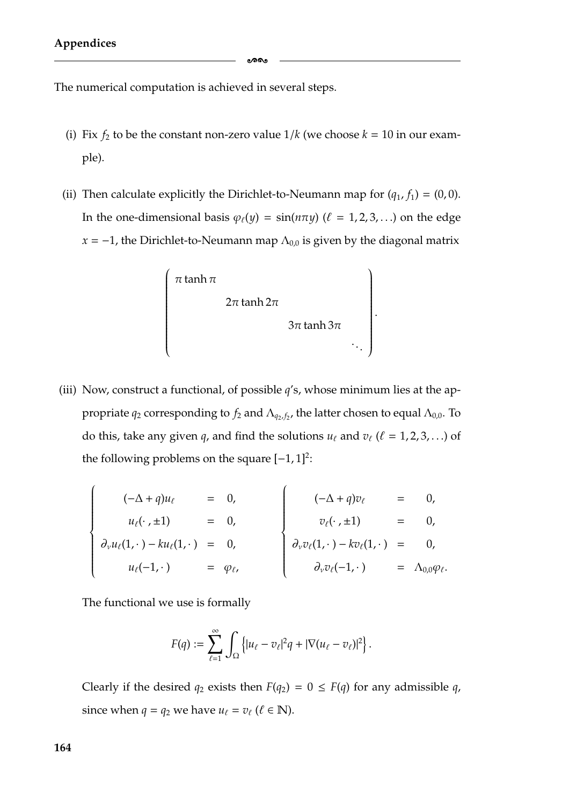The numerical computation is achieved in several steps.

- (i) Fix  $f_2$  to be the constant non-zero value  $1/k$  (we choose  $k = 10$  in our example).
- (ii) Then calculate explicitly the Dirichlet-to-Neumann map for  $(q_1, f_1) = (0, 0)$ . In the one-dimensional basis  $\varphi_{\ell}(y) = \sin(n\pi y)$  ( $\ell = 1, 2, 3, ...$ ) on the edge  $x = -1$ , the Dirichlet-to-Neumann map  $\Lambda_{0,0}$  is given by the diagonal matrix



(iii) Now, construct a functional, of possible *q*'s, whose minimum lies at the appropriate  $q_2$  corresponding to  $f_2$  and  $\Lambda_{q_2, f_2}$ , the latter chosen to equal  $\Lambda_{0,0}$ . To do this, take any given *q*, and find the solutions  $u_\ell$  and  $v_\ell$  ( $\ell = 1, 2, 3, \ldots$ ) of the following problems on the square  $[-1, 1]^2$ :

$$
\begin{cases}\n(-\Delta + q)u_{\ell} = 0, \\
u_{\ell}(\cdot, \pm 1) = 0, \\
\partial_{\nu}u_{\ell}(1,\cdot) - ku_{\ell}(1,\cdot) = 0, \\
u_{\ell}(-1,\cdot) = \varphi_{\ell},\n\end{cases}\n\begin{cases}\n(-\Delta + q)v_{\ell} = 0, \\
v_{\ell}(\cdot, \pm 1) = 0, \\
\partial_{\nu}v_{\ell}(1,\cdot) - kv_{\ell}(1,\cdot) = 0, \\
\partial_{\nu}v_{\ell}(-1,\cdot) = \Lambda_{0,0}\varphi_{\ell}.\n\end{cases}
$$

The functional we use is formally

$$
F(q) := \sum_{\ell=1}^{\infty} \int_{\Omega} \left\{ |u_{\ell} - v_{\ell}|^2 q + |\nabla (u_{\ell} - v_{\ell})|^2 \right\}.
$$

Clearly if the desired  $q_2$  exists then  $F(q_2) = 0 \leq F(q)$  for any admissible q, since when  $q = q_2$  we have  $u_\ell = v_\ell$  ( $\ell \in \mathbb{N}$ ).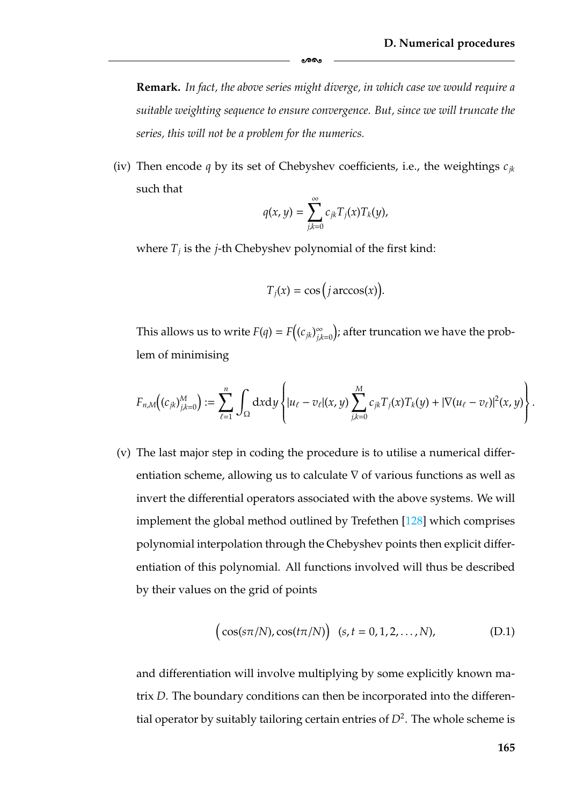**Remark.** *In fact, the above series might diverge, in which case we would require a suitable weighting sequence to ensure convergence. But, since we will truncate the series, this will not be a problem for the numerics.*

-

(iv) Then encode *q* by its set of Chebyshev coefficients, i.e., the weightings *cjk* such that

$$
q(x,y)=\sum_{j,k=0}^{\infty}c_{jk}T_j(x)T_k(y),
$$

where  $T_i$  is the *j*-th Chebyshev polynomial of the first kind:

$$
T_j(x) = \cos\big(j \arccos(x)\big).
$$

This allows us to write  $F(q) = F\left( (c_{jk})_{j,k=0}^{\infty} \right)$ ); after truncation we have the problem of minimising

$$
F_{n,M}\big((c_{jk})_{j,k=0}^M\big):=\sum_{\ell=1}^n\,\int_\Omega\mathrm{d} x\mathrm{d} y\,\Bigg\{ |u_\ell-v_\ell|(x,y)\sum_{j,k=0}^M c_{jk}T_j(x)T_k(y)+|\nabla (u_\ell-v_\ell)|^2(x,y)\Bigg\}\,.
$$

(v) The last major step in coding the procedure is to utilise a numerical differentiation scheme, allowing us to calculate ∇ of various functions as well as invert the differential operators associated with the above systems. We will implement the global method outlined by Trefethen [\[128\]](#page-187-3) which comprises polynomial interpolation through the Chebyshev points then explicit differentiation of this polynomial. All functions involved will thus be described by their values on the grid of points

$$
(\cos(s\pi/N), \cos(t\pi/N)) (s, t = 0, 1, 2, ..., N),
$$
 (D.1)

and differentiation will involve multiplying by some explicitly known matrix *D*. The boundary conditions can then be incorporated into the differential operator by suitably tailoring certain entries of  $D^2$ . The whole scheme is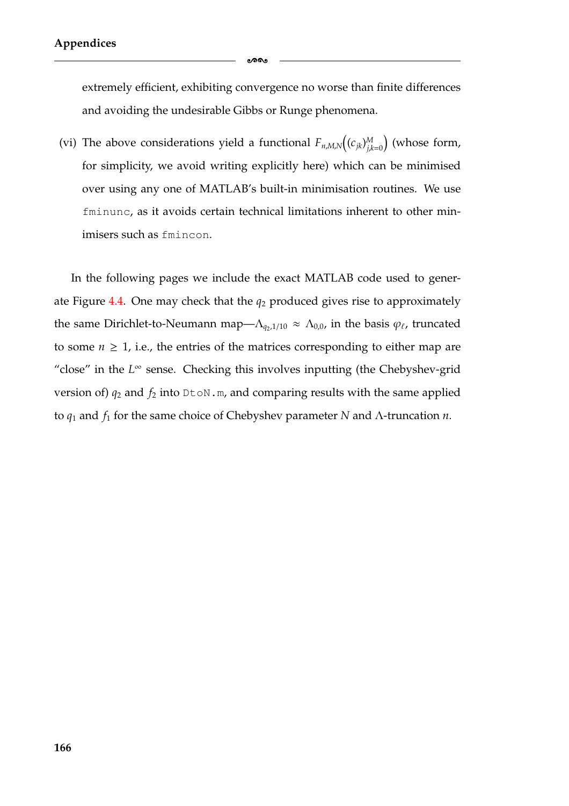extremely efficient, exhibiting convergence no worse than finite differences and avoiding the undesirable Gibbs or Runge phenomena.

-

(vi) The above considerations yield a functional  $F_{n,M,N}((c_{jk})_{ik}^M)$ *j*,*k*=0 (whose form, for simplicity, we avoid writing explicitly here) which can be minimised over using any one of MATLAB's built-in minimisation routines. We use fminunc, as it avoids certain technical limitations inherent to other minimisers such as fmincon.

In the following pages we include the exact MATLAB code used to gener-ate Figure [4.4.](#page-129-0) One may check that the  $q_2$  produced gives rise to approximately the same Dirichlet-to-Neumann map— $\Lambda_{q_2,1/10} \approx \Lambda_{0,0}$ , in the basis  $\varphi_\ell$ , truncated to some  $n \geq 1$ , i.e., the entries of the matrices corresponding to either map are "close" in the *L*<sup>∞</sup> sense. Checking this involves inputting (the Chebyshev-grid version of)  $q_2$  and  $f_2$  into  $Dt \circ N$ .m, and comparing results with the same applied to *q*<sup>1</sup> and *f*<sup>1</sup> for the same choice of Chebyshev parameter *N* and Λ-truncation *n*.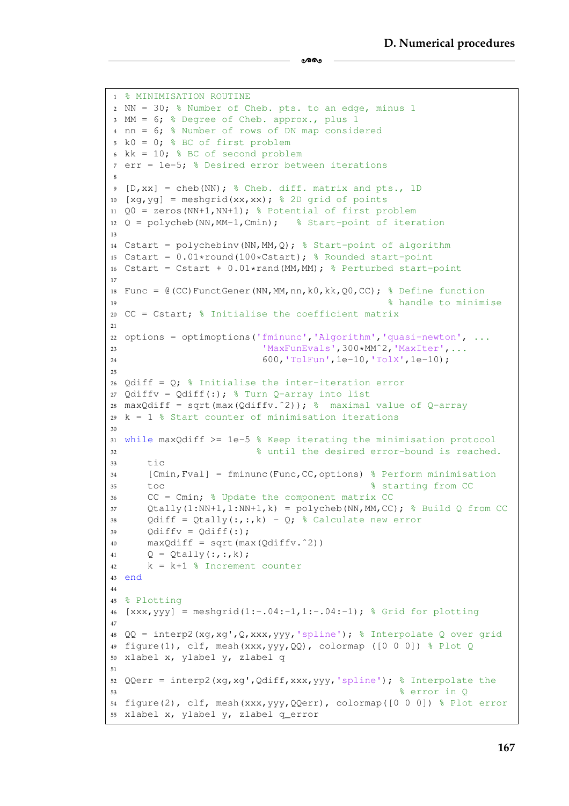```
1 % MINIMISATION ROUTINE
2 NN = 30; % Number of Cheb. pts. to an edge, minus 1
3 MM = 6; % Degree of Cheb. approx., plus 1
4 nn = 6; % Number of rows of DN map considered
5 k0 = 0; % BC of first problem
6 kk = 10; % BC of second problem
7 err = 1e-5; % Desired error between iterations
8
9 [D,xx] = cheb(NN); % Cheb. diff. matrix and pts., 1D
10 [xg, yg] = meshgrid(xx, xx); % 2D grid of points
11 Q0 = zeros (NN+1, NN+1); % Potential of first problem
12 Q = polycheb(NN, MM-1, Cmin); % Start-point of iteration
13
14 Cstart = polychebinv(NN,MM,Q); % Start-point of algorithm
15 Cstart = 0.01*round(100*Cstart); % Rounded start-point
16 Cstart = Cstart + 0.01*rand(MM,MM); % Perturbed start-point
17
18 Func = @ (CC) FunctGener(NN, MM, nn, k0, kk, Q0, CC); % Define function
19 % handle to minimise
20 CC = Cstart; % Initialise the coefficient matrix
2122 options = optimoptions('fminunc','Algorithm','quasi-newton', ...
23 IMAXFunEvals',300*MM^2,'MaxIter',...
24 600,'TolFun',1e-10,'TolX',1e-10);
25
26 Qdiff = Q_i; Initialise the inter-iteration error
27 Qdiffv = Qdiff(:); % Turn Q-array into list
28 maxQdiff = sqrt(max(Qdiffv.^2)); \frac{1}{6} maximal value of Q-array
29 k = 1 % Start counter of minimisation iterations
3031 while maxQdiff >= 1e-5 % Keep iterating the minimisation protocol
32 % until the desired error-bound is reached.
33 + iC34 [Cmin,Fval] = fminunc(Func,CC,options) % Perform minimisation
35 toc % starting from CC
36 CC = Cmin; % Update the component matrix CC
37 Qtally(1:NN+1,1:NN+1,k) = polycheb(NN,MM,CC); % Build Q from CC
38 Qdiff = Qtally(:,:,k) - Q; % Calculate new error
39 Odiffy = Odiff(:);
40 max\text{Odiff} = \text{sqrt}(\text{max}(\text{Odiff}_1, \text{2}))41 Q = Qtally(:,:,k);
42 k = k+1 % Increment counter
43 end
44
45 % Plotting
46 [xxxx, yyy] = meshgrid(1:-.04:-1,1:-.04:-1); % Grid for plotting47
48 QQ = interp2(xg,xg',Q,xxx,yyy,'spline'); % Interpolate Q over grid
49 figure(1), clf, mesh(xxx,yyy, QQ), colormap ([0 0 0]) % Plot Q
50 xlabel x, ylabel y, zlabel q
51
52 QQerr = interp2(xg,xg',Qdiff,xxx,yyy,'spline'); % Interpolate the
53 % error in Q
54 figure(2), clf, mesh(xxx,yyy,QQerr), colormap([0 0 0]) % Plot error
55 xlabel x, ylabel y, zlabel q_error
```
ക്കം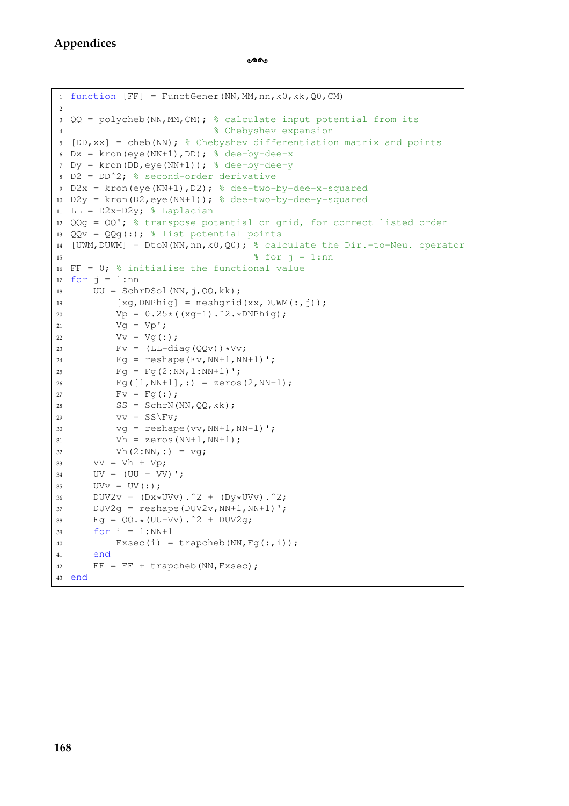```
1 function [FF] = FunctGenerator(NN, MM, nn, k0, kk, Q0, CM)\overline{2}3 QQ = polycheb(NN,MM,CM); % calculate input potential from its
4 % Chebyshev expansion
5 [DD, xx] = cheb(NN); % Chebyshev differentiation matrix and points
6 Dx = kron(eye(NN+1), DD); & dee-by-dee-x
7 Dy = kron(DD, eye(NN+1)); % \text{dee-by-dee-y}8 D2 = DD^2; % second-order derivative
9 D2x = kron(eye(NN+1),D2); % dee-two-by-dee-x-squared
10 D2y = kron(D2,eye(NN+1)); % dee-two-by-dee-y-squared
11 LL = D2x+D2y; % Laplacian
12 QQq = QQ'; % transpose potential on grid, for correct listed order
13 QQv = QQq(:); % list potential points
14 [UWM,DUWM] = DtoN(NN,nn,k0,Q0); % calculate the Dir.-to-Neu. operator
15 \text{For } j = 1 \text{ : } n16 FF = 0; % initialise the functional value
17 for j = 1:nn18 UU = SchrDSol(NN, j, QQ, kk);[ xq, DNPhiq] = meshgrid(xx, DUWM(:,j));20 Vp = 0.25*( (xq-1).^2.*DNPhiq);21 \text{Vq} = \text{Vp}';
22 Vv = Vg( :);23 Fv = (LL-diag(QQv)) *Vv;Pq = reshape(Fv, NN+1, NN+1)';
25 Fg = Fg(2:NN, 1:NN+1)';
26 Fq([1, NN+1],:)= zeros(2, NN-1);27 Fv = Fg(:,);SS = SchrN(NN, QQ, kk);29 VV = SS\ FV;30 \text{ vg} = \text{reshape}(vv, NN+1, NN-1)';
31 Vh = zeros (NN+1, NN+1);
32 Vh(2:NN, :) = vq;33 VV = Vh + Vp;34 UV = (UU - VV)35 UVv = UV(:);36 DUV2v = (Dx*UVv).<sup>2 + (Dy*UVv).<sup>2</sup>;</sup>
37 DUV2q = reshape(DUV2v, NN+1, NN+1)';
38 Fq = QQ.*(UU-VV).^2 + DUV2q;39 \quad \text{for } i = 1:NN+140 \text{Fxsec}(i) = \text{trapcheb}(NN, \text{Fq}(:,i));
41 end
42 FF = FF + trapcheb(NN, Fxsec);43 end
```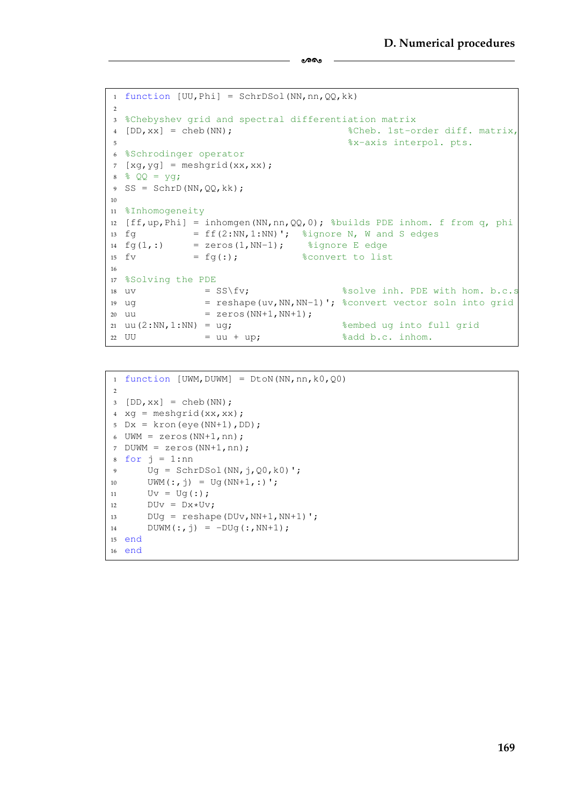```
1 function [UU,phi] = SchrDSol(NN,nn,QQ,kk)\overline{2}3 %Chebyshev grid and spectral differentiation matrix
4 [DD,xx] = cheb(NN); %Cheb. 1st-order diff. matrix,
5 %x-axis interpol. pts.
6 %Schrodinger operator
7 [xq, yq] = meshqrid(xx, xx);
8 % QQ = yg;
9 SS = SchrD(NN, QQ, kk);
10
11 %Inhomogeneity
12 [ff,up,Phi] = inhomgen(NN,nn,QQ,0); %builds PDE inhom. f from q, phi
13 fg = ff(2:NN,1:NN)'; %ignore N, W and S edges
14 fq(1,:) = zeros(1,NN-1); % f(q)=\frac{1}{2} %ignore E edge
15 fv = f g(:); & \delta sconvert to list
16
17 %Solving the PDE
18 uv = SS\fv; \frac{1}{2} solve inh. PDE with hom. b.c.s
19 ug = reshape(uv, NN, NN-1)'; \frac{1}{2} convert vector soln into grid
20 uu = zeros (NN+1, NN+1);
21 \text{ uu}(2:NN,1:NN) = \text{uq}; & sembed ug into full grid
22 UU = uu + up; 32 add b.c. inhom.
```
-

```
1 function [UWM,DUWM] = Dton(NN,nn,k0,Q0)\overline{2}3 [DD, xx] = cheb(NN);4 \text{ xq} = \text{meshgrid}(xx,xx);5 Dx = kron(eye(NN+1), DD);
6 UWM = zeros(NN+1,nn);7 DUWM = zeros(NN+1,nn);
8 for j = 1:nn9 \text{ Uq} = \text{SchrDSol}(\text{NN},\dot{1},00,\text{k0})';
10 UWM(:,j) = Ug(NN+1,:)';11 Uv = Ug(:,);12 DUV = DX*UV;13 DUg = reshape(DUv, NN+1, NN+1)';
14 DUWM(:, j) = -DUg(:, NN+1);
15 end
16 end
```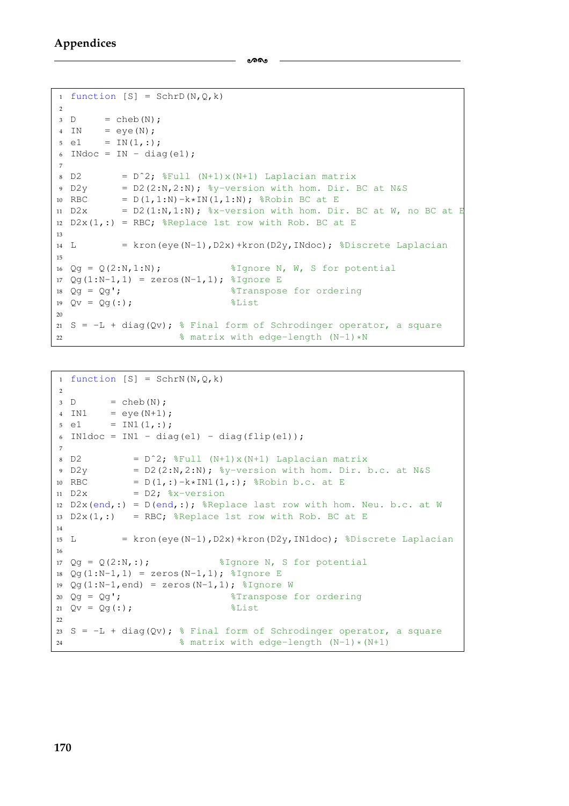-

```
1 function [S] = SchrD(N,Q,k)2
3 D = \text{cheb}(N);4 IN = eye(N);
5 \text{ e1} = \text{IN}(1,:);6 INdoc = IN - diag(e1);
7
8 D2 = D<sup>2</sup>; \frac{1}{2}Full (N+1) x (N+1) Laplacian matrix
9 \text{ D2y} = D2(2:N,2:N); %y-version with hom. Dir. BC at N&S
10 RBC = D(1, 1:N)-k*IN(1, 1:N); %Robin BC at E
11 D2x = D(1;N,1:N); \frac{1}{2} = \frac{1}{2} = \frac{1}{2} = \frac{1}{2} = \frac{1}{2} = \frac{1}{2} = \frac{1}{2} = \frac{1}{2} = \frac{1}{2} = \frac{1}{2} = \frac{1}{2} = \frac{1}{2} = \frac{1}{2} = \frac{1}{2} = \frac{1}{2} = \frac{1}{2} = \frac{1}{2}12 D2x(1,:) = RBC; %Replace 1st row with Rob. BC at E
13
14 L = kron(eye(N-1), D2x) + kron(D2y, INdoc); %Discrete Laplacian
15
16 Qq = Q(2:N,1:N); %Ignore N, W, S for potential
17 Qg(1:N-1,1) = zeros(N-1,1); %Ignore E
18 Qg = Qg'; \sqrt{3} Transpose for ordering
19 Qv = Qg(:);20
21 S = -L + diag(Qv); % Final form of Schrodinger operator, a square
22 % matrix with edge-length (N-1)*N
```

```
1 function [S] = SchrN(N,Q,k)2
3 D = \text{cheb}(N);4 IN1 = eye(N+1);
5 \text{ e1} = \text{INI}(1,:);6 IN1doc = IN1 - diag(e1) - diag(flip(e1));
7
B = D^2; %Full (N+1) \times (N+1) Laplacian matrix
9 \text{ D2y} = D2(2:N,2:N); %v-version with hom. Dir. b.c. at N&S
10 RBC = D(1,:)-k*INI(1,:); %Robin b.c. at E
11 D2x = D2; % x-version12 D2x(end,:) = D(\text{end,:}); %Replace last row with hom. Neu. b.c. at W
13 D2x(1,:) = RBC; {}_{6}Replace 1st row with Rob. BC at E
14
15 L = kron(eye(N-1),D2x) + kron(D2y,IN1doc); %Discrete Laplacian
16
17 Qq = Q(2:N, :); %Ignore N, S for potential
18 Qg(1:N-1,1) = zeros(N-1,1); %Ignore E
19 Qq(1:N-1, end) = zeros(N-1,1); \frac{1}{2} Ignore W
20 Qg = Qg'; \sqrt{2} = Transpose for ordering
21 Qv = Qg(:);22
23 S = -L + diag(Qv); % Final form of Schrodinger operator, a square
24 % matrix with edge-length (N-1)*(N+1)
```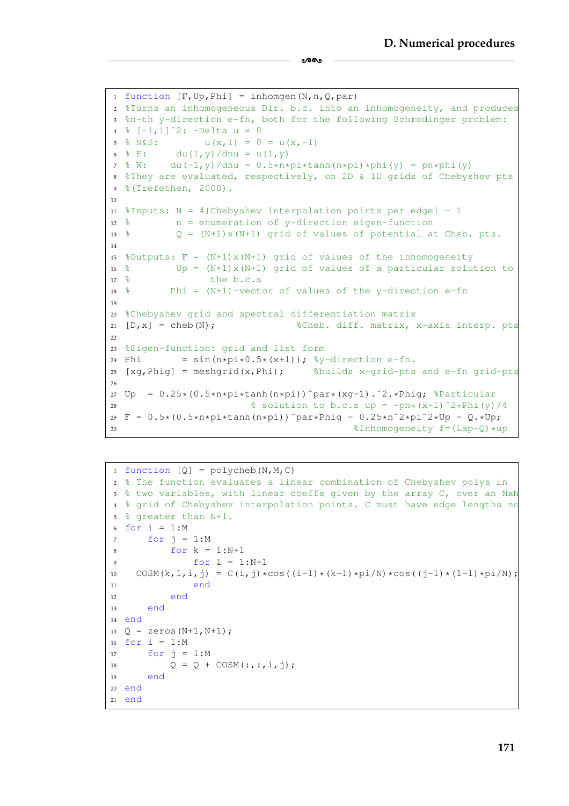```
1 function [F, Up, Phil] = inhomgen(N, n, Q, par)2 %Turns an inhomogeneous Dir. b.c. into an inhomogeneity, and produces
3 %n-th y-direction e-fn, both for the following Schrodinger problem:
4 \, \frac{6}{6} [-1, 1] 2: -Delta u = 0
5 \text{ % } \text{N\'sS:} u(x, 1) = 0 = u(x, -1)
6 \frac{6}{5} E: du(1, y)/dnu = u(1, y)
7 \& W: \quad du(-1, y)/du = 0.5*n*pi*tanh(n*pi)*phi(y) = pn*pi(y)8 %They are evaluated, respectively, on 2D & 1D grids of Chebyshev pts
9 %(Trefethen, 2000).
10
11 %Inputs: N = #{Chebyshev interpolation points per edge} - 112 \frac{8}{9} n = enumeration of y-direction eigen-function
13 % Q = (N+1)x(N+1) grid of values of potential at Cheb. pts.
14
15 %Outputs: F = (N+1) \times (N+1) grid of values of the inhomogeneity
16 % Up = (N+1) \times (N+1) grid of values of a particular solution to
17 \text{ } \frac{6}{6} the b.c.s
18 % Phi = (N+1)-vector of values of the v-direction e-fn
10<sup>9</sup>20 %Chebyshev grid and spectral differentiation matrix
21 [D, x] = \text{cheb(N)}; 3 \text{Cheb. diff. matrix, } x \text{-axis.}2223 %Eigen-function: grid and list form
24 Phi = sin(n * pi * 0.5 * (x + 1)); \frac{1}{2}y - direction e-fn.
25 [xg, Phig] = meshgrid(x, Phi); <br> %builds x-grid-pts and e-fn grid-pts
26
27 \text{ Up} = 0.25*(0.5*n*pi*tanh(n*pi))^par*(xq-1).<sup>^2</sup>.*Phig; 8Particular
28 \frac{2}{3} solution to b.c.s up = -pn*(x-1)^2xPhi(y)/429 F = 0.5*(0.5*n*pi*tanh(n*pi))^par*Phig - 0.25*n^2*pi^2*Up - Q.*Up;30 $Inhomogeneity f = (Lap - Q) * up
```
ക്കം

```
1 function [0] = \text{polycheb}(N,M,C)2 % The function evaluates a linear combination of Chebyshev polys in
3 % two variables, with linear coeffs given by the array C, over an NxN
4 % grid of Chebyshev interpolation points. C must have edge lengths no
5 % greater than N+1.
6 for i = 1:M7 for j = 1:M8 for k = 1:N+19 for l = 1:N+110 COSM(k, l, i, j) = C(i, j) * cos((i-1) * (k-1) *pi/N) * cos((i-1) * (l-1) *pi/N);11 end
12 end
13 end
14 end
15 Q = zeros (N+1, N+1);
16 for i = 1:M17 for j = 1:M18 Q = Q + COSM(:,:,:,i,j);19 end
20 end
21 end
```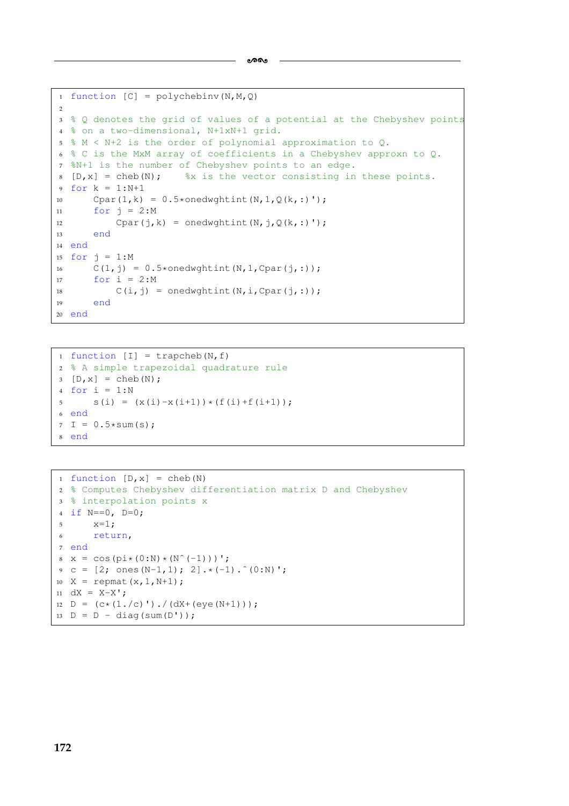```
ക്കം
```

```
1 function [C] = polychebin v(N,M,Q)\overline{2}3 % Q denotes the grid of values of a potential at the Chebyshev points
4 % on a two-dimensional, N+1xN+1 grid.
5 % M < N+2 is the order of polynomial approximation to Q.
6 % C is the MxM array of coefficients in a Chebyshev approxn to Q.
7 %N+1 is the number of Chebyshev points to an edge.
8 [D, x] = \text{cheb}(N); % x is the vector consisting in these points.
9 for k = 1:N+1
10 Cpar(1,k) = 0.5*onedwghtint(N, 1, Q(k,:)');
11 for j = 2:M12 Cpar(j,k) = onedwghtint(N,j,Q(k,:)');
13 end
14 end
15 for j = 1:M16 C(1, j) = 0.5*onedwghtint(N, 1, Cpar(j, :));
17 for i = 2:M
18 C(i, j) = \text{onedwyhtint}(N, i, \text{Cpar}(j, :));
19 end
20 end
```

```
1 function [I] = \text{trapeheb}(N, f)2 % A simple trapezoidal quadrature rule
3 [D, x] = \text{cheb}(N);4 for i = 1:N5 S(i) = (X(i) - X(i+1)) * (f(i) + f(i+1));6 end
7 I = 0.5*sum(s);8 end
```

```
1 function [D, x] = cheb(N)2 % Computes Chebyshev differentiation matrix D and Chebyshev
3 % interpolation points x
4 if N==0, D=0;
5 \times = 1;6 return,
7 end
x = \cos(\pi x (0:N) * (N^(-1)))9 \text{ c} = [2; \text{ ones}(N-1,1); 2].*(-1).^(0:N)';10 X = repmat(x, 1, N+1);
11 dX = X-X';
12 D = (c*(1./c)')./(dX+(eye(N+1)));
13 D = D - diag(sum(D'));
```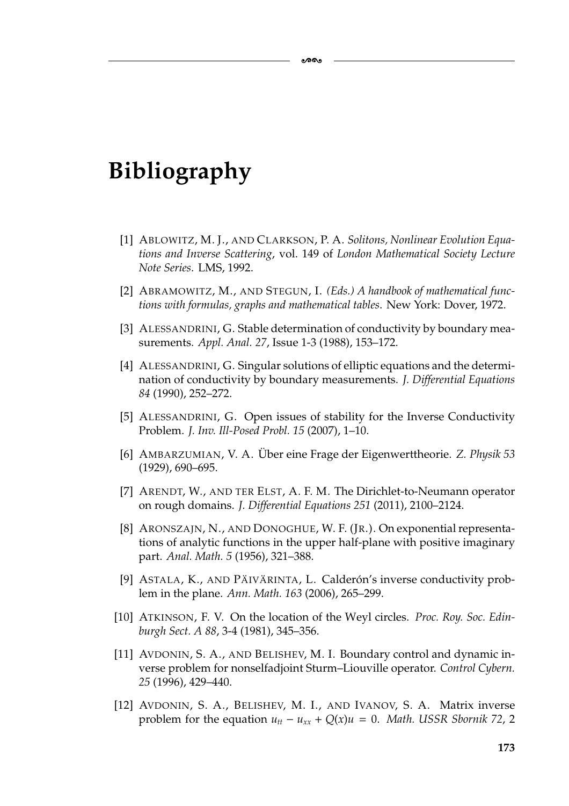# **Bibliography**

[1] ABLOWITZ, M. J., AND CLARKSON, P. A. *Solitons, Nonlinear Evolution Equations and Inverse Scattering*, vol. 149 of *London Mathematical Society Lecture Note Series*. LMS, 1992.

ക്ക

- <span id="page-179-1"></span>[2] ABRAMOWITZ, M., AND STEGUN, I. *(Eds.) A handbook of mathematical functions with formulas, graphs and mathematical tables*. New York: Dover, 1972.
- [3] ALESSANDRINI, G. Stable determination of conductivity by boundary measurements. *Appl. Anal. 27*, Issue 1-3 (1988), 153–172.
- [4] ALESSANDRINI, G. Singular solutions of elliptic equations and the determination of conductivity by boundary measurements. *J. Differential Equations 84* (1990), 252–272.
- [5] ALESSANDRINI, G. Open issues of stability for the Inverse Conductivity Problem. *J. Inv. Ill-Posed Probl. 15* (2007), 1–10.
- [6] AMBARZUMIAN, V. A. Uber eine Frage der Eigenwerttheorie. Z. Physik 53 (1929), 690–695.
- [7] ARENDT, W., AND TER ELST, A. F. M. The Dirichlet-to-Neumann operator on rough domains. *J. Differential Equations 251* (2011), 2100–2124.
- <span id="page-179-0"></span>[8] ARONSZAJN, N., AND DONOGHUE, W. F. (JR.). On exponential representations of analytic functions in the upper half-plane with positive imaginary part. *Anal. Math. 5* (1956), 321–388.
- [9] ASTALA, K., AND PÄIVÄRINTA, L. Calderón's inverse conductivity problem in the plane. *Ann. Math. 163* (2006), 265–299.
- <span id="page-179-2"></span>[10] ATKINSON, F. V. On the location of the Weyl circles. *Proc. Roy. Soc. Edinburgh Sect. A 88*, 3-4 (1981), 345–356.
- [11] AVDONIN, S. A., AND BELISHEV, M. I. Boundary control and dynamic inverse problem for nonselfadjoint Sturm–Liouville operator. *Control Cybern. 25* (1996), 429–440.
- [12] AVDONIN, S. A., BELISHEV, M. I., AND IVANOV, S. A. Matrix inverse problem for the equation  $u_{tt} - u_{xx} + Q(x)u = 0$ . *Math. USSR Sbornik 72, 2*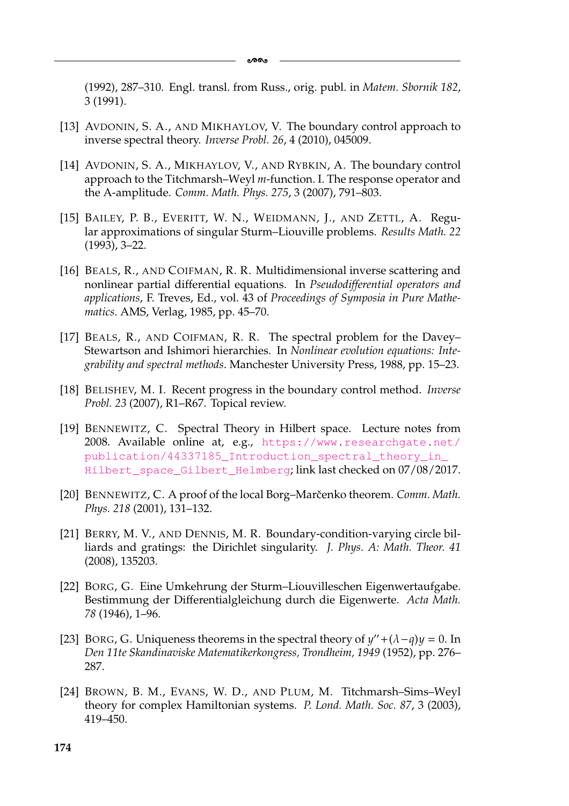(1992), 287–310. Engl. transl. from Russ., orig. publ. in *Matem. Sbornik 182*, 3 (1991).

- [13] AVDONIN, S. A., AND MIKHAYLOV, V. The boundary control approach to inverse spectral theory. *Inverse Probl. 26*, 4 (2010), 045009.
- [14] AVDONIN, S. A., MIKHAYLOV, V., AND RYBKIN, A. The boundary control approach to the Titchmarsh–Weyl *m*-function. I. The response operator and the A-amplitude. *Comm. Math. Phys. 275*, 3 (2007), 791–803.
- [15] BAILEY, P. B., EVERITT, W. N., WEIDMANN, J., AND ZETTL, A. Regular approximations of singular Sturm–Liouville problems. *Results Math. 22* (1993), 3–22.
- [16] BEALS, R., AND COIFMAN, R. R. Multidimensional inverse scattering and nonlinear partial differential equations. In *Pseudodifferential operators and applications*, F. Treves, Ed., vol. 43 of *Proceedings of Symposia in Pure Mathematics*. AMS, Verlag, 1985, pp. 45–70.
- [17] BEALS, R., AND COIFMAN, R. R. The spectral problem for the Davey– Stewartson and Ishimori hierarchies. In *Nonlinear evolution equations: Integrability and spectral methods*. Manchester University Press, 1988, pp. 15–23.
- [18] BELISHEV, M. I. Recent progress in the boundary control method. *Inverse Probl. 23* (2007), R1–R67. Topical review.
- [19] BENNEWITZ, C. Spectral Theory in Hilbert space. Lecture notes from 2008. Available online at, e.g., [https://www.researchgate.net/](https://www.researchgate.net/publication/44337185_Introduction_spectral_theory_in_Hilbert_space_Gilbert_Helmberg) [publication/44337185\\_Introduction\\_spectral\\_theory\\_in\\_](https://www.researchgate.net/publication/44337185_Introduction_spectral_theory_in_Hilbert_space_Gilbert_Helmberg) [Hilbert\\_space\\_Gilbert\\_Helmberg](https://www.researchgate.net/publication/44337185_Introduction_spectral_theory_in_Hilbert_space_Gilbert_Helmberg); link last checked on 07/08/2017.
- [20] BENNEWITZ, C. A proof of the local Borg–Marčenko theorem. *Comm. Math. Phys. 218* (2001), 131–132.
- [21] BERRY, M. V., AND DENNIS, M. R. Boundary-condition-varying circle billiards and gratings: the Dirichlet singularity. *J. Phys. A: Math. Theor. 41* (2008), 135203.
- [22] BORG, G. Eine Umkehrung der Sturm–Liouvilleschen Eigenwertaufgabe. Bestimmung der Differentialgleichung durch die Eigenwerte. *Acta Math. 78* (1946), 1–96.
- [23] BORG, G. Uniqueness theorems in the spectral theory of  $y'' + (\lambda q)y = 0$ . In *Den 11te Skandinaviske Matematikerkongress, Trondheim, 1949* (1952), pp. 276– 287.
- [24] BROWN, B. M., EVANS, W. D., AND PLUM, M. Titchmarsh–Sims–Weyl theory for complex Hamiltonian systems. *P. Lond. Math. Soc. 87*, 3 (2003), 419–450.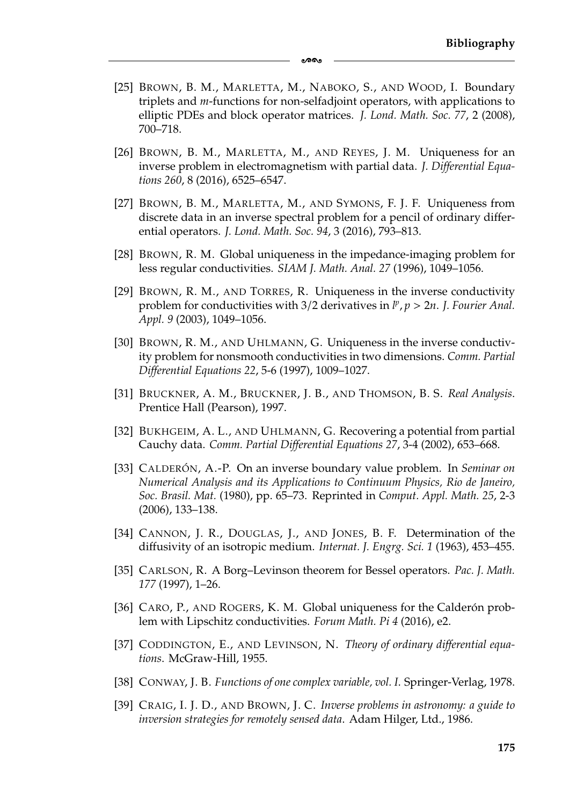[25] BROWN, B. M., MARLETTA, M., NABOKO, S., AND WOOD, I. Boundary triplets and *m*-functions for non-selfadjoint operators, with applications to elliptic PDEs and block operator matrices. *J. Lond. Math. Soc. 77*, 2 (2008), 700–718.

ക്ക

- [26] BROWN, B. M., MARLETTA, M., AND REYES, J. M. Uniqueness for an inverse problem in electromagnetism with partial data. *J. Differential Equations 260*, 8 (2016), 6525–6547.
- [27] BROWN, B. M., MARLETTA, M., AND SYMONS, F. J. F. Uniqueness from discrete data in an inverse spectral problem for a pencil of ordinary differential operators. *J. Lond. Math. Soc. 94*, 3 (2016), 793–813.
- [28] BROWN, R. M. Global uniqueness in the impedance-imaging problem for less regular conductivities. *SIAM J. Math. Anal. 27* (1996), 1049–1056.
- [29] BROWN, R. M., AND TORRES, R. Uniqueness in the inverse conductivity problem for conductivities with  $3/2$  derivatives in  $l^p$ ,  $p > 2n$ . *J. Fourier Anal. Appl. 9* (2003), 1049–1056.
- [30] BROWN, R. M., AND UHLMANN, G. Uniqueness in the inverse conductivity problem for nonsmooth conductivities in two dimensions. *Comm. Partial Differential Equations 22*, 5-6 (1997), 1009–1027.
- [31] BRUCKNER, A. M., BRUCKNER, J. B., AND THOMSON, B. S. *Real Analysis*. Prentice Hall (Pearson), 1997.
- [32] BUKHGEIM, A. L., AND UHLMANN, G. Recovering a potential from partial Cauchy data. *Comm. Partial Differential Equations 27*, 3-4 (2002), 653–668.
- [33] CALDERÓN, A.-P. On an inverse boundary value problem. In *Seminar on Numerical Analysis and its Applications to Continuum Physics, Rio de Janeiro, Soc. Brasil. Mat.* (1980), pp. 65–73. Reprinted in *Comput. Appl. Math. 25*, 2-3 (2006), 133–138.
- [34] CANNON, J. R., DOUGLAS, J., AND JONES, B. F. Determination of the diffusivity of an isotropic medium. *Internat. J. Engrg. Sci. 1* (1963), 453–455.
- [35] CARLSON, R. A Borg–Levinson theorem for Bessel operators. *Pac. J. Math. 177* (1997), 1–26.
- [36] CARO, P., AND ROGERS, K. M. Global uniqueness for the Calderón problem with Lipschitz conductivities. *Forum Math. Pi 4* (2016), e2.
- [37] CODDINGTON, E., AND LEVINSON, N. *Theory of ordinary differential equations*. McGraw-Hill, 1955.
- [38] CONWAY, J. B. *Functions of one complex variable, vol. I*. Springer-Verlag, 1978.
- [39] CRAIG, I. J. D., AND BROWN, J. C. *Inverse problems in astronomy: a guide to inversion strategies for remotely sensed data*. Adam Hilger, Ltd., 1986.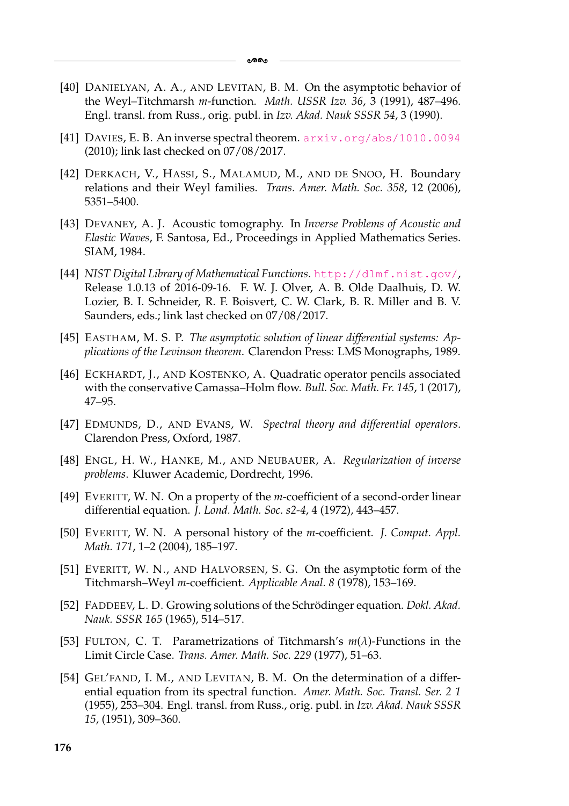- [40] DANIELYAN, A. A., AND LEVITAN, B. M. On the asymptotic behavior of the Weyl–Titchmarsh *m*-function. *Math. USSR Izv. 36*, 3 (1991), 487–496. Engl. transl. from Russ., orig. publ. in *Izv. Akad. Nauk SSSR 54*, 3 (1990).
- [41] DAVIES, E. B. An inverse spectral theorem. <arxiv.org/abs/1010.0094> (2010); link last checked on 07/08/2017.
- [42] DERKACH, V., HASSI, S., MALAMUD, M., AND DE SNOO, H. Boundary relations and their Weyl families. *Trans. Amer. Math. Soc. 358*, 12 (2006), 5351–5400.
- [43] DEVANEY, A. J. Acoustic tomography. In *Inverse Problems of Acoustic and Elastic Waves*, F. Santosa, Ed., Proceedings in Applied Mathematics Series. SIAM, 1984.
- [44] *NIST Digital Library of Mathematical Functions*. <http://dlmf.nist.gov/>, Release 1.0.13 of 2016-09-16. F. W. J. Olver, A. B. Olde Daalhuis, D. W. Lozier, B. I. Schneider, R. F. Boisvert, C. W. Clark, B. R. Miller and B. V. Saunders, eds.; link last checked on 07/08/2017.
- [45] EASTHAM, M. S. P. *The asymptotic solution of linear differential systems: Applications of the Levinson theorem*. Clarendon Press: LMS Monographs, 1989.
- [46] ECKHARDT, J., AND KOSTENKO, A. Quadratic operator pencils associated with the conservative Camassa–Holm flow. *Bull. Soc. Math. Fr. 145*, 1 (2017), 47–95.
- [47] EDMUNDS, D., AND EVANS, W. *Spectral theory and differential operators*. Clarendon Press, Oxford, 1987.
- [48] ENGL, H. W., HANKE, M., AND NEUBAUER, A. *Regularization of inverse problems*. Kluwer Academic, Dordrecht, 1996.
- [49] EVERITT, W. N. On a property of the *m*-coefficient of a second-order linear differential equation. *J. Lond. Math. Soc. s2-4*, 4 (1972), 443–457.
- [50] EVERITT, W. N. A personal history of the *m*-coefficient. *J. Comput. Appl. Math. 171*, 1–2 (2004), 185–197.
- [51] EVERITT, W. N., AND HALVORSEN, S. G. On the asymptotic form of the Titchmarsh–Weyl *m*-coefficient. *Applicable Anal. 8* (1978), 153–169.
- [52] FADDEEV, L. D. Growing solutions of the Schrödinger equation. *Dokl. Akad. Nauk. SSSR 165* (1965), 514–517.
- [53] FULTON, C. T. Parametrizations of Titchmarsh's *m*(λ)-Functions in the Limit Circle Case. *Trans. Amer. Math. Soc. 229* (1977), 51–63.
- [54] GEL'FAND, I. M., AND LEVITAN, B. M. On the determination of a differential equation from its spectral function. *Amer. Math. Soc. Transl. Ser. 2 1* (1955), 253–304. Engl. transl. from Russ., orig. publ. in *Izv. Akad. Nauk SSSR 15*, (1951), 309–360.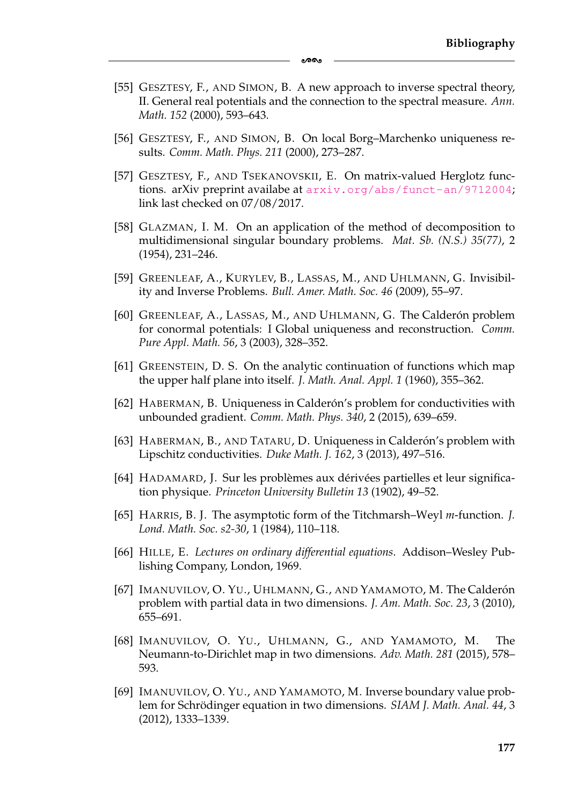[55] GESZTESY, F., AND SIMON, B. A new approach to inverse spectral theory, II. General real potentials and the connection to the spectral measure. *Ann. Math. 152* (2000), 593–643.

ക്ക

- [56] GESZTESY, F., AND SIMON, B. On local Borg–Marchenko uniqueness results. *Comm. Math. Phys. 211* (2000), 273–287.
- [57] GESZTESY, F., AND TSEKANOVSKII, E. On matrix-valued Herglotz functions. arXiv preprint availabe at  $arxiv.org/abs/funct-an/9712004;$  $arxiv.org/abs/funct-an/9712004;$ link last checked on 07/08/2017.
- [58] GLAZMAN, I. M. On an application of the method of decomposition to multidimensional singular boundary problems. *Mat. Sb. (N.S.) 35(77)*, 2 (1954), 231–246.
- [59] GREENLEAF, A., KURYLEV, B., LASSAS, M., AND UHLMANN, G. Invisibility and Inverse Problems. *Bull. Amer. Math. Soc. 46* (2009), 55–97.
- [60] GREENLEAF, A., LASSAS, M., AND UHLMANN, G. The Calderón problem for conormal potentials: I Global uniqueness and reconstruction. *Comm. Pure Appl. Math. 56*, 3 (2003), 328–352.
- [61] GREENSTEIN, D. S. On the analytic continuation of functions which map the upper half plane into itself. *J. Math. Anal. Appl. 1* (1960), 355–362.
- [62] HABERMAN, B. Uniqueness in Calderón's problem for conductivities with unbounded gradient. *Comm. Math. Phys. 340*, 2 (2015), 639–659.
- [63] HABERMAN, B., AND TATARU, D. Uniqueness in Calderón's problem with Lipschitz conductivities. *Duke Math. J. 162*, 3 (2013), 497–516.
- [64] HADAMARD, J. Sur les problèmes aux dérivées partielles et leur signification physique. *Princeton University Bulletin 13* (1902), 49–52.
- [65] HARRIS, B. J. The asymptotic form of the Titchmarsh–Weyl *m*-function. *J. Lond. Math. Soc. s2-30*, 1 (1984), 110–118.
- [66] HILLE, E. *Lectures on ordinary differential equations*. Addison–Wesley Publishing Company, London, 1969.
- [67] IMANUVILOV, O. YU., UHLMANN, G., AND YAMAMOTO, M. The Calderón problem with partial data in two dimensions. *J. Am. Math. Soc. 23*, 3 (2010), 655–691.
- [68] IMANUVILOV, O. YU., UHLMANN, G., AND YAMAMOTO, M. The Neumann-to-Dirichlet map in two dimensions. *Adv. Math. 281* (2015), 578– 593.
- [69] IMANUVILOV, O. YU., AND YAMAMOTO, M. Inverse boundary value problem for Schrödinger equation in two dimensions. *SIAM J. Math. Anal.* 44, 3 (2012), 1333–1339.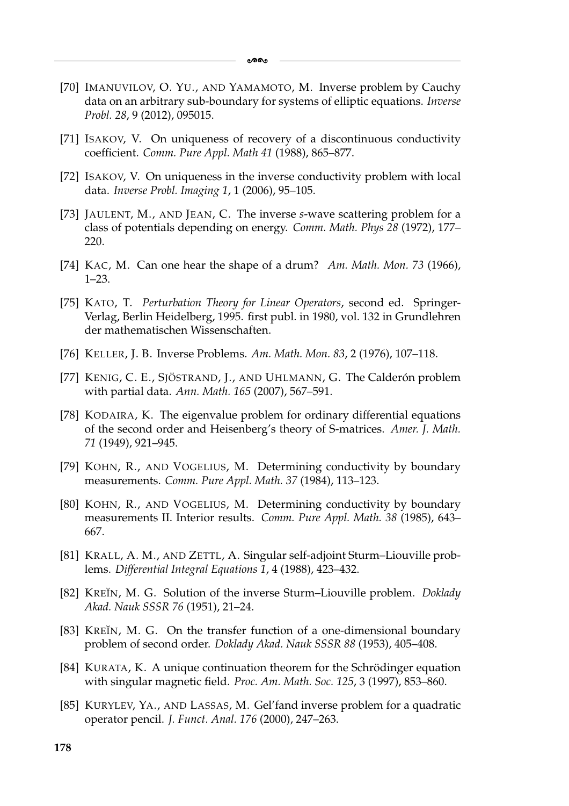- [70] IMANUVILOV, O. YU., AND YAMAMOTO, M. Inverse problem by Cauchy data on an arbitrary sub-boundary for systems of elliptic equations. *Inverse Probl. 28*, 9 (2012), 095015.
- [71] ISAKOV, V. On uniqueness of recovery of a discontinuous conductivity coefficient. *Comm. Pure Appl. Math 41* (1988), 865–877.
- [72] ISAKOV, V. On uniqueness in the inverse conductivity problem with local data. *Inverse Probl. Imaging 1*, 1 (2006), 95–105.
- [73] JAULENT, M., AND JEAN, C. The inverse *s*-wave scattering problem for a class of potentials depending on energy. *Comm. Math. Phys 28* (1972), 177– 220.
- [74] KAC, M. Can one hear the shape of a drum? *Am. Math. Mon. 73* (1966), 1–23.
- [75] KATO, T. *Perturbation Theory for Linear Operators*, second ed. Springer-Verlag, Berlin Heidelberg, 1995. first publ. in 1980, vol. 132 in Grundlehren der mathematischen Wissenschaften.
- [76] KELLER, J. B. Inverse Problems. *Am. Math. Mon. 83*, 2 (1976), 107–118.
- [77] KENIG, C. E., SJÖSTRAND, J., AND UHLMANN, G. The Calderón problem with partial data. *Ann. Math. 165* (2007), 567–591.
- [78] KODAIRA, K. The eigenvalue problem for ordinary differential equations of the second order and Heisenberg's theory of S-matrices. *Amer. J. Math. 71* (1949), 921–945.
- [79] KOHN, R., AND VOGELIUS, M. Determining conductivity by boundary measurements. *Comm. Pure Appl. Math. 37* (1984), 113–123.
- [80] KOHN, R., AND VOGELIUS, M. Determining conductivity by boundary measurements II. Interior results. *Comm. Pure Appl. Math. 38* (1985), 643– 667.
- [81] KRALL, A. M., AND ZETTL, A. Singular self-adjoint Sturm–Liouville problems. *Differential Integral Equations 1*, 4 (1988), 423–432.
- [82] KREĬN, M. G. Solution of the inverse Sturm–Liouville problem. *Doklady Akad. Nauk SSSR 76* (1951), 21–24.
- [83] KREĬN, M. G. On the transfer function of a one-dimensional boundary problem of second order. *Doklady Akad. Nauk SSSR 88* (1953), 405–408.
- [84] KURATA, K. A unique continuation theorem for the Schrödinger equation with singular magnetic field. *Proc. Am. Math. Soc. 125*, 3 (1997), 853–860.
- [85] KURYLEV, YA., AND LASSAS, M. Gel'fand inverse problem for a quadratic operator pencil. *J. Funct. Anal. 176* (2000), 247–263.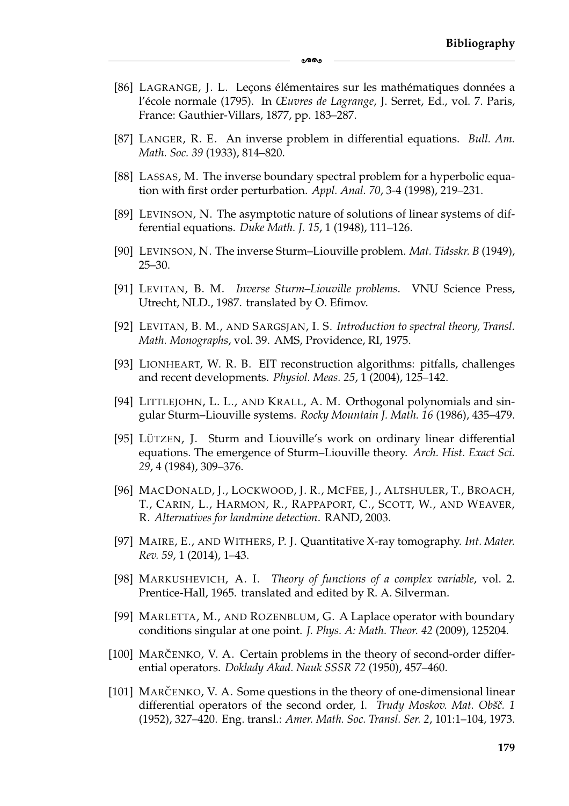[86] LAGRANGE, J. L. Lecons élémentaires sur les mathématiques données a l'école normale (1795). In Œuvres de Lagrange, J. Serret, Ed., vol. 7. Paris, France: Gauthier-Villars, 1877, pp. 183–287.

-

- [87] LANGER, R. E. An inverse problem in differential equations. *Bull. Am. Math. Soc. 39* (1933), 814–820.
- [88] LASSAS, M. The inverse boundary spectral problem for a hyperbolic equation with first order perturbation. *Appl. Anal. 70*, 3-4 (1998), 219–231.
- [89] LEVINSON, N. The asymptotic nature of solutions of linear systems of differential equations. *Duke Math. J. 15*, 1 (1948), 111–126.
- [90] LEVINSON, N. The inverse Sturm–Liouville problem. *Mat. Tidsskr. B* (1949), 25–30.
- [91] LEVITAN, B. M. *Inverse Sturm–Liouville problems*. VNU Science Press, Utrecht, NLD., 1987. translated by O. Efimov.
- [92] LEVITAN, B. M., AND SARGSJAN, I. S. *Introduction to spectral theory, Transl. Math. Monographs*, vol. 39. AMS, Providence, RI, 1975.
- [93] LIONHEART, W. R. B. EIT reconstruction algorithms: pitfalls, challenges and recent developments. *Physiol. Meas. 25*, 1 (2004), 125–142.
- [94] LITTLEJOHN, L. L., AND KRALL, A. M. Orthogonal polynomials and singular Sturm–Liouville systems. *Rocky Mountain J. Math. 16* (1986), 435–479.
- [95] LÜTZEN, J. Sturm and Liouville's work on ordinary linear differential equations. The emergence of Sturm–Liouville theory. *Arch. Hist. Exact Sci. 29*, 4 (1984), 309–376.
- [96] MACDONALD, J., LOCKWOOD, J. R., MCFEE, J., ALTSHULER, T., BROACH, T., CARIN, L., HARMON, R., RAPPAPORT, C., SCOTT, W., AND WEAVER, R. *Alternatives for landmine detection*. RAND, 2003.
- [97] MAIRE, E., AND WITHERS, P. J. Quantitative X-ray tomography. *Int. Mater. Rev. 59*, 1 (2014), 1–43.
- [98] MARKUSHEVICH, A. I. *Theory of functions of a complex variable*, vol. 2. Prentice-Hall, 1965. translated and edited by R. A. Silverman.
- [99] MARLETTA, M., AND ROZENBLUM, G. A Laplace operator with boundary conditions singular at one point. *J. Phys. A: Math. Theor. 42* (2009), 125204.
- [100] MARCENKO, V. A. Certain problems in the theory of second-order differential operators. *Doklady Akad. Nauk SSSR 72* (1950), 457–460.
- [101] MARCENKO, V. A. Some questions in the theory of one-dimensional linear differential operators of the second order, I. *Trudy Moskov. Mat. Obsˇcˇ. 1* (1952), 327–420. Eng. transl.: *Amer. Math. Soc. Transl. Ser. 2*, 101:1–104, 1973.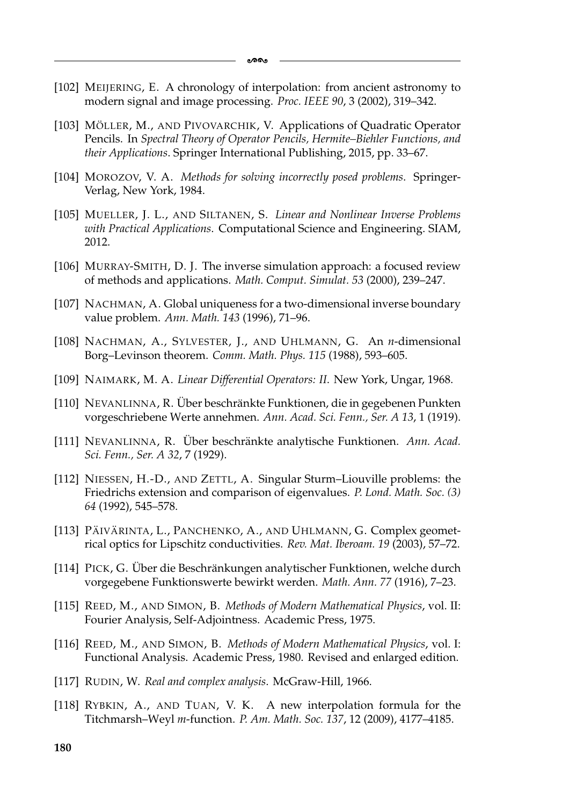- [102] MEIJERING, E. A chronology of interpolation: from ancient astronomy to modern signal and image processing. *Proc. IEEE 90*, 3 (2002), 319–342.
- [103] MÖLLER, M., AND PIVOVARCHIK, V. Applications of Quadratic Operator Pencils. In *Spectral Theory of Operator Pencils, Hermite–Biehler Functions, and their Applications*. Springer International Publishing, 2015, pp. 33–67.
- [104] MOROZOV, V. A. *Methods for solving incorrectly posed problems*. Springer-Verlag, New York, 1984.
- [105] MUELLER, J. L., AND SILTANEN, S. *Linear and Nonlinear Inverse Problems with Practical Applications*. Computational Science and Engineering. SIAM, 2012.
- [106] MURRAY-SMITH, D. J. The inverse simulation approach: a focused review of methods and applications. *Math. Comput. Simulat. 53* (2000), 239–247.
- [107] NACHMAN, A. Global uniqueness for a two-dimensional inverse boundary value problem. *Ann. Math. 143* (1996), 71–96.
- [108] NACHMAN, A., SYLVESTER, J., AND UHLMANN, G. An *n*-dimensional Borg–Levinson theorem. *Comm. Math. Phys. 115* (1988), 593–605.
- [109] NAIMARK, M. A. *Linear Differential Operators: II*. New York, Ungar, 1968.
- [110] NEVANLINNA, R. Über beschränkte Funktionen, die in gegebenen Punkten vorgeschriebene Werte annehmen. *Ann. Acad. Sci. Fenn., Ser. A 13*, 1 (1919).
- [111] NEVANLINNA, R. Über beschränkte analytische Funktionen. Ann. Acad. *Sci. Fenn., Ser. A 32*, 7 (1929).
- [112] NIESSEN, H.-D., AND ZETTL, A. Singular Sturm–Liouville problems: the Friedrichs extension and comparison of eigenvalues. *P. Lond. Math. Soc. (3) 64* (1992), 545–578.
- [113] PÄIVÄRINTA, L., PANCHENKO, A., AND UHLMANN, G. Complex geometrical optics for Lipschitz conductivities. *Rev. Mat. Iberoam. 19* (2003), 57–72.
- [114] PICK, G. Über die Beschränkungen analytischer Funktionen, welche durch vorgegebene Funktionswerte bewirkt werden. *Math. Ann. 77* (1916), 7–23.
- [115] REED, M., AND SIMON, B. *Methods of Modern Mathematical Physics*, vol. II: Fourier Analysis, Self-Adjointness. Academic Press, 1975.
- [116] REED, M., AND SIMON, B. *Methods of Modern Mathematical Physics*, vol. I: Functional Analysis. Academic Press, 1980. Revised and enlarged edition.
- [117] RUDIN, W. *Real and complex analysis*. McGraw-Hill, 1966.
- [118] RYBKIN, A., AND TUAN, V. K. A new interpolation formula for the Titchmarsh–Weyl *m*-function. *P. Am. Math. Soc. 137*, 12 (2009), 4177–4185.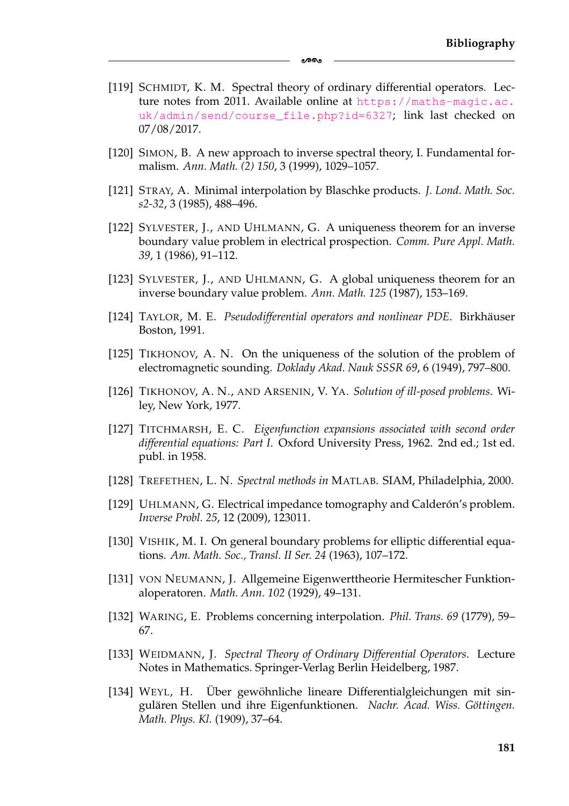[119] SCHMIDT, K. M. Spectral theory of ordinary differential operators. Lecture notes from 2011. Available online at [https://maths-magic.ac.](https://maths-magic.ac.uk/admin/send/course_file.php?id=6327) [uk/admin/send/course\\_file.php?id=6327](https://maths-magic.ac.uk/admin/send/course_file.php?id=6327); link last checked on 07/08/2017.

ക്ക

- [120] SIMON, B. A new approach to inverse spectral theory, I. Fundamental formalism. *Ann. Math. (2) 150*, 3 (1999), 1029–1057.
- [121] STRAY, A. Minimal interpolation by Blaschke products. *J. Lond. Math. Soc. s2-32*, 3 (1985), 488–496.
- [122] SYLVESTER, J., AND UHLMANN, G. A uniqueness theorem for an inverse boundary value problem in electrical prospection. *Comm. Pure Appl. Math. 39*, 1 (1986), 91–112.
- [123] SYLVESTER, J., AND UHLMANN, G. A global uniqueness theorem for an inverse boundary value problem. *Ann. Math. 125* (1987), 153–169.
- [124] TAYLOR, M. E. *Pseudodifferential operators and nonlinear PDE*. Birkhäuser Boston, 1991.
- [125] TIKHONOV, A. N. On the uniqueness of the solution of the problem of electromagnetic sounding. *Doklady Akad. Nauk SSSR 69*, 6 (1949), 797–800.
- [126] TIKHONOV, A. N., AND ARSENIN, V. YA. *Solution of ill-posed problems*. Wiley, New York, 1977.
- [127] TITCHMARSH, E. C. *Eigenfunction expansions associated with second order differential equations: Part I*. Oxford University Press, 1962. 2nd ed.; 1st ed. publ. in 1958.
- [128] TREFETHEN, L. N. *Spectral methods in* MATLAB. SIAM, Philadelphia, 2000.
- [129] UHLMANN, G. Electrical impedance tomography and Calderón's problem. *Inverse Probl. 25*, 12 (2009), 123011.
- [130] VISHIK, M. I. On general boundary problems for elliptic differential equations. *Am. Math. Soc., Transl. II Ser. 24* (1963), 107–172.
- [131] VON NEUMANN, J. Allgemeine Eigenwerttheorie Hermitescher Funktionaloperatoren. *Math. Ann. 102* (1929), 49–131.
- [132] WARING, E. Problems concerning interpolation. *Phil. Trans. 69* (1779), 59– 67.
- [133] WEIDMANN, J. *Spectral Theory of Ordinary Differential Operators*. Lecture Notes in Mathematics. Springer-Verlag Berlin Heidelberg, 1987.
- [134] WEYL, H. Über gewöhnliche lineare Differentialgleichungen mit singulären Stellen und ihre Eigenfunktionen. Nachr. Acad. Wiss. Göttingen. *Math. Phys. Kl.* (1909), 37–64.